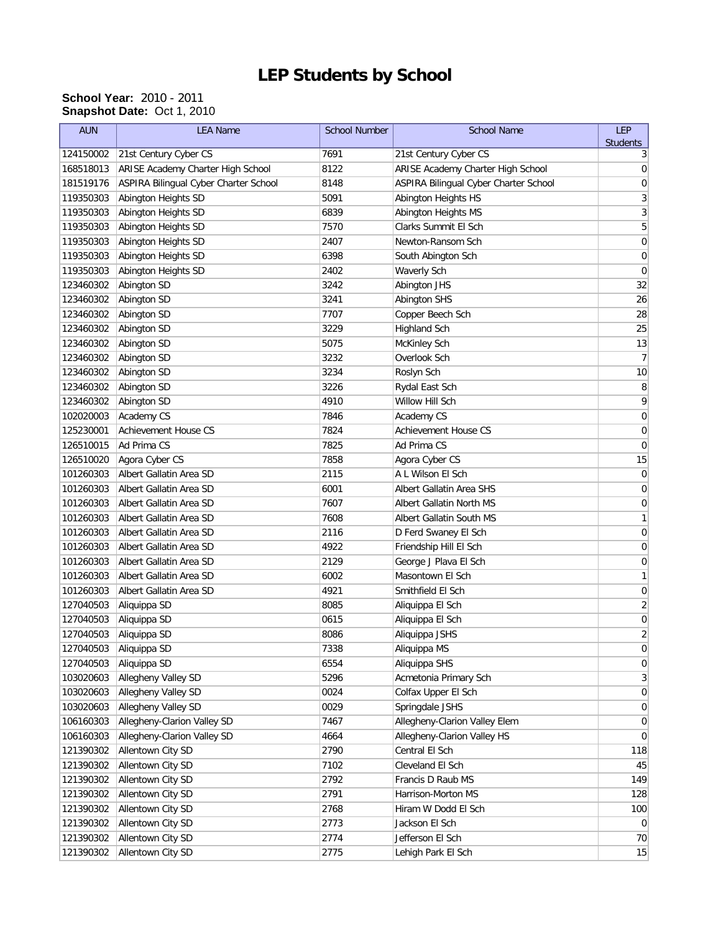## **LEP Students by School**

## **School Year:** 2010 - 2011 **Snapshot Date:** Oct 1, 2010

| <b>AUN</b> | <b>LEA Name</b>                       | <b>School Number</b> | <b>School Name</b>                    | LEP                     |
|------------|---------------------------------------|----------------------|---------------------------------------|-------------------------|
| 124150002  | 21st Century Cyber CS                 | 7691                 | 21st Century Cyber CS                 | <b>Students</b><br>3    |
| 168518013  | ARISE Academy Charter High School     | 8122                 | ARISE Academy Charter High School     | 0                       |
| 181519176  | ASPIRA Bilingual Cyber Charter School | 8148                 | ASPIRA Bilingual Cyber Charter School | 0                       |
| 119350303  | Abington Heights SD                   | 5091                 | Abington Heights HS                   | 3                       |
| 119350303  | Abington Heights SD                   | 6839                 | Abington Heights MS                   | 3                       |
| 119350303  | Abington Heights SD                   | 7570                 | Clarks Summit El Sch                  | 5                       |
| 119350303  | Abington Heights SD                   | 2407                 | Newton-Ransom Sch                     | $\mathbf 0$             |
| 119350303  | Abington Heights SD                   | 6398                 | South Abington Sch                    | 0                       |
| 119350303  | Abington Heights SD                   | 2402                 | <b>Waverly Sch</b>                    | $\mathbf 0$             |
| 123460302  | Abington SD                           | 3242                 | Abington JHS                          | 32                      |
| 123460302  | Abington SD                           | 3241                 | Abington SHS                          | 26                      |
| 123460302  | Abington SD                           | 7707                 | Copper Beech Sch                      | 28                      |
| 123460302  | Abington SD                           | 3229                 | <b>Highland Sch</b>                   | 25                      |
| 123460302  | Abington SD                           | 5075                 | <b>McKinley Sch</b>                   | 13                      |
| 123460302  | Abington SD                           | 3232                 | Overlook Sch                          | $\overline{7}$          |
|            |                                       |                      |                                       |                         |
| 123460302  | Abington SD                           | 3234                 | Roslyn Sch                            | 10                      |
| 123460302  | Abington SD                           | 3226                 | Rydal East Sch                        | 8                       |
| 123460302  | Abington SD                           | 4910                 | Willow Hill Sch                       | 9                       |
| 102020003  | Academy CS                            | 7846                 | Academy CS                            | $\mathbf 0$             |
| 125230001  | Achievement House CS                  | 7824                 | <b>Achievement House CS</b>           | 0                       |
| 126510015  | Ad Prima CS                           | 7825                 | Ad Prima CS                           | 0                       |
| 126510020  | Agora Cyber CS                        | 7858                 | Agora Cyber CS                        | 15                      |
| 101260303  | Albert Gallatin Area SD               | 2115                 | A L Wilson El Sch                     | 0                       |
| 101260303  | Albert Gallatin Area SD               | 6001                 | Albert Gallatin Area SHS              | 0                       |
| 101260303  | Albert Gallatin Area SD               | 7607                 | Albert Gallatin North MS              | 0                       |
| 101260303  | Albert Gallatin Area SD               | 7608                 | Albert Gallatin South MS              | 1                       |
| 101260303  | Albert Gallatin Area SD               | 2116                 | D Ferd Swaney El Sch                  | $\mathbf 0$             |
| 101260303  | Albert Gallatin Area SD               | 4922                 | Friendship Hill El Sch                | 0                       |
| 101260303  | Albert Gallatin Area SD               | 2129                 | George J Plava El Sch                 | $\mathbf 0$             |
| 101260303  | Albert Gallatin Area SD               | 6002                 | Masontown El Sch                      | 1                       |
| 101260303  | Albert Gallatin Area SD               | 4921                 | Smithfield El Sch                     | $\mathbf 0$             |
| 127040503  | Aliquippa SD                          | 8085                 | Aliquippa El Sch                      | $\overline{\mathbf{c}}$ |
| 127040503  | Aliquippa SD                          | 0615                 | Aliquippa El Sch                      | $\mathbf 0$             |
| 127040503  | Aliquippa SD                          | 8086                 | Aliquippa JSHS                        | $\overline{2}$          |
| 127040503  | Aliquippa SD                          | 7338                 | Aliquippa MS                          | $\overline{0}$          |
| 127040503  | Aliquippa SD                          | 6554                 | Aliquippa SHS                         | $\boldsymbol{0}$        |
| 103020603  | Allegheny Valley SD                   | 5296                 | Acmetonia Primary Sch                 | $\mathbf{3}$            |
| 103020603  | Allegheny Valley SD                   | 0024                 | Colfax Upper El Sch                   | $\overline{0}$          |
| 103020603  | Allegheny Valley SD                   | 0029                 | Springdale JSHS                       | $\overline{0}$          |
| 106160303  | Allegheny-Clarion Valley SD           | 7467                 | Allegheny-Clarion Valley Elem         | $\overline{0}$          |
| 106160303  | Allegheny-Clarion Valley SD           | 4664                 | Allegheny-Clarion Valley HS           | $\overline{0}$          |
| 121390302  | Allentown City SD                     | 2790                 | Central El Sch                        | 118                     |
| 121390302  | Allentown City SD                     | 7102                 | Cleveland El Sch                      | 45                      |
| 121390302  | Allentown City SD                     | 2792                 | Francis D Raub MS                     | 149                     |
| 121390302  | Allentown City SD                     | 2791                 | Harrison-Morton MS                    | 128                     |
| 121390302  | Allentown City SD                     | 2768                 | Hiram W Dodd El Sch                   | 100                     |
| 121390302  | Allentown City SD                     | 2773                 | Jackson El Sch                        | $\overline{0}$          |
| 121390302  | Allentown City SD                     | 2774                 | Jefferson El Sch                      | 70                      |
| 121390302  | Allentown City SD                     | 2775                 | Lehigh Park El Sch                    | 15                      |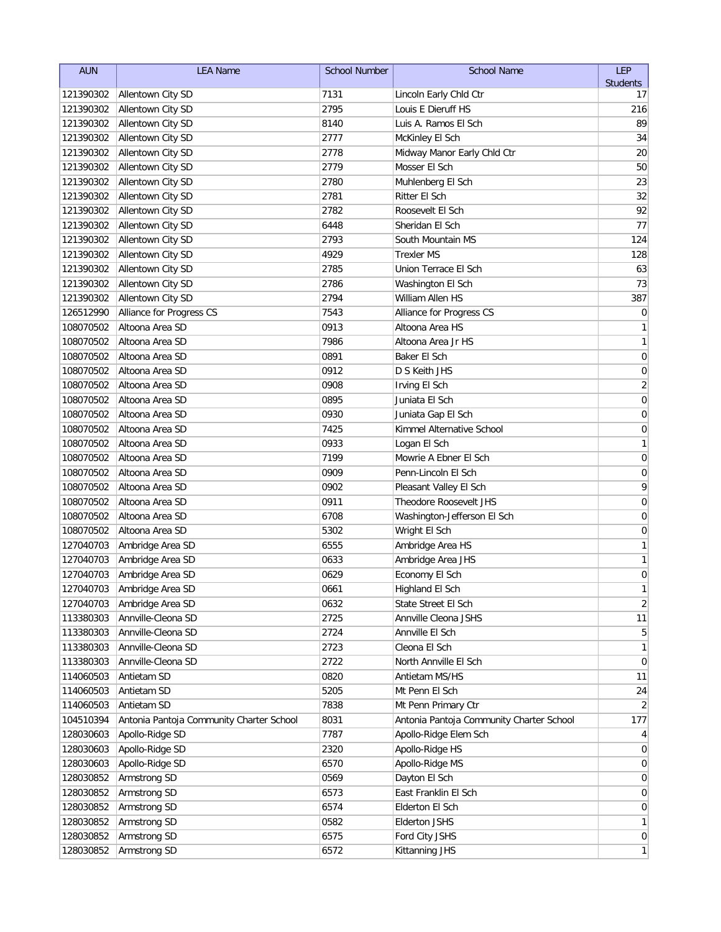| <b>AUN</b> | <b>LEA Name</b>                          | <b>School Number</b> | <b>School Name</b>                       | <b>LEP</b>      |
|------------|------------------------------------------|----------------------|------------------------------------------|-----------------|
|            |                                          |                      |                                          | <b>Students</b> |
| 121390302  | Allentown City SD                        | 7131                 | Lincoln Early Chld Ctr                   | 17              |
| 121390302  | Allentown City SD                        | 2795                 | Louis E Dieruff HS                       | 216             |
| 121390302  | Allentown City SD                        | 8140                 | Luis A. Ramos El Sch                     | 89              |
| 121390302  | Allentown City SD                        | 2777                 | McKinley El Sch                          | 34              |
| 121390302  | Allentown City SD                        | 2778                 | Midway Manor Early Chld Ctr              | 20              |
| 121390302  | Allentown City SD                        | 2779                 | Mosser El Sch                            | 50              |
| 121390302  | Allentown City SD                        | 2780                 | Muhlenberg El Sch                        | 23              |
| 121390302  | Allentown City SD                        | 2781                 | Ritter El Sch                            | 32              |
| 121390302  | Allentown City SD                        | 2782                 | Roosevelt El Sch                         | 92              |
| 121390302  | Allentown City SD                        | 6448                 | Sheridan El Sch                          | 77              |
| 121390302  | Allentown City SD                        | 2793                 | South Mountain MS                        | 124             |
| 121390302  | Allentown City SD                        | 4929                 | <b>Trexler MS</b>                        | 128             |
| 121390302  | Allentown City SD                        | 2785                 | Union Terrace El Sch                     | 63              |
| 121390302  | Allentown City SD                        | 2786                 | Washington El Sch                        | 73              |
| 121390302  | Allentown City SD                        | 2794                 | William Allen HS                         | 387             |
| 126512990  | Alliance for Progress CS                 | 7543                 | Alliance for Progress CS                 | $\mathbf 0$     |
| 108070502  | Altoona Area SD                          | 0913                 | Altoona Area HS                          | 1               |
| 108070502  | Altoona Area SD                          | 7986                 | Altoona Area Jr HS                       | $\mathbf{1}$    |
| 108070502  | Altoona Area SD                          | 0891                 | Baker El Sch                             | 0               |
| 108070502  | Altoona Area SD                          | 0912                 | D S Keith JHS                            | 0               |
| 108070502  | Altoona Area SD                          | 0908                 | Irving El Sch                            | $\overline{2}$  |
| 108070502  | Altoona Area SD                          | 0895                 | Juniata El Sch                           | 0               |
| 108070502  | Altoona Area SD                          | 0930                 | Juniata Gap El Sch                       | 0               |
| 108070502  | Altoona Area SD                          | 7425                 | Kimmel Alternative School                | 0               |
| 108070502  | Altoona Area SD                          | 0933                 | Logan El Sch                             | 1               |
| 108070502  | Altoona Area SD                          | 7199                 | Mowrie A Ebner El Sch                    | $\mathbf 0$     |
| 108070502  | Altoona Area SD                          | 0909                 | Penn-Lincoln El Sch                      | $\mathbf 0$     |
| 108070502  | Altoona Area SD                          | 0902                 | Pleasant Valley El Sch                   | 9               |
| 108070502  | Altoona Area SD                          | 0911                 | Theodore Roosevelt JHS                   | $\mathbf 0$     |
| 108070502  | Altoona Area SD                          | 6708                 | Washington-Jefferson El Sch              | 0               |
| 108070502  | Altoona Area SD                          | 5302                 | Wright El Sch                            | 0               |
| 127040703  | Ambridge Area SD                         | 6555                 | Ambridge Area HS                         | 1               |
| 127040703  | Ambridge Area SD                         | 0633                 | Ambridge Area JHS                        | 1               |
| 127040703  | Ambridge Area SD                         | 0629                 | Economy El Sch                           | 0               |
|            | 127040703 Ambridge Area SD               | 0661                 | Highland El Sch                          | 1               |
| 127040703  | Ambridge Area SD                         | 0632                 | State Street El Sch                      | $\overline{2}$  |
| 113380303  | Annville-Cleona SD                       | 2725                 | Annville Cleona JSHS                     | 11              |
| 113380303  | Annville-Cleona SD                       | 2724                 | Annville El Sch                          | 5               |
| 113380303  | Annville-Cleona SD                       | 2723                 | Cleona El Sch                            | 1               |
| 113380303  | Annville-Cleona SD                       | 2722                 | North Annville El Sch                    | 0               |
| 114060503  | Antietam SD                              | 0820                 | Antietam MS/HS                           | 11              |
| 114060503  | Antietam SD                              | 5205                 | Mt Penn El Sch                           | 24              |
| 114060503  | Antietam SD                              | 7838                 | Mt Penn Primary Ctr                      | 2               |
| 104510394  | Antonia Pantoja Community Charter School | 8031                 | Antonia Pantoja Community Charter School | 177             |
| 128030603  | Apollo-Ridge SD                          | 7787                 | Apollo-Ridge Elem Sch                    | 4               |
| 128030603  | Apollo-Ridge SD                          | 2320                 | Apollo-Ridge HS                          | 0               |
| 128030603  | Apollo-Ridge SD                          | 6570                 | Apollo-Ridge MS                          | 0               |
| 128030852  | Armstrong SD                             | 0569                 | Dayton El Sch                            | $\overline{0}$  |
| 128030852  | Armstrong SD                             | 6573                 | East Franklin El Sch                     | 0               |
| 128030852  | Armstrong SD                             | 6574                 | Elderton El Sch                          | 0               |
| 128030852  | Armstrong SD                             | 0582                 | <b>Elderton JSHS</b>                     | 1               |
| 128030852  | Armstrong SD                             | 6575                 | Ford City JSHS                           | $\overline{0}$  |
| 128030852  | Armstrong SD                             | 6572                 | Kittanning JHS                           | $\mathbf{1}$    |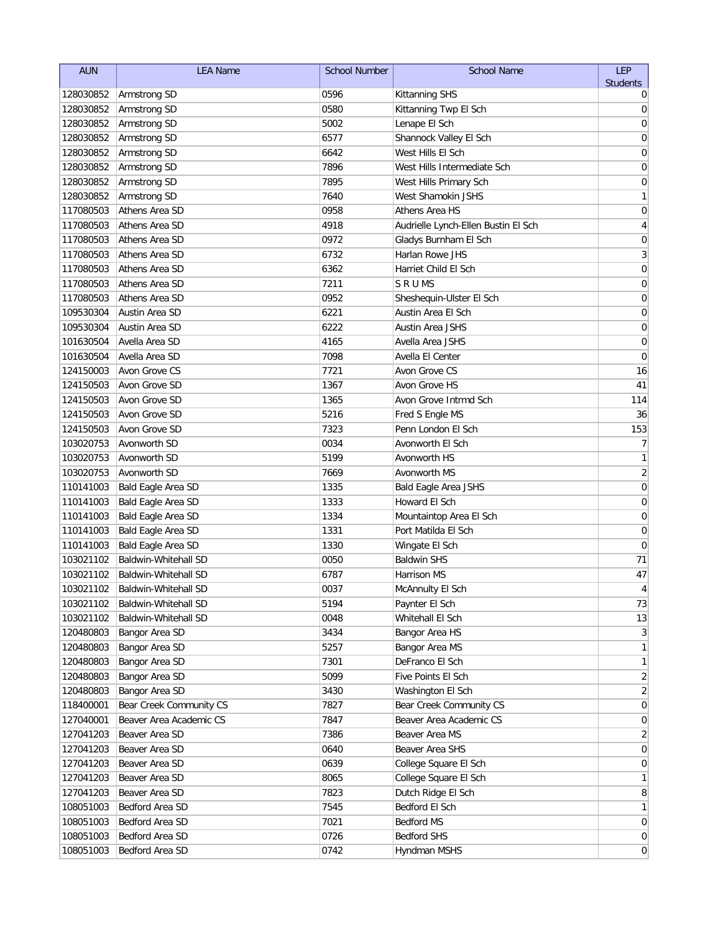| <b>AUN</b> | <b>LEA Name</b>         | <b>School Number</b> | <b>School Name</b>                  | <b>LEP</b>       |
|------------|-------------------------|----------------------|-------------------------------------|------------------|
|            |                         |                      |                                     | <b>Students</b>  |
| 128030852  | Armstrong SD            | 0596                 | <b>Kittanning SHS</b>               | 0                |
| 128030852  | Armstrong SD            | 0580                 | Kittanning Twp El Sch               | 0                |
| 128030852  | Armstrong SD            | 5002                 | Lenape El Sch                       | 0                |
| 128030852  | Armstrong SD            | 6577                 | Shannock Valley El Sch              | 0                |
| 128030852  | Armstrong SD            | 6642                 | West Hills El Sch                   | 0                |
| 128030852  | Armstrong SD            | 7896                 | West Hills Intermediate Sch         | 0                |
| 128030852  | Armstrong SD            | 7895                 | West Hills Primary Sch              | 0                |
| 128030852  | Armstrong SD            | 7640                 | West Shamokin JSHS                  | 1                |
| 117080503  | Athens Area SD          | 0958                 | Athens Area HS                      | 0                |
| 117080503  | Athens Area SD          | 4918                 | Audrielle Lynch-Ellen Bustin El Sch | 4                |
| 117080503  | Athens Area SD          | 0972                 | Gladys Burnham El Sch               | $\mathbf 0$      |
| 117080503  | Athens Area SD          | 6732                 | Harlan Rowe JHS                     | 3                |
| 117080503  | Athens Area SD          | 6362                 | Harriet Child El Sch                | $\mathbf 0$      |
| 117080503  | Athens Area SD          | 7211                 | <b>SRUMS</b>                        | 0                |
| 117080503  | Athens Area SD          | 0952                 | Sheshequin-Ulster El Sch            | 0                |
| 109530304  | Austin Area SD          | 6221                 | Austin Area El Sch                  | 0                |
| 109530304  | Austin Area SD          | 6222                 | <b>Austin Area JSHS</b>             | $\mathbf 0$      |
| 101630504  | Avella Area SD          | 4165                 | Avella Area JSHS                    | $\mathbf 0$      |
| 101630504  | Avella Area SD          | 7098                 | Avella El Center                    | 0                |
| 124150003  | Avon Grove CS           | 7721                 | Avon Grove CS                       | 16               |
| 124150503  | Avon Grove SD           | 1367                 | Avon Grove HS                       | 41               |
| 124150503  | Avon Grove SD           | 1365                 | Avon Grove Intrmd Sch               | 114              |
| 124150503  | Avon Grove SD           | 5216                 | Fred S Engle MS                     | 36               |
| 124150503  | Avon Grove SD           | 7323                 | Penn London El Sch                  | 153              |
| 103020753  | Avonworth SD            | 0034                 | Avonworth El Sch                    | 7                |
| 103020753  | Avonworth SD            | 5199                 | Avonworth HS                        | 1                |
| 103020753  | Avonworth SD            | 7669                 | Avonworth MS                        | $\sqrt{2}$       |
| 110141003  | Bald Eagle Area SD      | 1335                 | <b>Bald Eagle Area JSHS</b>         | $\mathbf 0$      |
| 110141003  | Bald Eagle Area SD      | 1333                 | Howard El Sch                       | $\mathbf 0$      |
| 110141003  | Bald Eagle Area SD      | 1334                 | Mountaintop Area El Sch             | 0                |
| 110141003  | Bald Eagle Area SD      | 1331                 | Port Matilda El Sch                 | 0                |
| 110141003  | Bald Eagle Area SD      | 1330                 | Wingate El Sch                      | 0                |
| 103021102  | Baldwin-Whitehall SD    | 0050                 | <b>Baldwin SHS</b>                  | 71               |
| 103021102  | Baldwin-Whitehall SD    | 6787                 | <b>Harrison MS</b>                  | 47               |
| 103021102  | Baldwin-Whitehall SD    | 0037                 | McAnnulty El Sch                    | 4                |
| 103021102  | Baldwin-Whitehall SD    | 5194                 | Paynter El Sch                      | 73               |
| 103021102  | Baldwin-Whitehall SD    | 0048                 | Whitehall El Sch                    | 13               |
| 120480803  | Bangor Area SD          | 3434                 | Bangor Area HS                      | $\mathbf{3}$     |
| 120480803  | Bangor Area SD          | 5257                 | Bangor Area MS                      | 1                |
| 120480803  | Bangor Area SD          | 7301                 | DeFranco El Sch                     | 1                |
| 120480803  | Bangor Area SD          | 5099                 | Five Points El Sch                  | 2                |
| 120480803  | Bangor Area SD          | 3430                 | Washington El Sch                   | 2                |
| 118400001  | Bear Creek Community CS | 7827                 | Bear Creek Community CS             | $\mathbf 0$      |
| 127040001  | Beaver Area Academic CS | 7847                 | Beaver Area Academic CS             | 0                |
| 127041203  | Beaver Area SD          | 7386                 | Beaver Area MS                      | $\overline{2}$   |
| 127041203  | Beaver Area SD          | 0640                 | Beaver Area SHS                     | $\overline{0}$   |
| 127041203  | Beaver Area SD          | 0639                 | College Square El Sch               | 0                |
| 127041203  | Beaver Area SD          | 8065                 | College Square El Sch               | 1                |
| 127041203  | Beaver Area SD          | 7823                 | Dutch Ridge El Sch                  | 8                |
| 108051003  | Bedford Area SD         | 7545                 | Bedford El Sch                      | 1                |
| 108051003  | Bedford Area SD         | 7021                 | <b>Bedford MS</b>                   | $\boldsymbol{0}$ |
| 108051003  | Bedford Area SD         | 0726                 | <b>Bedford SHS</b>                  | $\overline{0}$   |
| 108051003  | Bedford Area SD         | 0742                 | Hyndman MSHS                        | $\overline{0}$   |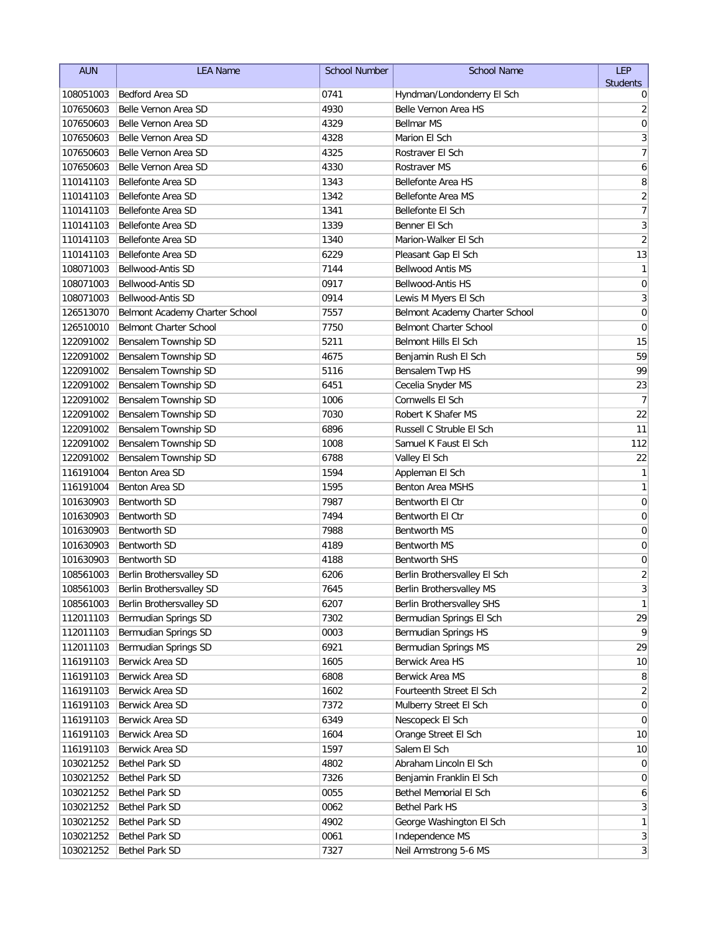| <b>AUN</b>             | <b>LEA Name</b>                                        | <b>School Number</b> | <b>School Name</b>                              | <b>LEP</b>                       |
|------------------------|--------------------------------------------------------|----------------------|-------------------------------------------------|----------------------------------|
|                        |                                                        |                      |                                                 | <b>Students</b>                  |
| 108051003              | <b>Bedford Area SD</b>                                 | 0741                 | Hyndman/Londonderry El Sch                      | 0                                |
| 107650603              | Belle Vernon Area SD                                   | 4930                 | Belle Vernon Area HS                            | $\overline{\mathbf{c}}$          |
| 107650603              | Belle Vernon Area SD                                   | 4329                 | <b>Bellmar MS</b>                               | $\mathbf 0$                      |
| 107650603              | Belle Vernon Area SD                                   | 4328                 | Marion El Sch                                   | 3                                |
| 107650603              | Belle Vernon Area SD                                   | 4325                 | Rostraver El Sch                                | $\overline{7}$                   |
| 107650603              | Belle Vernon Area SD                                   | 4330                 | <b>Rostraver MS</b>                             | 6                                |
| 110141103              | Bellefonte Area SD                                     | 1343                 | <b>Bellefonte Area HS</b>                       | 8                                |
| 110141103              | Bellefonte Area SD                                     | 1342                 | <b>Bellefonte Area MS</b>                       | $\overline{2}$                   |
| 110141103<br>110141103 | <b>Bellefonte Area SD</b>                              | 1341<br>1339         | Bellefonte El Sch<br>Benner El Sch              | $\overline{7}$<br>$\overline{3}$ |
| 110141103              | <b>Bellefonte Area SD</b><br><b>Bellefonte Area SD</b> | 1340                 | Marion-Walker El Sch                            | $\overline{2}$                   |
| 110141103              | <b>Bellefonte Area SD</b>                              | 6229                 |                                                 | 13                               |
| 108071003              | Bellwood-Antis SD                                      | 7144                 | Pleasant Gap El Sch<br><b>Bellwood Antis MS</b> | $\mathbf{1}$                     |
| 108071003              | Bellwood-Antis SD                                      | 0917                 | Bellwood-Antis HS                               | $\mathbf 0$                      |
| 108071003              | Bellwood-Antis SD                                      | 0914                 | Lewis M Myers El Sch                            | 3                                |
| 126513070              | Belmont Academy Charter School                         | 7557                 | Belmont Academy Charter School                  | $\pmb{0}$                        |
| 126510010              | <b>Belmont Charter School</b>                          | 7750                 | <b>Belmont Charter School</b>                   | $\mathbf 0$                      |
| 122091002              | Bensalem Township SD                                   | 5211                 | Belmont Hills El Sch                            | 15                               |
| 122091002              | Bensalem Township SD                                   | 4675                 | Benjamin Rush El Sch                            | 59                               |
| 122091002              | Bensalem Township SD                                   | 5116                 | Bensalem Twp HS                                 | 99                               |
| 122091002              | Bensalem Township SD                                   | 6451                 | Cecelia Snyder MS                               | 23                               |
| 122091002              | Bensalem Township SD                                   | 1006                 | Cornwells El Sch                                | $\overline{7}$                   |
| 122091002              | Bensalem Township SD                                   | 7030                 | Robert K Shafer MS                              | 22                               |
| 122091002              | Bensalem Township SD                                   | 6896                 | Russell C Struble El Sch                        | 11                               |
| 122091002              | Bensalem Township SD                                   | 1008                 | Samuel K Faust El Sch                           | 112                              |
| 122091002              | Bensalem Township SD                                   | 6788                 | Valley El Sch                                   | 22                               |
| 116191004              | Benton Area SD                                         | 1594                 | Appleman El Sch                                 | $\mathbf{1}$                     |
| 116191004              | Benton Area SD                                         | 1595                 | Benton Area MSHS                                | $\mathbf{1}$                     |
| 101630903              | <b>Bentworth SD</b>                                    | 7987                 | Bentworth El Ctr                                | $\mathbf 0$                      |
| 101630903              | <b>Bentworth SD</b>                                    | 7494                 | Bentworth El Ctr                                | 0                                |
| 101630903              | <b>Bentworth SD</b>                                    | 7988                 | Bentworth MS                                    | 0                                |
| 101630903              | <b>Bentworth SD</b>                                    | 4189                 | <b>Bentworth MS</b>                             | 0                                |
| 101630903              | <b>Bentworth SD</b>                                    | 4188                 | <b>Bentworth SHS</b>                            | $\mathbf 0$                      |
| 108561003              | Berlin Brothersvalley SD                               | 6206                 | Berlin Brothersvalley El Sch                    | $\overline{2}$                   |
| 108561003              | Berlin Brothersvalley SD                               | 7645                 | Berlin Brothersvalley MS                        | $\overline{3}$                   |
| 108561003              | Berlin Brothersvalley SD                               | 6207                 | Berlin Brothersvalley SHS                       | 1                                |
| 112011103              | Bermudian Springs SD                                   | 7302                 | Bermudian Springs El Sch                        | 29                               |
| 112011103              | Bermudian Springs SD                                   | 0003                 | Bermudian Springs HS                            | 9                                |
| 112011103              | Bermudian Springs SD                                   | 6921                 | Bermudian Springs MS                            | 29                               |
| 116191103              | Berwick Area SD                                        | 1605                 | Berwick Area HS                                 | 10                               |
| 116191103              | Berwick Area SD                                        | 6808                 | Berwick Area MS                                 | 8                                |
| 116191103              | Berwick Area SD                                        | 1602                 | Fourteenth Street El Sch                        | 2                                |
| 116191103              | Berwick Area SD                                        | 7372                 | Mulberry Street El Sch                          | $\mathbf 0$                      |
| 116191103              | Berwick Area SD                                        | 6349                 | Nescopeck El Sch                                | 0                                |
| 116191103              | Berwick Area SD                                        | 1604                 | Orange Street El Sch                            | 10                               |
| 116191103              | Berwick Area SD                                        | 1597                 | Salem El Sch                                    | 10                               |
| 103021252              | Bethel Park SD                                         | 4802                 | Abraham Lincoln El Sch                          | $\overline{0}$                   |
| 103021252              | <b>Bethel Park SD</b>                                  | 7326                 | Benjamin Franklin El Sch                        | $\overline{0}$                   |
| 103021252              | <b>Bethel Park SD</b>                                  | 0055                 | Bethel Memorial El Sch                          | 6                                |
| 103021252              | Bethel Park SD                                         | 0062                 | Bethel Park HS                                  | $\mathbf{3}$                     |
| 103021252              | Bethel Park SD                                         | 4902                 | George Washington El Sch                        | $\mathbf{1}$                     |
| 103021252              | <b>Bethel Park SD</b>                                  | 0061                 | Independence MS                                 | $\mathbf{3}$                     |
| 103021252              | Bethel Park SD                                         | 7327                 | Neil Armstrong 5-6 MS                           | $\vert 3 \vert$                  |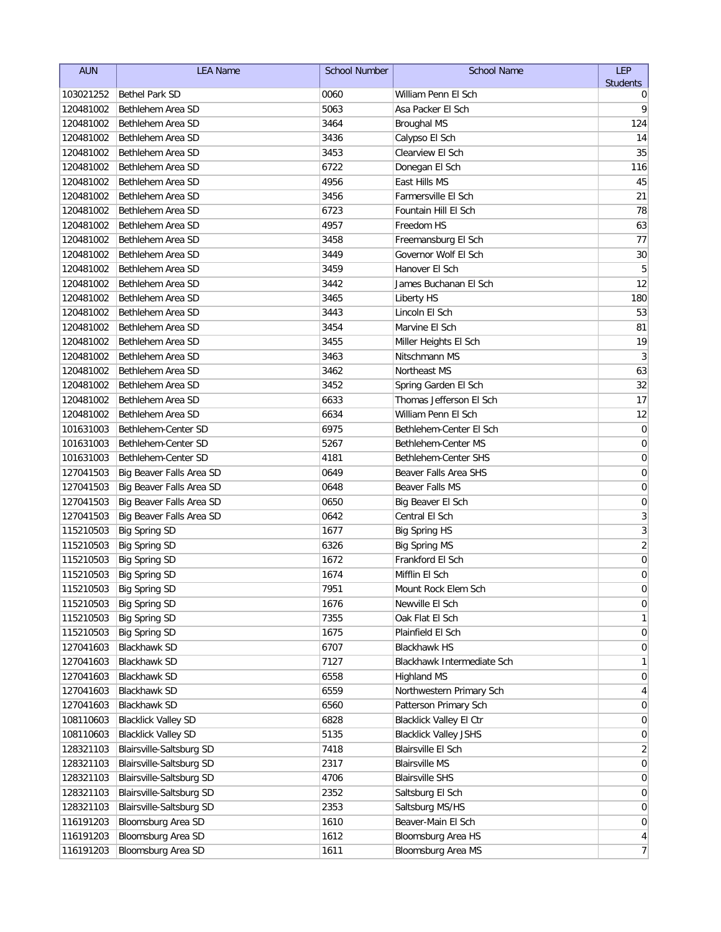| <b>AUN</b> | <b>LEA Name</b>            | <b>School Number</b> | <b>School Name</b>             | <b>LEP</b>       |
|------------|----------------------------|----------------------|--------------------------------|------------------|
|            |                            |                      |                                | <b>Students</b>  |
| 103021252  | <b>Bethel Park SD</b>      | 0060                 | William Penn El Sch            | 0                |
| 120481002  | Bethlehem Area SD          | 5063                 | Asa Packer El Sch              | 9                |
| 120481002  | Bethlehem Area SD          | 3464                 | <b>Broughal MS</b>             | 124              |
| 120481002  | Bethlehem Area SD          | 3436                 | Calypso El Sch                 | 14               |
| 120481002  | Bethlehem Area SD          | 3453                 | Clearview El Sch               | 35               |
| 120481002  | Bethlehem Area SD          | 6722                 | Donegan El Sch                 | 116              |
| 120481002  | Bethlehem Area SD          | 4956                 | East Hills MS                  | 45               |
| 120481002  | Bethlehem Area SD          | 3456                 | Farmersville El Sch            | 21               |
| 120481002  | Bethlehem Area SD          | 6723                 | Fountain Hill El Sch           | 78               |
| 120481002  | Bethlehem Area SD          | 4957                 | Freedom HS                     | 63               |
| 120481002  | Bethlehem Area SD          | 3458                 | Freemansburg El Sch            | 77               |
| 120481002  | Bethlehem Area SD          | 3449                 | Governor Wolf El Sch           | 30               |
| 120481002  | Bethlehem Area SD          | 3459                 | Hanover El Sch                 | 5                |
| 120481002  | Bethlehem Area SD          | 3442                 | James Buchanan El Sch          | 12               |
| 120481002  | Bethlehem Area SD          | 3465                 | Liberty HS                     | 180              |
| 120481002  | Bethlehem Area SD          | 3443                 | Lincoln El Sch                 | 53               |
| 120481002  | Bethlehem Area SD          | 3454                 | Marvine El Sch                 | 81               |
| 120481002  | Bethlehem Area SD          | 3455                 | Miller Heights El Sch          | 19               |
| 120481002  | Bethlehem Area SD          | 3463                 | Nitschmann MS                  | $\sqrt{3}$       |
| 120481002  | Bethlehem Area SD          | 3462                 | Northeast MS                   | 63               |
| 120481002  | Bethlehem Area SD          | 3452                 | Spring Garden El Sch           | 32               |
| 120481002  | Bethlehem Area SD          | 6633                 | Thomas Jefferson El Sch        | 17               |
| 120481002  | Bethlehem Area SD          | 6634                 | William Penn El Sch            | 12               |
| 101631003  | Bethlehem-Center SD        | 6975                 | Bethlehem-Center El Sch        | $\mathbf 0$      |
| 101631003  | Bethlehem-Center SD        | 5267                 | Bethlehem-Center MS            | $\mathbf 0$      |
| 101631003  | Bethlehem-Center SD        | 4181                 | Bethlehem-Center SHS           | $\mathbf 0$      |
| 127041503  | Big Beaver Falls Area SD   | 0649                 | Beaver Falls Area SHS          | $\mathbf 0$      |
| 127041503  | Big Beaver Falls Area SD   | 0648                 | Beaver Falls MS                | $\mathbf 0$      |
| 127041503  | Big Beaver Falls Area SD   | 0650                 | Big Beaver El Sch              | $\mathbf 0$      |
| 127041503  | Big Beaver Falls Area SD   | 0642                 | Central El Sch                 | 3                |
| 115210503  | <b>Big Spring SD</b>       | 1677                 | <b>Big Spring HS</b>           | $\overline{3}$   |
| 115210503  | <b>Big Spring SD</b>       | 6326                 | <b>Big Spring MS</b>           | $\overline{2}$   |
| 115210503  | <b>Big Spring SD</b>       | 1672                 | Frankford El Sch               | $\boldsymbol{0}$ |
| 115210503  | <b>Big Spring SD</b>       | 1674                 | Mifflin El Sch                 | 0                |
| 115210503  | Big Spring SD              | 7951                 | Mount Rock Elem Sch            | $\Omega$         |
| 115210503  | <b>Big Spring SD</b>       | 1676                 | Newville El Sch                | 0                |
| 115210503  | <b>Big Spring SD</b>       | 7355                 | Oak Flat El Sch                | 1                |
| 115210503  | <b>Big Spring SD</b>       | 1675                 | Plainfield El Sch              | 0                |
| 127041603  | <b>Blackhawk SD</b>        | 6707                 | <b>Blackhawk HS</b>            | 0                |
| 127041603  | <b>Blackhawk SD</b>        | 7127                 | Blackhawk Intermediate Sch     | 1                |
| 127041603  | <b>Blackhawk SD</b>        | 6558                 | <b>Highland MS</b>             | 0                |
| 127041603  | <b>Blackhawk SD</b>        | 6559                 | Northwestern Primary Sch       | 4                |
| 127041603  | <b>Blackhawk SD</b>        | 6560                 | Patterson Primary Sch          | $\mathbf 0$      |
| 108110603  | <b>Blacklick Valley SD</b> | 6828                 | <b>Blacklick Valley El Ctr</b> | 0                |
| 108110603  | <b>Blacklick Valley SD</b> | 5135                 | <b>Blacklick Valley JSHS</b>   | 0                |
| 128321103  | Blairsville-Saltsburg SD   | 7418                 | <b>Blairsville El Sch</b>      | 2                |
| 128321103  | Blairsville-Saltsburg SD   | 2317                 | <b>Blairsville MS</b>          | 0                |
| 128321103  | Blairsville-Saltsburg SD   | 4706                 | <b>Blairsville SHS</b>         | $\overline{0}$   |
| 128321103  | Blairsville-Saltsburg SD   | 2352                 | Saltsburg El Sch               | 0                |
| 128321103  | Blairsville-Saltsburg SD   | 2353                 | Saltsburg MS/HS                | 0                |
| 116191203  | Bloomsburg Area SD         | 1610                 | Beaver-Main El Sch             | $\boldsymbol{0}$ |
| 116191203  | Bloomsburg Area SD         | 1612                 | Bloomsburg Area HS             | $\vert 4 \vert$  |
| 116191203  | Bloomsburg Area SD         | 1611                 | Bloomsburg Area MS             | $7\vert$         |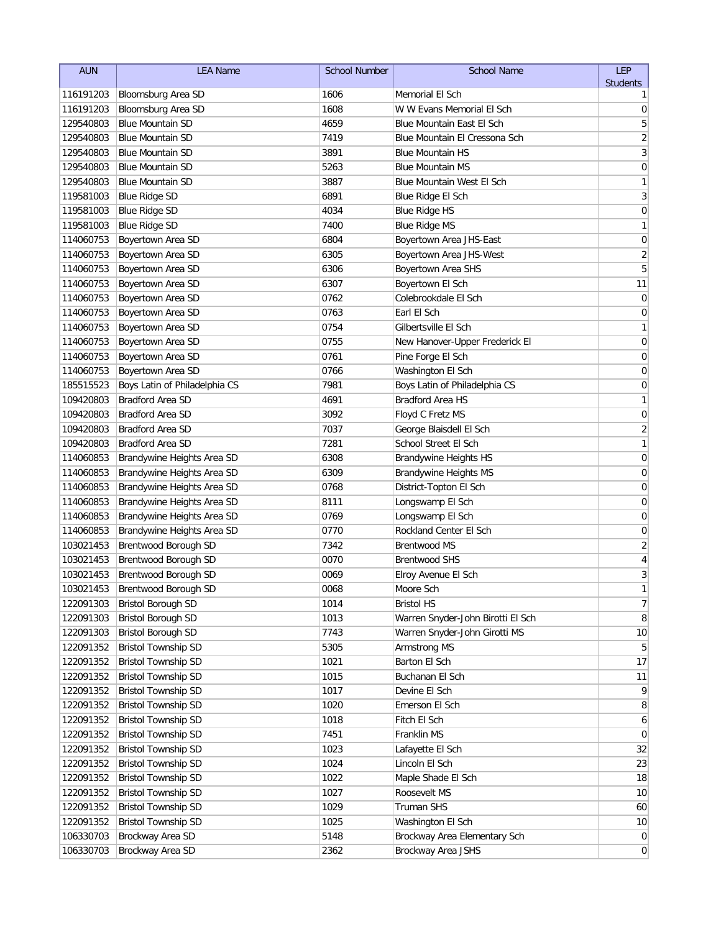| <b>Students</b><br>1606<br>Memorial El Sch<br>116191203<br>Bloomsburg Area SD<br>1<br>W W Evans Memorial El Sch<br>116191203<br>Bloomsburg Area SD<br>1608<br>0<br>5<br>129540803<br><b>Blue Mountain SD</b><br>4659<br>Blue Mountain East El Sch<br>$\overline{\mathbf{c}}$<br>129540803<br><b>Blue Mountain SD</b><br>7419<br>Blue Mountain El Cressona Sch<br>3<br>129540803<br><b>Blue Mountain SD</b><br>3891<br><b>Blue Mountain HS</b><br>5263<br><b>Blue Mountain MS</b><br>0<br>129540803<br><b>Blue Mountain SD</b><br>3887<br>1<br>129540803<br><b>Blue Mountain SD</b><br>Blue Mountain West El Sch<br>3<br><b>Blue Ridge SD</b><br>6891<br>Blue Ridge El Sch<br>119581003<br><b>Blue Ridge SD</b><br>4034<br><b>Blue Ridge HS</b><br>0<br>119581003<br>1<br><b>Blue Ridge SD</b><br>7400<br><b>Blue Ridge MS</b><br>119581003<br>$\mathbf 0$<br>Boyertown Area SD<br>6804<br>Boyertown Area JHS-East<br>114060753<br>$\overline{c}$<br>6305<br>114060753<br>Boyertown Area SD<br>Boyertown Area JHS-West<br>$\overline{5}$<br>114060753<br>Boyertown Area SD<br>6306<br>Boyertown Area SHS<br>6307<br>11<br>Boyertown Area SD<br>Boyertown El Sch<br>114060753<br>Boyertown Area SD<br>0762<br>Colebrookdale El Sch<br>0<br>114060753<br>114060753<br>Boyertown Area SD<br>0763<br>Earl El Sch<br>0<br>1<br>114060753<br>0754<br>Gilbertsville El Sch<br>Boyertown Area SD<br>$\mathbf 0$<br>114060753<br>0755<br>New Hanover-Upper Frederick El<br>Boyertown Area SD<br>0761<br>Pine Forge El Sch<br>0<br>114060753<br>Boyertown Area SD<br>Boyertown Area SD<br>0766<br>Washington El Sch<br>0<br>114060753<br>Boys Latin of Philadelphia CS<br>7981<br>Boys Latin of Philadelphia CS<br>0<br>185515523<br><b>Bradford Area SD</b><br><b>Bradford Area HS</b><br>1<br>109420803<br>4691<br><b>Bradford Area SD</b><br>0<br>109420803<br>3092<br>Floyd C Fretz MS<br>2<br><b>Bradford Area SD</b><br>109420803<br>7037<br>George Blaisdell El Sch<br>109420803<br><b>Bradford Area SD</b><br>7281<br>School Street El Sch<br>1<br>$\mathbf 0$<br>114060853<br>6308<br>Brandywine Heights Area SD<br><b>Brandywine Heights HS</b><br>Brandywine Heights Area SD<br>0<br>114060853<br>6309<br><b>Brandywine Heights MS</b><br>Brandywine Heights Area SD<br>0768<br>District-Topton El Sch<br>0<br>114060853<br>114060853<br>Brandywine Heights Area SD<br>0<br>8111<br>Longswamp El Sch<br>114060853<br>Brandywine Heights Area SD<br>0769<br>0<br>Longswamp El Sch<br>Rockland Center El Sch<br>114060853<br>Brandywine Heights Area SD<br>0770<br>0<br>$\overline{c}$<br>Brentwood Borough SD<br>103021453<br>7342<br>Brentwood MS<br>$\overline{\mathbf{r}}$<br>103021453<br>Brentwood Borough SD<br>0070<br><b>Brentwood SHS</b><br>3<br>103021453<br>Brentwood Borough SD<br>0069<br>Elroy Avenue El Sch<br>$\mathbf{1}$<br>103021453<br>0068<br>Brentwood Borough SD<br>Moore Sch<br>$\overline{7}$<br><b>Bristol Borough SD</b><br>122091303<br>1014<br><b>Bristol HS</b><br><b>Bristol Borough SD</b><br>Warren Snyder-John Birotti El Sch<br>122091303<br>1013<br>8<br><b>Bristol Borough SD</b><br>10<br>122091303<br>7743<br>Warren Snyder-John Girotti MS<br><b>Bristol Township SD</b><br>122091352<br>5305<br>Armstrong MS<br>5<br><b>Bristol Township SD</b><br>17<br>122091352<br>Barton El Sch<br>1021<br><b>Bristol Township SD</b><br>122091352<br>1015<br>Buchanan El Sch<br>11<br><b>Bristol Township SD</b><br>9<br>122091352<br>1017<br>Devine El Sch | <b>AUN</b> | <b>LEA Name</b>            | <b>School Number</b> | <b>School Name</b> | <b>LEP</b> |
|-------------------------------------------------------------------------------------------------------------------------------------------------------------------------------------------------------------------------------------------------------------------------------------------------------------------------------------------------------------------------------------------------------------------------------------------------------------------------------------------------------------------------------------------------------------------------------------------------------------------------------------------------------------------------------------------------------------------------------------------------------------------------------------------------------------------------------------------------------------------------------------------------------------------------------------------------------------------------------------------------------------------------------------------------------------------------------------------------------------------------------------------------------------------------------------------------------------------------------------------------------------------------------------------------------------------------------------------------------------------------------------------------------------------------------------------------------------------------------------------------------------------------------------------------------------------------------------------------------------------------------------------------------------------------------------------------------------------------------------------------------------------------------------------------------------------------------------------------------------------------------------------------------------------------------------------------------------------------------------------------------------------------------------------------------------------------------------------------------------------------------------------------------------------------------------------------------------------------------------------------------------------------------------------------------------------------------------------------------------------------------------------------------------------------------------------------------------------------------------------------------------------------------------------------------------------------------------------------------------------------------------------------------------------------------------------------------------------------------------------------------------------------------------------------------------------------------------------------------------------------------------------------------------------------------------------------------------------------------------------------------------------------------------------------------------------------------------------------------------------------------------------------------------------------------------------------------------------------------------------------------------------------------------------------------------------------------------------------------------------------------------------------------------------------------------------------------------------------------------------|------------|----------------------------|----------------------|--------------------|------------|
|                                                                                                                                                                                                                                                                                                                                                                                                                                                                                                                                                                                                                                                                                                                                                                                                                                                                                                                                                                                                                                                                                                                                                                                                                                                                                                                                                                                                                                                                                                                                                                                                                                                                                                                                                                                                                                                                                                                                                                                                                                                                                                                                                                                                                                                                                                                                                                                                                                                                                                                                                                                                                                                                                                                                                                                                                                                                                                                                                                                                                                                                                                                                                                                                                                                                                                                                                                                                                                                                                           |            |                            |                      |                    |            |
|                                                                                                                                                                                                                                                                                                                                                                                                                                                                                                                                                                                                                                                                                                                                                                                                                                                                                                                                                                                                                                                                                                                                                                                                                                                                                                                                                                                                                                                                                                                                                                                                                                                                                                                                                                                                                                                                                                                                                                                                                                                                                                                                                                                                                                                                                                                                                                                                                                                                                                                                                                                                                                                                                                                                                                                                                                                                                                                                                                                                                                                                                                                                                                                                                                                                                                                                                                                                                                                                                           |            |                            |                      |                    |            |
|                                                                                                                                                                                                                                                                                                                                                                                                                                                                                                                                                                                                                                                                                                                                                                                                                                                                                                                                                                                                                                                                                                                                                                                                                                                                                                                                                                                                                                                                                                                                                                                                                                                                                                                                                                                                                                                                                                                                                                                                                                                                                                                                                                                                                                                                                                                                                                                                                                                                                                                                                                                                                                                                                                                                                                                                                                                                                                                                                                                                                                                                                                                                                                                                                                                                                                                                                                                                                                                                                           |            |                            |                      |                    |            |
|                                                                                                                                                                                                                                                                                                                                                                                                                                                                                                                                                                                                                                                                                                                                                                                                                                                                                                                                                                                                                                                                                                                                                                                                                                                                                                                                                                                                                                                                                                                                                                                                                                                                                                                                                                                                                                                                                                                                                                                                                                                                                                                                                                                                                                                                                                                                                                                                                                                                                                                                                                                                                                                                                                                                                                                                                                                                                                                                                                                                                                                                                                                                                                                                                                                                                                                                                                                                                                                                                           |            |                            |                      |                    |            |
|                                                                                                                                                                                                                                                                                                                                                                                                                                                                                                                                                                                                                                                                                                                                                                                                                                                                                                                                                                                                                                                                                                                                                                                                                                                                                                                                                                                                                                                                                                                                                                                                                                                                                                                                                                                                                                                                                                                                                                                                                                                                                                                                                                                                                                                                                                                                                                                                                                                                                                                                                                                                                                                                                                                                                                                                                                                                                                                                                                                                                                                                                                                                                                                                                                                                                                                                                                                                                                                                                           |            |                            |                      |                    |            |
|                                                                                                                                                                                                                                                                                                                                                                                                                                                                                                                                                                                                                                                                                                                                                                                                                                                                                                                                                                                                                                                                                                                                                                                                                                                                                                                                                                                                                                                                                                                                                                                                                                                                                                                                                                                                                                                                                                                                                                                                                                                                                                                                                                                                                                                                                                                                                                                                                                                                                                                                                                                                                                                                                                                                                                                                                                                                                                                                                                                                                                                                                                                                                                                                                                                                                                                                                                                                                                                                                           |            |                            |                      |                    |            |
|                                                                                                                                                                                                                                                                                                                                                                                                                                                                                                                                                                                                                                                                                                                                                                                                                                                                                                                                                                                                                                                                                                                                                                                                                                                                                                                                                                                                                                                                                                                                                                                                                                                                                                                                                                                                                                                                                                                                                                                                                                                                                                                                                                                                                                                                                                                                                                                                                                                                                                                                                                                                                                                                                                                                                                                                                                                                                                                                                                                                                                                                                                                                                                                                                                                                                                                                                                                                                                                                                           |            |                            |                      |                    |            |
|                                                                                                                                                                                                                                                                                                                                                                                                                                                                                                                                                                                                                                                                                                                                                                                                                                                                                                                                                                                                                                                                                                                                                                                                                                                                                                                                                                                                                                                                                                                                                                                                                                                                                                                                                                                                                                                                                                                                                                                                                                                                                                                                                                                                                                                                                                                                                                                                                                                                                                                                                                                                                                                                                                                                                                                                                                                                                                                                                                                                                                                                                                                                                                                                                                                                                                                                                                                                                                                                                           |            |                            |                      |                    |            |
|                                                                                                                                                                                                                                                                                                                                                                                                                                                                                                                                                                                                                                                                                                                                                                                                                                                                                                                                                                                                                                                                                                                                                                                                                                                                                                                                                                                                                                                                                                                                                                                                                                                                                                                                                                                                                                                                                                                                                                                                                                                                                                                                                                                                                                                                                                                                                                                                                                                                                                                                                                                                                                                                                                                                                                                                                                                                                                                                                                                                                                                                                                                                                                                                                                                                                                                                                                                                                                                                                           |            |                            |                      |                    |            |
|                                                                                                                                                                                                                                                                                                                                                                                                                                                                                                                                                                                                                                                                                                                                                                                                                                                                                                                                                                                                                                                                                                                                                                                                                                                                                                                                                                                                                                                                                                                                                                                                                                                                                                                                                                                                                                                                                                                                                                                                                                                                                                                                                                                                                                                                                                                                                                                                                                                                                                                                                                                                                                                                                                                                                                                                                                                                                                                                                                                                                                                                                                                                                                                                                                                                                                                                                                                                                                                                                           |            |                            |                      |                    |            |
|                                                                                                                                                                                                                                                                                                                                                                                                                                                                                                                                                                                                                                                                                                                                                                                                                                                                                                                                                                                                                                                                                                                                                                                                                                                                                                                                                                                                                                                                                                                                                                                                                                                                                                                                                                                                                                                                                                                                                                                                                                                                                                                                                                                                                                                                                                                                                                                                                                                                                                                                                                                                                                                                                                                                                                                                                                                                                                                                                                                                                                                                                                                                                                                                                                                                                                                                                                                                                                                                                           |            |                            |                      |                    |            |
|                                                                                                                                                                                                                                                                                                                                                                                                                                                                                                                                                                                                                                                                                                                                                                                                                                                                                                                                                                                                                                                                                                                                                                                                                                                                                                                                                                                                                                                                                                                                                                                                                                                                                                                                                                                                                                                                                                                                                                                                                                                                                                                                                                                                                                                                                                                                                                                                                                                                                                                                                                                                                                                                                                                                                                                                                                                                                                                                                                                                                                                                                                                                                                                                                                                                                                                                                                                                                                                                                           |            |                            |                      |                    |            |
|                                                                                                                                                                                                                                                                                                                                                                                                                                                                                                                                                                                                                                                                                                                                                                                                                                                                                                                                                                                                                                                                                                                                                                                                                                                                                                                                                                                                                                                                                                                                                                                                                                                                                                                                                                                                                                                                                                                                                                                                                                                                                                                                                                                                                                                                                                                                                                                                                                                                                                                                                                                                                                                                                                                                                                                                                                                                                                                                                                                                                                                                                                                                                                                                                                                                                                                                                                                                                                                                                           |            |                            |                      |                    |            |
|                                                                                                                                                                                                                                                                                                                                                                                                                                                                                                                                                                                                                                                                                                                                                                                                                                                                                                                                                                                                                                                                                                                                                                                                                                                                                                                                                                                                                                                                                                                                                                                                                                                                                                                                                                                                                                                                                                                                                                                                                                                                                                                                                                                                                                                                                                                                                                                                                                                                                                                                                                                                                                                                                                                                                                                                                                                                                                                                                                                                                                                                                                                                                                                                                                                                                                                                                                                                                                                                                           |            |                            |                      |                    |            |
|                                                                                                                                                                                                                                                                                                                                                                                                                                                                                                                                                                                                                                                                                                                                                                                                                                                                                                                                                                                                                                                                                                                                                                                                                                                                                                                                                                                                                                                                                                                                                                                                                                                                                                                                                                                                                                                                                                                                                                                                                                                                                                                                                                                                                                                                                                                                                                                                                                                                                                                                                                                                                                                                                                                                                                                                                                                                                                                                                                                                                                                                                                                                                                                                                                                                                                                                                                                                                                                                                           |            |                            |                      |                    |            |
|                                                                                                                                                                                                                                                                                                                                                                                                                                                                                                                                                                                                                                                                                                                                                                                                                                                                                                                                                                                                                                                                                                                                                                                                                                                                                                                                                                                                                                                                                                                                                                                                                                                                                                                                                                                                                                                                                                                                                                                                                                                                                                                                                                                                                                                                                                                                                                                                                                                                                                                                                                                                                                                                                                                                                                                                                                                                                                                                                                                                                                                                                                                                                                                                                                                                                                                                                                                                                                                                                           |            |                            |                      |                    |            |
|                                                                                                                                                                                                                                                                                                                                                                                                                                                                                                                                                                                                                                                                                                                                                                                                                                                                                                                                                                                                                                                                                                                                                                                                                                                                                                                                                                                                                                                                                                                                                                                                                                                                                                                                                                                                                                                                                                                                                                                                                                                                                                                                                                                                                                                                                                                                                                                                                                                                                                                                                                                                                                                                                                                                                                                                                                                                                                                                                                                                                                                                                                                                                                                                                                                                                                                                                                                                                                                                                           |            |                            |                      |                    |            |
|                                                                                                                                                                                                                                                                                                                                                                                                                                                                                                                                                                                                                                                                                                                                                                                                                                                                                                                                                                                                                                                                                                                                                                                                                                                                                                                                                                                                                                                                                                                                                                                                                                                                                                                                                                                                                                                                                                                                                                                                                                                                                                                                                                                                                                                                                                                                                                                                                                                                                                                                                                                                                                                                                                                                                                                                                                                                                                                                                                                                                                                                                                                                                                                                                                                                                                                                                                                                                                                                                           |            |                            |                      |                    |            |
|                                                                                                                                                                                                                                                                                                                                                                                                                                                                                                                                                                                                                                                                                                                                                                                                                                                                                                                                                                                                                                                                                                                                                                                                                                                                                                                                                                                                                                                                                                                                                                                                                                                                                                                                                                                                                                                                                                                                                                                                                                                                                                                                                                                                                                                                                                                                                                                                                                                                                                                                                                                                                                                                                                                                                                                                                                                                                                                                                                                                                                                                                                                                                                                                                                                                                                                                                                                                                                                                                           |            |                            |                      |                    |            |
|                                                                                                                                                                                                                                                                                                                                                                                                                                                                                                                                                                                                                                                                                                                                                                                                                                                                                                                                                                                                                                                                                                                                                                                                                                                                                                                                                                                                                                                                                                                                                                                                                                                                                                                                                                                                                                                                                                                                                                                                                                                                                                                                                                                                                                                                                                                                                                                                                                                                                                                                                                                                                                                                                                                                                                                                                                                                                                                                                                                                                                                                                                                                                                                                                                                                                                                                                                                                                                                                                           |            |                            |                      |                    |            |
|                                                                                                                                                                                                                                                                                                                                                                                                                                                                                                                                                                                                                                                                                                                                                                                                                                                                                                                                                                                                                                                                                                                                                                                                                                                                                                                                                                                                                                                                                                                                                                                                                                                                                                                                                                                                                                                                                                                                                                                                                                                                                                                                                                                                                                                                                                                                                                                                                                                                                                                                                                                                                                                                                                                                                                                                                                                                                                                                                                                                                                                                                                                                                                                                                                                                                                                                                                                                                                                                                           |            |                            |                      |                    |            |
|                                                                                                                                                                                                                                                                                                                                                                                                                                                                                                                                                                                                                                                                                                                                                                                                                                                                                                                                                                                                                                                                                                                                                                                                                                                                                                                                                                                                                                                                                                                                                                                                                                                                                                                                                                                                                                                                                                                                                                                                                                                                                                                                                                                                                                                                                                                                                                                                                                                                                                                                                                                                                                                                                                                                                                                                                                                                                                                                                                                                                                                                                                                                                                                                                                                                                                                                                                                                                                                                                           |            |                            |                      |                    |            |
|                                                                                                                                                                                                                                                                                                                                                                                                                                                                                                                                                                                                                                                                                                                                                                                                                                                                                                                                                                                                                                                                                                                                                                                                                                                                                                                                                                                                                                                                                                                                                                                                                                                                                                                                                                                                                                                                                                                                                                                                                                                                                                                                                                                                                                                                                                                                                                                                                                                                                                                                                                                                                                                                                                                                                                                                                                                                                                                                                                                                                                                                                                                                                                                                                                                                                                                                                                                                                                                                                           |            |                            |                      |                    |            |
|                                                                                                                                                                                                                                                                                                                                                                                                                                                                                                                                                                                                                                                                                                                                                                                                                                                                                                                                                                                                                                                                                                                                                                                                                                                                                                                                                                                                                                                                                                                                                                                                                                                                                                                                                                                                                                                                                                                                                                                                                                                                                                                                                                                                                                                                                                                                                                                                                                                                                                                                                                                                                                                                                                                                                                                                                                                                                                                                                                                                                                                                                                                                                                                                                                                                                                                                                                                                                                                                                           |            |                            |                      |                    |            |
|                                                                                                                                                                                                                                                                                                                                                                                                                                                                                                                                                                                                                                                                                                                                                                                                                                                                                                                                                                                                                                                                                                                                                                                                                                                                                                                                                                                                                                                                                                                                                                                                                                                                                                                                                                                                                                                                                                                                                                                                                                                                                                                                                                                                                                                                                                                                                                                                                                                                                                                                                                                                                                                                                                                                                                                                                                                                                                                                                                                                                                                                                                                                                                                                                                                                                                                                                                                                                                                                                           |            |                            |                      |                    |            |
|                                                                                                                                                                                                                                                                                                                                                                                                                                                                                                                                                                                                                                                                                                                                                                                                                                                                                                                                                                                                                                                                                                                                                                                                                                                                                                                                                                                                                                                                                                                                                                                                                                                                                                                                                                                                                                                                                                                                                                                                                                                                                                                                                                                                                                                                                                                                                                                                                                                                                                                                                                                                                                                                                                                                                                                                                                                                                                                                                                                                                                                                                                                                                                                                                                                                                                                                                                                                                                                                                           |            |                            |                      |                    |            |
|                                                                                                                                                                                                                                                                                                                                                                                                                                                                                                                                                                                                                                                                                                                                                                                                                                                                                                                                                                                                                                                                                                                                                                                                                                                                                                                                                                                                                                                                                                                                                                                                                                                                                                                                                                                                                                                                                                                                                                                                                                                                                                                                                                                                                                                                                                                                                                                                                                                                                                                                                                                                                                                                                                                                                                                                                                                                                                                                                                                                                                                                                                                                                                                                                                                                                                                                                                                                                                                                                           |            |                            |                      |                    |            |
|                                                                                                                                                                                                                                                                                                                                                                                                                                                                                                                                                                                                                                                                                                                                                                                                                                                                                                                                                                                                                                                                                                                                                                                                                                                                                                                                                                                                                                                                                                                                                                                                                                                                                                                                                                                                                                                                                                                                                                                                                                                                                                                                                                                                                                                                                                                                                                                                                                                                                                                                                                                                                                                                                                                                                                                                                                                                                                                                                                                                                                                                                                                                                                                                                                                                                                                                                                                                                                                                                           |            |                            |                      |                    |            |
|                                                                                                                                                                                                                                                                                                                                                                                                                                                                                                                                                                                                                                                                                                                                                                                                                                                                                                                                                                                                                                                                                                                                                                                                                                                                                                                                                                                                                                                                                                                                                                                                                                                                                                                                                                                                                                                                                                                                                                                                                                                                                                                                                                                                                                                                                                                                                                                                                                                                                                                                                                                                                                                                                                                                                                                                                                                                                                                                                                                                                                                                                                                                                                                                                                                                                                                                                                                                                                                                                           |            |                            |                      |                    |            |
|                                                                                                                                                                                                                                                                                                                                                                                                                                                                                                                                                                                                                                                                                                                                                                                                                                                                                                                                                                                                                                                                                                                                                                                                                                                                                                                                                                                                                                                                                                                                                                                                                                                                                                                                                                                                                                                                                                                                                                                                                                                                                                                                                                                                                                                                                                                                                                                                                                                                                                                                                                                                                                                                                                                                                                                                                                                                                                                                                                                                                                                                                                                                                                                                                                                                                                                                                                                                                                                                                           |            |                            |                      |                    |            |
|                                                                                                                                                                                                                                                                                                                                                                                                                                                                                                                                                                                                                                                                                                                                                                                                                                                                                                                                                                                                                                                                                                                                                                                                                                                                                                                                                                                                                                                                                                                                                                                                                                                                                                                                                                                                                                                                                                                                                                                                                                                                                                                                                                                                                                                                                                                                                                                                                                                                                                                                                                                                                                                                                                                                                                                                                                                                                                                                                                                                                                                                                                                                                                                                                                                                                                                                                                                                                                                                                           |            |                            |                      |                    |            |
|                                                                                                                                                                                                                                                                                                                                                                                                                                                                                                                                                                                                                                                                                                                                                                                                                                                                                                                                                                                                                                                                                                                                                                                                                                                                                                                                                                                                                                                                                                                                                                                                                                                                                                                                                                                                                                                                                                                                                                                                                                                                                                                                                                                                                                                                                                                                                                                                                                                                                                                                                                                                                                                                                                                                                                                                                                                                                                                                                                                                                                                                                                                                                                                                                                                                                                                                                                                                                                                                                           |            |                            |                      |                    |            |
|                                                                                                                                                                                                                                                                                                                                                                                                                                                                                                                                                                                                                                                                                                                                                                                                                                                                                                                                                                                                                                                                                                                                                                                                                                                                                                                                                                                                                                                                                                                                                                                                                                                                                                                                                                                                                                                                                                                                                                                                                                                                                                                                                                                                                                                                                                                                                                                                                                                                                                                                                                                                                                                                                                                                                                                                                                                                                                                                                                                                                                                                                                                                                                                                                                                                                                                                                                                                                                                                                           |            |                            |                      |                    |            |
|                                                                                                                                                                                                                                                                                                                                                                                                                                                                                                                                                                                                                                                                                                                                                                                                                                                                                                                                                                                                                                                                                                                                                                                                                                                                                                                                                                                                                                                                                                                                                                                                                                                                                                                                                                                                                                                                                                                                                                                                                                                                                                                                                                                                                                                                                                                                                                                                                                                                                                                                                                                                                                                                                                                                                                                                                                                                                                                                                                                                                                                                                                                                                                                                                                                                                                                                                                                                                                                                                           |            |                            |                      |                    |            |
|                                                                                                                                                                                                                                                                                                                                                                                                                                                                                                                                                                                                                                                                                                                                                                                                                                                                                                                                                                                                                                                                                                                                                                                                                                                                                                                                                                                                                                                                                                                                                                                                                                                                                                                                                                                                                                                                                                                                                                                                                                                                                                                                                                                                                                                                                                                                                                                                                                                                                                                                                                                                                                                                                                                                                                                                                                                                                                                                                                                                                                                                                                                                                                                                                                                                                                                                                                                                                                                                                           |            |                            |                      |                    |            |
|                                                                                                                                                                                                                                                                                                                                                                                                                                                                                                                                                                                                                                                                                                                                                                                                                                                                                                                                                                                                                                                                                                                                                                                                                                                                                                                                                                                                                                                                                                                                                                                                                                                                                                                                                                                                                                                                                                                                                                                                                                                                                                                                                                                                                                                                                                                                                                                                                                                                                                                                                                                                                                                                                                                                                                                                                                                                                                                                                                                                                                                                                                                                                                                                                                                                                                                                                                                                                                                                                           |            |                            |                      |                    |            |
|                                                                                                                                                                                                                                                                                                                                                                                                                                                                                                                                                                                                                                                                                                                                                                                                                                                                                                                                                                                                                                                                                                                                                                                                                                                                                                                                                                                                                                                                                                                                                                                                                                                                                                                                                                                                                                                                                                                                                                                                                                                                                                                                                                                                                                                                                                                                                                                                                                                                                                                                                                                                                                                                                                                                                                                                                                                                                                                                                                                                                                                                                                                                                                                                                                                                                                                                                                                                                                                                                           |            |                            |                      |                    |            |
|                                                                                                                                                                                                                                                                                                                                                                                                                                                                                                                                                                                                                                                                                                                                                                                                                                                                                                                                                                                                                                                                                                                                                                                                                                                                                                                                                                                                                                                                                                                                                                                                                                                                                                                                                                                                                                                                                                                                                                                                                                                                                                                                                                                                                                                                                                                                                                                                                                                                                                                                                                                                                                                                                                                                                                                                                                                                                                                                                                                                                                                                                                                                                                                                                                                                                                                                                                                                                                                                                           |            |                            |                      |                    |            |
|                                                                                                                                                                                                                                                                                                                                                                                                                                                                                                                                                                                                                                                                                                                                                                                                                                                                                                                                                                                                                                                                                                                                                                                                                                                                                                                                                                                                                                                                                                                                                                                                                                                                                                                                                                                                                                                                                                                                                                                                                                                                                                                                                                                                                                                                                                                                                                                                                                                                                                                                                                                                                                                                                                                                                                                                                                                                                                                                                                                                                                                                                                                                                                                                                                                                                                                                                                                                                                                                                           |            |                            |                      |                    |            |
|                                                                                                                                                                                                                                                                                                                                                                                                                                                                                                                                                                                                                                                                                                                                                                                                                                                                                                                                                                                                                                                                                                                                                                                                                                                                                                                                                                                                                                                                                                                                                                                                                                                                                                                                                                                                                                                                                                                                                                                                                                                                                                                                                                                                                                                                                                                                                                                                                                                                                                                                                                                                                                                                                                                                                                                                                                                                                                                                                                                                                                                                                                                                                                                                                                                                                                                                                                                                                                                                                           |            |                            |                      |                    |            |
|                                                                                                                                                                                                                                                                                                                                                                                                                                                                                                                                                                                                                                                                                                                                                                                                                                                                                                                                                                                                                                                                                                                                                                                                                                                                                                                                                                                                                                                                                                                                                                                                                                                                                                                                                                                                                                                                                                                                                                                                                                                                                                                                                                                                                                                                                                                                                                                                                                                                                                                                                                                                                                                                                                                                                                                                                                                                                                                                                                                                                                                                                                                                                                                                                                                                                                                                                                                                                                                                                           |            |                            |                      |                    |            |
|                                                                                                                                                                                                                                                                                                                                                                                                                                                                                                                                                                                                                                                                                                                                                                                                                                                                                                                                                                                                                                                                                                                                                                                                                                                                                                                                                                                                                                                                                                                                                                                                                                                                                                                                                                                                                                                                                                                                                                                                                                                                                                                                                                                                                                                                                                                                                                                                                                                                                                                                                                                                                                                                                                                                                                                                                                                                                                                                                                                                                                                                                                                                                                                                                                                                                                                                                                                                                                                                                           |            |                            |                      |                    |            |
|                                                                                                                                                                                                                                                                                                                                                                                                                                                                                                                                                                                                                                                                                                                                                                                                                                                                                                                                                                                                                                                                                                                                                                                                                                                                                                                                                                                                                                                                                                                                                                                                                                                                                                                                                                                                                                                                                                                                                                                                                                                                                                                                                                                                                                                                                                                                                                                                                                                                                                                                                                                                                                                                                                                                                                                                                                                                                                                                                                                                                                                                                                                                                                                                                                                                                                                                                                                                                                                                                           | 122091352  | <b>Bristol Township SD</b> | 1020                 | Emerson El Sch     | 8          |
| 122091352<br><b>Bristol Township SD</b><br>1018<br>Fitch El Sch<br>6                                                                                                                                                                                                                                                                                                                                                                                                                                                                                                                                                                                                                                                                                                                                                                                                                                                                                                                                                                                                                                                                                                                                                                                                                                                                                                                                                                                                                                                                                                                                                                                                                                                                                                                                                                                                                                                                                                                                                                                                                                                                                                                                                                                                                                                                                                                                                                                                                                                                                                                                                                                                                                                                                                                                                                                                                                                                                                                                                                                                                                                                                                                                                                                                                                                                                                                                                                                                                      |            |                            |                      |                    |            |
| <b>Bristol Township SD</b><br>7451<br>122091352<br>Franklin MS<br>0                                                                                                                                                                                                                                                                                                                                                                                                                                                                                                                                                                                                                                                                                                                                                                                                                                                                                                                                                                                                                                                                                                                                                                                                                                                                                                                                                                                                                                                                                                                                                                                                                                                                                                                                                                                                                                                                                                                                                                                                                                                                                                                                                                                                                                                                                                                                                                                                                                                                                                                                                                                                                                                                                                                                                                                                                                                                                                                                                                                                                                                                                                                                                                                                                                                                                                                                                                                                                       |            |                            |                      |                    |            |
| <b>Bristol Township SD</b><br>32<br>122091352<br>1023<br>Lafayette El Sch                                                                                                                                                                                                                                                                                                                                                                                                                                                                                                                                                                                                                                                                                                                                                                                                                                                                                                                                                                                                                                                                                                                                                                                                                                                                                                                                                                                                                                                                                                                                                                                                                                                                                                                                                                                                                                                                                                                                                                                                                                                                                                                                                                                                                                                                                                                                                                                                                                                                                                                                                                                                                                                                                                                                                                                                                                                                                                                                                                                                                                                                                                                                                                                                                                                                                                                                                                                                                 |            |                            |                      |                    |            |
| 23<br>122091352<br><b>Bristol Township SD</b><br>1024<br>Lincoln El Sch                                                                                                                                                                                                                                                                                                                                                                                                                                                                                                                                                                                                                                                                                                                                                                                                                                                                                                                                                                                                                                                                                                                                                                                                                                                                                                                                                                                                                                                                                                                                                                                                                                                                                                                                                                                                                                                                                                                                                                                                                                                                                                                                                                                                                                                                                                                                                                                                                                                                                                                                                                                                                                                                                                                                                                                                                                                                                                                                                                                                                                                                                                                                                                                                                                                                                                                                                                                                                   |            |                            |                      |                    |            |
| <b>Bristol Township SD</b><br>18<br>122091352<br>1022<br>Maple Shade El Sch                                                                                                                                                                                                                                                                                                                                                                                                                                                                                                                                                                                                                                                                                                                                                                                                                                                                                                                                                                                                                                                                                                                                                                                                                                                                                                                                                                                                                                                                                                                                                                                                                                                                                                                                                                                                                                                                                                                                                                                                                                                                                                                                                                                                                                                                                                                                                                                                                                                                                                                                                                                                                                                                                                                                                                                                                                                                                                                                                                                                                                                                                                                                                                                                                                                                                                                                                                                                               |            |                            |                      |                    |            |
| <b>Bristol Township SD</b><br>Roosevelt MS<br>10<br>122091352<br>1027                                                                                                                                                                                                                                                                                                                                                                                                                                                                                                                                                                                                                                                                                                                                                                                                                                                                                                                                                                                                                                                                                                                                                                                                                                                                                                                                                                                                                                                                                                                                                                                                                                                                                                                                                                                                                                                                                                                                                                                                                                                                                                                                                                                                                                                                                                                                                                                                                                                                                                                                                                                                                                                                                                                                                                                                                                                                                                                                                                                                                                                                                                                                                                                                                                                                                                                                                                                                                     |            |                            |                      |                    |            |
| 122091352<br><b>Bristol Township SD</b><br>1029<br>Truman SHS<br>60                                                                                                                                                                                                                                                                                                                                                                                                                                                                                                                                                                                                                                                                                                                                                                                                                                                                                                                                                                                                                                                                                                                                                                                                                                                                                                                                                                                                                                                                                                                                                                                                                                                                                                                                                                                                                                                                                                                                                                                                                                                                                                                                                                                                                                                                                                                                                                                                                                                                                                                                                                                                                                                                                                                                                                                                                                                                                                                                                                                                                                                                                                                                                                                                                                                                                                                                                                                                                       |            |                            |                      |                    |            |
| 122091352<br><b>Bristol Township SD</b><br>1025<br>Washington El Sch<br>10                                                                                                                                                                                                                                                                                                                                                                                                                                                                                                                                                                                                                                                                                                                                                                                                                                                                                                                                                                                                                                                                                                                                                                                                                                                                                                                                                                                                                                                                                                                                                                                                                                                                                                                                                                                                                                                                                                                                                                                                                                                                                                                                                                                                                                                                                                                                                                                                                                                                                                                                                                                                                                                                                                                                                                                                                                                                                                                                                                                                                                                                                                                                                                                                                                                                                                                                                                                                                |            |                            |                      |                    |            |
| 106330703<br>Brockway Area SD<br>5148<br>Brockway Area Elementary Sch<br> 0                                                                                                                                                                                                                                                                                                                                                                                                                                                                                                                                                                                                                                                                                                                                                                                                                                                                                                                                                                                                                                                                                                                                                                                                                                                                                                                                                                                                                                                                                                                                                                                                                                                                                                                                                                                                                                                                                                                                                                                                                                                                                                                                                                                                                                                                                                                                                                                                                                                                                                                                                                                                                                                                                                                                                                                                                                                                                                                                                                                                                                                                                                                                                                                                                                                                                                                                                                                                               |            |                            |                      |                    |            |
| 106330703<br>Brockway Area SD<br>2362<br>Brockway Area JSHS<br>$\overline{0}$                                                                                                                                                                                                                                                                                                                                                                                                                                                                                                                                                                                                                                                                                                                                                                                                                                                                                                                                                                                                                                                                                                                                                                                                                                                                                                                                                                                                                                                                                                                                                                                                                                                                                                                                                                                                                                                                                                                                                                                                                                                                                                                                                                                                                                                                                                                                                                                                                                                                                                                                                                                                                                                                                                                                                                                                                                                                                                                                                                                                                                                                                                                                                                                                                                                                                                                                                                                                             |            |                            |                      |                    |            |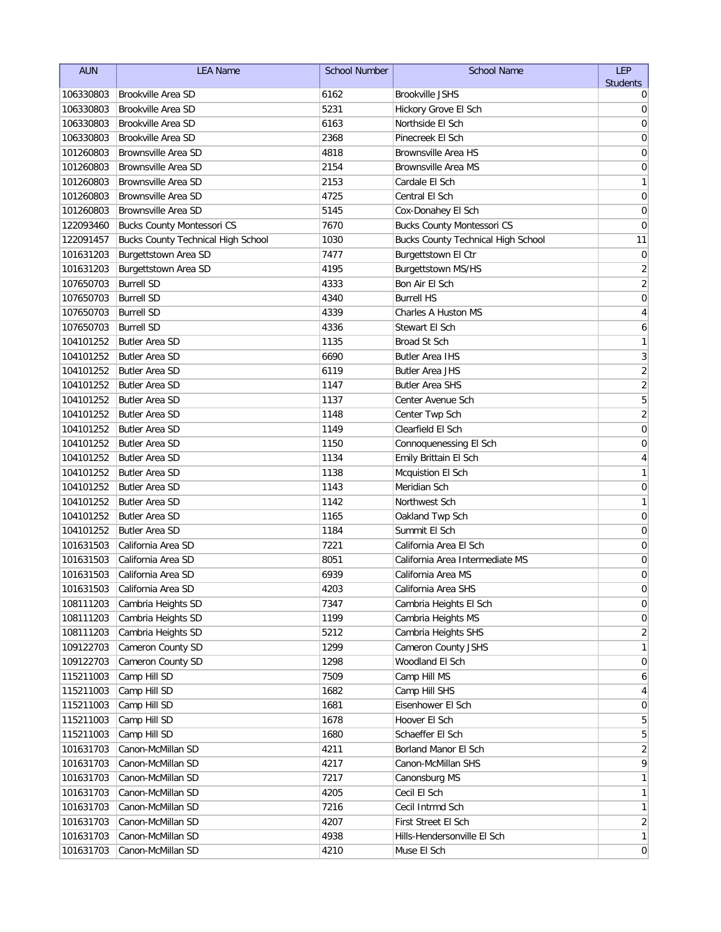| <b>AUN</b>             | <b>LEA Name</b>                                  | <b>School Number</b> | <b>School Name</b>                                      | <b>LEP</b>              |
|------------------------|--------------------------------------------------|----------------------|---------------------------------------------------------|-------------------------|
|                        |                                                  |                      |                                                         | <b>Students</b>         |
| 106330803              | Brookville Area SD                               | 6162                 | <b>Brookville JSHS</b>                                  | 0                       |
| 106330803<br>106330803 | Brookville Area SD                               | 5231<br>6163         | Hickory Grove El Sch<br>Northside El Sch                | 0                       |
|                        | Brookville Area SD                               |                      | Pinecreek El Sch                                        | 0                       |
| 106330803              | Brookville Area SD<br><b>Brownsville Area SD</b> | 2368                 | <b>Brownsville Area HS</b>                              | 0                       |
| 101260803              | <b>Brownsville Area SD</b>                       | 4818                 |                                                         | 0                       |
| 101260803<br>101260803 | <b>Brownsville Area SD</b>                       | 2154<br>2153         | <b>Brownsville Area MS</b><br>Cardale El Sch            | 0                       |
|                        | <b>Brownsville Area SD</b>                       |                      |                                                         | 1                       |
| 101260803<br>101260803 | <b>Brownsville Area SD</b>                       | 4725<br>5145         | Central El Sch                                          | 0<br>0                  |
| 122093460              | <b>Bucks County Montessori CS</b>                | 7670                 | Cox-Donahey El Sch<br><b>Bucks County Montessori CS</b> | 0                       |
| 122091457              | <b>Bucks County Technical High School</b>        | 1030                 | <b>Bucks County Technical High School</b>               | 11                      |
| 101631203              | Burgettstown Area SD                             | 7477                 | Burgettstown El Ctr                                     | $\mathbf 0$             |
| 101631203              | Burgettstown Area SD                             | 4195                 | Burgettstown MS/HS                                      | $\overline{c}$          |
| 107650703              | <b>Burrell SD</b>                                | 4333                 | Bon Air El Sch                                          | $\overline{2}$          |
| 107650703              | <b>Burrell SD</b>                                | 4340                 | <b>Burrell HS</b>                                       | $\mathbf 0$             |
| 107650703              | <b>Burrell SD</b>                                | 4339                 | <b>Charles A Huston MS</b>                              | $\overline{\mathbf{4}}$ |
| 107650703              | <b>Burrell SD</b>                                | 4336                 | Stewart El Sch                                          | 6                       |
| 104101252              | <b>Butler Area SD</b>                            | 1135                 | <b>Broad St Sch</b>                                     | 1                       |
| 104101252              | <b>Butler Area SD</b>                            | 6690                 | <b>Butler Area IHS</b>                                  | 3                       |
| 104101252              | <b>Butler Area SD</b>                            | 6119                 | <b>Butler Area JHS</b>                                  | $\overline{\mathbf{c}}$ |
| 104101252              | <b>Butler Area SD</b>                            | 1147                 | <b>Butler Area SHS</b>                                  | $\overline{\mathbf{c}}$ |
| 104101252              | <b>Butler Area SD</b>                            | 1137                 | Center Avenue Sch                                       | 5                       |
| 104101252              | <b>Butler Area SD</b>                            | 1148                 | Center Twp Sch                                          | $\sqrt{2}$              |
| 104101252              | <b>Butler Area SD</b>                            | 1149                 | Clearfield El Sch                                       | 0                       |
| 104101252              | <b>Butler Area SD</b>                            | 1150                 | Connoquenessing El Sch                                  | 0                       |
| 104101252              | <b>Butler Area SD</b>                            | 1134                 | Emily Brittain El Sch                                   | 4                       |
| 104101252              | <b>Butler Area SD</b>                            | 1138                 | Mcquistion El Sch                                       | 1                       |
| 104101252              | <b>Butler Area SD</b>                            | 1143                 | Meridian Sch                                            | $\mathbf 0$             |
| 104101252              | <b>Butler Area SD</b>                            | 1142                 | Northwest Sch                                           | 1                       |
| 104101252              | <b>Butler Area SD</b>                            | 1165                 | Oakland Twp Sch                                         | $\mathbf 0$             |
| 104101252              | <b>Butler Area SD</b>                            | 1184                 | Summit El Sch                                           | 0                       |
| 101631503              | California Area SD                               | 7221                 | California Area El Sch                                  | 0                       |
| 101631503              | California Area SD                               | 8051                 | California Area Intermediate MS                         | 0                       |
| 101631503              | California Area SD                               | 6939                 | California Area MS                                      | 0                       |
| 101631503              | California Area SD                               | 4203                 | California Area SHS                                     | $\Omega$                |
| 108111203              | Cambria Heights SD                               | 7347                 | Cambria Heights El Sch                                  | $\pmb{0}$               |
| 108111203              | Cambria Heights SD                               | 1199                 | Cambria Heights MS                                      | 0                       |
| 108111203              | Cambria Heights SD                               | 5212                 | Cambria Heights SHS                                     | 2                       |
| 109122703              | Cameron County SD                                | 1299                 | Cameron County JSHS                                     | 1                       |
| 109122703              | Cameron County SD                                | 1298                 | Woodland El Sch                                         | 0                       |
| 115211003              | Camp Hill SD                                     | 7509                 | Camp Hill MS                                            | 6                       |
| 115211003              | Camp Hill SD                                     | 1682                 | Camp Hill SHS                                           | 4                       |
| 115211003              | Camp Hill SD                                     | 1681                 | Eisenhower El Sch                                       | 0                       |
| 115211003              | Camp Hill SD                                     | 1678                 | Hoover El Sch                                           | 5                       |
| 115211003              | Camp Hill SD                                     | 1680                 | Schaeffer El Sch                                        | 5                       |
| 101631703              | Canon-McMillan SD                                | 4211                 | Borland Manor El Sch                                    | $\overline{2}$          |
| 101631703              | Canon-McMillan SD                                | 4217                 | Canon-McMillan SHS                                      | 9                       |
| 101631703              | Canon-McMillan SD                                | 7217                 | Canonsburg MS                                           | 1                       |
| 101631703              | Canon-McMillan SD                                | 4205                 | Cecil El Sch                                            | 1                       |
| 101631703              | Canon-McMillan SD                                | 7216                 | Cecil Intrmd Sch                                        | 1                       |
| 101631703              | Canon-McMillan SD                                | 4207                 | First Street El Sch                                     | $\overline{2}$          |
| 101631703              | Canon-McMillan SD                                | 4938                 | Hills-Hendersonville El Sch                             | $\mathbf{1}$            |
| 101631703              | Canon-McMillan SD                                | 4210                 | Muse El Sch                                             | $\overline{0}$          |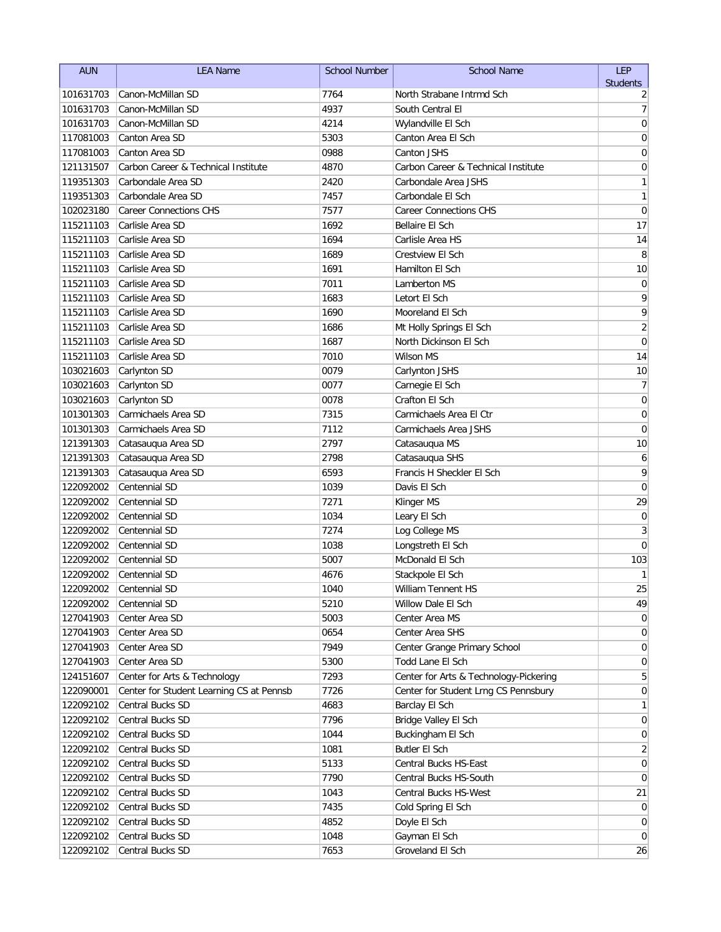| <b>AUN</b>             | <b>LEA Name</b>                                           | <b>School Number</b> | <b>School Name</b>                       | LEP                        |
|------------------------|-----------------------------------------------------------|----------------------|------------------------------------------|----------------------------|
|                        |                                                           |                      |                                          | <b>Students</b>            |
| 101631703              | Canon-McMillan SD                                         | 7764                 | North Strabane Intrmd Sch                | 2                          |
| 101631703<br>101631703 | Canon-McMillan SD<br>Canon-McMillan SD                    | 4937<br>4214         | South Central El                         | 7                          |
|                        |                                                           |                      | Wylandville El Sch<br>Canton Area El Sch | $\mathbf 0$<br>$\mathbf 0$ |
| 117081003              | Canton Area SD<br>Canton Area SD                          | 5303<br>0988         | Canton JSHS                              |                            |
| 117081003              |                                                           | 4870                 | Carbon Career & Technical Institute      | 0                          |
| 121131507              | Carbon Career & Technical Institute<br>Carbondale Area SD | 2420                 | Carbondale Area JSHS                     | 0                          |
| 119351303              | Carbondale Area SD                                        |                      | Carbondale El Sch                        | 1<br>1                     |
| 119351303<br>102023180 | <b>Career Connections CHS</b>                             | 7457<br>7577         | <b>Career Connections CHS</b>            | $\mathbf 0$                |
| 115211103              | Carlisle Area SD                                          | 1692                 | Bellaire El Sch                          | 17                         |
| 115211103              | Carlisle Area SD                                          | 1694                 | Carlisle Area HS                         | 14                         |
| 115211103              | Carlisle Area SD                                          | 1689                 | Crestview El Sch                         | 8                          |
| 115211103              | Carlisle Area SD                                          | 1691                 | Hamilton El Sch                          | 10                         |
| 115211103              | Carlisle Area SD                                          | 7011                 | Lamberton MS                             | $\mathbf 0$                |
| 115211103              | Carlisle Area SD                                          | 1683                 | Letort El Sch                            | 9                          |
| 115211103              | Carlisle Area SD                                          | 1690                 | Mooreland El Sch                         | 9                          |
| 115211103              | Carlisle Area SD                                          | 1686                 | Mt Holly Springs El Sch                  | $\sqrt{2}$                 |
| 115211103              | Carlisle Area SD                                          | 1687                 | North Dickinson El Sch                   | $\mathbf 0$                |
| 115211103              | Carlisle Area SD                                          | 7010                 | <b>Wilson MS</b>                         | 14                         |
| 103021603              | Carlynton SD                                              | 0079                 | Carlynton JSHS                           | 10                         |
| 103021603              | Carlynton SD                                              | 0077                 | Carnegie El Sch                          | 7                          |
| 103021603              | Carlynton SD                                              | 0078                 | Crafton El Sch                           | $\mathbf 0$                |
| 101301303              | Carmichaels Area SD                                       | 7315                 | Carmichaels Area El Ctr                  | 0                          |
| 101301303              | Carmichaels Area SD                                       | 7112                 | Carmichaels Area JSHS                    | $\mathbf 0$                |
| 121391303              | Catasauqua Area SD                                        | 2797                 | Catasauqua MS                            | 10                         |
| 121391303              | Catasauqua Area SD                                        | 2798                 | Catasauqua SHS                           | 6                          |
| 121391303              | Catasauqua Area SD                                        | 6593                 | Francis H Sheckler El Sch                | 9                          |
| 122092002              | Centennial SD                                             | 1039                 | Davis El Sch                             | $\mathbf 0$                |
| 122092002              | Centennial SD                                             | 7271                 | Klinger MS                               | 29                         |
| 122092002              | Centennial SD                                             | 1034                 | Leary El Sch                             | $\mathbf 0$                |
| 122092002              | Centennial SD                                             | 7274                 | Log College MS                           | 3                          |
| 122092002              | Centennial SD                                             | 1038                 | Longstreth El Sch                        | $\mathbf 0$                |
| 122092002              | Centennial SD                                             | 5007                 | McDonald El Sch                          | 103                        |
| 122092002              | Centennial SD                                             | 4676                 | Stackpole El Sch                         | 1                          |
| 122092002              | Centennial SD                                             | 1040                 | William Tennent HS                       | 25                         |
| 122092002              | Centennial SD                                             | 5210                 | Willow Dale El Sch                       | 49                         |
| 127041903              | Center Area SD                                            | 5003                 | Center Area MS                           | 0                          |
| 127041903              | Center Area SD                                            | 0654                 | Center Area SHS                          | 0                          |
| 127041903              | Center Area SD                                            | 7949                 | Center Grange Primary School             | 0                          |
| 127041903              | Center Area SD                                            | 5300                 | Todd Lane El Sch                         | 0                          |
| 124151607              | Center for Arts & Technology                              | 7293                 | Center for Arts & Technology-Pickering   | 5                          |
| 122090001              | Center for Student Learning CS at Pennsb                  | 7726                 | Center for Student Lrng CS Pennsbury     | 0                          |
| 122092102              | Central Bucks SD                                          | 4683                 | Barclay El Sch                           | 1                          |
| 122092102              | Central Bucks SD                                          | 7796                 | Bridge Valley El Sch                     | 0                          |
| 122092102              | Central Bucks SD                                          | 1044                 | Buckingham El Sch                        | 0                          |
| 122092102              | Central Bucks SD                                          | 1081                 | Butler El Sch                            | 2                          |
| 122092102              | Central Bucks SD                                          | 5133                 | Central Bucks HS-East                    | 0                          |
| 122092102              | Central Bucks SD                                          | 7790                 | Central Bucks HS-South                   | 0                          |
| 122092102              | Central Bucks SD                                          | 1043                 | Central Bucks HS-West                    | 21                         |
| 122092102              | Central Bucks SD                                          | 7435                 | Cold Spring El Sch                       | 0                          |
| 122092102              | Central Bucks SD                                          | 4852                 | Doyle El Sch                             | 0                          |
| 122092102              | Central Bucks SD                                          | 1048                 | Gayman El Sch                            | 0                          |
| 122092102              | Central Bucks SD                                          | 7653                 | Groveland El Sch                         | 26                         |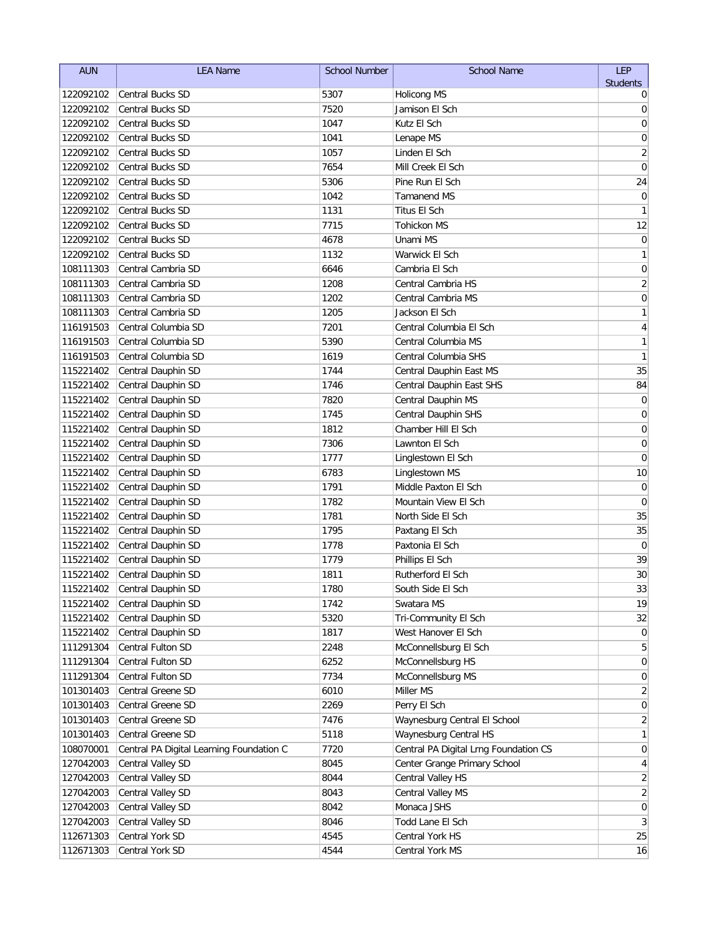| <b>AUN</b> | <b>LEA Name</b>                          | <b>School Number</b> | <b>School Name</b>                    | LEP                     |
|------------|------------------------------------------|----------------------|---------------------------------------|-------------------------|
|            |                                          |                      |                                       | <b>Students</b>         |
| 122092102  | <b>Central Bucks SD</b>                  | 5307                 | <b>Holicong MS</b>                    | 0                       |
| 122092102  | <b>Central Bucks SD</b>                  | 7520                 | Jamison El Sch                        | 0                       |
| 122092102  | <b>Central Bucks SD</b>                  | 1047                 | Kutz El Sch                           | $\mathbf 0$             |
| 122092102  | <b>Central Bucks SD</b>                  | 1041                 | Lenape MS                             | 0                       |
| 122092102  | <b>Central Bucks SD</b>                  | 1057                 | Linden El Sch                         | 2                       |
| 122092102  | <b>Central Bucks SD</b>                  | 7654                 | Mill Creek El Sch                     | $\mathbf 0$             |
| 122092102  | <b>Central Bucks SD</b>                  | 5306                 | Pine Run El Sch                       | 24                      |
| 122092102  | <b>Central Bucks SD</b>                  | 1042                 | Tamanend MS                           | 0                       |
| 122092102  | <b>Central Bucks SD</b>                  | 1131                 | Titus El Sch                          | 1                       |
| 122092102  | <b>Central Bucks SD</b>                  | 7715                 | Tohickon MS                           | 12                      |
| 122092102  | <b>Central Bucks SD</b>                  | 4678                 | Unami MS                              | $\pmb{0}$               |
| 122092102  | <b>Central Bucks SD</b>                  | 1132                 | Warwick El Sch                        | 1                       |
| 108111303  | Central Cambria SD                       | 6646                 | Cambria El Sch                        | $\pmb{0}$               |
| 108111303  | Central Cambria SD                       | 1208                 | Central Cambria HS                    | $\overline{c}$          |
| 108111303  | Central Cambria SD                       | 1202                 | Central Cambria MS                    | $\boldsymbol{0}$        |
| 108111303  | Central Cambria SD                       | 1205                 | Jackson El Sch                        | 1                       |
| 116191503  | Central Columbia SD                      | 7201                 | Central Columbia El Sch               | $\overline{\mathbf{4}}$ |
| 116191503  | Central Columbia SD                      | 5390                 | Central Columbia MS                   | 1                       |
| 116191503  | Central Columbia SD                      | 1619                 | Central Columbia SHS                  | 1                       |
| 115221402  | Central Dauphin SD                       | 1744                 | Central Dauphin East MS               | 35                      |
| 115221402  | Central Dauphin SD                       | 1746                 | Central Dauphin East SHS              | 84                      |
| 115221402  | Central Dauphin SD                       | 7820                 | Central Dauphin MS                    | $\mathbf 0$             |
| 115221402  | Central Dauphin SD                       | 1745                 | Central Dauphin SHS                   | $\pmb{0}$               |
| 115221402  | Central Dauphin SD                       | 1812                 | Chamber Hill El Sch                   | 0                       |
| 115221402  | Central Dauphin SD                       | 7306                 | Lawnton El Sch                        | 0                       |
| 115221402  | Central Dauphin SD                       | 1777                 | Linglestown El Sch                    | 0                       |
| 115221402  | Central Dauphin SD                       | 6783                 | Linglestown MS                        | 10                      |
| 115221402  | Central Dauphin SD                       | 1791                 | Middle Paxton El Sch                  | $\mathbf 0$             |
| 115221402  | Central Dauphin SD                       | 1782                 | Mountain View El Sch                  | $\mathbf 0$             |
| 115221402  | Central Dauphin SD                       | 1781                 | North Side El Sch                     | 35                      |
| 115221402  | Central Dauphin SD                       | 1795                 | Paxtang El Sch                        | 35                      |
| 115221402  | Central Dauphin SD                       | 1778                 | Paxtonia El Sch                       | 0                       |
| 115221402  | Central Dauphin SD                       | 1779                 | Phillips El Sch                       | 39                      |
| 115221402  | Central Dauphin SD                       | 1811                 | Rutherford El Sch                     | 30                      |
| 115221402  | Central Dauphin SD                       | 1780                 | South Side El Sch                     | 33                      |
| 115221402  | Central Dauphin SD                       | 1742                 | Swatara MS                            | 19                      |
| 115221402  | Central Dauphin SD                       | 5320                 | Tri-Community El Sch                  | 32                      |
| 115221402  | Central Dauphin SD                       | 1817                 | West Hanover El Sch                   | 0                       |
| 111291304  | Central Fulton SD                        | 2248                 | McConnellsburg El Sch                 | 5                       |
| 111291304  | Central Fulton SD                        | 6252                 | McConnellsburg HS                     | 0                       |
| 111291304  | Central Fulton SD                        | 7734                 | McConnellsburg MS                     | 0                       |
| 101301403  | Central Greene SD                        | 6010                 | Miller MS                             | 2                       |
| 101301403  | Central Greene SD                        | 2269                 | Perry El Sch                          | 0                       |
| 101301403  | Central Greene SD                        | 7476                 | Waynesburg Central El School          | $\overline{2}$          |
| 101301403  | Central Greene SD                        | 5118                 | Waynesburg Central HS                 | 1                       |
| 108070001  | Central PA Digital Learning Foundation C | 7720                 | Central PA Digital Lrng Foundation CS | 0                       |
| 127042003  | Central Valley SD                        | 8045                 | Center Grange Primary School          | 4                       |
| 127042003  | Central Valley SD                        | 8044                 | Central Valley HS                     | $\overline{2}$          |
| 127042003  | Central Valley SD                        | 8043                 | Central Valley MS                     | $\overline{2}$          |
| 127042003  | Central Valley SD                        | 8042                 | Monaca JSHS                           | 0                       |
| 127042003  | Central Valley SD                        | 8046                 | Todd Lane El Sch                      | 3                       |
| 112671303  | Central York SD                          | 4545                 | Central York HS                       | 25                      |
| 112671303  | Central York SD                          | 4544                 | Central York MS                       | 16                      |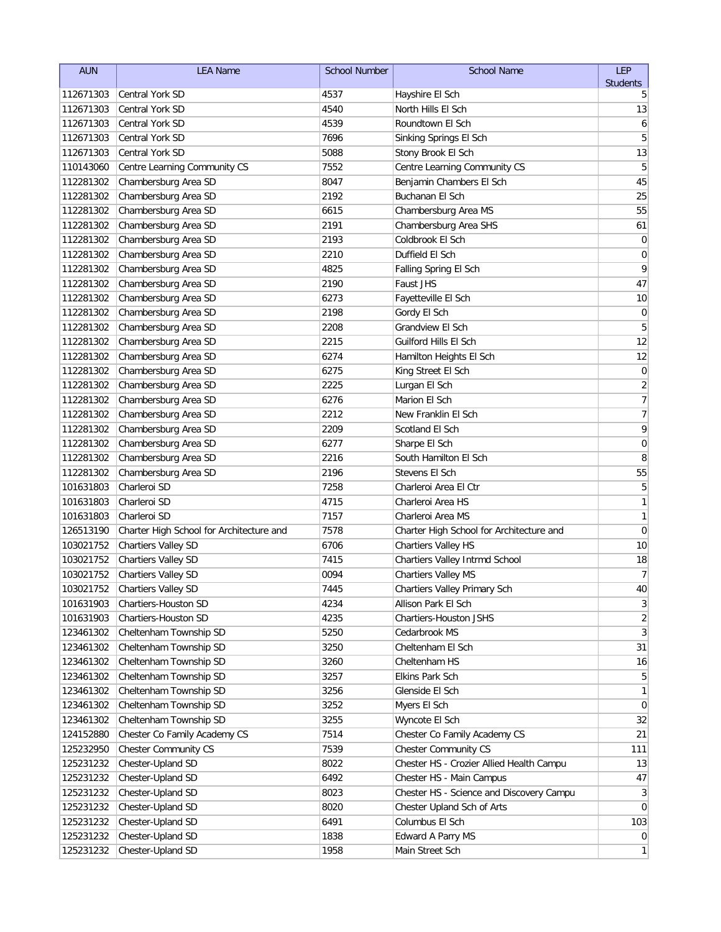| <b>AUN</b> | <b>LEA Name</b>                          | <b>School Number</b> | <b>School Name</b>                       | LEP             |
|------------|------------------------------------------|----------------------|------------------------------------------|-----------------|
|            |                                          |                      |                                          | <b>Students</b> |
| 112671303  | Central York SD                          | 4537                 | Hayshire El Sch                          | 5               |
| 112671303  | Central York SD                          | 4540                 | North Hills El Sch                       | 13              |
| 112671303  | Central York SD                          | 4539                 | Roundtown El Sch                         | 6               |
| 112671303  | Central York SD                          | 7696                 | Sinking Springs El Sch                   | 5               |
| 112671303  | Central York SD                          | 5088                 | Stony Brook El Sch                       | 13              |
| 110143060  | Centre Learning Community CS             | 7552                 | Centre Learning Community CS             | 5               |
| 112281302  | Chambersburg Area SD                     | 8047                 | Benjamin Chambers El Sch                 | 45              |
| 112281302  | Chambersburg Area SD                     | 2192                 | Buchanan El Sch                          | 25              |
| 112281302  | Chambersburg Area SD                     | 6615                 | Chambersburg Area MS                     | 55              |
| 112281302  | Chambersburg Area SD                     | 2191                 | Chambersburg Area SHS                    | 61              |
| 112281302  | Chambersburg Area SD                     | 2193                 | Coldbrook El Sch                         | $\mathbf 0$     |
| 112281302  | Chambersburg Area SD                     | 2210                 | Duffield El Sch                          | $\mathbf 0$     |
| 112281302  | Chambersburg Area SD                     | 4825                 | Falling Spring El Sch                    | 9               |
| 112281302  | Chambersburg Area SD                     | 2190                 | Faust JHS                                | 47              |
| 112281302  | Chambersburg Area SD                     | 6273                 | Fayetteville El Sch                      | 10              |
| 112281302  | Chambersburg Area SD                     | 2198                 | Gordy El Sch                             | 0               |
| 112281302  | Chambersburg Area SD                     | 2208                 | <b>Grandview El Sch</b>                  | 5               |
| 112281302  | Chambersburg Area SD                     | 2215                 | Guilford Hills El Sch                    | 12              |
| 112281302  | Chambersburg Area SD                     | 6274                 | Hamilton Heights El Sch                  | 12              |
| 112281302  | Chambersburg Area SD                     | 6275                 | King Street El Sch                       | $\pmb{0}$       |
| 112281302  | Chambersburg Area SD                     | 2225                 | Lurgan El Sch                            | $\overline{c}$  |
| 112281302  | Chambersburg Area SD                     | 6276                 | Marion El Sch                            | $\overline{7}$  |
| 112281302  | Chambersburg Area SD                     | 2212                 | New Franklin El Sch                      | $\overline{7}$  |
| 112281302  | Chambersburg Area SD                     | 2209                 | Scotland El Sch                          | 9               |
| 112281302  | Chambersburg Area SD                     | 6277                 | Sharpe El Sch                            | $\mathbf 0$     |
| 112281302  | Chambersburg Area SD                     | 2216                 | South Hamilton El Sch                    | 8               |
| 112281302  | Chambersburg Area SD                     | 2196                 | Stevens El Sch                           | 55              |
| 101631803  | Charleroi SD                             | 7258                 | Charleroi Area El Ctr                    | 5               |
| 101631803  | Charleroi SD                             | 4715                 | Charleroi Area HS                        | $\mathbf{1}$    |
| 101631803  | Charleroi SD                             | 7157                 | Charleroi Area MS                        | $\mathbf{1}$    |
| 126513190  | Charter High School for Architecture and | 7578                 | Charter High School for Architecture and | 0               |
| 103021752  | <b>Chartiers Valley SD</b>               | 6706                 | Chartiers Valley HS                      | 10              |
| 103021752  | <b>Chartiers Valley SD</b>               | 7415                 | Chartiers Valley Intrmd School           | 18              |
| 103021752  | Chartiers Valley SD                      | 0094                 | Chartiers Valley MS                      | $\overline{7}$  |
| 103021752  | Chartiers Valley SD                      | 7445                 | Chartiers Valley Primary Sch             | $40\,$          |
| 101631903  | <b>Chartiers-Houston SD</b>              | 4234                 | Allison Park El Sch                      | $\mathbf{3}$    |
| 101631903  | Chartiers-Houston SD                     | 4235                 | Chartiers-Houston JSHS                   | $\overline{2}$  |
| 123461302  | Cheltenham Township SD                   | 5250                 | Cedarbrook MS                            | $\mathbf{3}$    |
| 123461302  | Cheltenham Township SD                   | 3250                 | Cheltenham El Sch                        | 31              |
| 123461302  | Cheltenham Township SD                   | 3260                 | Cheltenham HS                            | 16              |
| 123461302  | Cheltenham Township SD                   | 3257                 | Elkins Park Sch                          | 5               |
| 123461302  | Cheltenham Township SD                   | 3256                 | Glenside El Sch                          | $\mathbf{1}$    |
| 123461302  | Cheltenham Township SD                   | 3252                 | Myers El Sch                             | $\overline{0}$  |
| 123461302  | Cheltenham Township SD                   | 3255                 | Wyncote El Sch                           | 32              |
| 124152880  | Chester Co Family Academy CS             | 7514                 | Chester Co Family Academy CS             | 21              |
| 125232950  | <b>Chester Community CS</b>              | 7539                 | <b>Chester Community CS</b>              | 111             |
| 125231232  | Chester-Upland SD                        | 8022                 | Chester HS - Crozier Allied Health Campu | 13              |
| 125231232  | Chester-Upland SD                        | 6492                 | Chester HS - Main Campus                 | 47              |
| 125231232  | Chester-Upland SD                        | 8023                 | Chester HS - Science and Discovery Campu | $\mathbf{3}$    |
| 125231232  | Chester-Upland SD                        | 8020                 | Chester Upland Sch of Arts               | $\overline{0}$  |
| 125231232  | Chester-Upland SD                        | 6491                 | Columbus El Sch                          | 103             |
| 125231232  | Chester-Upland SD                        | 1838                 | Edward A Parry MS                        | $\overline{0}$  |
| 125231232  | Chester-Upland SD                        | 1958                 | Main Street Sch                          | 1               |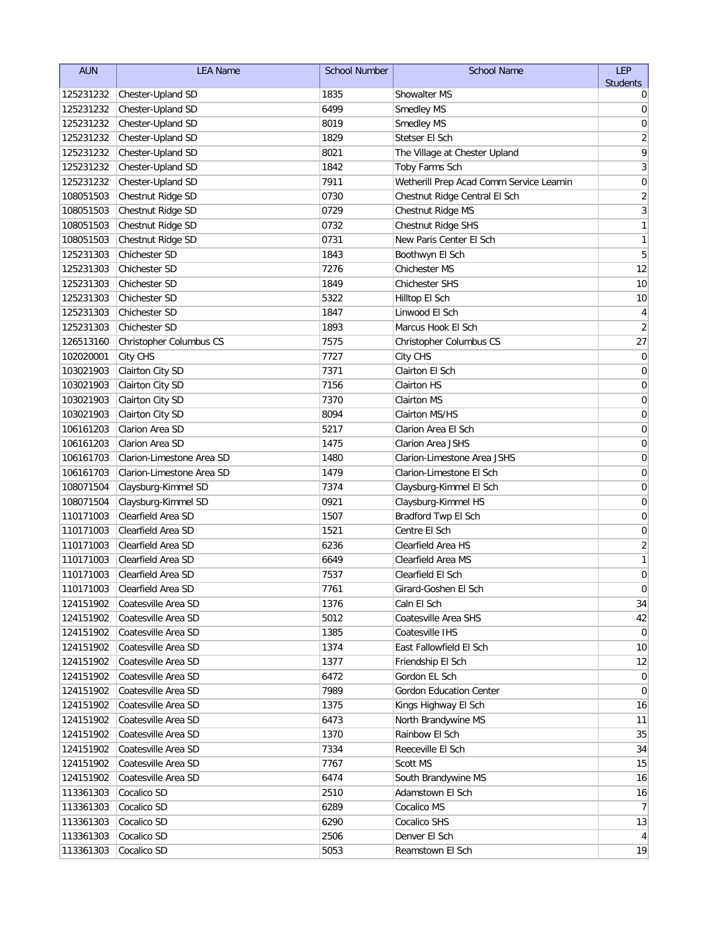| <b>AUN</b> | <b>LEA Name</b>           | <b>School Number</b> | <b>School Name</b>                       | LEP                     |
|------------|---------------------------|----------------------|------------------------------------------|-------------------------|
|            |                           |                      |                                          | <b>Students</b>         |
| 125231232  | Chester-Upland SD         | 1835                 | <b>Showalter MS</b>                      | 0                       |
| 125231232  | Chester-Upland SD         | 6499                 | Smedley MS                               | 0                       |
| 125231232  | Chester-Upland SD         | 8019                 | Smedley MS                               | $\mathbf 0$             |
| 125231232  | Chester-Upland SD         | 1829                 | Stetser El Sch                           | $\overline{c}$          |
| 125231232  | Chester-Upland SD         | 8021                 | The Village at Chester Upland            | 9                       |
| 125231232  | Chester-Upland SD         | 1842                 | Toby Farms Sch                           | 3                       |
| 125231232  | Chester-Upland SD         | 7911                 | Wetherill Prep Acad Comm Service Learnin | $\mathbf 0$             |
| 108051503  | Chestnut Ridge SD         | 0730                 | Chestnut Ridge Central El Sch            | $\overline{2}$          |
| 108051503  | Chestnut Ridge SD         | 0729                 | Chestnut Ridge MS                        | 3                       |
| 108051503  | Chestnut Ridge SD         | 0732                 | Chestnut Ridge SHS                       | 1                       |
| 108051503  | Chestnut Ridge SD         | 0731                 | New Paris Center El Sch                  | $\mathbf{1}$            |
| 125231303  | Chichester SD             | 1843                 | Boothwyn El Sch                          | 5                       |
| 125231303  | Chichester SD             | 7276                 | <b>Chichester MS</b>                     | 12                      |
| 125231303  | Chichester SD             | 1849                 | Chichester SHS                           | 10                      |
| 125231303  | <b>Chichester SD</b>      | 5322                 | Hilltop El Sch                           | 10                      |
| 125231303  | Chichester SD             | 1847                 | Linwood El Sch                           | $\overline{4}$          |
| 125231303  | Chichester SD             | 1893                 | Marcus Hook El Sch                       | $\sqrt{2}$              |
| 126513160  | Christopher Columbus CS   | 7575                 | Christopher Columbus CS                  | 27                      |
| 102020001  | City CHS                  | 7727                 | City CHS                                 | 0                       |
| 103021903  | Clairton City SD          | 7371                 | Clairton El Sch                          | 0                       |
| 103021903  | Clairton City SD          | 7156                 | Clairton HS                              | 0                       |
| 103021903  | Clairton City SD          | 7370                 | <b>Clairton MS</b>                       | 0                       |
| 103021903  | Clairton City SD          | 8094                 | Clairton MS/HS                           | 0                       |
| 106161203  | Clarion Area SD           | 5217                 | Clarion Area El Sch                      | 0                       |
| 106161203  | Clarion Area SD           | 1475                 | Clarion Area JSHS                        | 0                       |
| 106161703  | Clarion-Limestone Area SD | 1480                 | Clarion-Limestone Area JSHS              | 0                       |
| 106161703  | Clarion-Limestone Area SD | 1479                 | Clarion-Limestone El Sch                 | 0                       |
| 108071504  | Claysburg-Kimmel SD       | 7374                 | Claysburg-Kimmel El Sch                  | 0                       |
| 108071504  | Claysburg-Kimmel SD       | 0921                 | Claysburg-Kimmel HS                      | $\mathbf 0$             |
| 110171003  | Clearfield Area SD        | 1507                 | Bradford Twp El Sch                      | $\mathbf 0$             |
| 110171003  | Clearfield Area SD        | 1521                 | Centre El Sch                            | 0                       |
| 110171003  | Clearfield Area SD        | 6236                 | Clearfield Area HS                       | $\overline{\mathbf{c}}$ |
| 110171003  | Clearfield Area SD        | 6649                 | Clearfield Area MS                       | $\mathbf{1}$            |
| 110171003  | Clearfield Area SD        | 7537                 | Clearfield El Sch                        | 0                       |
| 110171003  | Clearfield Area SD        | 7761                 | Girard-Goshen El Sch                     | $\Omega$                |
| 124151902  | Coatesville Area SD       | 1376                 | Caln El Sch                              | 34                      |
| 124151902  | Coatesville Area SD       | 5012                 | Coatesville Area SHS                     | 42                      |
| 124151902  | Coatesville Area SD       | 1385                 | Coatesville IHS                          | 0                       |
| 124151902  | Coatesville Area SD       | 1374                 | East Fallowfield El Sch                  | 10                      |
| 124151902  | Coatesville Area SD       | 1377                 | Friendship El Sch                        | 12                      |
| 124151902  | Coatesville Area SD       | 6472                 | Gordon EL Sch                            | $\overline{0}$          |
| 124151902  | Coatesville Area SD       | 7989                 | <b>Gordon Education Center</b>           | $\mathbf 0$             |
| 124151902  | Coatesville Area SD       | 1375                 | Kings Highway El Sch                     | 16                      |
| 124151902  | Coatesville Area SD       | 6473                 | North Brandywine MS                      | 11                      |
| 124151902  | Coatesville Area SD       | 1370                 | Rainbow El Sch                           | 35                      |
| 124151902  | Coatesville Area SD       | 7334                 | Reeceville El Sch                        | 34                      |
| 124151902  | Coatesville Area SD       | 7767                 | Scott MS                                 | 15                      |
| 124151902  | Coatesville Area SD       | 6474                 | South Brandywine MS                      | 16                      |
| 113361303  | Cocalico SD               | 2510                 | Adamstown El Sch                         | 16                      |
| 113361303  | Cocalico SD               | 6289                 | Cocalico MS                              | $\overline{7}$          |
| 113361303  | Cocalico SD               | 6290                 | Cocalico SHS                             | 13                      |
| 113361303  | Cocalico SD               | 2506                 | Denver El Sch                            |                         |
| 113361303  | Cocalico SD               | 5053                 | Reamstown El Sch                         | 19                      |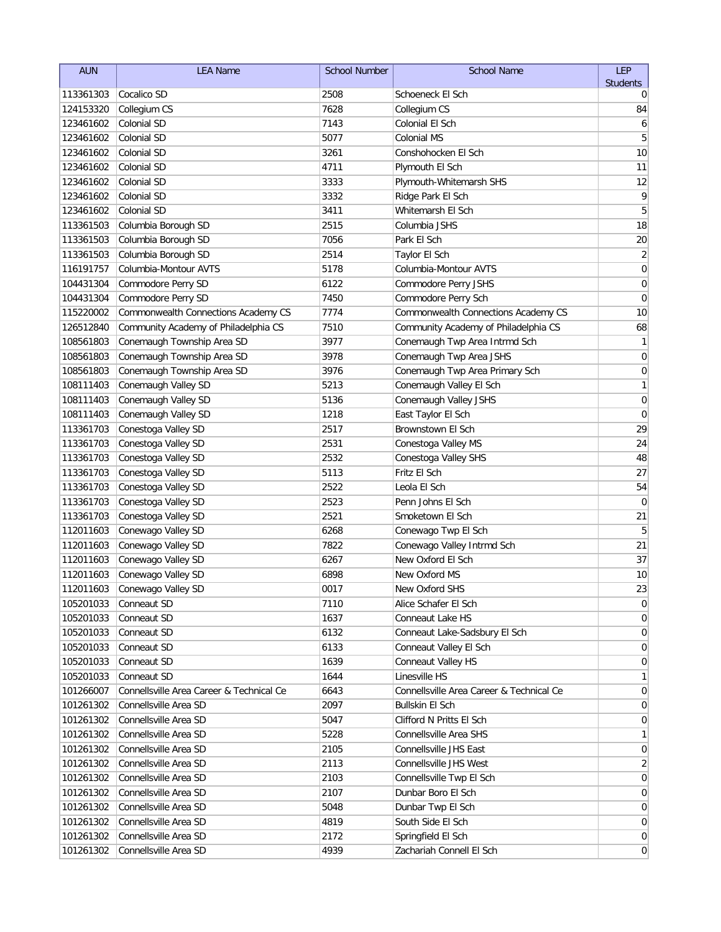| <b>AUN</b> | <b>LEA Name</b>                          | <b>School Number</b> | <b>School Name</b>                       | LEP             |
|------------|------------------------------------------|----------------------|------------------------------------------|-----------------|
|            |                                          |                      |                                          | <b>Students</b> |
| 113361303  | Cocalico SD                              | 2508                 | Schoeneck El Sch                         | 0               |
| 124153320  | Collegium CS                             | 7628                 | Collegium CS                             | 84              |
| 123461602  | Colonial SD                              | 7143                 | Colonial El Sch                          | 6               |
| 123461602  | Colonial SD                              | 5077                 | Colonial MS                              | 5               |
| 123461602  | Colonial SD                              | 3261                 | Conshohocken El Sch                      | 10              |
| 123461602  | Colonial SD                              | 4711                 | Plymouth El Sch                          | 11              |
| 123461602  | Colonial SD                              | 3333                 | Plymouth-Whitemarsh SHS                  | 12              |
| 123461602  | <b>Colonial SD</b>                       | 3332                 | Ridge Park El Sch                        | 9               |
| 123461602  | Colonial SD                              | 3411                 | Whitemarsh El Sch                        | 5               |
| 113361503  | Columbia Borough SD                      | 2515                 | Columbia JSHS                            | 18              |
| 113361503  | Columbia Borough SD                      | 7056                 | Park El Sch                              | 20              |
| 113361503  | Columbia Borough SD                      | 2514                 | Taylor El Sch                            | $\sqrt{2}$      |
| 116191757  | Columbia-Montour AVTS                    | 5178                 | Columbia-Montour AVTS                    | $\mathbf 0$     |
| 104431304  | Commodore Perry SD                       | 6122                 | Commodore Perry JSHS                     | $\pmb{0}$       |
| 104431304  | Commodore Perry SD                       | 7450                 | Commodore Perry Sch                      | 0               |
| 115220002  | Commonwealth Connections Academy CS      | 7774                 | Commonwealth Connections Academy CS      | 10              |
| 126512840  | Community Academy of Philadelphia CS     | 7510                 | Community Academy of Philadelphia CS     | 68              |
| 108561803  | Conemaugh Township Area SD               | 3977                 | Conemaugh Twp Area Intrmd Sch            | 1               |
| 108561803  | Conemaugh Township Area SD               | 3978                 | Conemaugh Twp Area JSHS                  | $\mathbf 0$     |
| 108561803  | Conemaugh Township Area SD               | 3976                 | Conemaugh Twp Area Primary Sch           | 0               |
| 108111403  | Conemaugh Valley SD                      | 5213                 | Conemaugh Valley El Sch                  | 1               |
| 108111403  | Conemaugh Valley SD                      | 5136                 | Conemaugh Valley JSHS                    | $\mathbf 0$     |
| 108111403  | Conemaugh Valley SD                      | 1218                 | East Taylor El Sch                       | $\mathbf 0$     |
| 113361703  | Conestoga Valley SD                      | 2517                 | Brownstown El Sch                        | 29              |
| 113361703  | Conestoga Valley SD                      | 2531                 | Conestoga Valley MS                      | 24              |
| 113361703  | Conestoga Valley SD                      | 2532                 | Conestoga Valley SHS                     | 48              |
| 113361703  | Conestoga Valley SD                      | 5113                 | Fritz El Sch                             | 27              |
| 113361703  | Conestoga Valley SD                      | 2522                 | Leola El Sch                             | 54              |
| 113361703  | Conestoga Valley SD                      | 2523                 | Penn Johns El Sch                        | $\mathbf 0$     |
| 113361703  | Conestoga Valley SD                      | 2521                 | Smoketown El Sch                         | 21              |
| 112011603  | Conewago Valley SD                       | 6268                 | Conewago Twp El Sch                      | 5               |
| 112011603  | Conewago Valley SD                       | 7822                 | Conewago Valley Intrmd Sch               | 21              |
| 112011603  | Conewago Valley SD                       | 6267                 | New Oxford El Sch                        | 37              |
| 112011603  | Conewago Valley SD                       | 6898                 | New Oxford MS                            | 10              |
|            | 112011603 Conewago Valley SD             | 0017                 | New Oxford SHS                           | 23              |
| 105201033  | Conneaut SD                              | 7110                 | Alice Schafer El Sch                     | 0               |
| 105201033  | Conneaut SD                              | 1637                 | Conneaut Lake HS                         | 0               |
| 105201033  | Conneaut SD                              | 6132                 | Conneaut Lake-Sadsbury El Sch            | 0               |
| 105201033  | Conneaut SD                              | 6133                 | Conneaut Valley El Sch                   | 0               |
| 105201033  | Conneaut SD                              | 1639                 | Conneaut Valley HS                       | 0               |
| 105201033  | Conneaut SD                              | 1644                 | Linesville HS                            | 1               |
| 101266007  | Connellsville Area Career & Technical Ce | 6643                 | Connellsville Area Career & Technical Ce | 0               |
| 101261302  | Connellsville Area SD                    | 2097                 | Bullskin El Sch                          | 0               |
| 101261302  | Connellsville Area SD                    | 5047                 | Clifford N Pritts El Sch                 | 0               |
| 101261302  | Connellsville Area SD                    | 5228                 | Connellsville Area SHS                   | 1               |
| 101261302  | Connellsville Area SD                    | 2105                 | Connellsville JHS East                   | $\overline{0}$  |
| 101261302  | Connellsville Area SD                    | 2113                 | Connellsville JHS West                   | 2               |
| 101261302  | Connellsville Area SD                    | 2103                 | Connellsville Twp El Sch                 | $\overline{0}$  |
| 101261302  | Connellsville Area SD                    | 2107                 | Dunbar Boro El Sch                       | $\overline{0}$  |
| 101261302  | Connellsville Area SD                    | 5048                 | Dunbar Twp El Sch                        | $\overline{0}$  |
| 101261302  | Connellsville Area SD                    | 4819                 | South Side El Sch                        | $\overline{0}$  |
| 101261302  | Connellsville Area SD                    | 2172                 | Springfield El Sch                       | $\overline{0}$  |
| 101261302  | Connellsville Area SD                    | 4939                 | Zachariah Connell El Sch                 | $\vert 0 \vert$ |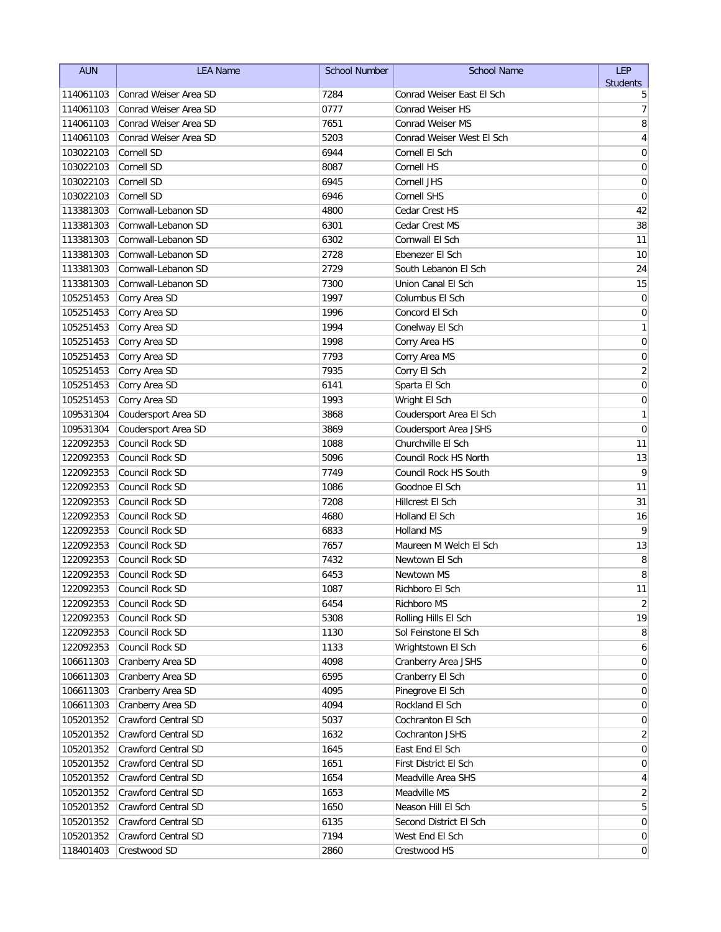| <b>AUN</b> | <b>LEA Name</b>       | <b>School Number</b> | <b>School Name</b>        | <b>LEP</b>              |
|------------|-----------------------|----------------------|---------------------------|-------------------------|
|            |                       |                      |                           | <b>Students</b>         |
| 114061103  | Conrad Weiser Area SD | 7284                 | Conrad Weiser East El Sch | 5                       |
| 114061103  | Conrad Weiser Area SD | 0777                 | <b>Conrad Weiser HS</b>   | 7                       |
| 114061103  | Conrad Weiser Area SD | 7651                 | <b>Conrad Weiser MS</b>   | 8                       |
| 114061103  | Conrad Weiser Area SD | 5203                 | Conrad Weiser West El Sch | $\overline{\mathbf{4}}$ |
| 103022103  | Cornell SD            | 6944                 | Cornell El Sch            | $\mathbf 0$             |
| 103022103  | Cornell SD            | 8087                 | Cornell HS                | 0                       |
| 103022103  | Cornell SD            | 6945                 | Cornell JHS               | 0                       |
| 103022103  | Cornell SD            | 6946                 | <b>Cornell SHS</b>        | $\mathbf 0$             |
| 113381303  | Cornwall-Lebanon SD   | 4800                 | Cedar Crest HS            | 42                      |
| 113381303  | Cornwall-Lebanon SD   | 6301                 | Cedar Crest MS            | 38                      |
| 113381303  | Cornwall-Lebanon SD   | 6302                 | Cornwall El Sch           | 11                      |
| 113381303  | Cornwall-Lebanon SD   | 2728                 | Ebenezer El Sch           | 10                      |
| 113381303  | Cornwall-Lebanon SD   | 2729                 | South Lebanon El Sch      | 24                      |
| 113381303  | Cornwall-Lebanon SD   | 7300                 | Union Canal El Sch        | 15                      |
| 105251453  | Corry Area SD         | 1997                 | Columbus El Sch           | $\pmb{0}$               |
| 105251453  | Corry Area SD         | 1996                 | Concord El Sch            | $\pmb{0}$               |
| 105251453  | Corry Area SD         | 1994                 | Conelway El Sch           | 1                       |
| 105251453  | Corry Area SD         | 1998                 | Corry Area HS             | $\mathbf 0$             |
| 105251453  | Corry Area SD         | 7793                 | Corry Area MS             | $\mathbf 0$             |
| 105251453  | Corry Area SD         | 7935                 | Corry El Sch              | $\overline{c}$          |
| 105251453  | Corry Area SD         | 6141                 | Sparta El Sch             | $\mathbf 0$             |
| 105251453  | Corry Area SD         | 1993                 | Wright El Sch             | 0                       |
| 109531304  | Coudersport Area SD   | 3868                 | Coudersport Area El Sch   | 1                       |
| 109531304  | Coudersport Area SD   | 3869                 | Coudersport Area JSHS     | $\mathbf 0$             |
| 122092353  | Council Rock SD       | 1088                 | Churchville El Sch        | 11                      |
| 122092353  | Council Rock SD       | 5096                 | Council Rock HS North     | 13                      |
| 122092353  | Council Rock SD       | 7749                 | Council Rock HS South     | 9                       |
| 122092353  | Council Rock SD       | 1086                 | Goodnoe El Sch            | 11                      |
| 122092353  | Council Rock SD       | 7208                 | Hillcrest El Sch          | 31                      |
| 122092353  | Council Rock SD       | 4680                 | Holland El Sch            | 16                      |
| 122092353  | Council Rock SD       | 6833                 | Holland MS                | 9                       |
| 122092353  | Council Rock SD       | 7657                 | Maureen M Welch El Sch    | 13                      |
| 122092353  | Council Rock SD       | 7432                 | Newtown El Sch            | 8                       |
| 122092353  | Council Rock SD       | 6453                 | Newtown MS                | 8                       |
| 122092353  | Council Rock SD       | 1087                 | Richboro El Sch           | 11                      |
| 122092353  | Council Rock SD       | 6454                 | Richboro MS               | $\overline{2}$          |
| 122092353  | Council Rock SD       | 5308                 | Rolling Hills El Sch      | 19                      |
| 122092353  | Council Rock SD       | 1130                 | Sol Feinstone El Sch      | 8                       |
| 122092353  | Council Rock SD       | 1133                 | Wrightstown El Sch        | 6                       |
| 106611303  | Cranberry Area SD     | 4098                 | Cranberry Area JSHS       | 0                       |
| 106611303  | Cranberry Area SD     | 6595                 | Cranberry El Sch          | 0                       |
| 106611303  | Cranberry Area SD     | 4095                 | Pinegrove El Sch          | 0                       |
| 106611303  | Cranberry Area SD     | 4094                 | Rockland El Sch           | 0                       |
| 105201352  | Crawford Central SD   | 5037                 | Cochranton El Sch         | 0                       |
| 105201352  | Crawford Central SD   | 1632                 | Cochranton JSHS           | $\overline{2}$          |
| 105201352  | Crawford Central SD   | 1645                 | East End El Sch           | 0                       |
| 105201352  | Crawford Central SD   | 1651                 | First District El Sch     | 0                       |
| 105201352  | Crawford Central SD   | 1654                 | Meadville Area SHS        | 4                       |
| 105201352  | Crawford Central SD   | 1653                 | Meadville MS              | 2                       |
| 105201352  | Crawford Central SD   | 1650                 | Neason Hill El Sch        | 5                       |
| 105201352  | Crawford Central SD   | 6135                 | Second District El Sch    | $\overline{0}$          |
| 105201352  | Crawford Central SD   | 7194                 | West End El Sch           | $\overline{0}$          |
| 118401403  | Crestwood SD          | 2860                 | Crestwood HS              | $\overline{0}$          |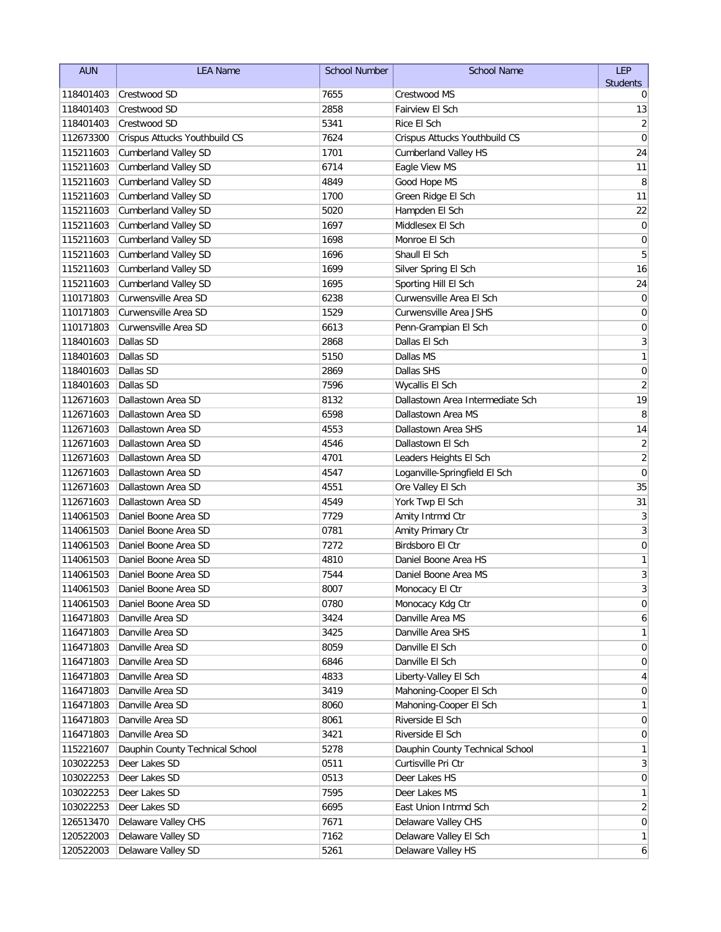| <b>AUN</b> | <b>LEA Name</b>                 | <b>School Number</b> | <b>School Name</b>               | <b>LEP</b>      |
|------------|---------------------------------|----------------------|----------------------------------|-----------------|
|            |                                 |                      |                                  | <b>Students</b> |
| 118401403  | Crestwood SD                    | 7655                 | Crestwood MS                     | 0               |
| 118401403  | Crestwood SD                    | 2858                 | Fairview El Sch                  | 13              |
| 118401403  | Crestwood SD                    | 5341                 | Rice El Sch                      | $\overline{2}$  |
| 112673300  | Crispus Attucks Youthbuild CS   | 7624                 | Crispus Attucks Youthbuild CS    | $\mathbf 0$     |
| 115211603  | <b>Cumberland Valley SD</b>     | 1701                 | <b>Cumberland Valley HS</b>      | 24              |
| 115211603  | <b>Cumberland Valley SD</b>     | 6714                 | Eagle View MS                    | 11              |
| 115211603  | <b>Cumberland Valley SD</b>     | 4849                 | Good Hope MS                     | 8               |
| 115211603  | <b>Cumberland Valley SD</b>     | 1700                 | Green Ridge El Sch               | 11              |
| 115211603  | <b>Cumberland Valley SD</b>     | 5020                 | Hampden El Sch                   | 22              |
| 115211603  | <b>Cumberland Valley SD</b>     | 1697                 | Middlesex El Sch                 | 0               |
| 115211603  | <b>Cumberland Valley SD</b>     | 1698                 | Monroe El Sch                    | 0               |
| 115211603  | <b>Cumberland Valley SD</b>     | 1696                 | Shaull El Sch                    | 5               |
| 115211603  | <b>Cumberland Valley SD</b>     | 1699                 | Silver Spring El Sch             | 16              |
| 115211603  | <b>Cumberland Valley SD</b>     | 1695                 | Sporting Hill El Sch             | 24              |
| 110171803  | Curwensville Area SD            | 6238                 | Curwensville Area El Sch         | 0               |
| 110171803  | Curwensville Area SD            | 1529                 | <b>Curwensville Area JSHS</b>    | 0               |
| 110171803  | Curwensville Area SD            | 6613                 | Penn-Grampian El Sch             | $\pmb{0}$       |
| 118401603  | Dallas SD                       | 2868                 | Dallas El Sch                    | 3               |
| 118401603  | Dallas SD                       | 5150                 | Dallas MS                        | 1               |
| 118401603  | Dallas SD                       | 2869                 | Dallas SHS                       | 0               |
| 118401603  | Dallas SD                       | 7596                 | Wycallis El Sch                  | 2               |
| 112671603  | Dallastown Area SD              | 8132                 | Dallastown Area Intermediate Sch | 19              |
| 112671603  | Dallastown Area SD              | 6598                 | Dallastown Area MS               | 8               |
| 112671603  | Dallastown Area SD              | 4553                 | Dallastown Area SHS              | 14              |
| 112671603  | Dallastown Area SD              | 4546                 | Dallastown El Sch                | $\overline{2}$  |
| 112671603  | Dallastown Area SD              | 4701                 | Leaders Heights El Sch           | $\sqrt{2}$      |
| 112671603  | Dallastown Area SD              | 4547                 | Loganville-Springfield El Sch    | $\mathbf 0$     |
| 112671603  | Dallastown Area SD              | 4551                 | Ore Valley El Sch                | 35              |
| 112671603  | Dallastown Area SD              | 4549                 | York Twp El Sch                  | 31              |
| 114061503  | Daniel Boone Area SD            | 7729                 | Amity Intrmd Ctr                 | 3               |
| 114061503  | Daniel Boone Area SD            | 0781                 | Amity Primary Ctr                | $\mathsf 3$     |
| 114061503  | Daniel Boone Area SD            | 7272                 | Birdsboro El Ctr                 | $\mathbf 0$     |
| 114061503  | Daniel Boone Area SD            | 4810                 | Daniel Boone Area HS             | 1               |
| 114061503  | Daniel Boone Area SD            | 7544                 | Daniel Boone Area MS             | 3               |
| 114061503  | Daniel Boone Area SD            | 8007                 | Monocacy El Ctr                  | $\overline{3}$  |
| 114061503  | Daniel Boone Area SD            | 0780                 | Monocacy Kdg Ctr                 | 0               |
| 116471803  | Danville Area SD                | 3424                 | Danville Area MS                 | 6               |
| 116471803  | Danville Area SD                | 3425                 | Danville Area SHS                | 1               |
| 116471803  | Danville Area SD                | 8059                 | Danville El Sch                  | 0               |
| 116471803  | Danville Area SD                | 6846                 | Danville El Sch                  | 0               |
| 116471803  | Danville Area SD                | 4833                 | Liberty-Valley El Sch            | 4               |
| 116471803  | Danville Area SD                | 3419                 | Mahoning-Cooper El Sch           | 0               |
| 116471803  | Danville Area SD                | 8060                 | Mahoning-Cooper El Sch           |                 |
| 116471803  | Danville Area SD                | 8061                 | Riverside El Sch                 | 0               |
| 116471803  | Danville Area SD                | 3421                 | Riverside El Sch                 | 0               |
| 115221607  | Dauphin County Technical School | 5278                 | Dauphin County Technical School  | 1               |
| 103022253  | Deer Lakes SD                   | 0511                 | Curtisville Pri Ctr              | 3               |
| 103022253  | Deer Lakes SD                   | 0513                 | Deer Lakes HS                    | 0               |
| 103022253  | Deer Lakes SD                   | 7595                 | Deer Lakes MS                    | 1               |
| 103022253  | Deer Lakes SD                   | 6695                 | East Union Intrmd Sch            | 2               |
| 126513470  | Delaware Valley CHS             | 7671                 | Delaware Valley CHS              | 0               |
| 120522003  | Delaware Valley SD              | 7162                 | Delaware Valley El Sch           | 1               |
| 120522003  | Delaware Valley SD              | 5261                 | Delaware Valley HS               | 6               |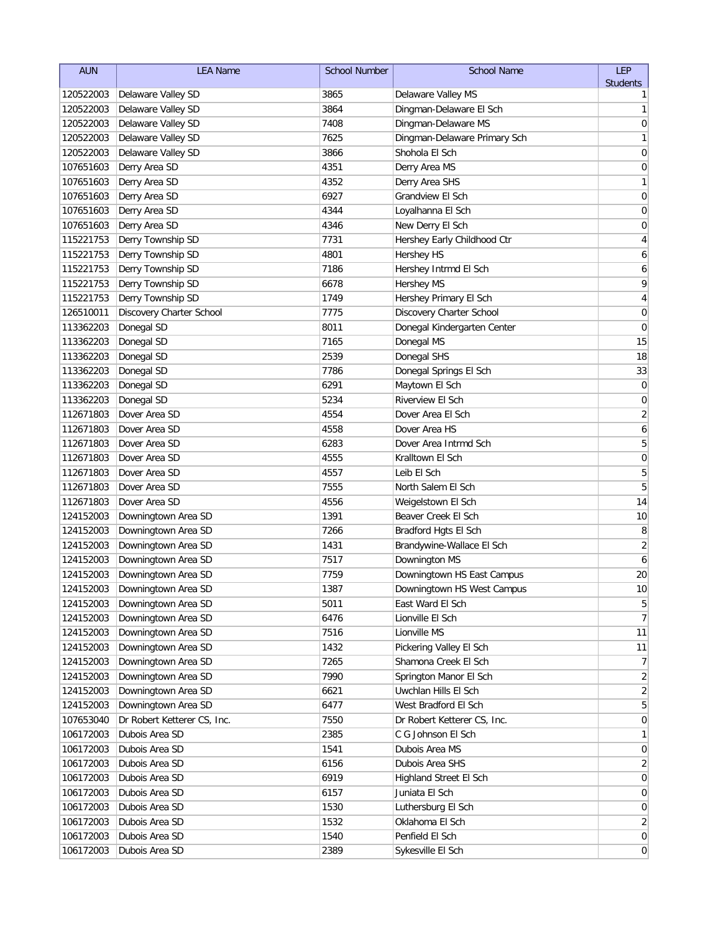| <b>AUN</b> | <b>LEA Name</b>             | <b>School Number</b> | <b>School Name</b>           | <b>LEP</b>              |
|------------|-----------------------------|----------------------|------------------------------|-------------------------|
|            |                             |                      |                              | <b>Students</b>         |
| 120522003  | Delaware Valley SD          | 3865                 | Delaware Valley MS           | 1                       |
| 120522003  | Delaware Valley SD          | 3864                 | Dingman-Delaware El Sch      | 1                       |
| 120522003  | Delaware Valley SD          | 7408                 | Dingman-Delaware MS          | $\mathbf 0$             |
| 120522003  | Delaware Valley SD          | 7625                 | Dingman-Delaware Primary Sch | 1                       |
| 120522003  | Delaware Valley SD          | 3866                 | Shohola El Sch               | 0                       |
| 107651603  | Derry Area SD               | 4351                 | Derry Area MS                | 0                       |
| 107651603  | Derry Area SD               | 4352                 | Derry Area SHS               | 1                       |
| 107651603  | Derry Area SD               | 6927                 | Grandview El Sch             | $\mathbf 0$             |
| 107651603  | Derry Area SD               | 4344                 | Loyalhanna El Sch            | 0                       |
| 107651603  | Derry Area SD               | 4346                 | New Derry El Sch             | $\mathbf 0$             |
| 115221753  | Derry Township SD           | 7731                 | Hershey Early Childhood Ctr  | $\overline{\mathbf{4}}$ |
| 115221753  | Derry Township SD           | 4801                 | <b>Hershey HS</b>            | 6                       |
| 115221753  | Derry Township SD           | 7186                 | Hershey Intrmd El Sch        | 6                       |
| 115221753  | Derry Township SD           | 6678                 | <b>Hershey MS</b>            | 9                       |
| 115221753  | Derry Township SD           | 1749                 | Hershey Primary El Sch       | 4                       |
| 126510011  | Discovery Charter School    | 7775                 | Discovery Charter School     | 0                       |
| 113362203  | Donegal SD                  | 8011                 | Donegal Kindergarten Center  | $\mathbf 0$             |
| 113362203  | Donegal SD                  | 7165                 | Donegal MS                   | 15                      |
| 113362203  | Donegal SD                  | 2539                 | Donegal SHS                  | 18                      |
| 113362203  | Donegal SD                  | 7786                 | Donegal Springs El Sch       | 33                      |
| 113362203  | Donegal SD                  | 6291                 | Maytown El Sch               | 0                       |
| 113362203  | Donegal SD                  | 5234                 | Riverview El Sch             | 0                       |
| 112671803  | Dover Area SD               | 4554                 | Dover Area El Sch            | $\overline{2}$          |
| 112671803  | Dover Area SD               | 4558                 | Dover Area HS                | 6                       |
| 112671803  | Dover Area SD               | 6283                 | Dover Area Intrmd Sch        | 5                       |
| 112671803  | Dover Area SD               | 4555                 | Kralltown El Sch             | $\mathbf 0$             |
| 112671803  | Dover Area SD               | 4557                 | Leib El Sch                  | 5                       |
| 112671803  | Dover Area SD               | 7555                 | North Salem El Sch           | 5                       |
| 112671803  | Dover Area SD               | 4556                 | Weigelstown El Sch           | 14                      |
| 124152003  | Downingtown Area SD         | 1391                 | Beaver Creek El Sch          | 10                      |
| 124152003  | Downingtown Area SD         | 7266                 | Bradford Hgts El Sch         | 8                       |
| 124152003  | Downingtown Area SD         | 1431                 | Brandywine-Wallace El Sch    | $\overline{c}$          |
| 124152003  | Downingtown Area SD         | 7517                 | Downington MS                | 6                       |
| 124152003  | Downingtown Area SD         | 7759                 | Downingtown HS East Campus   | 20                      |
| 124152003  | Downingtown Area SD         | 1387                 | Downingtown HS West Campus   | 10                      |
| 124152003  | Downingtown Area SD         | 5011                 | East Ward El Sch             | 5                       |
| 124152003  | Downingtown Area SD         | 6476                 | Lionville El Sch             | $\overline{7}$          |
| 124152003  | Downingtown Area SD         | 7516                 | Lionville MS                 | 11                      |
| 124152003  | Downingtown Area SD         | 1432                 | Pickering Valley El Sch      | 11                      |
| 124152003  | Downingtown Area SD         | 7265                 | Shamona Creek El Sch         | 7                       |
| 124152003  | Downingtown Area SD         | 7990                 | Springton Manor El Sch       | 2                       |
| 124152003  | Downingtown Area SD         | 6621                 | Uwchlan Hills El Sch         | 2                       |
| 124152003  | Downingtown Area SD         | 6477                 | West Bradford El Sch         | 5                       |
| 107653040  | Dr Robert Ketterer CS, Inc. | 7550                 | Dr Robert Ketterer CS, Inc.  | $\overline{0}$          |
| 106172003  | Dubois Area SD              | 2385                 | C G Johnson El Sch           | 1                       |
| 106172003  | Dubois Area SD              | 1541                 | Dubois Area MS               | $\overline{0}$          |
| 106172003  | Dubois Area SD              | 6156                 | Dubois Area SHS              | 2                       |
| 106172003  | Dubois Area SD              | 6919                 | Highland Street El Sch       | $\overline{0}$          |
| 106172003  | Dubois Area SD              | 6157                 | Juniata El Sch               | $\overline{0}$          |
| 106172003  | Dubois Area SD              | 1530                 | Luthersburg El Sch           | $\overline{0}$          |
| 106172003  | Dubois Area SD              | 1532                 | Oklahoma El Sch              | 2                       |
| 106172003  | Dubois Area SD              | 1540                 | Penfield El Sch              | $\overline{0}$          |
| 106172003  | Dubois Area SD              | 2389                 | Sykesville El Sch            | $\overline{0}$          |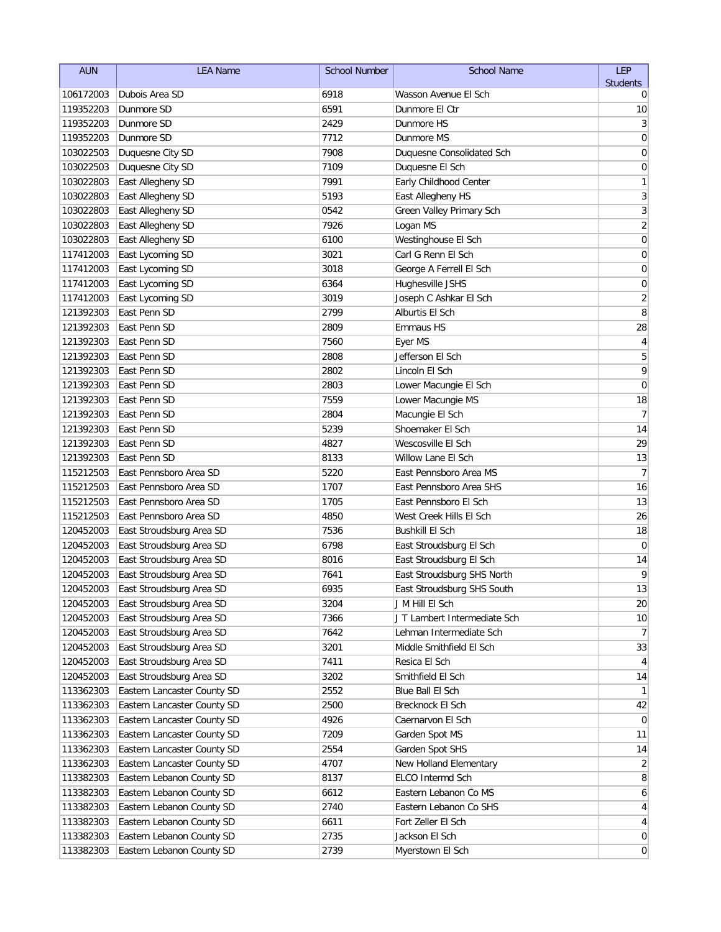| <b>AUN</b>             | <b>LEA Name</b>                        | <b>School Number</b> | <b>School Name</b>                           | <b>LEP</b>           |
|------------------------|----------------------------------------|----------------------|----------------------------------------------|----------------------|
|                        |                                        |                      |                                              | <b>Students</b>      |
| 106172003              | Dubois Area SD                         | 6918                 | Wasson Avenue El Sch                         | 0                    |
| 119352203              | Dunmore SD                             | 6591                 | Dunmore El Ctr                               | 10                   |
| 119352203              | Dunmore SD                             | 2429                 | Dunmore HS                                   | 3                    |
| 119352203              | Dunmore SD                             | 7712                 | Dunmore MS                                   | $\mathbf 0$          |
| 103022503              | Duquesne City SD                       | 7908                 | Duquesne Consolidated Sch                    | 0                    |
| 103022503              | Duquesne City SD                       | 7109                 | Duquesne El Sch                              | 0                    |
| 103022803              | East Allegheny SD                      | 7991                 | Early Childhood Center                       | 1                    |
| 103022803              | East Allegheny SD                      | 5193                 | East Allegheny HS                            | 3                    |
| 103022803              | East Allegheny SD                      | 0542                 | Green Valley Primary Sch                     | $\overline{3}$       |
| 103022803              | East Allegheny SD                      | 7926                 | Logan MS                                     | $\overline{2}$       |
| 103022803              | East Allegheny SD                      | 6100                 | Westinghouse El Sch<br>Carl G Renn El Sch    | $\boldsymbol{0}$     |
| 117412003              | East Lycoming SD                       | 3021                 |                                              | $\mathbf 0$          |
| 117412003              | East Lycoming SD                       | 3018<br>6364         | George A Ferrell El Sch                      | 0                    |
| 117412003              | East Lycoming SD                       |                      | Hughesville JSHS                             | $\mathbf 0$          |
| 117412003              | East Lycoming SD<br>East Penn SD       | 3019<br>2799         | Joseph C Ashkar El Sch<br>Alburtis El Sch    | $\overline{c}$       |
| 121392303              | East Penn SD                           |                      |                                              | 8                    |
| 121392303              |                                        | 2809                 | <b>Emmaus HS</b>                             | 28                   |
| 121392303              | East Penn SD                           | 7560                 | Eyer MS                                      | 4                    |
| 121392303              | East Penn SD                           | 2808                 | Jefferson El Sch                             | 5                    |
| 121392303              | East Penn SD                           | 2802                 | Lincoln El Sch                               | 9<br>$\mathbf 0$     |
| 121392303              | East Penn SD                           | 2803                 | Lower Macungie El Sch                        |                      |
| 121392303              | East Penn SD                           | 7559                 | Lower Macungie MS                            | 18                   |
| 121392303              | East Penn SD                           | 2804                 | Macungie El Sch                              | $\overline{7}$       |
| 121392303              | East Penn SD<br>East Penn SD           | 5239<br>4827         | Shoemaker El Sch<br>Wescosville El Sch       | 14                   |
| 121392303              |                                        |                      |                                              | 29                   |
| 121392303<br>115212503 | East Penn SD<br>East Pennsboro Area SD | 8133<br>5220         | Willow Lane El Sch<br>East Pennsboro Area MS | 13<br>$\overline{7}$ |
| 115212503              | East Pennsboro Area SD                 | 1707                 | East Pennsboro Area SHS                      | 16                   |
| 115212503              | East Pennsboro Area SD                 | 1705                 | East Pennsboro El Sch                        | 13                   |
| 115212503              | East Pennsboro Area SD                 | 4850                 | West Creek Hills El Sch                      | 26                   |
| 120452003              | East Stroudsburg Area SD               | 7536                 | <b>Bushkill El Sch</b>                       | 18                   |
| 120452003              | East Stroudsburg Area SD               | 6798                 | East Stroudsburg El Sch                      | $\mathbf 0$          |
| 120452003              | East Stroudsburg Area SD               | 8016                 | East Stroudsburg El Sch                      | 14                   |
| 120452003              | East Stroudsburg Area SD               | 7641                 | East Stroudsburg SHS North                   | 9                    |
| 120452003              | East Stroudsburg Area SD               | 6935                 | East Stroudsburg SHS South                   | 13                   |
| 120452003              | East Stroudsburg Area SD               | 3204                 | J M Hill El Sch                              | 20 <sup>°</sup>      |
| 120452003              | East Stroudsburg Area SD               | 7366                 | J T Lambert Intermediate Sch                 | 10                   |
| 120452003              | East Stroudsburg Area SD               | 7642                 | Lehman Intermediate Sch                      | $\overline{7}$       |
| 120452003              | East Stroudsburg Area SD               | 3201                 | Middle Smithfield El Sch                     | 33                   |
| 120452003              | East Stroudsburg Area SD               | 7411                 | Resica El Sch                                | 4                    |
| 120452003              | East Stroudsburg Area SD               | 3202                 | Smithfield El Sch                            | 14                   |
| 113362303              | Eastern Lancaster County SD            | 2552                 | Blue Ball El Sch                             | 1                    |
| 113362303              | Eastern Lancaster County SD            | 2500                 | Brecknock El Sch                             | 42                   |
| 113362303              | Eastern Lancaster County SD            | 4926                 | Caernarvon El Sch                            | 0                    |
| 113362303              | Eastern Lancaster County SD            | 7209                 | Garden Spot MS                               | 11                   |
| 113362303              | Eastern Lancaster County SD            | 2554                 | Garden Spot SHS                              | 14                   |
| 113362303              | Eastern Lancaster County SD            | 4707                 | New Holland Elementary                       | $\overline{2}$       |
| 113382303              | Eastern Lebanon County SD              | 8137                 | ELCO Intermd Sch                             | 8                    |
| 113382303              | Eastern Lebanon County SD              | 6612                 | Eastern Lebanon Co MS                        | 6                    |
| 113382303              | Eastern Lebanon County SD              | 2740                 | Eastern Lebanon Co SHS                       | $\vert 4 \vert$      |
| 113382303              | Eastern Lebanon County SD              | 6611                 | Fort Zeller El Sch                           | $\overline{4}$       |
| 113382303              | Eastern Lebanon County SD              | 2735                 | Jackson El Sch                               | $\overline{0}$       |
| 113382303              | Eastern Lebanon County SD              | 2739                 | Myerstown El Sch                             | $\overline{0}$       |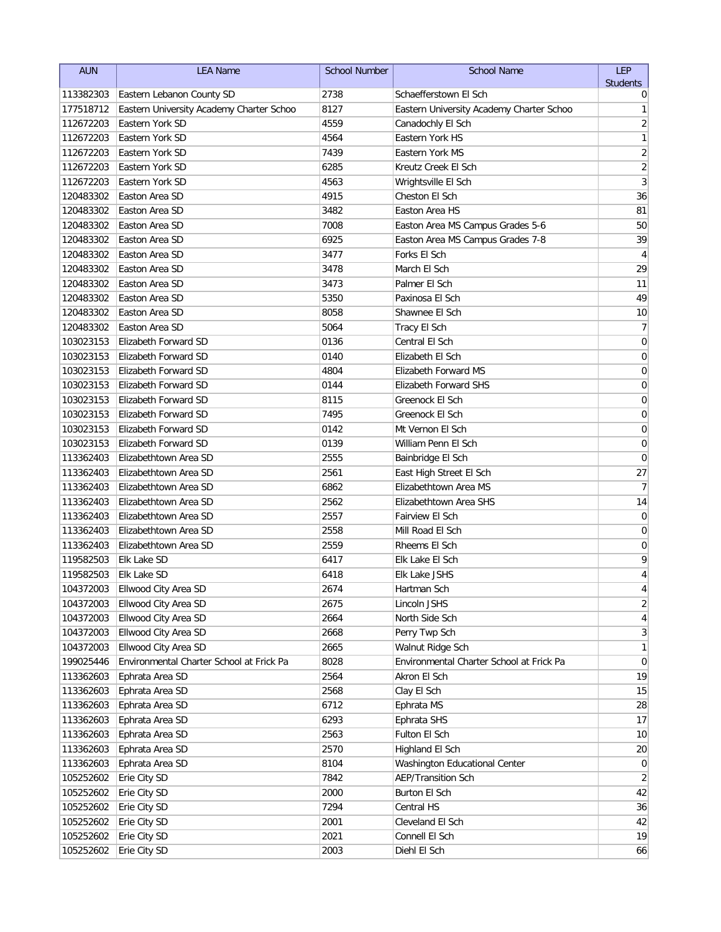| <b>AUN</b> | <b>LEA Name</b>                          | <b>School Number</b> | <b>School Name</b>                       | LEP                     |
|------------|------------------------------------------|----------------------|------------------------------------------|-------------------------|
|            |                                          |                      |                                          | <b>Students</b>         |
| 113382303  | Eastern Lebanon County SD                | 2738                 | Schaefferstown El Sch                    | 0                       |
| 177518712  | Eastern University Academy Charter Schoo | 8127                 | Eastern University Academy Charter Schoo | 1                       |
| 112672203  | Eastern York SD                          | 4559                 | Canadochly El Sch                        | $\overline{\mathbf{c}}$ |
| 112672203  | Eastern York SD                          | 4564                 | Eastern York HS                          | 1                       |
| 112672203  | Eastern York SD                          | 7439                 | Eastern York MS                          | $\overline{\mathbf{c}}$ |
| 112672203  | Eastern York SD                          | 6285                 | Kreutz Creek El Sch                      | $\sqrt{2}$              |
| 112672203  | Eastern York SD                          | 4563                 | Wrightsville El Sch                      | 3                       |
| 120483302  | Easton Area SD                           | 4915                 | Cheston El Sch                           | 36                      |
| 120483302  | Easton Area SD                           | 3482                 | Easton Area HS                           | 81                      |
| 120483302  | Easton Area SD                           | 7008                 | Easton Area MS Campus Grades 5-6         | 50                      |
| 120483302  | Easton Area SD                           | 6925                 | Easton Area MS Campus Grades 7-8         | 39                      |
| 120483302  | Easton Area SD                           | 3477                 | Forks El Sch                             | $\overline{4}$          |
| 120483302  | Easton Area SD                           | 3478                 | March El Sch                             | 29                      |
| 120483302  | Easton Area SD                           | 3473                 | Palmer El Sch                            | 11                      |
| 120483302  | Easton Area SD                           | 5350                 | Paxinosa El Sch                          | 49                      |
| 120483302  | Easton Area SD                           | 8058                 | Shawnee El Sch                           | 10                      |
| 120483302  | Easton Area SD                           | 5064                 | Tracy El Sch                             | 7                       |
| 103023153  | Elizabeth Forward SD                     | 0136                 | Central El Sch                           | $\pmb{0}$               |
| 103023153  | Elizabeth Forward SD                     | 0140                 | Elizabeth El Sch                         | $\mathbf 0$             |
| 103023153  | Elizabeth Forward SD                     | 4804                 | <b>Elizabeth Forward MS</b>              | 0                       |
| 103023153  | Elizabeth Forward SD                     | 0144                 | Elizabeth Forward SHS                    | 0                       |
| 103023153  | Elizabeth Forward SD                     | 8115                 | Greenock El Sch                          | 0                       |
| 103023153  | Elizabeth Forward SD                     | 7495                 | Greenock El Sch                          | 0                       |
| 103023153  | Elizabeth Forward SD                     | 0142                 | Mt Vernon El Sch                         | 0                       |
| 103023153  | Elizabeth Forward SD                     | 0139                 | William Penn El Sch                      | 0                       |
| 113362403  | Elizabethtown Area SD                    | 2555                 | Bainbridge El Sch                        | $\mathbf 0$             |
| 113362403  | Elizabethtown Area SD                    | 2561                 | East High Street El Sch                  | 27                      |
| 113362403  | Elizabethtown Area SD                    | 6862                 | Elizabethtown Area MS                    | $\overline{7}$          |
| 113362403  | Elizabethtown Area SD                    | 2562                 | Elizabethtown Area SHS                   | 14                      |
| 113362403  | Elizabethtown Area SD                    | 2557                 | Fairview El Sch                          | $\mathbf 0$             |
| 113362403  | Elizabethtown Area SD                    | 2558                 | Mill Road El Sch                         | 0                       |
| 113362403  | Elizabethtown Area SD                    | 2559                 | Rheems El Sch                            | 0                       |
| 119582503  | Elk Lake SD                              | 6417                 | Elk Lake El Sch                          | 9                       |
| 119582503  | <b>Elk Lake SD</b>                       | 6418                 | <b>Elk Lake JSHS</b>                     | 4                       |
| 104372003  | Ellwood City Area SD                     | 2674                 | Hartman Sch                              | 4                       |
| 104372003  | Ellwood City Area SD                     | 2675                 | Lincoln JSHS                             | $\overline{2}$          |
| 104372003  | Ellwood City Area SD                     | 2664                 | North Side Sch                           | 4                       |
| 104372003  | Ellwood City Area SD                     | 2668                 | Perry Twp Sch                            | 3                       |
| 104372003  | Ellwood City Area SD                     | 2665                 | Walnut Ridge Sch                         | 1                       |
| 199025446  | Environmental Charter School at Frick Pa | 8028                 | Environmental Charter School at Frick Pa | 0                       |
| 113362603  | Ephrata Area SD                          | 2564                 | Akron El Sch                             | 19                      |
| 113362603  | Ephrata Area SD                          | 2568                 | Clay El Sch                              | 15                      |
| 113362603  | Ephrata Area SD                          | 6712                 | Ephrata MS                               | 28                      |
| 113362603  | Ephrata Area SD                          | 6293                 | Ephrata SHS                              | 17                      |
| 113362603  | Ephrata Area SD                          | 2563                 | Fulton El Sch                            | 10                      |
| 113362603  | Ephrata Area SD                          | 2570                 | Highland El Sch                          | 20                      |
| 113362603  | Ephrata Area SD                          | 8104                 | Washington Educational Center            | 0                       |
| 105252602  | Erie City SD                             | 7842                 | <b>AEP/Transition Sch</b>                | 2                       |
| 105252602  | Erie City SD                             | 2000                 | Burton El Sch                            | 42                      |
| 105252602  | Erie City SD                             | 7294                 | Central HS                               | 36                      |
| 105252602  | Erie City SD                             | 2001                 | Cleveland El Sch                         | 42                      |
| 105252602  | Erie City SD                             | 2021                 | Connell El Sch                           | 19                      |
| 105252602  | Erie City SD                             | 2003                 | Diehl El Sch                             | 66                      |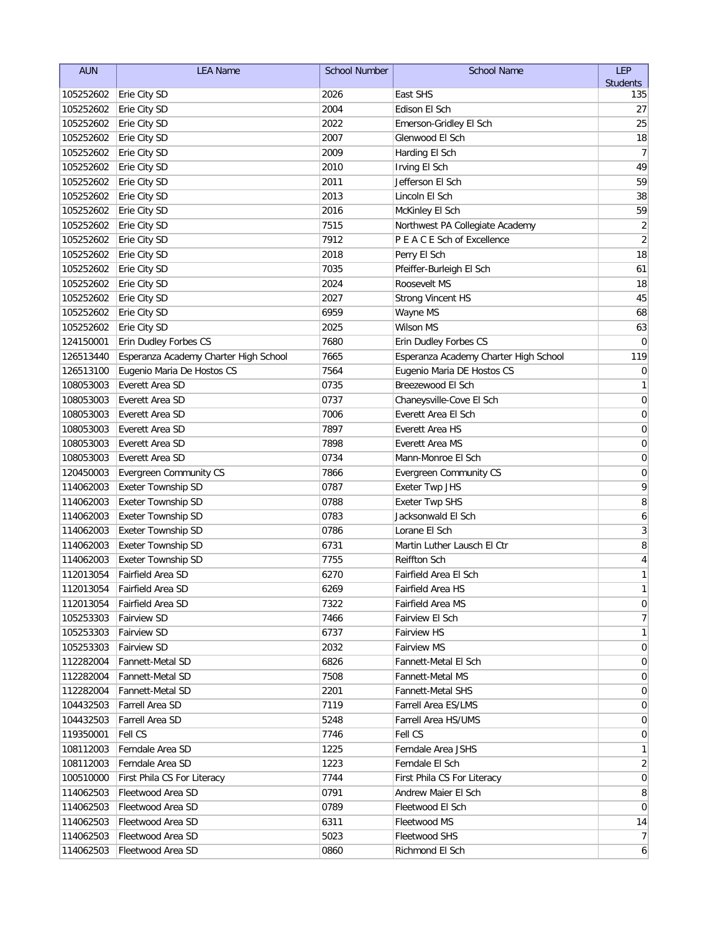| <b>AUN</b> | <b>LEA Name</b>                       | <b>School Number</b> | <b>School Name</b>                    | <b>LEP</b>              |
|------------|---------------------------------------|----------------------|---------------------------------------|-------------------------|
|            |                                       |                      |                                       | <b>Students</b>         |
| 105252602  | Erie City SD                          | 2026                 | East SHS                              | 135                     |
| 105252602  | Erie City SD                          | 2004                 | Edison El Sch                         | 27                      |
| 105252602  | Erie City SD                          | 2022                 | Emerson-Gridley El Sch                | 25                      |
| 105252602  | Erie City SD                          | 2007                 | Glenwood El Sch                       | 18                      |
| 105252602  | Erie City SD                          | 2009                 | Harding El Sch                        | $\overline{7}$          |
| 105252602  | Erie City SD                          | 2010                 | Irving El Sch                         | 49                      |
| 105252602  | Erie City SD                          | 2011                 | Jefferson El Sch                      | 59                      |
| 105252602  | Erie City SD                          | 2013                 | Lincoln El Sch                        | 38                      |
| 105252602  | Erie City SD                          | 2016                 | McKinley El Sch                       | 59                      |
| 105252602  | Erie City SD                          | 7515                 | Northwest PA Collegiate Academy       | $\sqrt{2}$              |
| 105252602  | Erie City SD                          | 7912                 | P E A C E Sch of Excellence           | $\overline{2}$          |
| 105252602  | Erie City SD                          | 2018                 | Perry El Sch                          | 18                      |
| 105252602  | Erie City SD                          | 7035                 | Pfeiffer-Burleigh El Sch              | 61                      |
| 105252602  | Erie City SD                          | 2024                 | Roosevelt MS                          | 18                      |
| 105252602  | Erie City SD                          | 2027                 | <b>Strong Vincent HS</b>              | 45                      |
| 105252602  | Erie City SD                          | 6959                 | Wayne MS                              | 68                      |
| 105252602  | Erie City SD                          | 2025                 | Wilson MS                             | 63                      |
| 124150001  | Erin Dudley Forbes CS                 | 7680                 | Erin Dudley Forbes CS                 | 0                       |
| 126513440  | Esperanza Academy Charter High School | 7665                 | Esperanza Academy Charter High School | 119                     |
| 126513100  | Eugenio Maria De Hostos CS            | 7564                 | Eugenio Maria DE Hostos CS            | 0                       |
| 108053003  | Everett Area SD                       | 0735                 | Breezewood El Sch                     | 1                       |
| 108053003  | Everett Area SD                       | 0737                 | Chaneysville-Cove El Sch              | $\mathbf 0$             |
| 108053003  | Everett Area SD                       | 7006                 | Everett Area El Sch                   | 0                       |
| 108053003  | Everett Area SD                       | 7897                 | Everett Area HS                       | 0                       |
| 108053003  | Everett Area SD                       | 7898                 | Everett Area MS                       | 0                       |
| 108053003  | Everett Area SD                       | 0734                 | Mann-Monroe El Sch                    | 0                       |
| 120450003  | <b>Evergreen Community CS</b>         | 7866                 | <b>Evergreen Community CS</b>         | 0                       |
| 114062003  | <b>Exeter Township SD</b>             | 0787                 | <b>Exeter Twp JHS</b>                 | 9                       |
| 114062003  | <b>Exeter Township SD</b>             | 0788                 | <b>Exeter Twp SHS</b>                 | 8                       |
| 114062003  | Exeter Township SD                    | 0783                 | Jacksonwald El Sch                    | 6                       |
| 114062003  | Exeter Township SD                    | 0786                 | Lorane El Sch                         | 3                       |
| 114062003  | <b>Exeter Township SD</b>             | 6731                 | Martin Luther Lausch El Ctr           | 8                       |
| 114062003  | <b>Exeter Township SD</b>             | 7755                 | <b>Reiffton Sch</b>                   | $\overline{\mathbf{4}}$ |
| 112013054  | Fairfield Area SD                     | 6270                 | Fairfield Area El Sch                 | 1                       |
|            | 112013054   Fairfield Area SD         | 6269                 | Fairfield Area HS                     | 1                       |
| 112013054  | Fairfield Area SD                     | 7322                 | Fairfield Area MS                     | 0                       |
| 105253303  | <b>Fairview SD</b>                    | 7466                 | Fairview El Sch                       | 7                       |
| 105253303  | <b>Fairview SD</b>                    | 6737                 | <b>Fairview HS</b>                    | 1                       |
| 105253303  | <b>Fairview SD</b>                    | 2032                 | <b>Fairview MS</b>                    | 0                       |
| 112282004  | Fannett-Metal SD                      | 6826                 | Fannett-Metal El Sch                  | 0                       |
| 112282004  | Fannett-Metal SD                      | 7508                 | Fannett-Metal MS                      | 0                       |
| 112282004  | Fannett-Metal SD                      | 2201                 | Fannett-Metal SHS                     | 0                       |
| 104432503  | Farrell Area SD                       | 7119                 | Farrell Area ES/LMS                   | 0                       |
| 104432503  | Farrell Area SD                       | 5248                 | Farrell Area HS/UMS                   | 0                       |
| 119350001  | Fell CS                               | 7746                 | Fell CS                               | 0                       |
| 108112003  | Ferndale Area SD                      | 1225                 | Ferndale Area JSHS                    | 1                       |
| 108112003  | Ferndale Area SD                      | 1223                 | Ferndale El Sch                       | $\overline{2}$          |
| 100510000  | First Phila CS For Literacy           | 7744                 | First Phila CS For Literacy           | $\overline{0}$          |
| 114062503  | Fleetwood Area SD                     | 0791                 | Andrew Maier El Sch                   | 8                       |
| 114062503  | Fleetwood Area SD                     | 0789                 | Fleetwood El Sch                      | 0                       |
| 114062503  | Fleetwood Area SD                     | 6311                 | Fleetwood MS                          | 14                      |
| 114062503  | Fleetwood Area SD                     | 5023                 | <b>Fleetwood SHS</b>                  | $\overline{7}$          |
| 114062503  | Fleetwood Area SD                     | 0860                 | Richmond El Sch                       | $\mathbf{6}$            |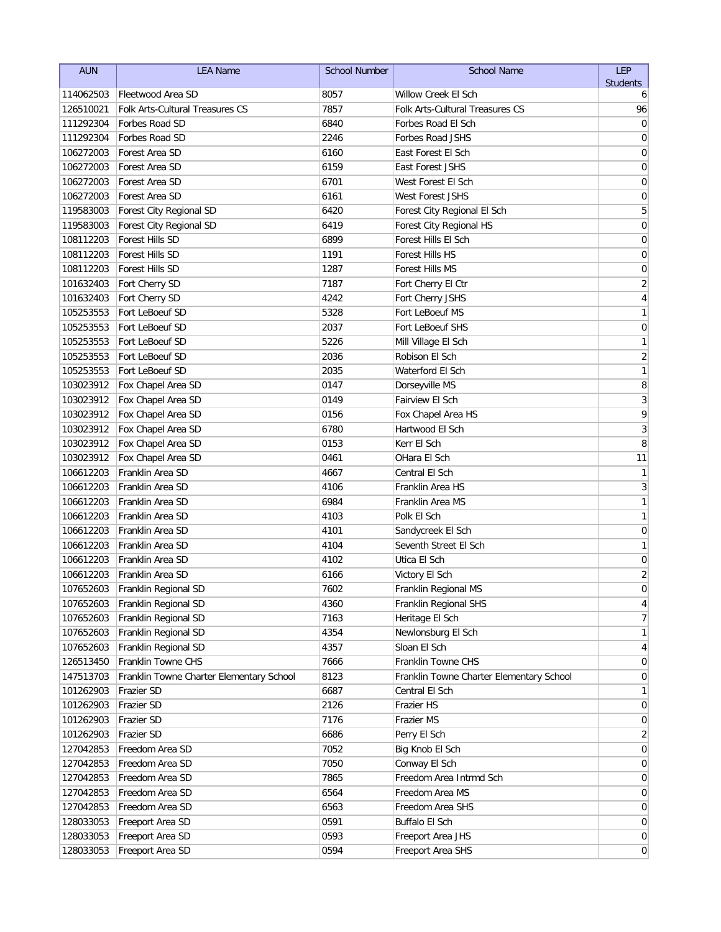| <b>AUN</b> | <b>LEA Name</b>                          | <b>School Number</b> | <b>School Name</b>                       | LEP             |
|------------|------------------------------------------|----------------------|------------------------------------------|-----------------|
|            |                                          |                      |                                          | <b>Students</b> |
| 114062503  | Fleetwood Area SD                        | 8057                 | Willow Creek El Sch                      | 6               |
| 126510021  | Folk Arts-Cultural Treasures CS          | 7857                 | Folk Arts-Cultural Treasures CS          | 96              |
| 111292304  | Forbes Road SD                           | 6840                 | Forbes Road El Sch                       | 0               |
| 111292304  | Forbes Road SD                           | 2246                 | Forbes Road JSHS                         | 0               |
| 106272003  | Forest Area SD                           | 6160                 | East Forest El Sch                       | 0               |
| 106272003  | Forest Area SD                           | 6159                 | East Forest JSHS                         | 0               |
| 106272003  | Forest Area SD                           | 6701                 | West Forest El Sch                       | 0               |
| 106272003  | Forest Area SD                           | 6161                 | West Forest JSHS                         | 0               |
| 119583003  | Forest City Regional SD                  | 6420                 | Forest City Regional El Sch              | 5               |
| 119583003  | Forest City Regional SD                  | 6419                 | Forest City Regional HS                  | $\mathbf 0$     |
| 108112203  | Forest Hills SD                          | 6899                 | Forest Hills El Sch                      | $\mathbf 0$     |
| 108112203  | Forest Hills SD                          | 1191                 | Forest Hills HS                          | $\mathbf 0$     |
| 108112203  | Forest Hills SD                          | 1287                 | Forest Hills MS                          | $\mathbf 0$     |
| 101632403  | Fort Cherry SD                           | 7187                 | Fort Cherry El Ctr                       | $\sqrt{2}$      |
| 101632403  | Fort Cherry SD                           | 4242                 | Fort Cherry JSHS                         | $\sqrt{4}$      |
| 105253553  | Fort LeBoeuf SD                          | 5328                 | Fort LeBoeuf MS                          | 1               |
| 105253553  | Fort LeBoeuf SD                          | 2037                 | Fort LeBoeuf SHS                         | $\mathbf 0$     |
| 105253553  | Fort LeBoeuf SD                          | 5226                 | Mill Village El Sch                      | 1               |
| 105253553  | Fort LeBoeuf SD                          | 2036                 | Robison El Sch                           | $\overline{c}$  |
| 105253553  | Fort LeBoeuf SD                          | 2035                 | Waterford El Sch                         | $\mathbf{1}$    |
| 103023912  | Fox Chapel Area SD                       | 0147                 | Dorseyville MS                           | 8               |
| 103023912  | Fox Chapel Area SD                       | 0149                 | Fairview El Sch                          | 3               |
| 103023912  | Fox Chapel Area SD                       | 0156                 | Fox Chapel Area HS                       | 9               |
| 103023912  | Fox Chapel Area SD                       | 6780                 | Hartwood El Sch                          | 3               |
| 103023912  | Fox Chapel Area SD                       | 0153                 | Kerr El Sch                              | 8               |
| 103023912  | Fox Chapel Area SD                       | 0461                 | OHara El Sch                             | 11              |
| 106612203  | Franklin Area SD                         | 4667                 | Central El Sch                           | 1               |
| 106612203  | Franklin Area SD                         | 4106                 | Franklin Area HS                         | 3               |
| 106612203  | Franklin Area SD                         | 6984                 | Franklin Area MS                         | $\mathbf{1}$    |
| 106612203  | Franklin Area SD                         | 4103                 | Polk El Sch                              | 1               |
| 106612203  | Franklin Area SD                         | 4101                 | Sandycreek El Sch                        | $\mathbf 0$     |
| 106612203  | Franklin Area SD                         | 4104                 | Seventh Street El Sch                    | 1               |
| 106612203  | Franklin Area SD                         | 4102                 | Utica El Sch                             | 0               |
| 106612203  | Franklin Area SD                         | 6166                 | Victory El Sch                           | $\overline{2}$  |
| 107652603  | Franklin Regional SD                     | 7602                 | Franklin Regional MS                     | $\Omega$        |
| 107652603  | Franklin Regional SD                     | 4360                 | Franklin Regional SHS                    | 4               |
| 107652603  | Franklin Regional SD                     | 7163                 | Heritage El Sch                          | 7               |
| 107652603  | Franklin Regional SD                     | 4354                 | Newlonsburg El Sch                       | 1               |
| 107652603  | Franklin Regional SD                     | 4357                 | Sloan El Sch                             | 4               |
| 126513450  | Franklin Towne CHS                       | 7666                 | Franklin Towne CHS                       | 0               |
| 147513703  | Franklin Towne Charter Elementary School | 8123                 | Franklin Towne Charter Elementary School | 0               |
| 101262903  | Frazier SD                               | 6687                 | Central El Sch                           | 1               |
| 101262903  | Frazier SD                               | 2126                 | Frazier HS                               | 0               |
| 101262903  | Frazier SD                               | 7176                 | Frazier MS                               | 0               |
| 101262903  | Frazier SD                               | 6686                 | Perry El Sch                             | 2               |
| 127042853  | Freedom Area SD                          | 7052                 | Big Knob El Sch                          | 0               |
| 127042853  | Freedom Area SD                          | 7050                 | Conway El Sch                            | 0               |
| 127042853  | Freedom Area SD                          | 7865                 | Freedom Area Intrmd Sch                  | 0               |
| 127042853  | Freedom Area SD                          | 6564                 | Freedom Area MS                          | 0               |
| 127042853  | Freedom Area SD                          | 6563                 | Freedom Area SHS                         | 0               |
| 128033053  | Freeport Area SD                         | 0591                 | Buffalo El Sch                           | $\overline{0}$  |
| 128033053  | Freeport Area SD                         | 0593                 | Freeport Area JHS                        | $\overline{0}$  |
| 128033053  | Freeport Area SD                         | 0594                 | Freeport Area SHS                        | $\overline{0}$  |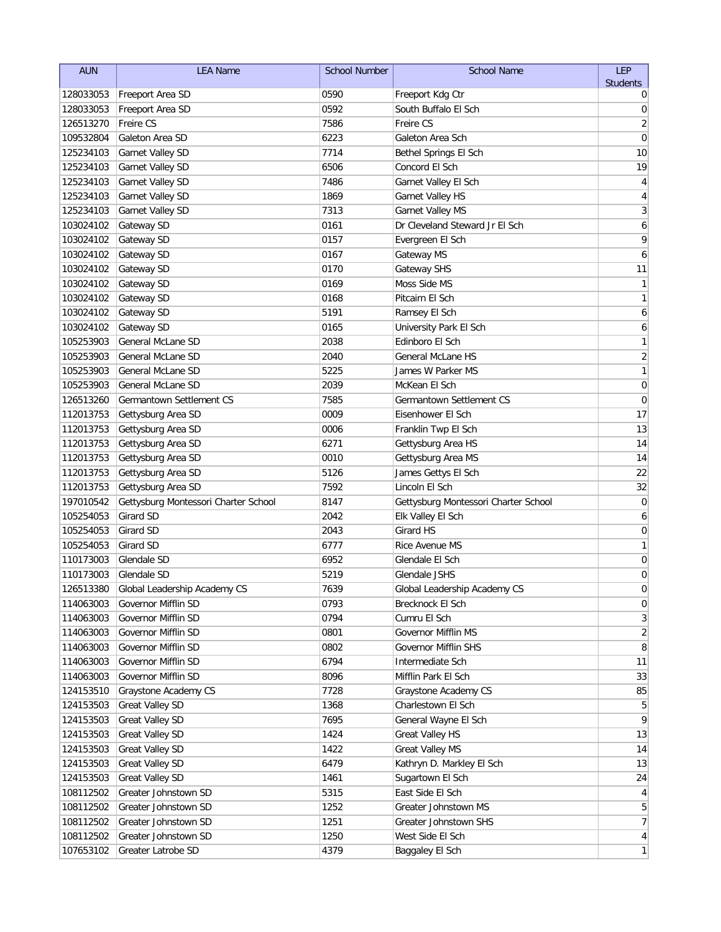| <b>AUN</b> | <b>LEA Name</b>                      | <b>School Number</b> | <b>School Name</b>                   | LEP                     |
|------------|--------------------------------------|----------------------|--------------------------------------|-------------------------|
|            |                                      |                      |                                      | <b>Students</b>         |
| 128033053  | Freeport Area SD                     | 0590                 | Freeport Kdg Ctr                     | 0                       |
| 128033053  | Freeport Area SD                     | 0592                 | South Buffalo El Sch                 | 0                       |
| 126513270  | Freire CS                            | 7586                 | Freire CS                            | $\overline{2}$          |
| 109532804  | Galeton Area SD                      | 6223                 | Galeton Area Sch                     | $\mathbf 0$             |
| 125234103  | Garnet Valley SD                     | 7714                 | Bethel Springs El Sch                | 10                      |
| 125234103  | Garnet Valley SD                     | 6506                 | Concord El Sch                       | 19                      |
| 125234103  | Garnet Valley SD                     | 7486                 | Garnet Valley El Sch                 | 4                       |
| 125234103  | Garnet Valley SD                     | 1869                 | Garnet Valley HS                     | $\overline{\mathbf{4}}$ |
| 125234103  | Garnet Valley SD                     | 7313                 | <b>Garnet Valley MS</b>              | 3                       |
| 103024102  | Gateway SD                           | 0161                 | Dr Cleveland Steward Jr El Sch       | 6                       |
| 103024102  | Gateway SD                           | 0157                 | Evergreen El Sch                     | 9                       |
| 103024102  | Gateway SD                           | 0167                 | Gateway MS                           | 6                       |
| 103024102  | Gateway SD                           | 0170                 | Gateway SHS                          | 11                      |
| 103024102  | Gateway SD                           | 0169                 | Moss Side MS                         | 1                       |
| 103024102  | Gateway SD                           | 0168                 | Pitcairn El Sch                      | 1                       |
| 103024102  | Gateway SD                           | 5191                 | Ramsey El Sch                        | 6                       |
| 103024102  | Gateway SD                           | 0165                 | University Park El Sch               | 6                       |
| 105253903  | <b>General McLane SD</b>             | 2038                 | Edinboro El Sch                      | 1                       |
| 105253903  | <b>General McLane SD</b>             | 2040                 | General McLane HS                    | $\overline{\mathbf{c}}$ |
| 105253903  | General McLane SD                    | 5225                 | James W Parker MS                    | 1                       |
| 105253903  | General McLane SD                    | 2039                 | McKean El Sch                        | 0                       |
| 126513260  | Germantown Settlement CS             | 7585                 | Germantown Settlement CS             | 0                       |
| 112013753  | Gettysburg Area SD                   | 0009                 | Eisenhower El Sch                    | 17                      |
| 112013753  | Gettysburg Area SD                   | 0006                 | Franklin Twp El Sch                  | 13                      |
| 112013753  | Gettysburg Area SD                   | 6271                 | Gettysburg Area HS                   | 14                      |
| 112013753  | Gettysburg Area SD                   | 0010                 | Gettysburg Area MS                   | 14                      |
| 112013753  | Gettysburg Area SD                   | 5126                 | James Gettys El Sch                  | 22                      |
| 112013753  | Gettysburg Area SD                   | 7592                 | Lincoln El Sch                       | 32                      |
| 197010542  | Gettysburg Montessori Charter School | 8147                 | Gettysburg Montessori Charter School | $\mathbf 0$             |
| 105254053  | Girard SD                            | 2042                 | Elk Valley El Sch                    | 6                       |
| 105254053  | <b>Girard SD</b>                     | 2043                 | <b>Girard HS</b>                     | 0                       |
| 105254053  | Girard SD                            | 6777                 | Rice Avenue MS                       | 1                       |
| 110173003  | Glendale SD                          | 6952                 | Glendale El Sch                      | 0                       |
| 110173003  | Glendale SD                          | 5219                 | Glendale JSHS                        | 0                       |
| 126513380  | Global Leadership Academy CS         | 7639                 | Global Leadership Academy CS         | $\Omega$                |
| 114063003  | Governor Mifflin SD                  | 0793                 | Brecknock El Sch                     | $\pmb{0}$               |
| 114063003  | Governor Mifflin SD                  | 0794                 | Cumru El Sch                         | 3                       |
| 114063003  | Governor Mifflin SD                  | 0801                 | Governor Mifflin MS                  | $\overline{2}$          |
| 114063003  | Governor Mifflin SD                  | 0802                 | Governor Mifflin SHS                 | 8                       |
| 114063003  | Governor Mifflin SD                  | 6794                 | Intermediate Sch                     | 11                      |
| 114063003  | Governor Mifflin SD                  | 8096                 | Mifflin Park El Sch                  | 33                      |
| 124153510  | Graystone Academy CS                 | 7728                 | Graystone Academy CS                 | 85                      |
| 124153503  | <b>Great Valley SD</b>               | 1368                 | Charlestown El Sch                   | 5                       |
| 124153503  | <b>Great Valley SD</b>               | 7695                 | General Wayne El Sch                 | 9                       |
| 124153503  | <b>Great Valley SD</b>               | 1424                 | <b>Great Valley HS</b>               | 13                      |
| 124153503  | <b>Great Valley SD</b>               | 1422                 | <b>Great Valley MS</b>               | 14                      |
| 124153503  | <b>Great Valley SD</b>               | 6479                 | Kathryn D. Markley El Sch            | 13                      |
| 124153503  | <b>Great Valley SD</b>               | 1461                 | Sugartown El Sch                     | 24                      |
| 108112502  | Greater Johnstown SD                 | 5315                 | East Side El Sch                     | $\overline{4}$          |
| 108112502  | Greater Johnstown SD                 | 1252                 | Greater Johnstown MS                 | 5                       |
| 108112502  | Greater Johnstown SD                 | 1251                 | Greater Johnstown SHS                | $\overline{7}$          |
| 108112502  | Greater Johnstown SD                 | 1250                 | West Side El Sch                     | $\vert 4 \vert$         |
| 107653102  | Greater Latrobe SD                   | 4379                 | Baggaley El Sch                      | $\mathbf{1}$            |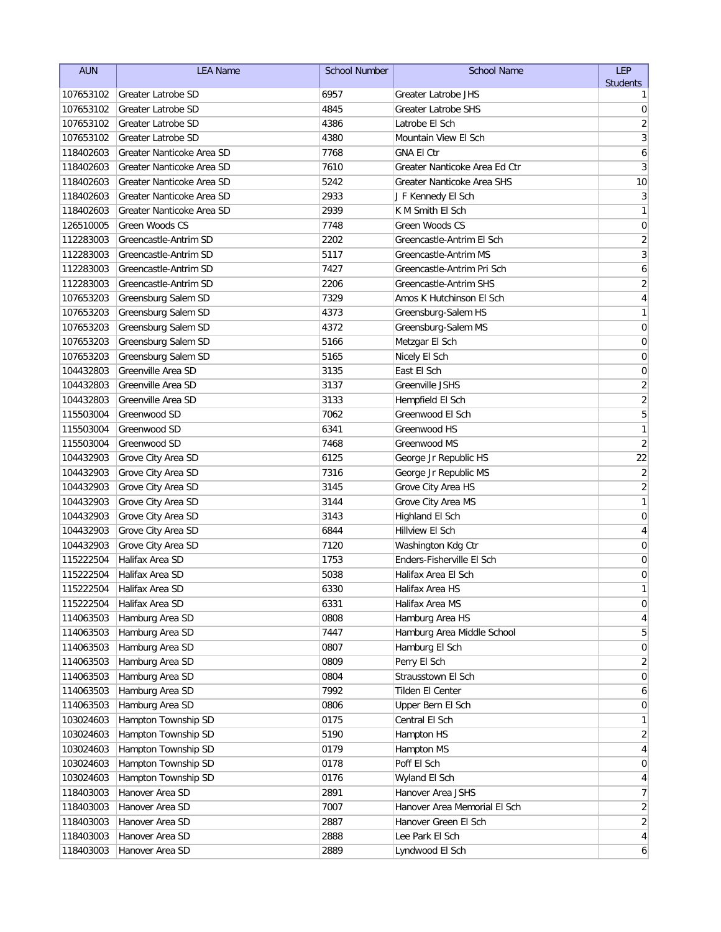| <b>AUN</b><br><b>LEA Name</b><br><b>School Number</b>                                                         | LEP                              |
|---------------------------------------------------------------------------------------------------------------|----------------------------------|
|                                                                                                               | <b>Students</b>                  |
| 107653102<br>6957<br>Greater Latrobe JHS<br>Greater Latrobe SD                                                | 1                                |
| 4845<br>107653102<br><b>Greater Latrobe SHS</b><br>Greater Latrobe SD                                         | $\mathbf 0$                      |
| 107653102<br><b>Greater Latrobe SD</b><br>4386<br>Latrobe El Sch                                              | $\overline{\mathbf{c}}$          |
| 4380<br>107653102<br>Greater Latrobe SD<br>Mountain View El Sch                                               | 3                                |
| 7768<br>118402603<br>Greater Nanticoke Area SD<br><b>GNA EI Ctr</b>                                           | 6                                |
| Greater Nanticoke Area SD<br>7610<br>Greater Nanticoke Area Ed Ctr<br>118402603                               | 3                                |
| Greater Nanticoke Area SD<br>5242<br>Greater Nanticoke Area SHS<br>118402603                                  | 10                               |
| 118402603<br>Greater Nanticoke Area SD<br>2933<br>J F Kennedy El Sch                                          | 3                                |
| 2939<br>118402603<br>Greater Nanticoke Area SD<br>K M Smith El Sch<br><b>Green Woods CS</b>                   | 1                                |
| Green Woods CS<br>7748<br>126510005                                                                           | $\boldsymbol{0}$                 |
| Greencastle-Antrim SD<br>2202<br>Greencastle-Antrim El Sch<br>112283003<br>5117                               | $\overline{c}$<br>$\overline{3}$ |
| 112283003<br>Greencastle-Antrim SD<br>Greencastle-Antrim MS                                                   |                                  |
| 7427<br>112283003<br>Greencastle-Antrim SD<br>Greencastle-Antrim Pri Sch                                      | 6                                |
| 2206<br>112283003<br>Greencastle-Antrim SD<br>Greencastle-Antrim SHS                                          | $\overline{\mathbf{c}}$          |
| 107653203<br>Greensburg Salem SD<br>7329<br>Amos K Hutchinson El Sch                                          | $\overline{\mathbf{4}}$          |
| 107653203<br>Greensburg Salem SD<br>4373<br>Greensburg-Salem HS                                               | 1                                |
| 107653203<br>Greensburg Salem SD<br>4372<br>Greensburg-Salem MS                                               | $\mathbf 0$                      |
| 107653203<br>Greensburg Salem SD<br>5166<br>Metzgar El Sch                                                    | $\mathbf 0$                      |
| 107653203<br>Greensburg Salem SD<br>5165<br>Nicely El Sch                                                     | 0                                |
| 104432803<br>Greenville Area SD<br>3135<br>East El Sch                                                        | 0                                |
| Greenville Area SD<br>104432803<br>3137<br>Greenville JSHS                                                    | $\overline{\mathbf{c}}$          |
| Greenville Area SD<br>3133<br>104432803<br>Hempfield El Sch                                                   | $\overline{2}$                   |
| Greenwood SD<br>Greenwood El Sch<br>115503004<br>7062                                                         | 5                                |
| Greenwood SD<br>6341<br>Greenwood HS<br>115503004                                                             | 1                                |
| Greenwood SD<br>7468<br>Greenwood MS<br>115503004                                                             | $\overline{2}$                   |
| 104432903<br>Grove City Area SD<br>6125<br>George Jr Republic HS                                              | 22                               |
| 104432903<br>Grove City Area SD<br>7316<br>George Jr Republic MS                                              | $\sqrt{2}$<br>$\overline{c}$     |
| 104432903<br>Grove City Area SD<br>3145<br>Grove City Area HS<br>104432903<br>Grove City Area SD<br>3144      | $\overline{1}$                   |
| Grove City Area MS<br>104432903<br>3143                                                                       | $\mathbf 0$                      |
| Grove City Area SD<br>Highland El Sch<br>6844<br><b>Hillview El Sch</b><br>104432903                          | 4                                |
| Grove City Area SD<br>104432903<br>7120                                                                       | 0                                |
| Grove City Area SD<br>Washington Kdg Ctr<br>Halifax Area SD<br>Enders-Fisherville El Sch<br>115222504<br>1753 | $\mathbf 0$                      |
| 115222504<br><b>Halifax Area SD</b><br>5038<br>Halifax Area El Sch                                            | 0                                |
| 6330<br>115222504<br>Halifax Area SD<br>Halifax Area HS                                                       | $\mathbf{1}$                     |
| 115222504<br>Halifax Area SD<br>6331<br>Halifax Area MS                                                       | 0                                |
| 114063503<br>Hamburg Area SD<br>0808<br>Hamburg Area HS                                                       | 4                                |
| Hamburg Area SD<br>Hamburg Area Middle School<br>114063503<br>7447                                            | 5                                |
| Hamburg Area SD<br>Hamburg El Sch<br>114063503<br>0807                                                        | $\overline{0}$                   |
| Hamburg Area SD<br>114063503<br>0809<br>Perry El Sch                                                          | 2                                |
| Hamburg Area SD<br>114063503<br>0804<br>Strausstown El Sch                                                    | 0                                |
| Hamburg Area SD<br>7992<br>Tilden El Center<br>114063503                                                      | 6                                |
| Hamburg Area SD<br>114063503<br>0806<br>Upper Bern El Sch                                                     | 0                                |
| Hampton Township SD<br>103024603<br>0175<br>Central El Sch                                                    | 1                                |
| Hampton Township SD<br>5190<br>103024603<br>Hampton HS                                                        | $\overline{2}$                   |
| Hampton Township SD<br>0179<br>103024603<br>Hampton MS                                                        | 4                                |
| Hampton Township SD<br>0178<br>103024603<br>Poff El Sch                                                       | 0                                |
| 0176<br>103024603<br>Hampton Township SD<br>Wyland El Sch                                                     | 4                                |
| Hanover Area SD<br>Hanover Area JSHS<br>118403003<br>2891                                                     | 7                                |
| Hanover Area SD<br>Hanover Area Memorial El Sch<br>118403003<br>7007                                          | $\overline{2}$                   |
| Hanover Area SD<br>Hanover Green El Sch<br>118403003<br>2887                                                  | 2                                |
| Lee Park El Sch<br>118403003<br>Hanover Area SD<br>2888                                                       | $\overline{4}$                   |
| Hanover Area SD<br>2889<br>118403003<br>Lyndwood El Sch                                                       | 6                                |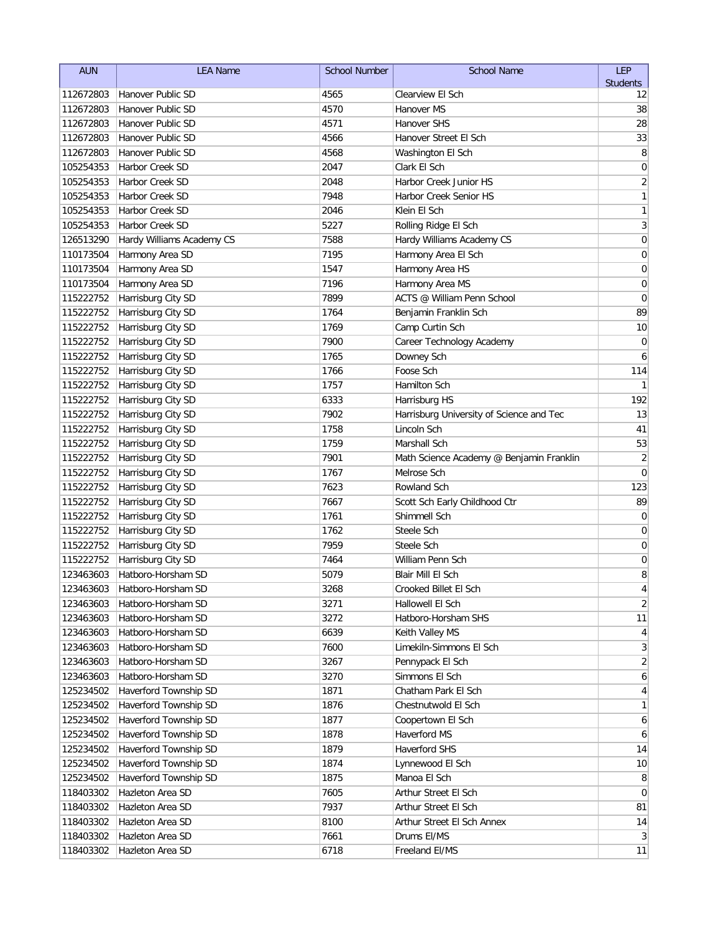| <b>AUN</b> | <b>LEA Name</b>           | <b>School Number</b> | <b>School Name</b>                       | LEP             |
|------------|---------------------------|----------------------|------------------------------------------|-----------------|
|            |                           |                      |                                          | <b>Students</b> |
| 112672803  | Hanover Public SD         | 4565                 | Clearview El Sch                         | 12              |
| 112672803  | Hanover Public SD         | 4570                 | Hanover MS                               | 38              |
| 112672803  | Hanover Public SD         | 4571                 | <b>Hanover SHS</b>                       | 28              |
| 112672803  | Hanover Public SD         | 4566                 | Hanover Street El Sch                    | 33              |
| 112672803  | Hanover Public SD         | 4568                 | Washington El Sch                        | 8               |
| 105254353  | Harbor Creek SD           | 2047                 | Clark El Sch                             | 0               |
| 105254353  | <b>Harbor Creek SD</b>    | 2048                 | Harbor Creek Junior HS                   | $\sqrt{2}$      |
| 105254353  | <b>Harbor Creek SD</b>    | 7948                 | Harbor Creek Senior HS                   | 1               |
| 105254353  | Harbor Creek SD           | 2046                 | Klein El Sch                             | 1               |
| 105254353  | Harbor Creek SD           | 5227                 | Rolling Ridge El Sch                     | 3               |
| 126513290  | Hardy Williams Academy CS | 7588                 | Hardy Williams Academy CS                | $\mathbf 0$     |
| 110173504  | Harmony Area SD           | 7195                 | Harmony Area El Sch                      | $\mathbf 0$     |
| 110173504  | Harmony Area SD           | 1547                 | Harmony Area HS                          | 0               |
| 110173504  | Harmony Area SD           | 7196                 | Harmony Area MS                          | 0               |
| 115222752  | Harrisburg City SD        | 7899                 | ACTS @ William Penn School               | $\mathbf 0$     |
| 115222752  | Harrisburg City SD        | 1764                 | Benjamin Franklin Sch                    | 89              |
| 115222752  | Harrisburg City SD        | 1769                 | Camp Curtin Sch                          | 10              |
| 115222752  | Harrisburg City SD        | 7900                 | Career Technology Academy                | $\mathbf 0$     |
| 115222752  | Harrisburg City SD        | 1765                 | Downey Sch                               | 6               |
| 115222752  | Harrisburg City SD        | 1766                 | Foose Sch                                | 114             |
| 115222752  | Harrisburg City SD        | 1757                 | Hamilton Sch                             | 1               |
| 115222752  | Harrisburg City SD        | 6333                 | Harrisburg HS                            | 192             |
| 115222752  | Harrisburg City SD        | 7902                 | Harrisburg University of Science and Tec | 13              |
| 115222752  | Harrisburg City SD        | 1758                 | Lincoln Sch                              | 41              |
| 115222752  | Harrisburg City SD        | 1759                 | Marshall Sch                             | 53              |
| 115222752  | Harrisburg City SD        | 7901                 | Math Science Academy @ Benjamin Franklin | $\overline{2}$  |
| 115222752  | Harrisburg City SD        | 1767                 | Melrose Sch                              | $\mathbf 0$     |
| 115222752  | Harrisburg City SD        | 7623                 | Rowland Sch                              | 123             |
| 115222752  | Harrisburg City SD        | 7667                 | Scott Sch Early Childhood Ctr            | 89              |
| 115222752  | Harrisburg City SD        | 1761                 | Shimmell Sch                             | 0               |
| 115222752  | Harrisburg City SD        | 1762                 | Steele Sch                               | 0               |
| 115222752  | Harrisburg City SD        | 7959                 | Steele Sch                               | 0               |
| 115222752  | Harrisburg City SD        | 7464                 | William Penn Sch                         | 0               |
| 123463603  | Hatboro-Horsham SD        | 5079                 | Blair Mill El Sch                        | 8               |
| 123463603  | Hatboro-Horsham SD        | 3268                 | Crooked Billet El Sch                    | 4               |
| 123463603  | Hatboro-Horsham SD        | 3271                 | Hallowell El Sch                         | $\overline{2}$  |
| 123463603  | Hatboro-Horsham SD        | 3272                 | Hatboro-Horsham SHS                      | 11              |
| 123463603  | Hatboro-Horsham SD        | 6639                 | Keith Valley MS                          | 4               |
| 123463603  | Hatboro-Horsham SD        | 7600                 | Limekiln-Simmons El Sch                  | $\mathbf{3}$    |
| 123463603  | Hatboro-Horsham SD        | 3267                 | Pennypack El Sch                         | $\overline{2}$  |
| 123463603  | Hatboro-Horsham SD        | 3270                 | Simmons El Sch                           | 6               |
| 125234502  | Haverford Township SD     | 1871                 | Chatham Park El Sch                      | 4               |
| 125234502  | Haverford Township SD     | 1876                 | Chestnutwold El Sch                      | 1               |
| 125234502  | Haverford Township SD     | 1877                 | Coopertown El Sch                        | 6               |
| 125234502  | Haverford Township SD     | 1878                 | Haverford MS                             | 6               |
| 125234502  | Haverford Township SD     | 1879                 | Haverford SHS                            | 14              |
| 125234502  | Haverford Township SD     | 1874                 | Lynnewood El Sch                         | 10              |
| 125234502  | Haverford Township SD     | 1875                 | Manoa El Sch                             | 8               |
| 118403302  | Hazleton Area SD          | 7605                 | Arthur Street El Sch                     | $\overline{0}$  |
| 118403302  | Hazleton Area SD          | 7937                 | Arthur Street El Sch                     | 81              |
| 118403302  | Hazleton Area SD          | 8100                 | Arthur Street El Sch Annex               | 14              |
| 118403302  | Hazleton Area SD          | 7661                 | Drums El/MS                              | $\mathbf{3}$    |
| 118403302  | Hazleton Area SD          | 6718                 | Freeland El/MS                           | 11              |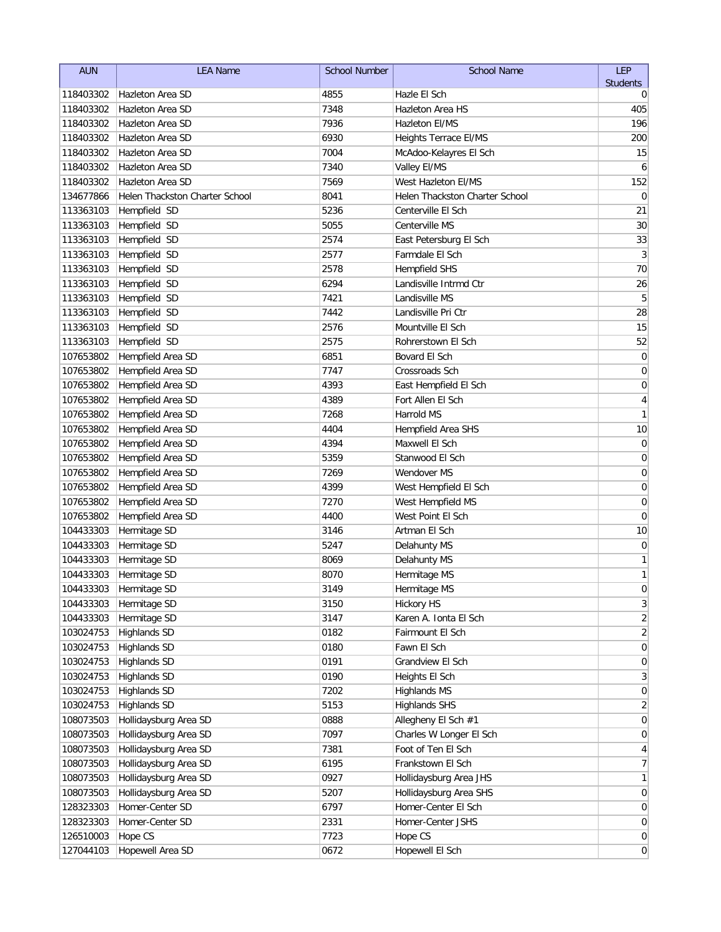| <b>AUN</b> | <b>LEA Name</b>                | <b>School Number</b> | <b>School Name</b>             | LEP             |
|------------|--------------------------------|----------------------|--------------------------------|-----------------|
|            |                                |                      |                                | <b>Students</b> |
| 118403302  | Hazleton Area SD               | 4855                 | Hazle El Sch                   | 0               |
| 118403302  | Hazleton Area SD               | 7348                 | <b>Hazleton Area HS</b>        | 405             |
| 118403302  | Hazleton Area SD               | 7936                 | Hazleton El/MS                 | 196             |
| 118403302  | Hazleton Area SD               | 6930                 | Heights Terrace El/MS          | 200             |
| 118403302  | Hazleton Area SD               | 7004                 | McAdoo-Kelayres El Sch         | 15              |
| 118403302  | Hazleton Area SD               | 7340                 | Valley El/MS                   | 6               |
| 118403302  | Hazleton Area SD               | 7569                 | West Hazleton El/MS            | 152             |
| 134677866  | Helen Thackston Charter School | 8041                 | Helen Thackston Charter School | 0               |
| 113363103  | Hempfield SD                   | 5236                 | Centerville El Sch             | 21              |
| 113363103  | Hempfield SD                   | 5055                 | Centerville MS                 | 30              |
| 113363103  | Hempfield SD                   | 2574                 | East Petersburg El Sch         | 33              |
| 113363103  | Hempfield SD                   | 2577                 | Farmdale El Sch                | 3               |
| 113363103  | Hempfield SD                   | 2578                 | <b>Hempfield SHS</b>           | 70              |
| 113363103  | Hempfield SD                   | 6294                 | Landisville Intrmd Ctr         | 26              |
| 113363103  | Hempfield SD                   | 7421                 | Landisville MS                 | 5               |
| 113363103  | Hempfield SD                   | 7442                 | Landisville Pri Ctr            | 28              |
| 113363103  | Hempfield SD                   | 2576                 | Mountville El Sch              | 15              |
| 113363103  | Hempfield SD                   | 2575                 | Rohrerstown El Sch             | 52              |
| 107653802  | Hempfield Area SD              | 6851                 | Bovard El Sch                  | $\pmb{0}$       |
| 107653802  | Hempfield Area SD              | 7747                 | Crossroads Sch                 | 0               |
| 107653802  | Hempfield Area SD              | 4393                 | East Hempfield El Sch          | 0               |
| 107653802  | Hempfield Area SD              | 4389                 | Fort Allen El Sch              | 4               |
| 107653802  | Hempfield Area SD              | 7268                 | Harrold MS                     | 1               |
| 107653802  | Hempfield Area SD              | 4404                 | Hempfield Area SHS             | 10              |
| 107653802  | Hempfield Area SD              | 4394                 | Maxwell El Sch                 | $\mathbf 0$     |
| 107653802  | Hempfield Area SD              | 5359                 | Stanwood El Sch                | 0               |
| 107653802  | Hempfield Area SD              | 7269                 | Wendover MS                    | 0               |
| 107653802  | Hempfield Area SD              | 4399                 | West Hempfield El Sch          | $\mathbf 0$     |
| 107653802  | Hempfield Area SD              | 7270                 | West Hempfield MS              | $\mathbf 0$     |
| 107653802  | Hempfield Area SD              | 4400                 | West Point El Sch              | $\mathbf 0$     |
| 104433303  | Hermitage SD                   | 3146                 | Artman El Sch                  | 10              |
| 104433303  | Hermitage SD                   | 5247                 | Delahunty MS                   | 0               |
| 104433303  | Hermitage SD                   | 8069                 | Delahunty MS                   | 1               |
| 104433303  | Hermitage SD                   | 8070                 | Hermitage MS                   | 1               |
|            | 104433303 Hermitage SD         | 3149                 | Hermitage MS                   | 0               |
| 104433303  | Hermitage SD                   | 3150                 | <b>Hickory HS</b>              | 3               |
| 104433303  | Hermitage SD                   | 3147                 | Karen A. Ionta El Sch          | 2               |
| 103024753  | <b>Highlands SD</b>            | 0182                 | Fairmount El Sch               | $\overline{2}$  |
| 103024753  | <b>Highlands SD</b>            | 0180                 | Fawn El Sch                    | 0               |
| 103024753  | <b>Highlands SD</b>            | 0191                 | Grandview El Sch               | 0               |
| 103024753  | <b>Highlands SD</b>            | 0190                 | Heights El Sch                 | 3               |
| 103024753  | <b>Highlands SD</b>            | 7202                 | <b>Highlands MS</b>            | 0               |
| 103024753  | <b>Highlands SD</b>            | 5153                 | <b>Highlands SHS</b>           | 2               |
| 108073503  | Hollidaysburg Area SD          | 0888                 | Allegheny El Sch #1            | 0               |
| 108073503  | Hollidaysburg Area SD          | 7097                 | Charles W Longer El Sch        | 0               |
| 108073503  | Hollidaysburg Area SD          | 7381                 | Foot of Ten El Sch             | 4               |
| 108073503  | Hollidaysburg Area SD          | 6195                 | Frankstown El Sch              | 7               |
| 108073503  | Hollidaysburg Area SD          | 0927                 | Hollidaysburg Area JHS         | 1               |
| 108073503  | Hollidaysburg Area SD          | 5207                 | Hollidaysburg Area SHS         | 0               |
| 128323303  | Homer-Center SD                | 6797                 | Homer-Center El Sch            | 0               |
| 128323303  | Homer-Center SD                | 2331                 | Homer-Center JSHS              | 0               |
| 126510003  | Hope CS                        | 7723                 | Hope CS                        | $\overline{0}$  |
| 127044103  | Hopewell Area SD               | 0672                 | Hopewell El Sch                | $\overline{0}$  |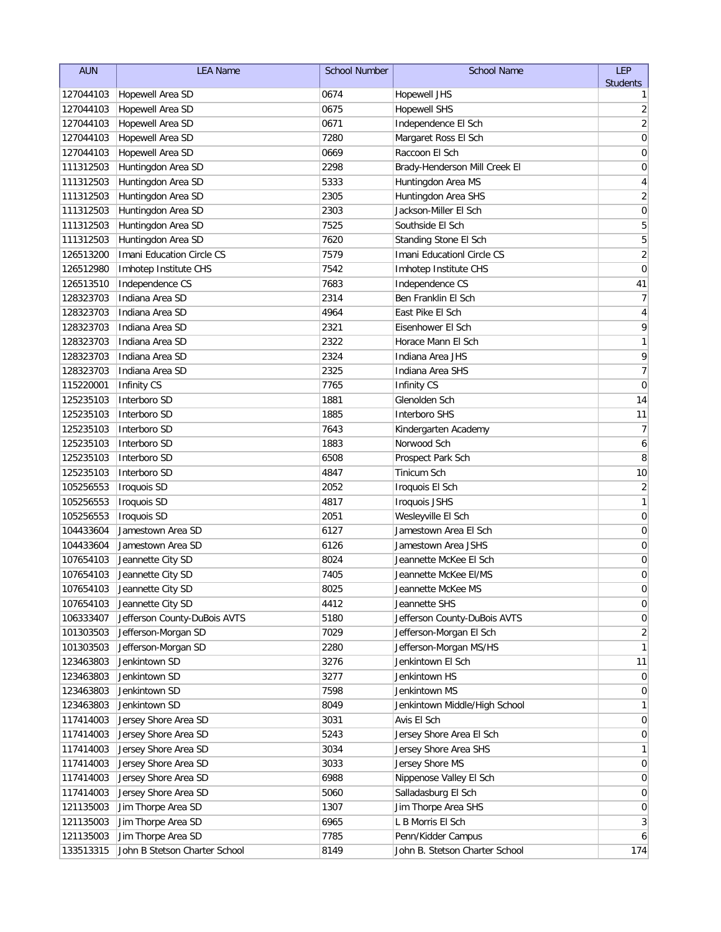| <b>AUN</b> | <b>LEA Name</b>               | <b>School Number</b> | <b>School Name</b>             | LEP                      |
|------------|-------------------------------|----------------------|--------------------------------|--------------------------|
|            |                               |                      |                                | <b>Students</b>          |
| 127044103  | Hopewell Area SD              | 0674                 | <b>Hopewell JHS</b>            | 1                        |
| 127044103  | Hopewell Area SD              | 0675                 | <b>Hopewell SHS</b>            | $\overline{c}$           |
| 127044103  | Hopewell Area SD              | 0671                 | Independence El Sch            | $\sqrt{2}$               |
| 127044103  | Hopewell Area SD              | 7280                 | Margaret Ross El Sch           | $\mathbf 0$              |
| 127044103  | Hopewell Area SD              | 0669                 | Raccoon El Sch                 | 0                        |
| 111312503  | Huntingdon Area SD            | 2298                 | Brady-Henderson Mill Creek El  | 0                        |
| 111312503  | Huntingdon Area SD            | 5333                 | Huntingdon Area MS             | 4                        |
| 111312503  | Huntingdon Area SD            | 2305                 | Huntingdon Area SHS            | $\sqrt{2}$               |
| 111312503  | Huntingdon Area SD            | 2303                 | Jackson-Miller El Sch          | $\mathbf 0$              |
| 111312503  | Huntingdon Area SD            | 7525                 | Southside El Sch               | 5                        |
| 111312503  | Huntingdon Area SD            | 7620                 | Standing Stone El Sch          | 5                        |
| 126513200  | Imani Education Circle CS     | 7579                 | Imani Educationl Circle CS     | $\overline{2}$           |
| 126512980  | Imhotep Institute CHS         | 7542                 | Imhotep Institute CHS          | $\mathbf 0$              |
| 126513510  | Independence CS               | 7683                 | Independence CS                | 41                       |
| 128323703  | Indiana Area SD               | 2314                 | Ben Franklin El Sch            | 7                        |
| 128323703  | Indiana Area SD               | 4964                 | East Pike El Sch               | $\overline{\mathbf{4}}$  |
| 128323703  | Indiana Area SD               | 2321                 | Eisenhower El Sch              | 9                        |
| 128323703  | Indiana Area SD               | 2322                 | Horace Mann El Sch             | 1                        |
| 128323703  | Indiana Area SD               | 2324                 | Indiana Area JHS               | 9                        |
| 128323703  | Indiana Area SD               | 2325                 | Indiana Area SHS               | $\overline{\mathcal{I}}$ |
| 115220001  | <b>Infinity CS</b>            | 7765                 | Infinity CS                    | 0                        |
| 125235103  | Interboro SD                  | 1881                 | Glenolden Sch                  | 14                       |
| 125235103  | Interboro SD                  | 1885                 | Interboro SHS                  | 11                       |
| 125235103  | Interboro SD                  | 7643                 | Kindergarten Academy           | $\overline{7}$           |
| 125235103  | Interboro SD                  | 1883                 | Norwood Sch                    | 6                        |
| 125235103  | Interboro SD                  | 6508                 | Prospect Park Sch              | 8                        |
| 125235103  | Interboro SD                  | 4847                 | Tinicum Sch                    | 10                       |
| 105256553  | Iroquois SD                   | 2052                 | Iroquois El Sch                | $\overline{\mathbf{c}}$  |
| 105256553  | Iroquois SD                   | 4817                 | <b>Iroquois JSHS</b>           | $\mathbf{1}$             |
| 105256553  | Iroquois SD                   | 2051                 | Wesleyville El Sch             | $\mathbf 0$              |
| 104433604  | Jamestown Area SD             | 6127                 | Jamestown Area El Sch          | 0                        |
| 104433604  | Jamestown Area SD             | 6126                 | Jamestown Area JSHS            | 0                        |
| 107654103  | Jeannette City SD             | 8024                 | Jeannette McKee El Sch         | 0                        |
| 107654103  | Jeannette City SD             | 7405                 | Jeannette McKee El/MS          | 0                        |
| 107654103  | Jeannette City SD             | 8025                 | Jeannette McKee MS             | $\Omega$                 |
| 107654103  | Jeannette City SD             | 4412                 | Jeannette SHS                  | $\pmb{0}$                |
| 106333407  | Jefferson County-DuBois AVTS  | 5180                 | Jefferson County-DuBois AVTS   | $\overline{0}$           |
| 101303503  | Jefferson-Morgan SD           | 7029                 | Jefferson-Morgan El Sch        | $\overline{2}$           |
| 101303503  | Jefferson-Morgan SD           | 2280                 | Jefferson-Morgan MS/HS         | 1                        |
| 123463803  | Jenkintown SD                 | 3276                 | Jenkintown El Sch              | 11                       |
| 123463803  | Jenkintown SD                 | 3277                 | Jenkintown HS                  | 0                        |
| 123463803  | Jenkintown SD                 | 7598                 | Jenkintown MS                  | 0                        |
| 123463803  | Jenkintown SD                 | 8049                 | Jenkintown Middle/High School  | 1                        |
| 117414003  | Jersey Shore Area SD          | 3031                 | Avis El Sch                    | 0                        |
| 117414003  | Jersey Shore Area SD          | 5243                 | Jersey Shore Area El Sch       | 0                        |
| 117414003  | Jersey Shore Area SD          | 3034                 | Jersey Shore Area SHS          | 1                        |
| 117414003  | Jersey Shore Area SD          | 3033                 | Jersey Shore MS                | $\overline{0}$           |
| 117414003  | Jersey Shore Area SD          | 6988                 | Nippenose Valley El Sch        | 0                        |
| 117414003  | Jersey Shore Area SD          | 5060                 | Salladasburg El Sch            | $\overline{0}$           |
| 121135003  | Jim Thorpe Area SD            | 1307                 | Jim Thorpe Area SHS            | 0                        |
| 121135003  | Jim Thorpe Area SD            | 6965                 | L B Morris El Sch              | $\mathbf{3}$             |
| 121135003  | Jim Thorpe Area SD            | 7785                 | Penn/Kidder Campus             | 6                        |
| 133513315  | John B Stetson Charter School | 8149                 | John B. Stetson Charter School | 174                      |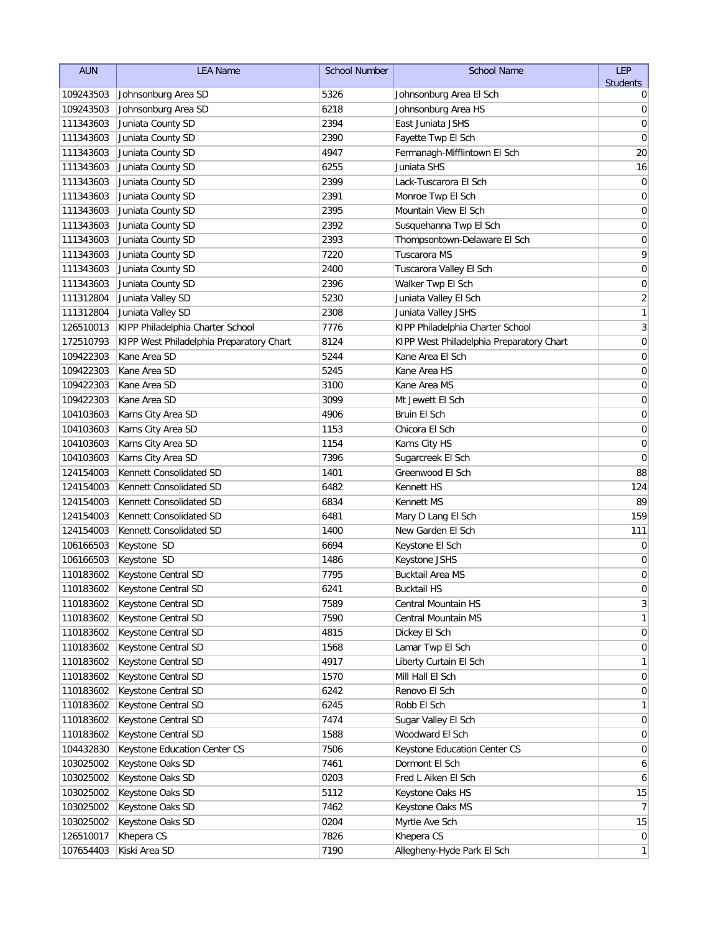| <b>AUN</b> | <b>LEA Name</b>                          | <b>School Number</b> | <b>School Name</b>                       | LEP              |
|------------|------------------------------------------|----------------------|------------------------------------------|------------------|
|            |                                          |                      |                                          | <b>Students</b>  |
| 109243503  | Johnsonburg Area SD                      | 5326                 | Johnsonburg Area El Sch                  | 0                |
| 109243503  | Johnsonburg Area SD                      | 6218                 | Johnsonburg Area HS                      | 0                |
| 111343603  | Juniata County SD                        | 2394                 | East Juniata JSHS                        | $\mathbf 0$      |
| 111343603  | Juniata County SD                        | 2390                 | Fayette Twp El Sch                       | 0                |
| 111343603  | Juniata County SD                        | 4947                 | Fermanagh-Mifflintown El Sch             | 20               |
| 111343603  | Juniata County SD                        | 6255                 | Juniata SHS                              | 16               |
| 111343603  | Juniata County SD                        | 2399                 | Lack-Tuscarora El Sch                    | 0                |
| 111343603  | Juniata County SD                        | 2391                 | Monroe Twp El Sch                        | 0                |
| 111343603  | Juniata County SD                        | 2395                 | Mountain View El Sch                     | 0                |
| 111343603  | Juniata County SD                        | 2392                 | Susquehanna Twp El Sch                   | 0                |
| 111343603  | Juniata County SD                        | 2393                 | Thompsontown-Delaware El Sch             | $\mathbf 0$      |
| 111343603  | Juniata County SD                        | 7220                 | Tuscarora MS                             | 9                |
| 111343603  | Juniata County SD                        | 2400                 | Tuscarora Valley El Sch                  | $\mathbf 0$      |
| 111343603  | Juniata County SD                        | 2396                 | Walker Twp El Sch                        | $\mathbf 0$      |
| 111312804  | Juniata Valley SD                        | 5230                 | Juniata Valley El Sch                    | $\overline{c}$   |
| 111312804  | Juniata Valley SD                        | 2308                 | Juniata Valley JSHS                      | $\mathbf{1}$     |
| 126510013  | KIPP Philadelphia Charter School         | 7776                 | KIPP Philadelphia Charter School         | $\mathfrak{Z}$   |
| 172510793  | KIPP West Philadelphia Preparatory Chart | 8124                 | KIPP West Philadelphia Preparatory Chart | $\pmb{0}$        |
| 109422303  | Kane Area SD                             | 5244                 | Kane Area El Sch                         | 0                |
| 109422303  | Kane Area SD                             | 5245                 | Kane Area HS                             | 0                |
| 109422303  | Kane Area SD                             | 3100                 | Kane Area MS                             | 0                |
| 109422303  | Kane Area SD                             | 3099                 | Mt Jewett El Sch                         | 0                |
| 104103603  | Karns City Area SD                       | 4906                 | Bruin El Sch                             | 0                |
| 104103603  | Karns City Area SD                       | 1153                 | Chicora El Sch                           | 0                |
| 104103603  | Karns City Area SD                       | 1154                 | Karns City HS                            | 0                |
| 104103603  | Karns City Area SD                       | 7396                 | Sugarcreek El Sch                        | 0                |
| 124154003  | Kennett Consolidated SD                  | 1401                 | Greenwood El Sch                         | 88               |
| 124154003  | Kennett Consolidated SD                  | 6482                 | Kennett HS                               | 124              |
| 124154003  | Kennett Consolidated SD                  | 6834                 | Kennett MS                               | 89               |
| 124154003  | Kennett Consolidated SD                  | 6481                 | Mary D Lang El Sch                       | 159              |
| 124154003  | Kennett Consolidated SD                  | 1400                 | New Garden El Sch                        | 111              |
| 106166503  | Keystone SD                              | 6694                 | Keystone El Sch                          | 0                |
| 106166503  | Keystone SD                              | 1486                 | Keystone JSHS                            | 0                |
| 110183602  | Keystone Central SD                      | 7795                 | <b>Bucktail Area MS</b>                  | 0                |
|            | 110183602 Keystone Central SD            | 6241                 | <b>Bucktail HS</b>                       | $\overline{0}$   |
| 110183602  | Keystone Central SD                      | 7589                 | Central Mountain HS                      | $\mathbf{3}$     |
| 110183602  | Keystone Central SD                      | 7590                 | Central Mountain MS                      | 1                |
| 110183602  | Keystone Central SD                      | 4815                 | Dickey El Sch                            | 0                |
| 110183602  | Keystone Central SD                      | 1568                 | Lamar Twp El Sch                         | 0                |
| 110183602  | Keystone Central SD                      | 4917                 | Liberty Curtain El Sch                   | 1                |
| 110183602  | Keystone Central SD                      | 1570                 | Mill Hall El Sch                         | 0                |
| 110183602  | Keystone Central SD                      | 6242                 | Renovo El Sch                            | 0                |
| 110183602  | Keystone Central SD                      | 6245                 | Robb El Sch                              | 1                |
| 110183602  | Keystone Central SD                      | 7474                 | Sugar Valley El Sch                      | 0                |
| 110183602  | Keystone Central SD                      | 1588                 | Woodward El Sch                          | 0                |
| 104432830  | Keystone Education Center CS             | 7506                 | Keystone Education Center CS             | $\overline{0}$   |
| 103025002  | Keystone Oaks SD                         | 7461                 | Dormont El Sch                           | 6                |
| 103025002  | Keystone Oaks SD                         | 0203                 | Fred L Aiken El Sch                      | 6                |
| 103025002  | Keystone Oaks SD                         | 5112                 | Keystone Oaks HS                         | 15               |
| 103025002  | Keystone Oaks SD                         | 7462                 | Keystone Oaks MS                         | $\overline{7}$   |
| 103025002  | Keystone Oaks SD                         | 0204                 | Myrtle Ave Sch                           | 15               |
| 126510017  | Khepera CS                               | 7826                 | Khepera CS                               | $\boldsymbol{0}$ |
| 107654403  | Kiski Area SD                            | 7190                 | Allegheny-Hyde Park El Sch               | $\mathbf{1}$     |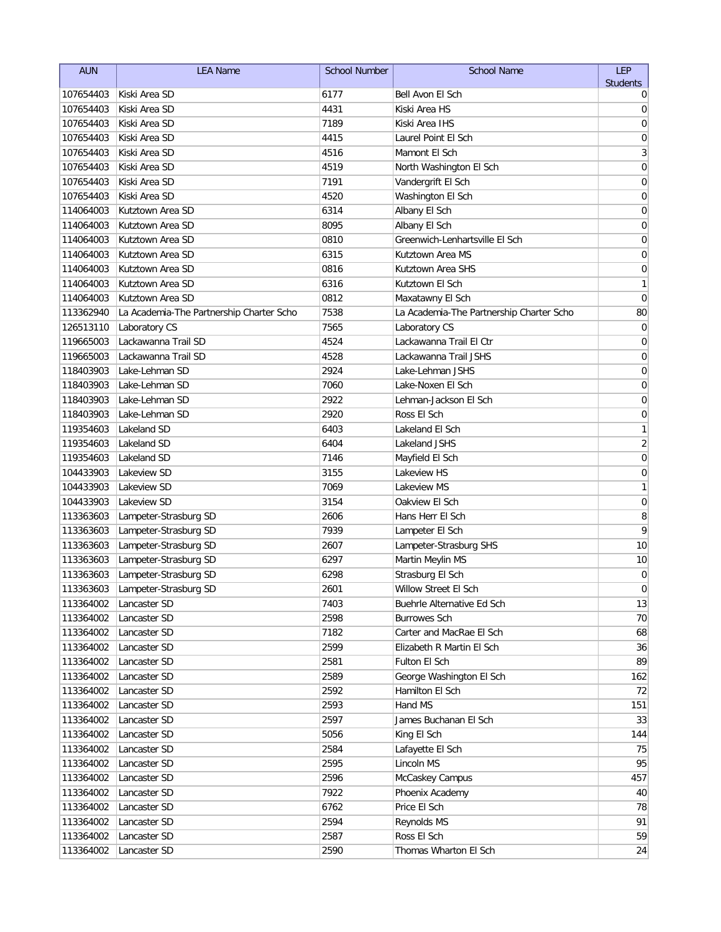| <b>AUN</b> | <b>LEA Name</b>                          | <b>School Number</b> | <b>School Name</b>                       | <b>LEP</b>       |
|------------|------------------------------------------|----------------------|------------------------------------------|------------------|
|            |                                          |                      |                                          | <b>Students</b>  |
| 107654403  | Kiski Area SD                            | 6177                 | Bell Avon El Sch                         | 0                |
| 107654403  | Kiski Area SD                            | 4431                 | Kiski Area HS                            | 0                |
| 107654403  | Kiski Area SD                            | 7189                 | Kiski Area IHS                           | 0                |
| 107654403  | Kiski Area SD                            | 4415                 | Laurel Point El Sch                      | 0                |
| 107654403  | Kiski Area SD                            | 4516                 | Mamont El Sch                            | 3                |
| 107654403  | Kiski Area SD                            | 4519                 | North Washington El Sch                  | 0                |
| 107654403  | Kiski Area SD                            | 7191                 | Vandergrift El Sch                       | 0                |
| 107654403  | Kiski Area SD                            | 4520                 | Washington El Sch                        | 0                |
| 114064003  | Kutztown Area SD                         | 6314                 | Albany El Sch                            | 0                |
| 114064003  | Kutztown Area SD                         | 8095                 | Albany El Sch                            | 0                |
| 114064003  | Kutztown Area SD                         | 0810                 | Greenwich-Lenhartsville El Sch           | 0                |
| 114064003  | Kutztown Area SD                         | 6315                 | Kutztown Area MS                         | 0                |
| 114064003  | Kutztown Area SD                         | 0816                 | Kutztown Area SHS                        | $\mathbf 0$      |
| 114064003  | Kutztown Area SD                         | 6316                 | Kutztown El Sch                          | 1                |
| 114064003  | Kutztown Area SD                         | 0812                 | Maxatawny El Sch                         | 0                |
| 113362940  | La Academia-The Partnership Charter Scho | 7538                 | La Academia-The Partnership Charter Scho | 80               |
| 126513110  | Laboratory CS                            | 7565                 | Laboratory CS                            | 0                |
| 119665003  | Lackawanna Trail SD                      | 4524                 | Lackawanna Trail El Ctr                  | 0                |
| 119665003  | Lackawanna Trail SD                      | 4528                 | Lackawanna Trail JSHS                    | 0                |
| 118403903  | Lake-Lehman SD                           | 2924                 | Lake-Lehman JSHS                         | 0                |
| 118403903  | Lake-Lehman SD                           | 7060                 | Lake-Noxen El Sch                        | 0                |
| 118403903  | Lake-Lehman SD                           | 2922                 | Lehman-Jackson El Sch                    | 0                |
| 118403903  | Lake-Lehman SD                           | 2920                 | Ross El Sch                              | 0                |
| 119354603  | Lakeland SD                              | 6403                 | Lakeland El Sch                          | 1                |
| 119354603  | Lakeland SD                              | 6404                 | Lakeland JSHS                            | $\overline{2}$   |
| 119354603  | Lakeland SD                              | 7146                 | Mayfield El Sch                          | 0                |
| 104433903  | Lakeview SD                              | 3155                 | Lakeview HS                              | 0                |
| 104433903  | Lakeview SD                              | 7069                 | Lakeview MS                              | 1                |
| 104433903  | Lakeview SD                              | 3154                 | Oakview El Sch                           | $\mathbf 0$      |
| 113363603  | Lampeter-Strasburg SD                    | 2606                 | Hans Herr El Sch                         | 8                |
| 113363603  | Lampeter-Strasburg SD                    | 7939                 | Lampeter El Sch                          | 9                |
| 113363603  | Lampeter-Strasburg SD                    | 2607                 | Lampeter-Strasburg SHS                   | 10               |
| 113363603  | Lampeter-Strasburg SD                    | 6297                 | Martin Meylin MS                         | 10               |
| 113363603  | Lampeter-Strasburg SD                    | 6298                 | Strasburg El Sch                         | 0                |
|            | 113363603   Lampeter-Strasburg SD        | 2601                 | Willow Street El Sch                     | $\boldsymbol{0}$ |
| 113364002  | Lancaster SD                             | 7403                 | Buehrle Alternative Ed Sch               | 13               |
| 113364002  | Lancaster SD                             | 2598                 | <b>Burrowes Sch</b>                      | 70               |
| 113364002  | Lancaster SD                             | 7182                 | Carter and MacRae El Sch                 | 68               |
| 113364002  | Lancaster SD                             | 2599                 | Elizabeth R Martin El Sch                | 36               |
| 113364002  | Lancaster SD                             | 2581                 | Fulton El Sch                            | 89               |
| 113364002  | Lancaster SD                             | 2589                 | George Washington El Sch                 | 162              |
| 113364002  | Lancaster SD                             | 2592                 | Hamilton El Sch                          | 72               |
| 113364002  | Lancaster SD                             | 2593                 | Hand MS                                  | 151              |
| 113364002  | Lancaster SD                             | 2597                 | James Buchanan El Sch                    | 33               |
| 113364002  | Lancaster SD                             | 5056                 | King El Sch                              | 144              |
| 113364002  | Lancaster SD                             | 2584                 | Lafayette El Sch                         | 75               |
| 113364002  | Lancaster SD                             | 2595                 | Lincoln MS                               | 95               |
| 113364002  | Lancaster SD                             | 2596                 | McCaskey Campus                          | 457              |
| 113364002  | Lancaster SD                             | 7922                 | Phoenix Academy                          | 40               |
| 113364002  | Lancaster SD                             | 6762                 | Price El Sch                             | 78               |
| 113364002  | Lancaster SD                             | 2594                 | Reynolds MS                              | 91               |
| 113364002  | Lancaster SD                             | 2587                 | Ross El Sch                              | 59               |
| 113364002  | Lancaster SD                             | 2590                 | Thomas Wharton El Sch                    | 24               |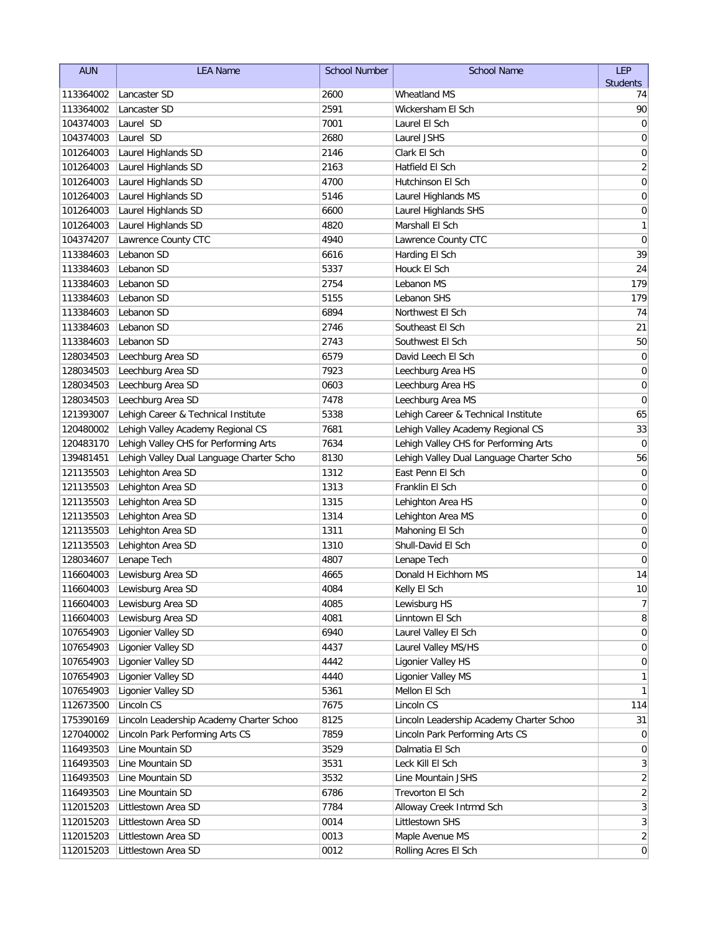| <b>AUN</b> | <b>LEA Name</b>                          | <b>School Number</b> | <b>School Name</b>                       | LEP                     |
|------------|------------------------------------------|----------------------|------------------------------------------|-------------------------|
|            |                                          |                      |                                          | <b>Students</b>         |
| 113364002  | Lancaster SD                             | 2600                 | <b>Wheatland MS</b>                      | 74                      |
| 113364002  | Lancaster SD                             | 2591                 | Wickersham El Sch                        | 90                      |
| 104374003  | Laurel SD                                | 7001                 | Laurel El Sch                            | 0                       |
| 104374003  | Laurel SD                                | 2680                 | Laurel JSHS                              | 0                       |
| 101264003  | Laurel Highlands SD                      | 2146                 | Clark El Sch                             | 0                       |
| 101264003  | Laurel Highlands SD                      | 2163                 | Hatfield El Sch                          | $\overline{\mathbf{c}}$ |
| 101264003  | Laurel Highlands SD                      | 4700                 | Hutchinson El Sch                        | $\mathbf 0$             |
| 101264003  | Laurel Highlands SD                      | 5146                 | Laurel Highlands MS                      | 0                       |
| 101264003  | Laurel Highlands SD                      | 6600                 | Laurel Highlands SHS                     | 0                       |
| 101264003  | Laurel Highlands SD                      | 4820                 | Marshall El Sch                          | 1                       |
| 104374207  | Lawrence County CTC                      | 4940                 | Lawrence County CTC                      | $\mathbf 0$             |
| 113384603  | Lebanon SD                               | 6616                 | Harding El Sch                           | 39                      |
| 113384603  | Lebanon SD                               | 5337                 | Houck El Sch                             | 24                      |
| 113384603  | Lebanon SD                               | 2754                 | Lebanon MS                               | 179                     |
| 113384603  | Lebanon SD                               | 5155                 | Lebanon SHS                              | 179                     |
| 113384603  | Lebanon SD                               | 6894                 | Northwest El Sch                         | 74                      |
| 113384603  | Lebanon SD                               | 2746                 | Southeast El Sch                         | 21                      |
| 113384603  | Lebanon SD                               | 2743                 | Southwest El Sch                         | 50                      |
| 128034503  | Leechburg Area SD                        | 6579                 | David Leech El Sch                       | 0                       |
| 128034503  | Leechburg Area SD                        | 7923                 | Leechburg Area HS                        | 0                       |
| 128034503  | Leechburg Area SD                        | 0603                 | Leechburg Area HS                        | 0                       |
| 128034503  | Leechburg Area SD                        | 7478                 | Leechburg Area MS                        | 0                       |
| 121393007  | Lehigh Career & Technical Institute      | 5338                 | Lehigh Career & Technical Institute      | 65                      |
| 120480002  | Lehigh Valley Academy Regional CS        | 7681                 | Lehigh Valley Academy Regional CS        | 33                      |
| 120483170  | Lehigh Valley CHS for Performing Arts    | 7634                 | Lehigh Valley CHS for Performing Arts    | $\mathbf 0$             |
| 139481451  | Lehigh Valley Dual Language Charter Scho | 8130                 | Lehigh Valley Dual Language Charter Scho | 56                      |
| 121135503  | Lehighton Area SD                        | 1312                 | East Penn El Sch                         | 0                       |
| 121135503  | Lehighton Area SD                        | 1313                 | Franklin El Sch                          | 0                       |
| 121135503  | Lehighton Area SD                        | 1315                 | Lehighton Area HS                        | $\mathbf 0$             |
| 121135503  | Lehighton Area SD                        | 1314                 | Lehighton Area MS                        | 0                       |
| 121135503  | Lehighton Area SD                        | 1311                 | Mahoning El Sch                          | 0                       |
| 121135503  | Lehighton Area SD                        | 1310                 | Shull-David El Sch                       | 0                       |
| 128034607  | Lenape Tech                              | 4807                 | Lenape Tech                              | 0                       |
| 116604003  | Lewisburg Area SD                        | 4665                 | Donald H Eichhorn MS                     | 14                      |
| 116604003  | Lewisburg Area SD                        | 4084                 | Kelly El Sch                             | $10$                    |
| 116604003  | Lewisburg Area SD                        | 4085                 | Lewisburg HS                             | $\overline{7}$          |
| 116604003  | Lewisburg Area SD                        | 4081                 | Linntown El Sch                          | 8                       |
| 107654903  | Ligonier Valley SD                       | 6940                 | Laurel Valley El Sch                     | 0                       |
| 107654903  | Ligonier Valley SD                       | 4437                 | Laurel Valley MS/HS                      | 0                       |
| 107654903  | Ligonier Valley SD                       | 4442                 | Ligonier Valley HS                       | 0                       |
| 107654903  | Ligonier Valley SD                       | 4440                 | Ligonier Valley MS                       | 1                       |
| 107654903  | Ligonier Valley SD                       | 5361                 | Mellon El Sch                            | 1                       |
| 112673500  | Lincoln CS                               | 7675                 | Lincoln CS                               | 114                     |
| 175390169  | Lincoln Leadership Academy Charter Schoo | 8125                 | Lincoln Leadership Academy Charter Schoo | 31                      |
| 127040002  | Lincoln Park Performing Arts CS          | 7859                 | Lincoln Park Performing Arts CS          | $\overline{0}$          |
| 116493503  | Line Mountain SD                         | 3529                 | Dalmatia El Sch                          | 0                       |
| 116493503  | Line Mountain SD                         | 3531                 | Leck Kill El Sch                         | $\mathbf{3}$            |
| 116493503  | Line Mountain SD                         | 3532                 | Line Mountain JSHS                       | $\overline{\mathbf{c}}$ |
| 116493503  | Line Mountain SD                         | 6786                 | Trevorton El Sch                         | $\sqrt{2}$              |
| 112015203  | Littlestown Area SD                      | 7784                 | Alloway Creek Intrmd Sch                 | $\mathbf{3}$            |
| 112015203  | Littlestown Area SD                      | 0014                 | Littlestown SHS                          | $\mathbf{3}$            |
| 112015203  | Littlestown Area SD                      | 0013                 | Maple Avenue MS                          | $\overline{2}$          |
| 112015203  | Littlestown Area SD                      | 0012                 | Rolling Acres El Sch                     | $\overline{0}$          |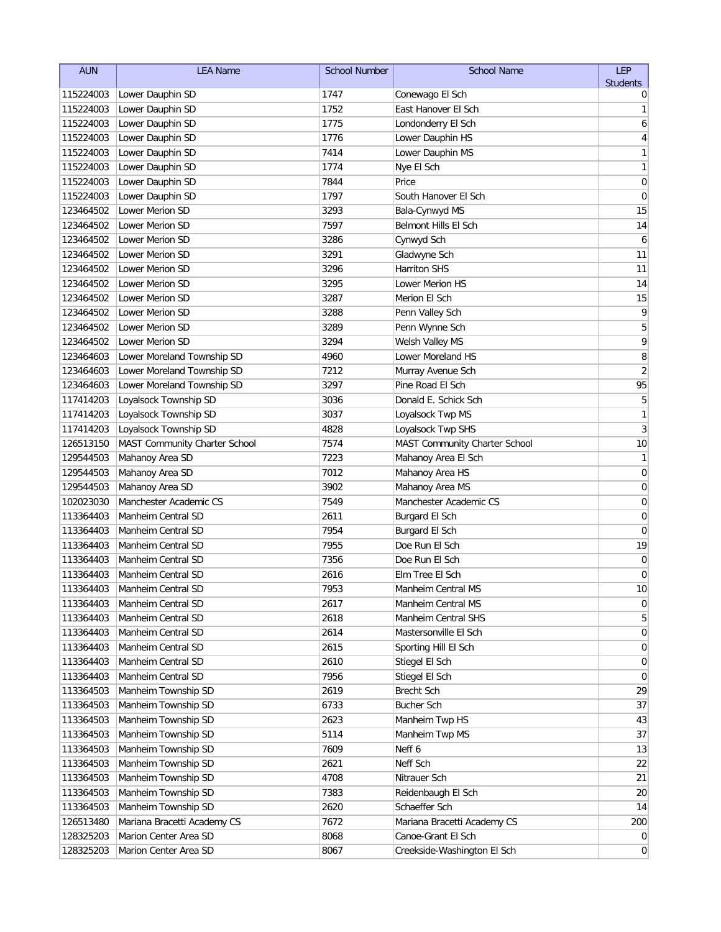| <b>AUN</b>             | <b>LEA Name</b>                                | <b>School Number</b> | <b>School Name</b>                    | LEP                 |
|------------------------|------------------------------------------------|----------------------|---------------------------------------|---------------------|
|                        |                                                |                      |                                       | <b>Students</b>     |
| 115224003              | Lower Dauphin SD                               | 1747                 | Conewago El Sch                       | 0                   |
| 115224003              | Lower Dauphin SD                               | 1752                 | East Hanover El Sch                   | 1                   |
| 115224003              | Lower Dauphin SD                               | 1775                 | Londonderry El Sch                    | 6                   |
| 115224003              | Lower Dauphin SD                               | 1776                 | Lower Dauphin HS                      | 4                   |
| 115224003              | Lower Dauphin SD                               | 7414                 | Lower Dauphin MS                      | 1                   |
| 115224003              | Lower Dauphin SD                               | 1774                 | Nye El Sch                            | 1                   |
| 115224003              | Lower Dauphin SD                               | 7844                 | Price                                 | $\mathbf 0$         |
| 115224003              | Lower Dauphin SD                               | 1797                 | South Hanover El Sch                  | $\mathbf 0$         |
| 123464502              | Lower Merion SD                                | 3293                 | Bala-Cynwyd MS                        | 15                  |
| 123464502              | Lower Merion SD                                | 7597                 | Belmont Hills El Sch                  | 14                  |
| 123464502              | Lower Merion SD                                | 3286<br>3291         | Cynwyd Sch                            | 6<br>11             |
| 123464502              | Lower Merion SD                                | 3296                 | Gladwyne Sch<br>Harriton SHS          |                     |
| 123464502              | Lower Merion SD                                |                      |                                       | 11                  |
| 123464502              | Lower Merion SD                                | 3295                 | Lower Merion HS                       | 14                  |
| 123464502              | Lower Merion SD<br>Lower Merion SD             | 3287                 | Merion El Sch                         | 15                  |
| 123464502              |                                                | 3288<br>3289         | Penn Valley Sch                       | 9                   |
| 123464502              | Lower Merion SD                                | 3294                 | Penn Wynne Sch                        | 5<br>9              |
| 123464502              | Lower Merion SD                                |                      | Welsh Valley MS                       |                     |
| 123464603              | Lower Moreland Township SD                     | 4960<br>7212         | Lower Moreland HS                     | 8<br>$\overline{2}$ |
| 123464603              | Lower Moreland Township SD                     | 3297                 | Murray Avenue Sch<br>Pine Road El Sch | 95                  |
| 123464603<br>117414203 | Lower Moreland Township SD                     | 3036                 | Donald E. Schick Sch                  | 5                   |
| 117414203              | Loyalsock Township SD<br>Loyalsock Township SD | 3037                 | Loyalsock Twp MS                      | 1                   |
| 117414203              | Loyalsock Township SD                          | 4828                 | Loyalsock Twp SHS                     | 3                   |
| 126513150              | MAST Community Charter School                  | 7574                 | MAST Community Charter School         | 10                  |
| 129544503              |                                                | 7223                 | Mahanoy Area El Sch                   | 1                   |
| 129544503              | Mahanoy Area SD<br>Mahanoy Area SD             | 7012                 | Mahanoy Area HS                       | $\mathbf 0$         |
| 129544503              | Mahanoy Area SD                                | 3902                 | Mahanoy Area MS                       | 0                   |
| 102023030              | Manchester Academic CS                         | 7549                 | Manchester Academic CS                | 0                   |
| 113364403              | Manheim Central SD                             | 2611                 | Burgard El Sch                        | 0                   |
| 113364403              | Manheim Central SD                             | 7954                 | Burgard El Sch                        | 0                   |
| 113364403              | Manheim Central SD                             | 7955                 | Doe Run El Sch                        | 19                  |
| 113364403              | Manheim Central SD                             | 7356                 | Doe Run El Sch                        | $\mathbf 0$         |
| 113364403              | Manheim Central SD                             | 2616                 | Elm Tree El Sch                       | 0                   |
| 113364403              | Manheim Central SD                             | 7953                 | Manheim Central MS                    | $10\,$              |
| 113364403              | Manheim Central SD                             | 2617                 | Manheim Central MS                    | 0                   |
| 113364403              | Manheim Central SD                             | 2618                 | Manheim Central SHS                   | 5                   |
| 113364403              | Manheim Central SD                             | 2614                 | Mastersonville El Sch                 | 0                   |
| 113364403              | Manheim Central SD                             | 2615                 | Sporting Hill El Sch                  | 0                   |
| 113364403              | Manheim Central SD                             | 2610                 | Stiegel El Sch                        | 0                   |
| 113364403              | Manheim Central SD                             | 7956                 | Stiegel El Sch                        | 0                   |
| 113364503              | Manheim Township SD                            | 2619                 | Brecht Sch                            | 29                  |
| 113364503              | Manheim Township SD                            | 6733                 | <b>Bucher Sch</b>                     | 37                  |
| 113364503              | Manheim Township SD                            | 2623                 | Manheim Twp HS                        | 43                  |
| 113364503              | Manheim Township SD                            | 5114                 | Manheim Twp MS                        | 37                  |
| 113364503              | Manheim Township SD                            | 7609                 | Neff 6                                | 13                  |
| 113364503              | Manheim Township SD                            | 2621                 | Neff Sch                              | 22                  |
| 113364503              | Manheim Township SD                            | 4708                 | Nitrauer Sch                          | 21                  |
| 113364503              | Manheim Township SD                            | 7383                 | Reidenbaugh El Sch                    | 20                  |
| 113364503              | Manheim Township SD                            | 2620                 | Schaeffer Sch                         | 14                  |
| 126513480              | Mariana Bracetti Academy CS                    | 7672                 | Mariana Bracetti Academy CS           | 200                 |
| 128325203              | Marion Center Area SD                          | 8068                 | Canoe-Grant El Sch                    | $\overline{0}$      |
| 128325203              | Marion Center Area SD                          | 8067                 | Creekside-Washington El Sch           | $\vert 0 \vert$     |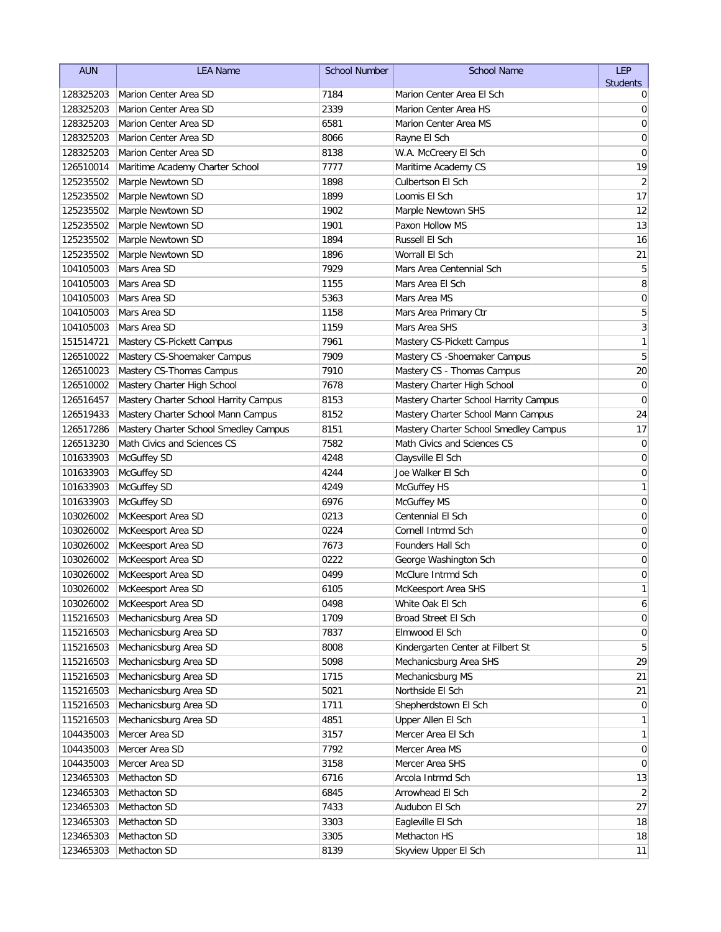| <b>AUN</b>             | <b>LEA Name</b>                        | <b>School Number</b> | <b>School Name</b>                    | <b>LEP</b>      |
|------------------------|----------------------------------------|----------------------|---------------------------------------|-----------------|
|                        |                                        |                      |                                       | <b>Students</b> |
| 128325203              | Marion Center Area SD                  | 7184                 | Marion Center Area El Sch             | 0               |
| 128325203              | Marion Center Area SD                  | 2339                 | Marion Center Area HS                 | 0               |
| 128325203              | Marion Center Area SD                  | 6581                 | Marion Center Area MS                 | 0               |
| 128325203              | Marion Center Area SD                  | 8066                 | Rayne El Sch                          | 0               |
| 128325203              | Marion Center Area SD                  | 8138                 | W.A. McCreery El Sch                  | 0               |
| 126510014              | Maritime Academy Charter School        | 7777                 | Maritime Academy CS                   | 19              |
| 125235502              | Marple Newtown SD                      | 1898                 | Culbertson El Sch                     | $\overline{2}$  |
| 125235502              | Marple Newtown SD                      | 1899                 | Loomis El Sch                         | 17              |
| 125235502              | Marple Newtown SD<br>Marple Newtown SD | 1902<br>1901         | Marple Newtown SHS<br>Paxon Hollow MS | 12<br>13        |
| 125235502              | Marple Newtown SD                      | 1894                 | Russell El Sch                        | 16              |
| 125235502<br>125235502 | Marple Newtown SD                      | 1896                 | Worrall El Sch                        | 21              |
| 104105003              | Mars Area SD                           | 7929                 | Mars Area Centennial Sch              | 5               |
| 104105003              | Mars Area SD                           | 1155                 | Mars Area El Sch                      | 8               |
| 104105003              | Mars Area SD                           | 5363                 | Mars Area MS                          | 0               |
| 104105003              | Mars Area SD                           | 1158                 | Mars Area Primary Ctr                 | 5               |
| 104105003              | Mars Area SD                           | 1159                 | Mars Area SHS                         | 3               |
| 151514721              | Mastery CS-Pickett Campus              | 7961                 | Mastery CS-Pickett Campus             | $\mathbf{1}$    |
| 126510022              | Mastery CS-Shoemaker Campus            | 7909                 | Mastery CS - Shoemaker Campus         | 5               |
| 126510023              | Mastery CS-Thomas Campus               | 7910                 | Mastery CS - Thomas Campus            | 20              |
| 126510002              | Mastery Charter High School            | 7678                 | Mastery Charter High School           | 0               |
| 126516457              | Mastery Charter School Harrity Campus  | 8153                 | Mastery Charter School Harrity Campus | $\mathbf 0$     |
| 126519433              | Mastery Charter School Mann Campus     | 8152                 | Mastery Charter School Mann Campus    | 24              |
| 126517286              | Mastery Charter School Smedley Campus  | 8151                 | Mastery Charter School Smedley Campus | 17              |
| 126513230              | Math Civics and Sciences CS            | 7582                 | Math Civics and Sciences CS           | $\mathbf 0$     |
| 101633903              | McGuffey SD                            | 4248                 | Claysville El Sch                     | 0               |
| 101633903              | McGuffey SD                            | 4244                 | Joe Walker El Sch                     | 0               |
| 101633903              | McGuffey SD                            | 4249                 | <b>McGuffey HS</b>                    | 1               |
| 101633903              | McGuffey SD                            | 6976                 | <b>McGuffey MS</b>                    | $\mathbf 0$     |
| 103026002              | McKeesport Area SD                     | 0213                 | Centennial El Sch                     | 0               |
| 103026002              | McKeesport Area SD                     | 0224                 | Cornell Intrmd Sch                    | 0               |
| 103026002              | McKeesport Area SD                     | 7673                 | Founders Hall Sch                     | 0               |
| 103026002              | McKeesport Area SD                     | 0222                 | George Washington Sch                 | 0               |
| 103026002              | McKeesport Area SD                     | 0499                 | McClure Intrmd Sch                    | 0               |
|                        | 103026002   McKeesport Area SD         | 6105                 | McKeesport Area SHS                   | 1               |
| 103026002              | McKeesport Area SD                     | 0498                 | White Oak El Sch                      | 6               |
| 115216503              | Mechanicsburg Area SD                  | 1709                 | Broad Street El Sch                   | $\overline{0}$  |
| 115216503              | Mechanicsburg Area SD                  | 7837                 | Elmwood El Sch                        | 0               |
| 115216503              | Mechanicsburg Area SD                  | 8008                 | Kindergarten Center at Filbert St     | 5               |
| 115216503              | Mechanicsburg Area SD                  | 5098                 | Mechanicsburg Area SHS                | 29              |
| 115216503              | Mechanicsburg Area SD                  | 1715                 | Mechanicsburg MS                      | 21              |
| 115216503              | Mechanicsburg Area SD                  | 5021                 | Northside El Sch                      | 21              |
| 115216503              | Mechanicsburg Area SD                  | 1711                 | Shepherdstown El Sch                  | $\overline{0}$  |
| 115216503              | Mechanicsburg Area SD                  | 4851                 | Upper Allen El Sch                    | 1               |
| 104435003              | Mercer Area SD                         | 3157                 | Mercer Area El Sch                    | $\mathbf{1}$    |
| 104435003              | Mercer Area SD                         | 7792                 | Mercer Area MS                        | $\overline{0}$  |
| 104435003              | Mercer Area SD                         | 3158                 | Mercer Area SHS                       | 0               |
| 123465303              | Methacton SD                           | 6716                 | Arcola Intrmd Sch                     | 13              |
| 123465303              | Methacton SD                           | 6845                 | Arrowhead El Sch                      | $\overline{2}$  |
| 123465303              | Methacton SD                           | 7433                 | Audubon El Sch                        | 27              |
| 123465303              | Methacton SD                           | 3303                 | Eagleville El Sch                     | 18              |
| 123465303              | Methacton SD                           | 3305                 | Methacton HS                          | 18              |
| 123465303              | Methacton SD                           | 8139                 | Skyview Upper El Sch                  | 11              |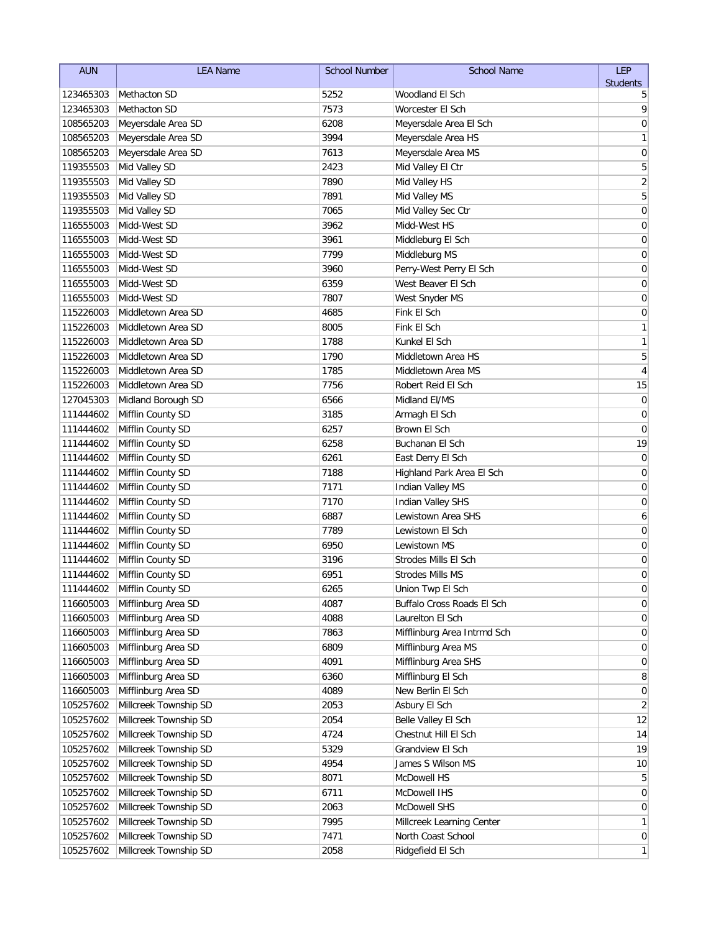| <b>AUN</b> | <b>LEA Name</b>             | <b>School Number</b> | <b>School Name</b>          | <b>LEP</b>       |
|------------|-----------------------------|----------------------|-----------------------------|------------------|
|            |                             |                      |                             | <b>Students</b>  |
| 123465303  | Methacton SD                | 5252                 | Woodland El Sch             | 5                |
| 123465303  | Methacton SD                | 7573                 | Worcester El Sch            | 9                |
| 108565203  | Meyersdale Area SD          | 6208                 | Meyersdale Area El Sch      | 0                |
| 108565203  | Meyersdale Area SD          | 3994                 | Meyersdale Area HS          | 1                |
| 108565203  | Meyersdale Area SD          | 7613                 | Meyersdale Area MS          | $\mathbf 0$      |
| 119355503  | Mid Valley SD               | 2423                 | Mid Valley El Ctr           | 5                |
| 119355503  | Mid Valley SD               | 7890                 | Mid Valley HS               | $\sqrt{2}$       |
| 119355503  | Mid Valley SD               | 7891                 | Mid Valley MS               | 5                |
| 119355503  | Mid Valley SD               | 7065                 | Mid Valley Sec Ctr          | $\mathbf 0$      |
| 116555003  | Midd-West SD                | 3962                 | Midd-West HS                | 0                |
| 116555003  | Midd-West SD                | 3961                 | Middleburg El Sch           | 0                |
| 116555003  | Midd-West SD                | 7799                 | Middleburg MS               | 0                |
| 116555003  | Midd-West SD                | 3960                 | Perry-West Perry El Sch     | $\mathbf 0$      |
| 116555003  | Midd-West SD                | 6359                 | West Beaver El Sch          | 0                |
| 116555003  | Midd-West SD                | 7807                 | West Snyder MS              | 0                |
| 115226003  | Middletown Area SD          | 4685                 | Fink El Sch                 | 0                |
| 115226003  | Middletown Area SD          | 8005                 | Fink El Sch                 | 1                |
| 115226003  | Middletown Area SD          | 1788                 | Kunkel El Sch               | 1                |
| 115226003  | Middletown Area SD          | 1790                 | Middletown Area HS          | 5                |
| 115226003  | Middletown Area SD          | 1785                 | Middletown Area MS          | 4                |
| 115226003  | Middletown Area SD          | 7756                 | Robert Reid El Sch          | 15               |
| 127045303  | Midland Borough SD          | 6566                 | Midland El/MS               | $\mathbf 0$      |
| 111444602  | Mifflin County SD           | 3185                 | Armagh El Sch               | 0                |
| 111444602  | Mifflin County SD           | 6257                 | Brown El Sch                | 0                |
| 111444602  | Mifflin County SD           | 6258                 | Buchanan El Sch             | 19               |
| 111444602  | Mifflin County SD           | 6261                 | East Derry El Sch           | 0                |
| 111444602  | Mifflin County SD           | 7188                 | Highland Park Area El Sch   | 0                |
| 111444602  | Mifflin County SD           | 7171                 | Indian Valley MS            | 0                |
| 111444602  | Mifflin County SD           | 7170                 | Indian Valley SHS           | $\mathbf 0$      |
| 111444602  | Mifflin County SD           | 6887                 | Lewistown Area SHS          | 6                |
| 111444602  | Mifflin County SD           | 7789                 | Lewistown El Sch            | 0                |
| 111444602  | Mifflin County SD           | 6950                 | Lewistown MS                | 0                |
| 111444602  | Mifflin County SD           | 3196                 | Strodes Mills El Sch        | 0                |
| 111444602  | Mifflin County SD           | 6951                 | <b>Strodes Mills MS</b>     | 0                |
|            | 111444602 Mifflin County SD | 6265                 | Union Twp El Sch            | $\Omega$         |
| 116605003  | Mifflinburg Area SD         | 4087                 | Buffalo Cross Roads El Sch  | 0                |
| 116605003  | Mifflinburg Area SD         | 4088                 | Laurelton El Sch            | $\overline{0}$   |
| 116605003  | Mifflinburg Area SD         | 7863                 | Mifflinburg Area Intrmd Sch | 0                |
| 116605003  | Mifflinburg Area SD         | 6809                 | Mifflinburg Area MS         | 0                |
| 116605003  | Mifflinburg Area SD         | 4091                 | Mifflinburg Area SHS        | 0                |
| 116605003  | Mifflinburg Area SD         | 6360                 | Mifflinburg El Sch          | 8                |
| 116605003  | Mifflinburg Area SD         | 4089                 | New Berlin El Sch           | 0                |
| 105257602  | Millcreek Township SD       | 2053                 | Asbury El Sch               | $\overline{2}$   |
| 105257602  | Millcreek Township SD       | 2054                 | Belle Valley El Sch         | 12               |
| 105257602  | Millcreek Township SD       | 4724                 | Chestnut Hill El Sch        | 14               |
| 105257602  | Millcreek Township SD       | 5329                 | Grandview El Sch            | 19               |
| 105257602  | Millcreek Township SD       | 4954                 | James S Wilson MS           | 10               |
| 105257602  | Millcreek Township SD       | 8071                 | McDowell HS                 | 5                |
| 105257602  | Millcreek Township SD       | 6711                 | McDowell IHS                | $\overline{0}$   |
| 105257602  | Millcreek Township SD       | 2063                 | <b>McDowell SHS</b>         | $\overline{0}$   |
| 105257602  | Millcreek Township SD       | 7995                 | Millcreek Learning Center   | $\mathbf{1}$     |
| 105257602  | Millcreek Township SD       | 7471                 | North Coast School          | $\boldsymbol{0}$ |
| 105257602  | Millcreek Township SD       | 2058                 | Ridgefield El Sch           | $\mathbf{1}$     |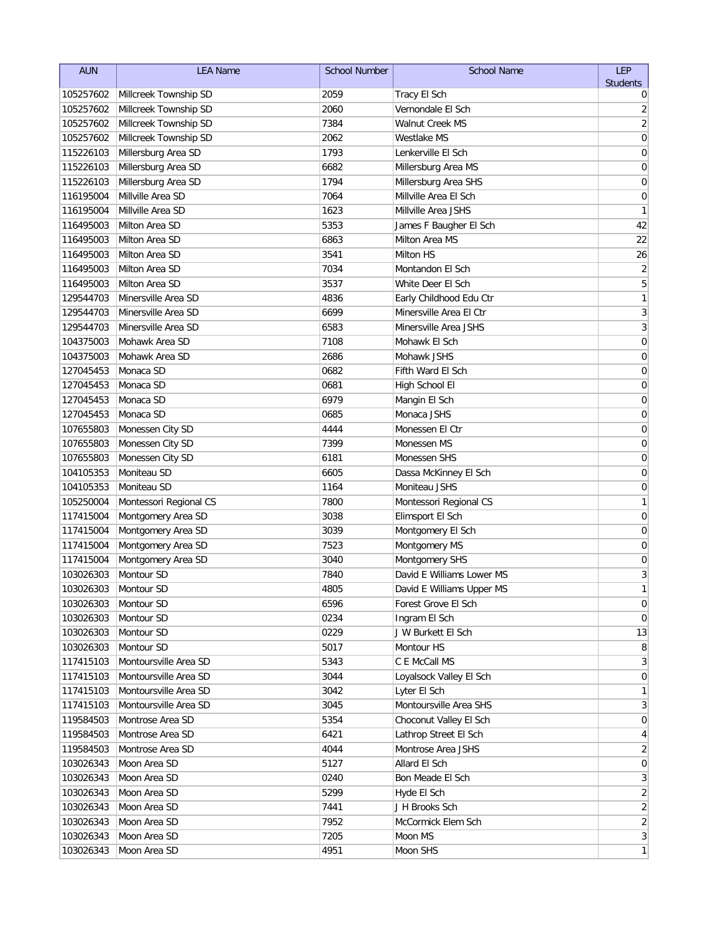| <b>AUN</b>             | <b>LEA Name</b>                          | <b>School Number</b> | <b>School Name</b>                            | LEP                     |
|------------------------|------------------------------------------|----------------------|-----------------------------------------------|-------------------------|
|                        |                                          |                      |                                               | <b>Students</b>         |
| 105257602              | Millcreek Township SD                    | 2059                 | Tracy El Sch                                  | 0                       |
| 105257602              | Millcreek Township SD                    | 2060                 | Vernondale El Sch                             | $\overline{\mathbf{c}}$ |
| 105257602              | Millcreek Township SD                    | 7384                 | Walnut Creek MS                               | $\overline{\mathbf{c}}$ |
| 105257602              | Millcreek Township SD                    | 2062                 | Westlake MS                                   | $\mathbf 0$             |
| 115226103              | Millersburg Area SD                      | 1793                 | Lenkerville El Sch                            | 0                       |
| 115226103              | Millersburg Area SD                      | 6682                 | Millersburg Area MS                           | 0                       |
| 115226103              | Millersburg Area SD<br>Millville Area SD | 1794                 | Millersburg Area SHS<br>Millville Area El Sch | 0                       |
| 116195004              | Millville Area SD                        | 7064<br>1623         | Millville Area JSHS                           | 0<br>1                  |
| 116195004<br>116495003 | Milton Area SD                           | 5353                 | James F Baugher El Sch                        | 42                      |
| 116495003              | Milton Area SD                           | 6863                 | Milton Area MS                                | 22                      |
| 116495003              | Milton Area SD                           | 3541                 | Milton HS                                     | 26                      |
| 116495003              | Milton Area SD                           | 7034                 | Montandon El Sch                              | $\overline{c}$          |
| 116495003              | Milton Area SD                           | 3537                 | White Deer El Sch                             | $\overline{5}$          |
| 129544703              | Minersville Area SD                      | 4836                 | Early Childhood Edu Ctr                       | $\mathbf{1}$            |
| 129544703              | Minersville Area SD                      | 6699                 | Minersville Area El Ctr                       | 3                       |
| 129544703              | Minersville Area SD                      | 6583                 | Minersville Area JSHS                         | $\mathfrak{Z}$          |
| 104375003              | Mohawk Area SD                           | 7108                 | Mohawk El Sch                                 | $\mathbf 0$             |
| 104375003              | Mohawk Area SD                           | 2686                 | Mohawk JSHS                                   | 0                       |
| 127045453              | Monaca SD                                | 0682                 | Fifth Ward El Sch                             | 0                       |
| 127045453              | Monaca SD                                | 0681                 | High School El                                | 0                       |
| 127045453              | Monaca SD                                | 6979                 | Mangin El Sch                                 | 0                       |
| 127045453              | Monaca SD                                | 0685                 | Monaca JSHS                                   | 0                       |
| 107655803              | Monessen City SD                         | 4444                 | Monessen El Ctr                               | 0                       |
| 107655803              | Monessen City SD                         | 7399                 | Monessen MS                                   | 0                       |
| 107655803              | Monessen City SD                         | 6181                 | Monessen SHS                                  | 0                       |
| 104105353              | Moniteau SD                              | 6605                 | Dassa McKinney El Sch                         | 0                       |
| 104105353              | Moniteau SD                              | 1164                 | Moniteau JSHS                                 | 0                       |
| 105250004              | Montessori Regional CS                   | 7800                 | Montessori Regional CS                        | 1                       |
| 117415004              | Montgomery Area SD                       | 3038                 | Elimsport El Sch                              | 0                       |
| 117415004              | Montgomery Area SD                       | 3039                 | Montgomery El Sch                             | 0                       |
| 117415004              | Montgomery Area SD                       | 7523                 | Montgomery MS                                 | 0                       |
| 117415004              | Montgomery Area SD                       | 3040                 | Montgomery SHS                                | $\mathbf 0$             |
| 103026303              | Montour SD                               | 7840                 | David E Williams Lower MS                     | 3                       |
|                        | 103026303 Montour SD                     | 4805                 | David E Williams Upper MS                     | $\mathbf{1}$            |
| 103026303              | Montour SD                               | 6596                 | Forest Grove El Sch                           | $\boldsymbol{0}$        |
| 103026303              | Montour SD                               | 0234                 | Ingram El Sch                                 | $\overline{0}$          |
| 103026303              | Montour SD                               | 0229                 | J W Burkett El Sch                            | 13                      |
| 103026303              | Montour SD                               | 5017                 | Montour HS                                    | 8                       |
| 117415103              | Montoursville Area SD                    | 5343                 | C E McCall MS                                 | $\mathbf{3}$            |
| 117415103              | Montoursville Area SD                    | 3044                 | Loyalsock Valley El Sch                       | $\overline{0}$          |
| 117415103              | Montoursville Area SD                    | 3042                 | Lyter El Sch                                  | 1                       |
| 117415103              | Montoursville Area SD                    | 3045                 | Montoursville Area SHS                        | 3                       |
| 119584503              | Montrose Area SD                         | 5354                 | Choconut Valley El Sch                        | $\overline{0}$          |
| 119584503              | Montrose Area SD                         | 6421                 | Lathrop Street El Sch                         | 4                       |
| 119584503              | Montrose Area SD                         | 4044                 | Montrose Area JSHS                            | $\overline{2}$          |
| 103026343              | Moon Area SD                             | 5127                 | Allard El Sch                                 | $\overline{0}$          |
| 103026343              | Moon Area SD                             | 0240                 | Bon Meade El Sch                              | $\mathbf{3}$            |
| 103026343              | Moon Area SD                             | 5299                 | Hyde El Sch                                   | $\sqrt{2}$              |
| 103026343              | Moon Area SD                             | 7441                 | J H Brooks Sch                                | $\overline{2}$          |
| 103026343              | Moon Area SD                             | 7952                 | McCormick Elem Sch                            | $\overline{2}$          |
| 103026343              | Moon Area SD                             | 7205                 | Moon MS                                       | $\overline{3}$          |
| 103026343              | Moon Area SD                             | 4951                 | Moon SHS                                      | 1                       |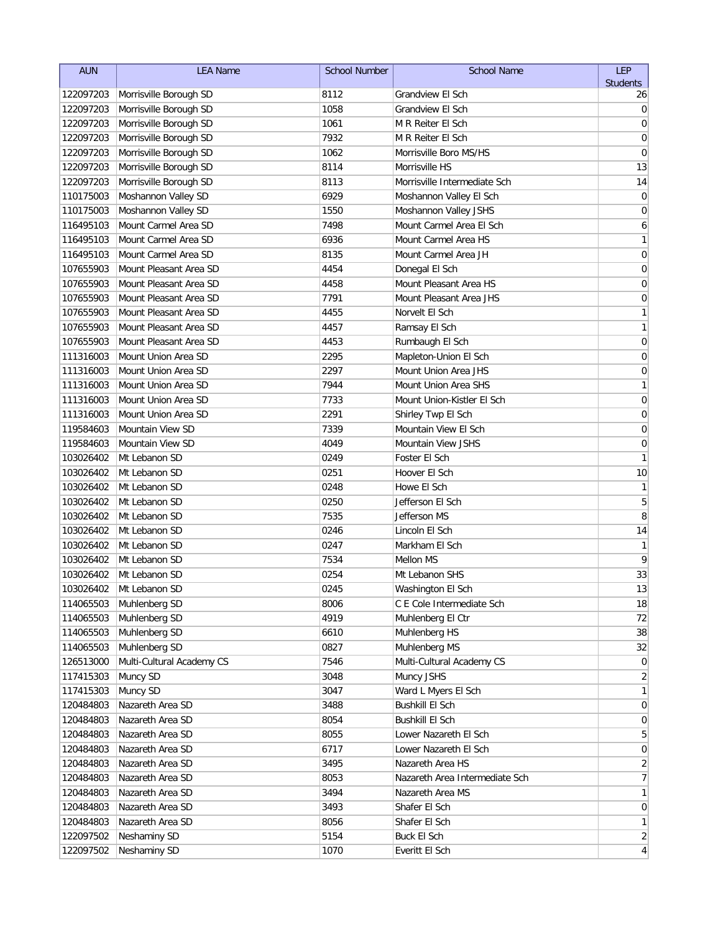| <b>AUN</b>             | <b>LEA Name</b>           | School Number | <b>School Name</b>             | <b>LEP</b>      |
|------------------------|---------------------------|---------------|--------------------------------|-----------------|
|                        |                           | 8112          |                                | <b>Students</b> |
| 122097203              | Morrisville Borough SD    | 1058          | Grandview El Sch               | 26              |
| 122097203<br>122097203 | Morrisville Borough SD    | 1061          | Grandview El Sch               | 0               |
|                        | Morrisville Borough SD    | 7932          | M R Reiter El Sch              | $\mathbf 0$     |
| 122097203              | Morrisville Borough SD    |               | M R Reiter El Sch              | 0               |
| 122097203              | Morrisville Borough SD    | 1062          | Morrisville Boro MS/HS         | 0               |
| 122097203              | Morrisville Borough SD    | 8114          | Morrisville HS                 | 13              |
| 122097203              | Morrisville Borough SD    | 8113          | Morrisville Intermediate Sch   | 14              |
| 110175003              | Moshannon Valley SD       | 6929          | Moshannon Valley El Sch        | $\mathbf 0$     |
| 110175003              | Moshannon Valley SD       | 1550          | Moshannon Valley JSHS          | $\mathbf 0$     |
| 116495103              | Mount Carmel Area SD      | 7498          | Mount Carmel Area El Sch       | 6               |
| 116495103              | Mount Carmel Area SD      | 6936          | Mount Carmel Area HS           | $\mathbf{1}$    |
| 116495103              | Mount Carmel Area SD      | 8135          | Mount Carmel Area JH           | $\mathbf 0$     |
| 107655903              | Mount Pleasant Area SD    | 4454          | Donegal El Sch                 | $\mathbf 0$     |
| 107655903              | Mount Pleasant Area SD    | 4458          | Mount Pleasant Area HS         | $\pmb{0}$       |
| 107655903              | Mount Pleasant Area SD    | 7791          | Mount Pleasant Area JHS        | $\pmb{0}$       |
| 107655903              | Mount Pleasant Area SD    | 4455          | Norvelt El Sch                 | 1               |
| 107655903              | Mount Pleasant Area SD    | 4457          | Ramsay El Sch                  | $\mathbf{1}$    |
| 107655903              | Mount Pleasant Area SD    | 4453          | Rumbaugh El Sch                | $\mathbf 0$     |
| 111316003              | Mount Union Area SD       | 2295          | Mapleton-Union El Sch          | 0               |
| 111316003              | Mount Union Area SD       | 2297          | Mount Union Area JHS           | $\mathbf 0$     |
| 111316003              | Mount Union Area SD       | 7944          | Mount Union Area SHS           | 1               |
| 111316003              | Mount Union Area SD       | 7733          | Mount Union-Kistler El Sch     | $\mathbf 0$     |
| 111316003              | Mount Union Area SD       | 2291          | Shirley Twp El Sch             | 0               |
| 119584603              | Mountain View SD          | 7339          | Mountain View El Sch           | $\mathbf 0$     |
| 119584603              | Mountain View SD          | 4049          | Mountain View JSHS             | $\mathbf 0$     |
| 103026402              | Mt Lebanon SD             | 0249          | Foster El Sch                  | 1               |
| 103026402              | Mt Lebanon SD             | 0251          | Hoover El Sch                  | 10              |
| 103026402              | Mt Lebanon SD             | 0248          | Howe El Sch                    | $\mathbf{1}$    |
| 103026402              | Mt Lebanon SD             | 0250          | Jefferson El Sch               | 5               |
| 103026402              | Mt Lebanon SD             | 7535          | Jefferson MS                   | 8               |
| 103026402              | Mt Lebanon SD             | 0246          | Lincoln El Sch                 | 14              |
| 103026402              | Mt Lebanon SD             | 0247          | Markham El Sch                 | 1               |
| 103026402              | Mt Lebanon SD             | 7534          | <b>Mellon MS</b>               | 9               |
| 103026402              | Mt Lebanon SD             | 0254          | Mt Lebanon SHS                 | 33              |
| 103026402              | Mt Lebanon SD             | 0245          | Washington El Sch              | 13              |
| 114065503              | Muhlenberg SD             | 8006          | C E Cole Intermediate Sch      | 18              |
| 114065503              | Muhlenberg SD             | 4919          | Muhlenberg El Ctr              | 72              |
| 114065503              | Muhlenberg SD             | 6610          | Muhlenberg HS                  | 38              |
| 114065503              | Muhlenberg SD             | 0827          | Muhlenberg MS                  | 32              |
| 126513000              | Multi-Cultural Academy CS | 7546          | Multi-Cultural Academy CS      | $\overline{0}$  |
| 117415303              | Muncy SD                  | 3048          | Muncy JSHS                     | 2               |
| 117415303              | Muncy SD                  | 3047          | Ward L Myers El Sch            | 1               |
| 120484803              | Nazareth Area SD          | 3488          | <b>Bushkill El Sch</b>         | $\overline{0}$  |
| 120484803              | Nazareth Area SD          | 8054          | <b>Bushkill El Sch</b>         | $\overline{0}$  |
| 120484803              | Nazareth Area SD          | 8055          | Lower Nazareth El Sch          | 5               |
| 120484803              | Nazareth Area SD          | 6717          | Lower Nazareth El Sch          | $\overline{0}$  |
| 120484803              | Nazareth Area SD          | 3495          | Nazareth Area HS               | 2               |
| 120484803              | Nazareth Area SD          | 8053          | Nazareth Area Intermediate Sch | 7               |
| 120484803              | Nazareth Area SD          | 3494          | Nazareth Area MS               | 1               |
| 120484803              | Nazareth Area SD          | 3493          | Shafer El Sch                  | 0               |
| 120484803              | Nazareth Area SD          | 8056          | Shafer El Sch                  | 1               |
| 122097502              | Neshaminy SD              | 5154          | Buck El Sch                    | $\overline{2}$  |
| 122097502              | Neshaminy SD              | 1070          | Everitt El Sch                 | $\vert 4 \vert$ |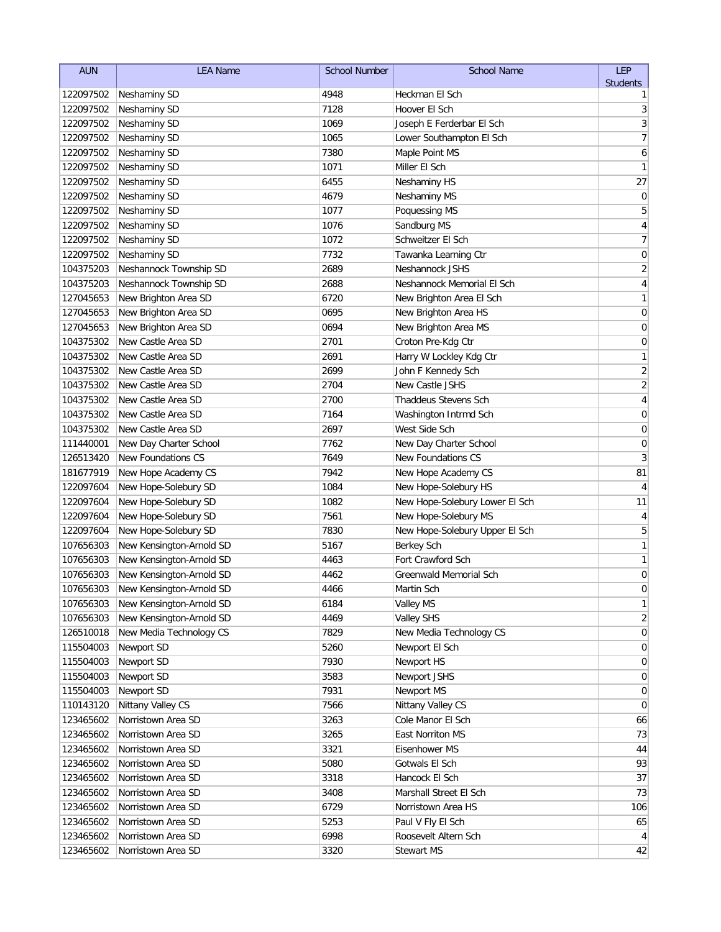| <b>AUN</b>             | <b>LEA Name</b>              | <b>School Number</b> | <b>School Name</b>                         | <b>LEP</b>              |
|------------------------|------------------------------|----------------------|--------------------------------------------|-------------------------|
|                        |                              |                      |                                            | <b>Students</b>         |
| 122097502              | Neshaminy SD                 | 4948                 | Heckman El Sch                             | 1                       |
| 122097502              | Neshaminy SD                 | 7128                 | Hoover El Sch                              | 3                       |
| 122097502              | Neshaminy SD                 | 1069                 | Joseph E Ferderbar El Sch                  | 3                       |
| 122097502<br>122097502 | Neshaminy SD                 | 1065<br>7380         | Lower Southampton El Sch                   | $\overline{7}$          |
|                        | Neshaminy SD                 |                      | Maple Point MS<br>Miller El Sch            | 6<br>1                  |
| 122097502              | Neshaminy SD                 | 1071<br>6455         |                                            |                         |
| 122097502<br>122097502 | Neshaminy SD<br>Neshaminy SD | 4679                 | <b>Neshaminy HS</b><br><b>Neshaminy MS</b> | 27<br>$\mathbf 0$       |
| 122097502              | Neshaminy SD                 | 1077                 | Poquessing MS                              | 5                       |
| 122097502              | Neshaminy SD                 | 1076                 | Sandburg MS                                | $\sqrt{4}$              |
| 122097502              | Neshaminy SD                 | 1072                 | Schweitzer El Sch                          | $\overline{7}$          |
| 122097502              | Neshaminy SD                 | 7732                 | Tawanka Learning Ctr                       | $\boldsymbol{0}$        |
| 104375203              | Neshannock Township SD       | 2689                 | Neshannock JSHS                            | $\sqrt{2}$              |
| 104375203              | Neshannock Township SD       | 2688                 | Neshannock Memorial El Sch                 | $\overline{\mathbf{r}}$ |
| 127045653              | New Brighton Area SD         | 6720                 | New Brighton Area El Sch                   | $\mathbf{1}$            |
| 127045653              | New Brighton Area SD         | 0695                 | New Brighton Area HS                       | $\mathbf 0$             |
| 127045653              | New Brighton Area SD         | 0694                 | New Brighton Area MS                       | $\mathbf 0$             |
| 104375302              | New Castle Area SD           | 2701                 | Croton Pre-Kdg Ctr                         | 0                       |
| 104375302              | New Castle Area SD           | 2691                 | Harry W Lockley Kdg Ctr                    | 1                       |
| 104375302              | New Castle Area SD           | 2699                 | John F Kennedy Sch                         | $\overline{c}$          |
| 104375302              | New Castle Area SD           | 2704                 | New Castle JSHS                            | $\overline{c}$          |
| 104375302              | New Castle Area SD           | 2700                 | Thaddeus Stevens Sch                       | 4                       |
| 104375302              | New Castle Area SD           | 7164                 | Washington Intrmd Sch                      | 0                       |
| 104375302              | New Castle Area SD           | 2697                 | West Side Sch                              | 0                       |
| 111440001              | New Day Charter School       | 7762                 | New Day Charter School                     | 0                       |
| 126513420              | <b>New Foundations CS</b>    | 7649                 | <b>New Foundations CS</b>                  | 3                       |
| 181677919              | New Hope Academy CS          | 7942                 | New Hope Academy CS                        | 81                      |
| 122097604              | New Hope-Solebury SD         | 1084                 | New Hope-Solebury HS                       | 4                       |
| 122097604              | New Hope-Solebury SD         | 1082                 | New Hope-Solebury Lower El Sch             | 11                      |
| 122097604              | New Hope-Solebury SD         | 7561                 | New Hope-Solebury MS                       | 4                       |
| 122097604              | New Hope-Solebury SD         | 7830                 | New Hope-Solebury Upper El Sch             | 5                       |
| 107656303              | New Kensington-Arnold SD     | 5167                 | <b>Berkey Sch</b>                          | $\mathbf{1}$            |
| 107656303              | New Kensington-Arnold SD     | 4463                 | Fort Crawford Sch                          | 1                       |
| 107656303              | New Kensington-Arnold SD     | 4462                 | Greenwald Memorial Sch                     | 0                       |
| 107656303              | New Kensington-Arnold SD     | 4466                 | Martin Sch                                 | 0                       |
| 107656303              | New Kensington-Arnold SD     | 6184                 | Valley MS                                  | 1                       |
| 107656303              | New Kensington-Arnold SD     | 4469                 | <b>Valley SHS</b>                          | 2                       |
| 126510018              | New Media Technology CS      | 7829                 | New Media Technology CS                    | $\overline{0}$          |
| 115504003              | Newport SD                   | 5260                 | Newport El Sch                             | $\overline{0}$          |
| 115504003              | Newport SD                   | 7930                 | Newport HS                                 | $\overline{0}$          |
| 115504003              | Newport SD                   | 3583                 | Newport JSHS                               | $\overline{0}$          |
| 115504003              | Newport SD                   | 7931                 | Newport MS                                 | 0                       |
| 110143120              | Nittany Valley CS            | 7566                 | Nittany Valley CS                          | 0                       |
| 123465602              | Norristown Area SD           | 3263                 | Cole Manor El Sch                          | 66                      |
| 123465602              | Norristown Area SD           | 3265                 | East Norriton MS                           | 73                      |
| 123465602              | Norristown Area SD           | 3321                 | Eisenhower MS                              | 44                      |
| 123465602              | Norristown Area SD           | 5080                 | Gotwals El Sch                             | 93                      |
| 123465602              | Norristown Area SD           | 3318                 | Hancock El Sch                             | 37                      |
| 123465602              | Norristown Area SD           | 3408                 | Marshall Street El Sch                     | 73                      |
| 123465602              | Norristown Area SD           | 6729                 | Norristown Area HS                         | 106                     |
| 123465602              | Norristown Area SD           | 5253                 | Paul V Fly El Sch                          | 65                      |
| 123465602              | Norristown Area SD           | 6998                 | Roosevelt Altern Sch                       | 4                       |
| 123465602              | Norristown Area SD           | 3320                 | <b>Stewart MS</b>                          | 42                      |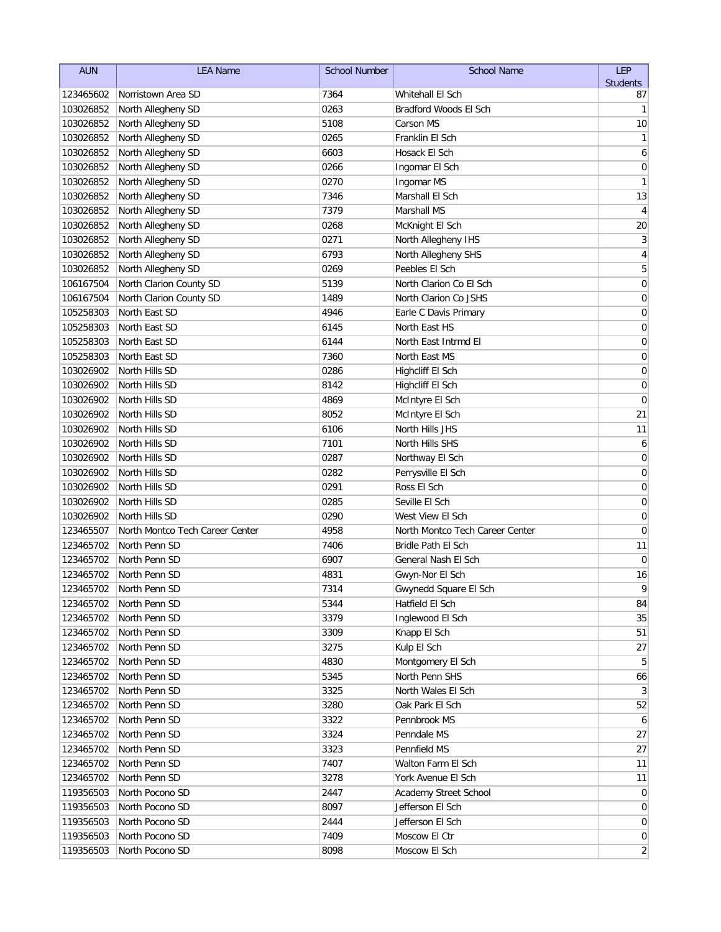| <b>AUN</b> | <b>LEA Name</b>                 | <b>School Number</b> | <b>School Name</b>              | LEP             |
|------------|---------------------------------|----------------------|---------------------------------|-----------------|
|            |                                 |                      |                                 | <b>Students</b> |
| 123465602  | Norristown Area SD              | 7364                 | Whitehall El Sch                | 87              |
| 103026852  | North Allegheny SD              | 0263                 | Bradford Woods El Sch           | 1               |
| 103026852  | North Allegheny SD              | 5108                 | Carson MS                       | 10              |
| 103026852  | North Allegheny SD              | 0265                 | Franklin El Sch                 | 1               |
| 103026852  | North Allegheny SD              | 6603                 | Hosack El Sch                   | 6               |
| 103026852  | North Allegheny SD              | 0266                 | Ingomar El Sch                  | 0               |
| 103026852  | North Allegheny SD              | 0270                 | Ingomar MS                      | 1               |
| 103026852  | North Allegheny SD              | 7346                 | Marshall El Sch                 | 13              |
| 103026852  | North Allegheny SD              | 7379                 | Marshall MS                     | 4               |
| 103026852  | North Allegheny SD              | 0268                 | McKnight El Sch                 | 20              |
| 103026852  | North Allegheny SD              | 0271                 | North Allegheny IHS             | 3               |
| 103026852  | North Allegheny SD              | 6793                 | North Allegheny SHS             | $\sqrt{4}$      |
| 103026852  | North Allegheny SD              | 0269                 | Peebles El Sch                  | 5               |
| 106167504  | North Clarion County SD         | 5139                 | North Clarion Co El Sch         | $\mathbf 0$     |
| 106167504  | North Clarion County SD         | 1489                 | North Clarion Co JSHS           | $\mathbf 0$     |
| 105258303  | North East SD                   | 4946                 | Earle C Davis Primary           | 0               |
| 105258303  | North East SD                   | 6145                 | North East HS                   | $\mathbf 0$     |
| 105258303  | North East SD                   | 6144                 | North East Intrmd El            | 0               |
| 105258303  | North East SD                   | 7360                 | North East MS                   | $\mathbf 0$     |
| 103026902  | North Hills SD                  | 0286                 | Highcliff El Sch                | 0               |
| 103026902  | North Hills SD                  | 8142                 | Highcliff El Sch                | 0               |
| 103026902  | North Hills SD                  | 4869                 | McIntyre El Sch                 | $\mathbf 0$     |
| 103026902  | North Hills SD                  | 8052                 | McIntyre El Sch                 | 21              |
| 103026902  | North Hills SD                  | 6106                 | North Hills JHS                 | 11              |
| 103026902  | North Hills SD                  | 7101                 | North Hills SHS                 | 6               |
| 103026902  | North Hills SD                  | 0287                 | Northway El Sch                 | 0               |
| 103026902  | North Hills SD                  | 0282                 | Perrysville El Sch              | $\mathbf 0$     |
| 103026902  | North Hills SD                  | 0291                 | Ross El Sch                     | 0               |
| 103026902  | North Hills SD                  | 0285                 | Seville El Sch                  | $\mathbf 0$     |
| 103026902  | North Hills SD                  | 0290                 | West View El Sch                | 0               |
| 123465507  | North Montco Tech Career Center | 4958                 | North Montco Tech Career Center | 0               |
| 123465702  | North Penn SD                   | 7406                 | Bridle Path El Sch              | 11              |
| 123465702  | North Penn SD                   | 6907                 | General Nash El Sch             | $\mathbf 0$     |
| 123465702  | North Penn SD                   | 4831                 | Gwyn-Nor El Sch                 | 16              |
|            | 123465702 North Penn SD         | 7314                 | Gwynedd Square El Sch           | 9               |
| 123465702  | North Penn SD                   | 5344                 | Hatfield El Sch                 | 84              |
| 123465702  | North Penn SD                   | 3379                 | Inglewood El Sch                | 35              |
| 123465702  | North Penn SD                   | 3309                 | Knapp El Sch                    | 51              |
| 123465702  | North Penn SD                   | 3275                 | Kulp El Sch                     | 27              |
| 123465702  | North Penn SD                   | 4830                 | Montgomery El Sch               | 5               |
| 123465702  | North Penn SD                   | 5345                 | North Penn SHS                  | 66              |
| 123465702  | North Penn SD                   | 3325                 | North Wales El Sch              | 3               |
| 123465702  | North Penn SD                   | 3280                 | Oak Park El Sch                 | 52              |
| 123465702  | North Penn SD                   | 3322                 | Pennbrook MS                    | 6               |
| 123465702  | North Penn SD                   | 3324                 | Penndale MS                     | 27              |
| 123465702  | North Penn SD                   | 3323                 | Pennfield MS                    | 27              |
| 123465702  | North Penn SD                   | 7407                 | Walton Farm El Sch              | 11              |
| 123465702  | North Penn SD                   | 3278                 | York Avenue El Sch              | 11              |
| 119356503  | North Pocono SD                 | 2447                 | Academy Street School           | 0               |
| 119356503  | North Pocono SD                 | 8097                 | Jefferson El Sch                | 0               |
| 119356503  | North Pocono SD                 | 2444                 | Jefferson El Sch                | $\overline{0}$  |
| 119356503  | North Pocono SD                 | 7409                 | Moscow El Ctr                   | $\overline{0}$  |
| 119356503  | North Pocono SD                 | 8098                 | Moscow El Sch                   | $\mathbf{2}$    |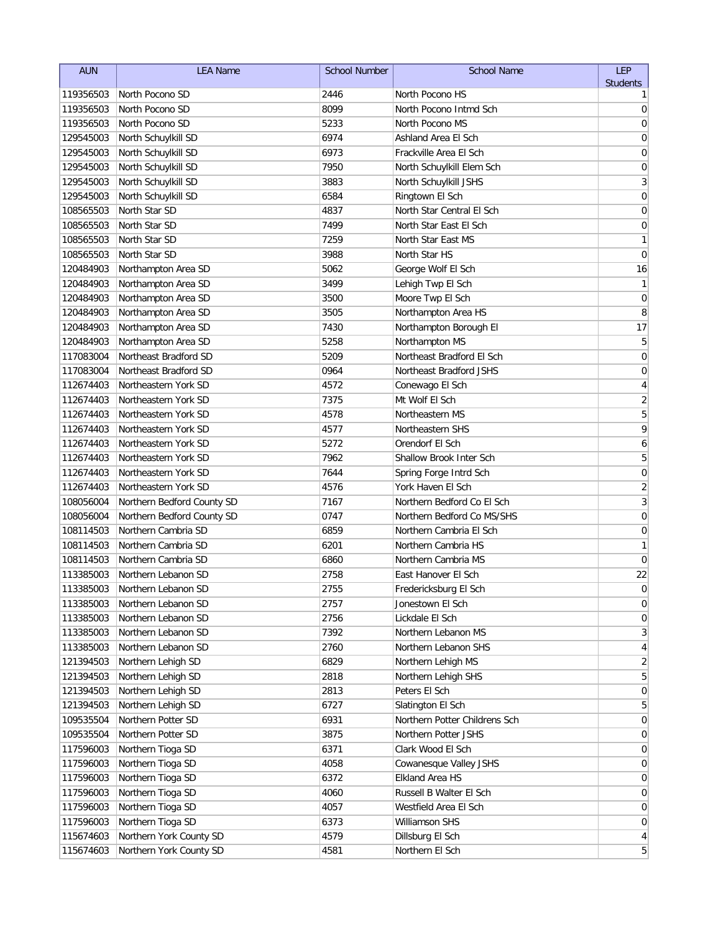| <b>AUN</b>             | <b>LEA Name</b>                | <b>School Number</b> | <b>School Name</b>                           | LEP              |
|------------------------|--------------------------------|----------------------|----------------------------------------------|------------------|
|                        |                                |                      |                                              | <b>Students</b>  |
| 119356503              | North Pocono SD                | 2446                 | North Pocono HS                              | 1                |
| 119356503              | North Pocono SD                | 8099                 | North Pocono Intmd Sch                       | $\mathbf 0$      |
| 119356503              | North Pocono SD                | 5233                 | North Pocono MS                              | $\mathbf 0$      |
| 129545003              | North Schuylkill SD            | 6974                 | Ashland Area El Sch                          | 0                |
| 129545003              | North Schuylkill SD            | 6973                 | Frackville Area El Sch                       | 0                |
| 129545003              | North Schuylkill SD            | 7950                 | North Schuylkill Elem Sch                    | 0                |
| 129545003              | North Schuylkill SD            | 3883                 | North Schuylkill JSHS                        | 3                |
| 129545003<br>108565503 | North Schuylkill SD            | 6584<br>4837         | Ringtown El Sch<br>North Star Central El Sch | $\mathbf 0$      |
|                        | North Star SD<br>North Star SD | 7499                 | North Star East El Sch                       | 0<br>$\mathbf 0$ |
| 108565503<br>108565503 | North Star SD                  | 7259                 | North Star East MS                           | $\mathbf{1}$     |
| 108565503              | North Star SD                  | 3988                 | North Star HS                                | $\mathbf 0$      |
| 120484903              | Northampton Area SD            | 5062                 | George Wolf El Sch                           | 16               |
| 120484903              | Northampton Area SD            | 3499                 | Lehigh Twp El Sch                            | 1                |
| 120484903              | Northampton Area SD            | 3500                 | Moore Twp El Sch                             | $\pmb{0}$        |
| 120484903              | Northampton Area SD            | 3505                 | Northampton Area HS                          | 8                |
| 120484903              | Northampton Area SD            | 7430                 | Northampton Borough El                       | 17               |
| 120484903              | Northampton Area SD            | 5258                 | Northampton MS                               | 5                |
| 117083004              | Northeast Bradford SD          | 5209                 | Northeast Bradford El Sch                    | $\mathbf 0$      |
| 117083004              | Northeast Bradford SD          | 0964                 | Northeast Bradford JSHS                      | 0                |
| 112674403              | Northeastern York SD           | 4572                 | Conewago El Sch                              | 4                |
| 112674403              | Northeastern York SD           | 7375                 | Mt Wolf El Sch                               | $\overline{c}$   |
| 112674403              | Northeastern York SD           | 4578                 | Northeastern MS                              | 5                |
| 112674403              | Northeastern York SD           | 4577                 | Northeastern SHS                             | 9                |
| 112674403              | Northeastern York SD           | 5272                 | Orendorf El Sch                              | 6                |
| 112674403              | Northeastern York SD           | 7962                 | Shallow Brook Inter Sch                      | 5                |
| 112674403              | Northeastern York SD           | 7644                 | Spring Forge Intrd Sch                       | $\mathbf 0$      |
| 112674403              | Northeastern York SD           | 4576                 | York Haven El Sch                            | $\overline{c}$   |
| 108056004              | Northern Bedford County SD     | 7167                 | Northern Bedford Co El Sch                   | $\overline{3}$   |
| 108056004              | Northern Bedford County SD     | 0747                 | Northern Bedford Co MS/SHS                   | $\mathbf 0$      |
| 108114503              | Northern Cambria SD            | 6859                 | Northern Cambria El Sch                      | $\mathbf 0$      |
| 108114503              | Northern Cambria SD            | 6201                 | Northern Cambria HS                          | 1                |
| 108114503              | Northern Cambria SD            | 6860                 | Northern Cambria MS                          | 0                |
| 113385003              | Northern Lebanon SD            | 2758                 | East Hanover El Sch                          | 22               |
| 113385003              | Northern Lebanon SD            | 2755                 | Fredericksburg El Sch                        | $\overline{0}$   |
| 113385003              | Northern Lebanon SD            | 2757                 | Jonestown El Sch                             | 0                |
| 113385003              | Northern Lebanon SD            | 2756                 | Lickdale El Sch                              | 0                |
| 113385003              | Northern Lebanon SD            | 7392                 | Northern Lebanon MS                          | 3                |
| 113385003              | Northern Lebanon SD            | 2760                 | Northern Lebanon SHS                         | 4                |
| 121394503              | Northern Lehigh SD             | 6829                 | Northern Lehigh MS                           | $\overline{2}$   |
| 121394503              | Northern Lehigh SD             | 2818                 | Northern Lehigh SHS                          | 5                |
| 121394503              | Northern Lehigh SD             | 2813                 | Peters El Sch                                | $\overline{0}$   |
| 121394503              | Northern Lehigh SD             | 6727                 | Slatington El Sch                            | 5                |
| 109535504              | Northern Potter SD             | 6931                 | Northern Potter Childrens Sch                | $\overline{0}$   |
| 109535504              | Northern Potter SD             | 3875                 | Northern Potter JSHS                         | $\overline{0}$   |
| 117596003              | Northern Tioga SD              | 6371                 | Clark Wood El Sch                            | $\overline{0}$   |
| 117596003              | Northern Tioga SD              | 4058                 | Cowanesque Valley JSHS                       | 0                |
| 117596003              | Northern Tioga SD              | 6372                 | Elkland Area HS                              | $\overline{0}$   |
| 117596003              | Northern Tioga SD              | 4060                 | Russell B Walter El Sch                      | $\overline{0}$   |
| 117596003              | Northern Tioga SD              | 4057                 | Westfield Area El Sch                        | $\boldsymbol{0}$ |
| 117596003              | Northern Tioga SD              | 6373                 | Williamson SHS                               | $\overline{0}$   |
| 115674603              | Northern York County SD        | 4579                 | Dillsburg El Sch                             | $\vert 4 \vert$  |
| 115674603              | Northern York County SD        | 4581                 | Northern El Sch                              | 5                |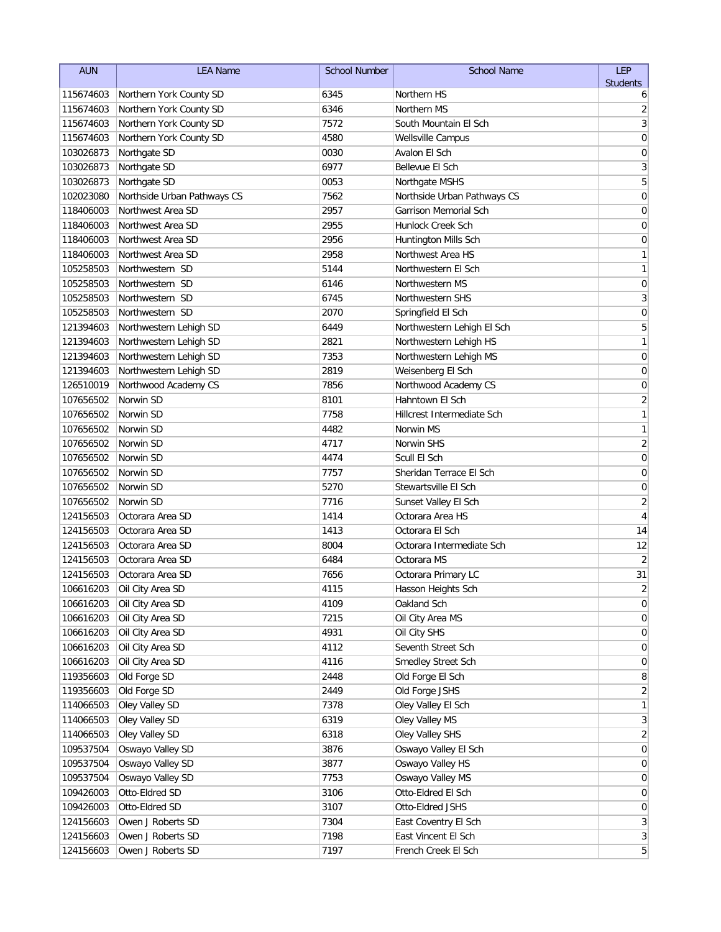| <b>AUN</b> | <b>LEA Name</b>             | <b>School Number</b> | <b>School Name</b>          | <b>LEP</b>              |
|------------|-----------------------------|----------------------|-----------------------------|-------------------------|
|            |                             |                      |                             | <b>Students</b>         |
| 115674603  | Northern York County SD     | 6345                 | Northern HS                 | 6                       |
| 115674603  | Northern York County SD     | 6346                 | Northern MS                 | $\overline{c}$          |
| 115674603  | Northern York County SD     | 7572                 | South Mountain El Sch       | 3                       |
| 115674603  | Northern York County SD     | 4580                 | <b>Wellsville Campus</b>    | $\mathbf 0$             |
| 103026873  | Northgate SD                | 0030                 | Avalon El Sch               | 0                       |
| 103026873  | Northgate SD                | 6977                 | Bellevue El Sch             | 3                       |
| 103026873  | Northgate SD                | 0053                 | Northgate MSHS              | 5                       |
| 102023080  | Northside Urban Pathways CS | 7562                 | Northside Urban Pathways CS | 0                       |
| 118406003  | Northwest Area SD           | 2957                 | Garrison Memorial Sch       | 0                       |
| 118406003  | Northwest Area SD           | 2955                 | Hunlock Creek Sch           | 0                       |
| 118406003  | Northwest Area SD           | 2956                 | Huntington Mills Sch        | $\mathbf 0$             |
| 118406003  | Northwest Area SD           | 2958                 | Northwest Area HS           | 1                       |
| 105258503  | Northwestern SD             | 5144                 | Northwestern El Sch         | $\mathbf{1}$            |
| 105258503  | Northwestern SD             | 6146                 | Northwestern MS             | $\mathbf 0$             |
| 105258503  | Northwestern SD             | 6745                 | Northwestern SHS            | 3                       |
| 105258503  | Northwestern SD             | 2070                 | Springfield El Sch          | $\pmb{0}$               |
| 121394603  | Northwestern Lehigh SD      | 6449                 | Northwestern Lehigh El Sch  | 5                       |
| 121394603  | Northwestern Lehigh SD      | 2821                 | Northwestern Lehigh HS      | 1                       |
| 121394603  | Northwestern Lehigh SD      | 7353                 | Northwestern Lehigh MS      | 0                       |
| 121394603  | Northwestern Lehigh SD      | 2819                 | Weisenberg El Sch           | 0                       |
| 126510019  | Northwood Academy CS        | 7856                 | Northwood Academy CS        | 0                       |
| 107656502  | Norwin SD                   | 8101                 | Hahntown El Sch             | $\overline{\mathbf{c}}$ |
| 107656502  | Norwin SD                   | 7758                 | Hillcrest Intermediate Sch  | 1                       |
| 107656502  | Norwin SD                   | 4482                 | Norwin MS                   | 1                       |
| 107656502  | Norwin SD                   | 4717                 | Norwin SHS                  | $\overline{2}$          |
| 107656502  | Norwin SD                   | 4474                 | Scull El Sch                | 0                       |
| 107656502  | Norwin SD                   | 7757                 | Sheridan Terrace El Sch     | 0                       |
| 107656502  | Norwin SD                   | 5270                 | Stewartsville El Sch        | 0                       |
| 107656502  | Norwin SD                   | 7716                 | Sunset Valley El Sch        | $\sqrt{2}$              |
| 124156503  | Octorara Area SD            | 1414                 | Octorara Area HS            | 4                       |
| 124156503  | Octorara Area SD            | 1413                 | Octorara El Sch             | 14                      |
| 124156503  | Octorara Area SD            | 8004                 | Octorara Intermediate Sch   | 12                      |
| 124156503  | Octorara Area SD            | 6484                 | Octorara MS                 | $\overline{2}$          |
| 124156503  | Octorara Area SD            | 7656                 | Octorara Primary LC         | 31                      |
| 106616203  | Oil City Area SD            | 4115                 | Hasson Heights Sch          | $\mathfrak{p}$          |
| 106616203  | Oil City Area SD            | 4109                 | Oakland Sch                 | 0                       |
| 106616203  | Oil City Area SD            | 7215                 | Oil City Area MS            | $\overline{0}$          |
| 106616203  | Oil City Area SD            | 4931                 | Oil City SHS                | 0                       |
| 106616203  | Oil City Area SD            | 4112                 | Seventh Street Sch          | 0                       |
| 106616203  | Oil City Area SD            | 4116                 | Smedley Street Sch          | 0                       |
| 119356603  | Old Forge SD                | 2448                 | Old Forge El Sch            | 8                       |
| 119356603  | Old Forge SD                | 2449                 | Old Forge JSHS              | $\overline{2}$          |
| 114066503  | Oley Valley SD              | 7378                 | Oley Valley El Sch          | 1                       |
| 114066503  | Oley Valley SD              | 6319                 | Oley Valley MS              | 3                       |
| 114066503  | Oley Valley SD              | 6318                 | Oley Valley SHS             | $\overline{2}$          |
| 109537504  | Oswayo Valley SD            | 3876                 | Oswayo Valley El Sch        | $\overline{0}$          |
| 109537504  | Oswayo Valley SD            | 3877                 | Oswayo Valley HS            | $\overline{0}$          |
| 109537504  | Oswayo Valley SD            | 7753                 | Oswayo Valley MS            | 0                       |
| 109426003  | Otto-Eldred SD              | 3106                 | Otto-Eldred El Sch          | $\overline{0}$          |
| 109426003  | Otto-Eldred SD              | 3107                 | Otto-Eldred JSHS            | $\boldsymbol{0}$        |
| 124156603  | Owen J Roberts SD           | 7304                 | East Coventry El Sch        | $\mathbf{3}$            |
| 124156603  | Owen J Roberts SD           | 7198                 | East Vincent El Sch         | $\mathbf{3}$            |
| 124156603  | Owen J Roberts SD           | 7197                 | French Creek El Sch         | 5                       |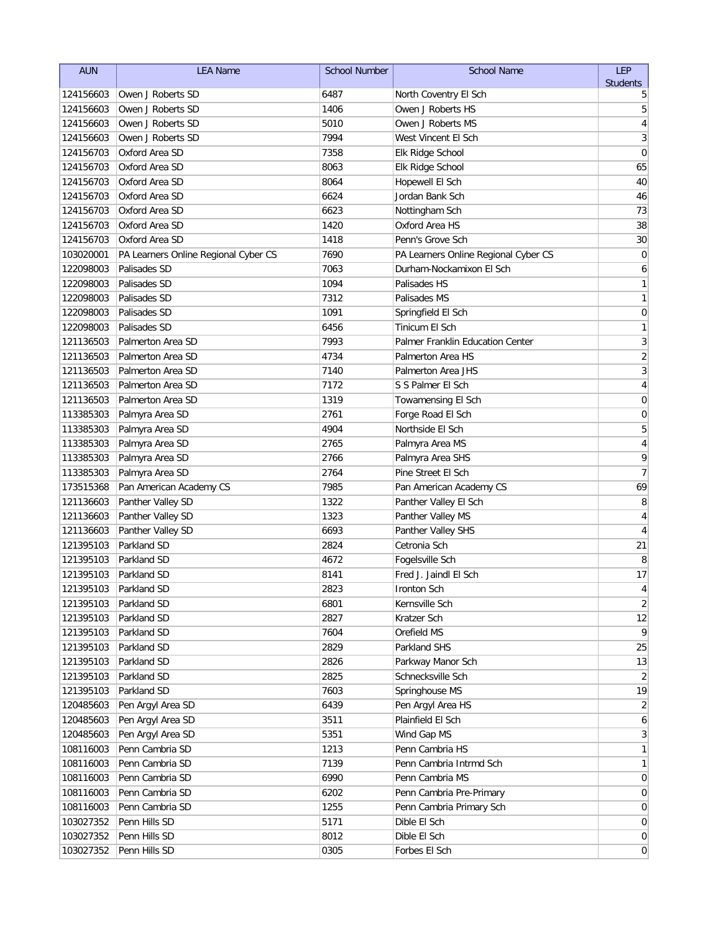| <b>AUN</b> | <b>LEA Name</b>                      | <b>School Number</b> | <b>School Name</b>                   | <b>LEP</b>       |
|------------|--------------------------------------|----------------------|--------------------------------------|------------------|
|            |                                      |                      |                                      | <b>Students</b>  |
| 124156603  | Owen J Roberts SD                    | 6487                 | North Coventry El Sch                | 5                |
| 124156603  | Owen J Roberts SD                    | 1406                 | Owen J Roberts HS                    | 5                |
| 124156603  | Owen J Roberts SD                    | 5010                 | Owen J Roberts MS                    | 4                |
| 124156603  | Owen J Roberts SD                    | 7994                 | West Vincent El Sch                  | 3                |
| 124156703  | Oxford Area SD                       | 7358                 | Elk Ridge School                     | 0                |
| 124156703  | Oxford Area SD                       | 8063                 | Elk Ridge School                     | 65               |
| 124156703  | Oxford Area SD                       | 8064                 | Hopewell El Sch                      | 40               |
| 124156703  | Oxford Area SD                       | 6624                 | Jordan Bank Sch                      | 46               |
| 124156703  | Oxford Area SD                       | 6623                 | Nottingham Sch                       | 73               |
| 124156703  | Oxford Area SD                       | 1420                 | Oxford Area HS                       | 38               |
| 124156703  | Oxford Area SD                       | 1418                 | Penn's Grove Sch                     | 30               |
| 103020001  | PA Learners Online Regional Cyber CS | 7690                 | PA Learners Online Regional Cyber CS | $\mathbf 0$      |
| 122098003  | Palisades SD                         | 7063                 | Durham-Nockamixon El Sch             | 6                |
| 122098003  | Palisades SD                         | 1094                 | Palisades HS                         | 1                |
| 122098003  | Palisades SD                         | 7312                 | Palisades MS                         | 1                |
| 122098003  | Palisades SD                         | 1091                 | Springfield El Sch                   | $\mathbf 0$      |
| 122098003  | Palisades SD                         | 6456                 | Tinicum El Sch                       | 1                |
| 121136503  | Palmerton Area SD                    | 7993                 | Palmer Franklin Education Center     | 3                |
| 121136503  | Palmerton Area SD                    | 4734                 | Palmerton Area HS                    | $\overline{c}$   |
| 121136503  | Palmerton Area SD                    | 7140                 | Palmerton Area JHS                   | 3                |
| 121136503  | Palmerton Area SD                    | 7172                 | S S Palmer El Sch                    | 4                |
| 121136503  | Palmerton Area SD                    | 1319                 | Towamensing El Sch                   | 0                |
| 113385303  | Palmyra Area SD                      | 2761                 | Forge Road El Sch                    | 0                |
| 113385303  | Palmyra Area SD                      | 4904                 | Northside El Sch                     | 5                |
| 113385303  | Palmyra Area SD                      | 2765                 | Palmyra Area MS                      | 4                |
| 113385303  | Palmyra Area SD                      | 2766                 | Palmyra Area SHS                     | 9                |
| 113385303  | Palmyra Area SD                      | 2764                 | Pine Street El Sch                   | $\overline{7}$   |
| 173515368  | Pan American Academy CS              | 7985                 | Pan American Academy CS              | 69               |
| 121136603  | Panther Valley SD                    | 1322                 | Panther Valley El Sch                | 8                |
| 121136603  | Panther Valley SD                    | 1323                 | Panther Valley MS                    | 4                |
| 121136603  | Panther Valley SD                    | 6693                 | Panther Valley SHS                   | 4                |
| 121395103  | Parkland SD                          | 2824                 | Cetronia Sch                         | 21               |
| 121395103  | Parkland SD                          | 4672                 | Fogelsville Sch                      | 8                |
| 121395103  | Parkland SD                          | 8141                 | Fred J. Jaindl El Sch                | 17               |
|            | 121395103 Parkland SD                | 2823                 | Ironton Sch                          | 4                |
| 121395103  | Parkland SD                          | 6801                 | Kernsville Sch                       | $\overline{2}$   |
| 121395103  | Parkland SD                          | 2827                 | Kratzer Sch                          | 12               |
| 121395103  | Parkland SD                          | 7604                 | Orefield MS                          | 9                |
| 121395103  | Parkland SD                          | 2829                 | Parkland SHS                         | 25               |
| 121395103  | Parkland SD                          | 2826                 | Parkway Manor Sch                    | 13               |
| 121395103  | Parkland SD                          | 2825                 | Schnecksville Sch                    | 2                |
| 121395103  | Parkland SD                          | 7603                 | Springhouse MS                       | 19               |
| 120485603  | Pen Argyl Area SD                    | 6439                 | Pen Argyl Area HS                    | $\overline{2}$   |
| 120485603  | Pen Argyl Area SD                    | 3511                 | Plainfield El Sch                    | 6                |
| 120485603  | Pen Argyl Area SD                    | 5351                 | Wind Gap MS                          | $\mathbf{3}$     |
| 108116003  | Penn Cambria SD                      | 1213                 | Penn Cambria HS                      | 1                |
| 108116003  | Penn Cambria SD                      | 7139                 | Penn Cambria Intrmd Sch              | 1                |
| 108116003  | Penn Cambria SD                      | 6990                 | Penn Cambria MS                      | $\boldsymbol{0}$ |
| 108116003  | Penn Cambria SD                      | 6202                 | Penn Cambria Pre-Primary             | 0                |
| 108116003  | Penn Cambria SD                      | 1255                 | Penn Cambria Primary Sch             | 0                |
| 103027352  | Penn Hills SD                        | 5171                 | Dible El Sch                         | 0                |
| 103027352  | Penn Hills SD                        | 8012                 | Dible El Sch                         | $\boldsymbol{0}$ |
| 103027352  | Penn Hills SD                        | 0305                 | Forbes El Sch                        | $\boldsymbol{0}$ |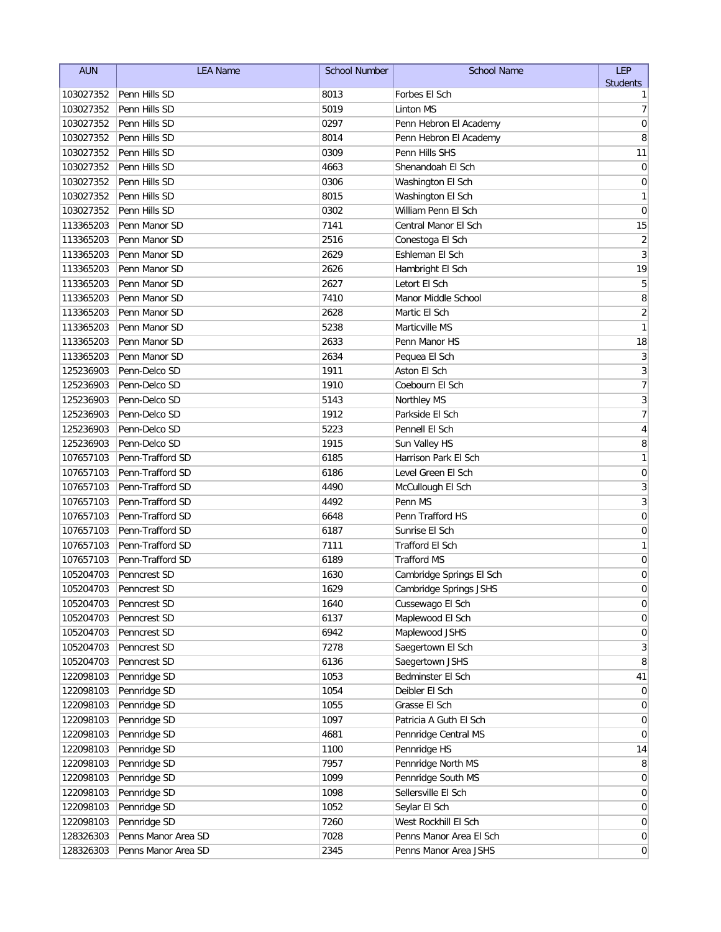| <b>AUN</b> | <b>LEA Name</b>     | <b>School Number</b> | <b>School Name</b>       | LEP                      |
|------------|---------------------|----------------------|--------------------------|--------------------------|
|            |                     |                      |                          | <b>Students</b>          |
| 103027352  | Penn Hills SD       | 8013                 | Forbes El Sch            | 1                        |
| 103027352  | Penn Hills SD       | 5019                 | <b>Linton MS</b>         | $\overline{7}$           |
| 103027352  | Penn Hills SD       | 0297                 | Penn Hebron El Academy   | $\mathbf 0$              |
| 103027352  | Penn Hills SD       | 8014                 | Penn Hebron El Academy   | 8                        |
| 103027352  | Penn Hills SD       | 0309                 | Penn Hills SHS           | 11                       |
| 103027352  | Penn Hills SD       | 4663                 | Shenandoah El Sch        | 0                        |
| 103027352  | Penn Hills SD       | 0306                 | Washington El Sch        | 0                        |
| 103027352  | Penn Hills SD       | 8015                 | Washington El Sch        | 1                        |
| 103027352  | Penn Hills SD       | 0302                 | William Penn El Sch      | $\mathbf 0$              |
| 113365203  | Penn Manor SD       | 7141                 | Central Manor El Sch     | 15                       |
| 113365203  | Penn Manor SD       | 2516                 | Conestoga El Sch         | $\overline{2}$           |
| 113365203  | Penn Manor SD       | 2629                 | Eshleman El Sch          | $\overline{3}$           |
| 113365203  | Penn Manor SD       | 2626                 | Hambright El Sch         | 19                       |
| 113365203  | Penn Manor SD       | 2627                 | Letort El Sch            | 5                        |
| 113365203  | Penn Manor SD       | 7410                 | Manor Middle School      | 8                        |
| 113365203  | Penn Manor SD       | 2628                 | Martic El Sch            | $\overline{c}$           |
| 113365203  | Penn Manor SD       | 5238                 | Marticville MS           | $\mathbf{1}$             |
| 113365203  | Penn Manor SD       | 2633                 | Penn Manor HS            | 18                       |
| 113365203  | Penn Manor SD       | 2634                 | Pequea El Sch            | 3                        |
| 125236903  | Penn-Delco SD       | 1911                 | Aston El Sch             | 3                        |
| 125236903  | Penn-Delco SD       | 1910                 | Coebourn El Sch          | $\overline{\mathcal{I}}$ |
| 125236903  | Penn-Delco SD       | 5143                 | <b>Northley MS</b>       | 3                        |
| 125236903  | Penn-Delco SD       | 1912                 | Parkside El Sch          | $\overline{7}$           |
| 125236903  | Penn-Delco SD       | 5223                 | Pennell El Sch           | 4                        |
| 125236903  | Penn-Delco SD       | 1915                 | Sun Valley HS            | 8                        |
| 107657103  | Penn-Trafford SD    | 6185                 | Harrison Park El Sch     | 1                        |
| 107657103  | Penn-Trafford SD    | 6186                 | Level Green El Sch       | $\mathbf 0$              |
| 107657103  | Penn-Trafford SD    | 4490                 | McCullough El Sch        | 3                        |
| 107657103  | Penn-Trafford SD    | 4492                 | Penn MS                  | $\overline{3}$           |
| 107657103  | Penn-Trafford SD    | 6648                 | Penn Trafford HS         | $\mathbf 0$              |
| 107657103  | Penn-Trafford SD    | 6187                 | Sunrise El Sch           | 0                        |
| 107657103  | Penn-Trafford SD    | 7111                 | <b>Trafford El Sch</b>   | 1                        |
|            | Penn-Trafford SD    |                      | <b>Trafford MS</b>       |                          |
| 107657103  |                     | 6189                 |                          | 0                        |
| 105204703  | Penncrest SD        | 1630                 | Cambridge Springs El Sch | 0<br>$\Omega$            |
| 105204703  | Penncrest SD        | 1629                 | Cambridge Springs JSHS   |                          |
| 105204703  | Penncrest SD        | 1640                 | Cussewago El Sch         | $\pmb{0}$                |
| 105204703  | Penncrest SD        | 6137                 | Maplewood El Sch         | $\boldsymbol{0}$         |
| 105204703  | Penncrest SD        | 6942                 | Maplewood JSHS           | 0                        |
| 105204703  | Penncrest SD        | 7278                 | Saegertown El Sch        | 3                        |
| 105204703  | Penncrest SD        | 6136                 | Saegertown JSHS          | 8                        |
| 122098103  | Pennridge SD        | 1053                 | Bedminster El Sch        | 41                       |
| 122098103  | Pennridge SD        | 1054                 | Deibler El Sch           | 0                        |
| 122098103  | Pennridge SD        | 1055                 | Grasse El Sch            | 0                        |
| 122098103  | Pennridge SD        | 1097                 | Patricia A Guth El Sch   | 0                        |
| 122098103  | Pennridge SD        | 4681                 | Pennridge Central MS     | 0                        |
| 122098103  | Pennridge SD        | 1100                 | Pennridge HS             | 14                       |
| 122098103  | Pennridge SD        | 7957                 | Pennridge North MS       | 8                        |
| 122098103  | Pennridge SD        | 1099                 | Pennridge South MS       | 0                        |
| 122098103  | Pennridge SD        | 1098                 | Sellersville El Sch      | $\boldsymbol{0}$         |
| 122098103  | Pennridge SD        | 1052                 | Seylar El Sch            | $\overline{0}$           |
| 122098103  | Pennridge SD        | 7260                 | West Rockhill El Sch     | $\boldsymbol{0}$         |
| 128326303  | Penns Manor Area SD | 7028                 | Penns Manor Area El Sch  | $\boldsymbol{0}$         |
| 128326303  | Penns Manor Area SD | 2345                 | Penns Manor Area JSHS    | $\overline{0}$           |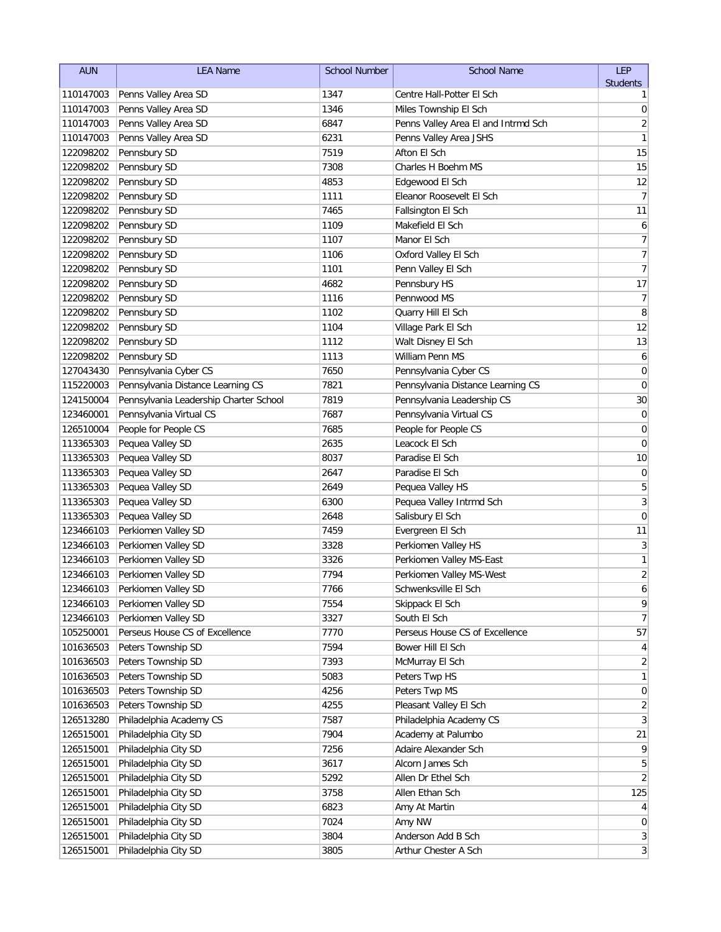| <b>AUN</b> | <b>LEA Name</b>                        | <b>School Number</b> | <b>School Name</b>                  | <b>LEP</b>                   |
|------------|----------------------------------------|----------------------|-------------------------------------|------------------------------|
|            |                                        |                      |                                     | <b>Students</b>              |
| 110147003  | Penns Valley Area SD                   | 1347                 | Centre Hall-Potter El Sch           | 1                            |
| 110147003  | Penns Valley Area SD                   | 1346                 | Miles Township El Sch               | 0                            |
| 110147003  | Penns Valley Area SD                   | 6847                 | Penns Valley Area El and Intrmd Sch | $\overline{2}$               |
| 110147003  | Penns Valley Area SD                   | 6231                 | Penns Valley Area JSHS              | 1                            |
| 122098202  | Pennsbury SD                           | 7519                 | Afton El Sch                        | 15                           |
| 122098202  | Pennsbury SD                           | 7308                 | Charles H Boehm MS                  | 15                           |
| 122098202  | Pennsbury SD                           | 4853                 | Edgewood El Sch                     | 12                           |
| 122098202  | Pennsbury SD                           | 1111                 | Eleanor Roosevelt El Sch            | 7                            |
| 122098202  | Pennsbury SD                           | 7465                 | Fallsington El Sch                  | 11                           |
| 122098202  | Pennsbury SD                           | 1109                 | Makefield El Sch                    | 6                            |
| 122098202  | Pennsbury SD                           | 1107                 | Manor El Sch                        | $\boldsymbol{7}$             |
| 122098202  | Pennsbury SD                           | 1106                 | Oxford Valley El Sch                | $\overline{7}$               |
| 122098202  | Pennsbury SD                           | 1101                 | Penn Valley El Sch                  | $\overline{7}$               |
| 122098202  | Pennsbury SD                           | 4682                 | Pennsbury HS                        | 17                           |
| 122098202  | Pennsbury SD                           | 1116                 | Pennwood MS                         | 7                            |
| 122098202  | Pennsbury SD                           | 1102                 | Quarry Hill El Sch                  | 8                            |
| 122098202  | Pennsbury SD                           | 1104                 | Village Park El Sch                 | 12                           |
| 122098202  | Pennsbury SD                           | 1112                 | Walt Disney El Sch                  | 13                           |
| 122098202  | Pennsbury SD                           | 1113                 | William Penn MS                     | 6                            |
| 127043430  | Pennsylvania Cyber CS                  | 7650                 | Pennsylvania Cyber CS               | 0                            |
| 115220003  | Pennsylvania Distance Learning CS      | 7821                 | Pennsylvania Distance Learning CS   | 0                            |
| 124150004  | Pennsylvania Leadership Charter School | 7819                 | Pennsylvania Leadership CS          | 30                           |
| 123460001  | Pennsylvania Virtual CS                | 7687                 | Pennsylvania Virtual CS             | $\mathbf 0$                  |
| 126510004  | People for People CS                   | 7685                 | People for People CS                | 0                            |
| 113365303  | Pequea Valley SD                       | 2635                 | Leacock El Sch                      | 0                            |
| 113365303  | Pequea Valley SD                       | 8037                 | Paradise El Sch                     | 10                           |
| 113365303  | Pequea Valley SD                       | 2647                 | Paradise El Sch                     | $\boldsymbol{0}$             |
| 113365303  | Pequea Valley SD                       | 2649                 | Pequea Valley HS                    | 5                            |
| 113365303  | Pequea Valley SD                       | 6300                 | Pequea Valley Intrmd Sch            | $\overline{3}$               |
| 113365303  | Pequea Valley SD                       | 2648                 | Salisbury El Sch                    | 0                            |
| 123466103  | Perkiomen Valley SD                    | 7459                 | Evergreen El Sch                    | 11                           |
| 123466103  | Perkiomen Valley SD                    | 3328                 | Perkiomen Valley HS                 | 3                            |
| 123466103  | Perkiomen Valley SD                    | 3326                 | Perkiomen Valley MS-East            | $\mathbf{1}$                 |
| 123466103  | Perkiomen Valley SD                    | 7794                 | Perkiomen Valley MS-West            | $\overline{2}$               |
| 123466103  | Perkiomen Valley SD                    | 7766                 | Schwenksville El Sch                | 6                            |
| 123466103  | Perkiomen Valley SD                    | 7554                 | Skippack El Sch                     | 9                            |
| 123466103  | Perkiomen Valley SD                    | 3327                 | South El Sch                        | $\overline{7}$               |
| 105250001  | Perseus House CS of Excellence         | 7770                 | Perseus House CS of Excellence      | 57                           |
| 101636503  | Peters Township SD                     | 7594                 | Bower Hill El Sch                   | 4                            |
| 101636503  | Peters Township SD                     | 7393                 | McMurray El Sch                     | 2                            |
| 101636503  | Peters Township SD                     | 5083                 | Peters Twp HS                       | 1                            |
| 101636503  | Peters Township SD                     | 4256                 | Peters Twp MS                       | 0                            |
| 101636503  | Peters Township SD                     | 4255                 | Pleasant Valley El Sch              | $\overline{2}$               |
| 126513280  | Philadelphia Academy CS                | 7587                 | Philadelphia Academy CS             | 3                            |
| 126515001  | Philadelphia City SD                   | 7904                 | Academy at Palumbo                  | 21                           |
| 126515001  | Philadelphia City SD                   | 7256                 | Adaire Alexander Sch                | 9                            |
| 126515001  | Philadelphia City SD                   | 3617                 | Alcorn James Sch                    | 5                            |
| 126515001  | Philadelphia City SD                   | 5292                 | Allen Dr Ethel Sch                  | 2                            |
| 126515001  | Philadelphia City SD                   | 3758                 | Allen Ethan Sch                     | 125                          |
| 126515001  | Philadelphia City SD                   | 6823                 | Amy At Martin                       | $\vert 4 \vert$              |
| 126515001  | Philadelphia City SD                   | 7024                 | Amy NW                              | $\overline{0}$               |
| 126515001  | Philadelphia City SD                   | 3804                 | Anderson Add B Sch                  | 3 <sup>1</sup>               |
| 126515001  | Philadelphia City SD                   | 3805                 | Arthur Chester A Sch                | $\left  \frac{3}{2} \right $ |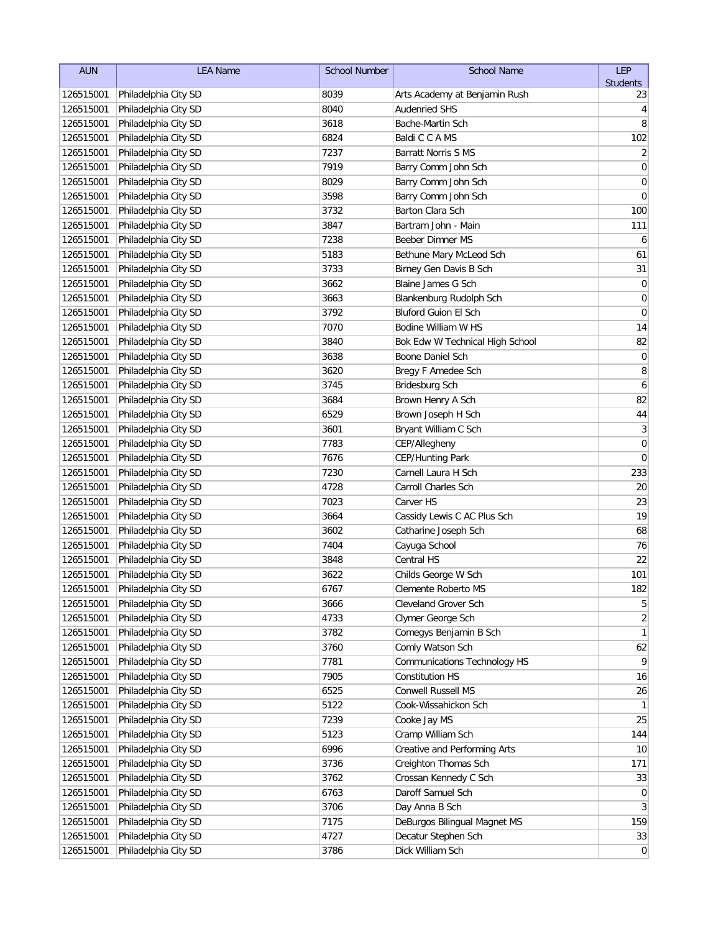| <b>AUN</b> | <b>LEA Name</b>                | <b>School Number</b> | <b>School Name</b>              | LEP             |
|------------|--------------------------------|----------------------|---------------------------------|-----------------|
|            |                                |                      |                                 | <b>Students</b> |
| 126515001  | Philadelphia City SD           | 8039                 | Arts Academy at Benjamin Rush   | 23              |
| 126515001  | Philadelphia City SD           | 8040                 | <b>Audenried SHS</b>            | 4               |
| 126515001  | Philadelphia City SD           | 3618                 | Bache-Martin Sch                | 8               |
| 126515001  | Philadelphia City SD           | 6824                 | Baldi C C A MS                  | 102             |
| 126515001  | Philadelphia City SD           | 7237                 | <b>Barratt Norris S MS</b>      | 2               |
| 126515001  | Philadelphia City SD           | 7919                 | Barry Comm John Sch             | 0               |
| 126515001  | Philadelphia City SD           | 8029                 | Barry Comm John Sch             | $\mathbf 0$     |
| 126515001  | Philadelphia City SD           | 3598                 | Barry Comm John Sch             | 0               |
| 126515001  | Philadelphia City SD           | 3732                 | Barton Clara Sch                | 100             |
| 126515001  | Philadelphia City SD           | 3847                 | Bartram John - Main             | 111             |
| 126515001  | Philadelphia City SD           | 7238                 | Beeber Dimner MS                | 6               |
| 126515001  | Philadelphia City SD           | 5183                 | Bethune Mary McLeod Sch         | 61              |
| 126515001  | Philadelphia City SD           | 3733                 | Birney Gen Davis B Sch          | 31              |
| 126515001  | Philadelphia City SD           | 3662                 | Blaine James G Sch              | $\mathbf 0$     |
| 126515001  | Philadelphia City SD           | 3663                 | Blankenburg Rudolph Sch         | 0               |
| 126515001  | Philadelphia City SD           | 3792                 | Bluford Guion El Sch            | $\mathbf 0$     |
| 126515001  | Philadelphia City SD           | 7070                 | Bodine William W HS             | 14              |
| 126515001  | Philadelphia City SD           | 3840                 | Bok Edw W Technical High School | 82              |
| 126515001  | Philadelphia City SD           | 3638                 | Boone Daniel Sch                | 0               |
| 126515001  | Philadelphia City SD           | 3620                 | Bregy F Amedee Sch              | 8               |
| 126515001  | Philadelphia City SD           | 3745                 | Bridesburg Sch                  | 6               |
| 126515001  | Philadelphia City SD           | 3684                 | Brown Henry A Sch               | 82              |
| 126515001  | Philadelphia City SD           | 6529                 | Brown Joseph H Sch              | 44              |
| 126515001  | Philadelphia City SD           | 3601                 | Bryant William C Sch            | 3               |
| 126515001  | Philadelphia City SD           | 7783                 | CEP/Allegheny                   | $\mathbf 0$     |
| 126515001  | Philadelphia City SD           | 7676                 | CEP/Hunting Park                | $\mathbf 0$     |
| 126515001  | Philadelphia City SD           | 7230                 | Carnell Laura H Sch             | 233             |
| 126515001  | Philadelphia City SD           | 4728                 | Carroll Charles Sch             | 20              |
| 126515001  | Philadelphia City SD           | 7023                 | Carver HS                       | 23              |
| 126515001  | Philadelphia City SD           | 3664                 | Cassidy Lewis C AC Plus Sch     | 19              |
| 126515001  | Philadelphia City SD           | 3602                 | Catharine Joseph Sch            | 68              |
| 126515001  | Philadelphia City SD           | 7404                 | Cayuga School                   | 76              |
| 126515001  | Philadelphia City SD           | 3848                 | Central HS                      | 22              |
| 126515001  | Philadelphia City SD           | 3622                 | Childs George W Sch             | 101             |
|            | 126515001 Philadelphia City SD | 6767                 | Clemente Roberto MS             | 182             |
| 126515001  | Philadelphia City SD           | 3666                 | Cleveland Grover Sch            | 5               |
| 126515001  | Philadelphia City SD           | 4733                 | Clymer George Sch               | 2               |
| 126515001  | Philadelphia City SD           | 3782                 | Comegys Benjamin B Sch          | 1               |
| 126515001  | Philadelphia City SD           | 3760                 | Comly Watson Sch                | 62              |
| 126515001  | Philadelphia City SD           | 7781                 | Communications Technology HS    | 9               |
| 126515001  | Philadelphia City SD           | 7905                 | <b>Constitution HS</b>          | 16              |
| 126515001  | Philadelphia City SD           | 6525                 | Conwell Russell MS              | 26              |
| 126515001  | Philadelphia City SD           | 5122                 | Cook-Wissahickon Sch            | -1              |
| 126515001  | Philadelphia City SD           | 7239                 | Cooke Jay MS                    | 25              |
| 126515001  | Philadelphia City SD           | 5123                 | Cramp William Sch               | 144             |
| 126515001  | Philadelphia City SD           | 6996                 | Creative and Performing Arts    | 10              |
| 126515001  | Philadelphia City SD           | 3736                 | Creighton Thomas Sch            | 171             |
| 126515001  | Philadelphia City SD           | 3762                 | Crossan Kennedy C Sch           | 33              |
| 126515001  | Philadelphia City SD           | 6763                 | Daroff Samuel Sch               | $\mathbf 0$     |
| 126515001  | Philadelphia City SD           | 3706                 | Day Anna B Sch                  | 3               |
| 126515001  | Philadelphia City SD           | 7175                 | DeBurgos Bilingual Magnet MS    | 159             |
| 126515001  | Philadelphia City SD           | 4727                 | Decatur Stephen Sch             | 33              |
| 126515001  | Philadelphia City SD           | 3786                 | Dick William Sch                | $\overline{0}$  |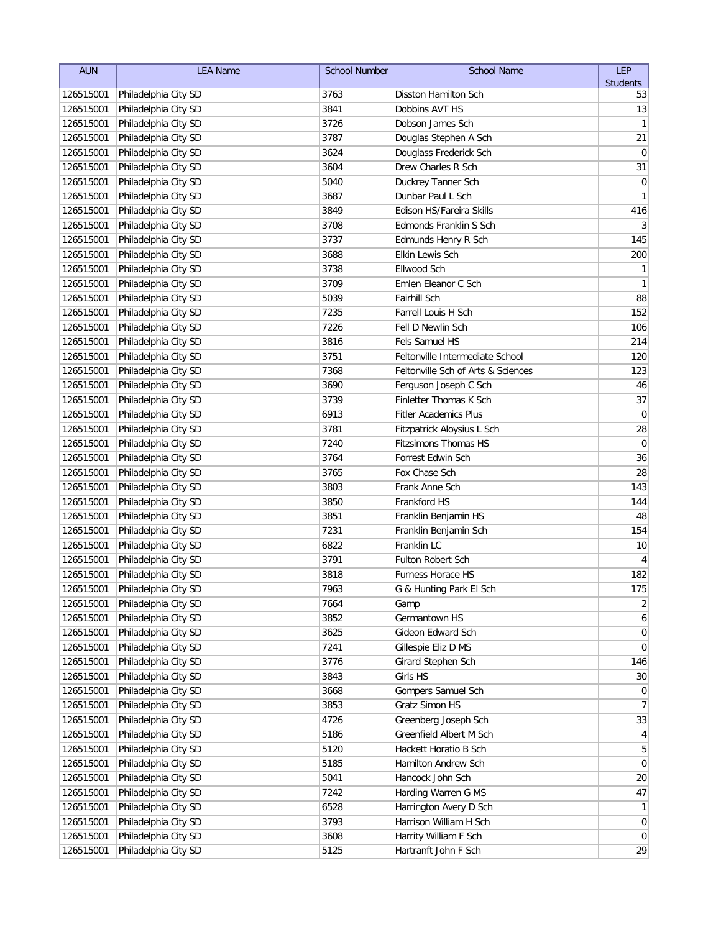| <b>AUN</b> | <b>LEA Name</b>                | <b>School Number</b> | <b>School Name</b>                 | LEP              |
|------------|--------------------------------|----------------------|------------------------------------|------------------|
|            |                                |                      |                                    | <b>Students</b>  |
| 126515001  | Philadelphia City SD           | 3763                 | Disston Hamilton Sch               | 53               |
| 126515001  | Philadelphia City SD           | 3841                 | Dobbins AVT HS                     | 13               |
| 126515001  | Philadelphia City SD           | 3726                 | Dobson James Sch                   | 1                |
| 126515001  | Philadelphia City SD           | 3787                 | Douglas Stephen A Sch              | 21               |
| 126515001  | Philadelphia City SD           | 3624                 | Douglass Frederick Sch             | $\mathbf 0$      |
| 126515001  | Philadelphia City SD           | 3604                 | Drew Charles R Sch                 | 31               |
| 126515001  | Philadelphia City SD           | 5040                 | Duckrey Tanner Sch                 | 0                |
| 126515001  | Philadelphia City SD           | 3687                 | Dunbar Paul L Sch                  | $\mathbf{1}$     |
| 126515001  | Philadelphia City SD           | 3849                 | Edison HS/Fareira Skills           | 416              |
| 126515001  | Philadelphia City SD           | 3708                 | Edmonds Franklin S Sch             | 3                |
| 126515001  | Philadelphia City SD           | 3737                 | Edmunds Henry R Sch                | 145              |
| 126515001  | Philadelphia City SD           | 3688                 | Elkin Lewis Sch                    | 200              |
| 126515001  | Philadelphia City SD           | 3738                 | Ellwood Sch                        | $\mathbf{1}$     |
| 126515001  | Philadelphia City SD           | 3709                 | Emlen Eleanor C Sch                | $\mathbf{1}$     |
| 126515001  | Philadelphia City SD           | 5039                 | Fairhill Sch                       | 88               |
| 126515001  | Philadelphia City SD           | 7235                 | Farrell Louis H Sch                | 152              |
| 126515001  | Philadelphia City SD           | 7226                 | Fell D Newlin Sch                  | 106              |
| 126515001  | Philadelphia City SD           | 3816                 | Fels Samuel HS                     | 214              |
| 126515001  | Philadelphia City SD           | 3751                 | Feltonville Intermediate School    | 120              |
| 126515001  | Philadelphia City SD           | 7368                 | Feltonville Sch of Arts & Sciences | 123              |
| 126515001  | Philadelphia City SD           | 3690                 | Ferguson Joseph C Sch              | 46               |
| 126515001  | Philadelphia City SD           | 3739                 | Finletter Thomas K Sch             | 37               |
| 126515001  | Philadelphia City SD           | 6913                 | <b>Fitler Academics Plus</b>       | $\mathbf 0$      |
| 126515001  | Philadelphia City SD           | 3781                 | Fitzpatrick Aloysius L Sch         | 28               |
| 126515001  | Philadelphia City SD           | 7240                 | <b>Fitzsimons Thomas HS</b>        | $\mathbf 0$      |
| 126515001  | Philadelphia City SD           | 3764                 | Forrest Edwin Sch                  | 36               |
| 126515001  | Philadelphia City SD           | 3765                 | Fox Chase Sch                      | 28               |
| 126515001  | Philadelphia City SD           | 3803                 | Frank Anne Sch                     | 143              |
| 126515001  | Philadelphia City SD           | 3850                 | Frankford HS                       | 144              |
| 126515001  | Philadelphia City SD           | 3851                 | Franklin Benjamin HS               | 48               |
| 126515001  | Philadelphia City SD           | 7231                 | Franklin Benjamin Sch              | 154              |
| 126515001  | Philadelphia City SD           | 6822                 | Franklin LC                        | 10               |
| 126515001  | Philadelphia City SD           | 3791                 | <b>Fulton Robert Sch</b>           | $\overline{4}$   |
| 126515001  | Philadelphia City SD           | 3818                 | Furness Horace HS                  | 182              |
|            | 126515001 Philadelphia City SD | 7963                 | G & Hunting Park El Sch            | 175              |
| 126515001  | Philadelphia City SD           | 7664                 | Gamp                               | $\overline{2}$   |
| 126515001  | Philadelphia City SD           | 3852                 | Germantown HS                      | 6                |
| 126515001  | Philadelphia City SD           | 3625                 | Gideon Edward Sch                  | $\boldsymbol{0}$ |
| 126515001  | Philadelphia City SD           | 7241                 | Gillespie Eliz D MS                | $\overline{0}$   |
| 126515001  | Philadelphia City SD           | 3776                 | Girard Stephen Sch                 | 146              |
| 126515001  | Philadelphia City SD           | 3843                 | Girls HS                           | 30               |
| 126515001  | Philadelphia City SD           | 3668                 | Gompers Samuel Sch                 | $\overline{0}$   |
| 126515001  | Philadelphia City SD           | 3853                 | Gratz Simon HS                     | $\overline{7}$   |
| 126515001  | Philadelphia City SD           | 4726                 | Greenberg Joseph Sch               | 33               |
| 126515001  | Philadelphia City SD           | 5186                 | Greenfield Albert M Sch            | $\overline{4}$   |
| 126515001  | Philadelphia City SD           | 5120                 | Hackett Horatio B Sch              | 5                |
| 126515001  | Philadelphia City SD           | 5185                 | Hamilton Andrew Sch                | $\mathbf 0$      |
| 126515001  | Philadelphia City SD           | 5041                 | Hancock John Sch                   | 20               |
| 126515001  | Philadelphia City SD           | 7242                 | Harding Warren G MS                | 47               |
| 126515001  | Philadelphia City SD           | 6528                 | Harrington Avery D Sch             | 1                |
| 126515001  | Philadelphia City SD           | 3793                 | Harrison William H Sch             | $\pmb{0}$        |
| 126515001  | Philadelphia City SD           | 3608                 | Harrity William F Sch              | $\overline{0}$   |
| 126515001  | Philadelphia City SD           | 5125                 | Hartranft John F Sch               | 29               |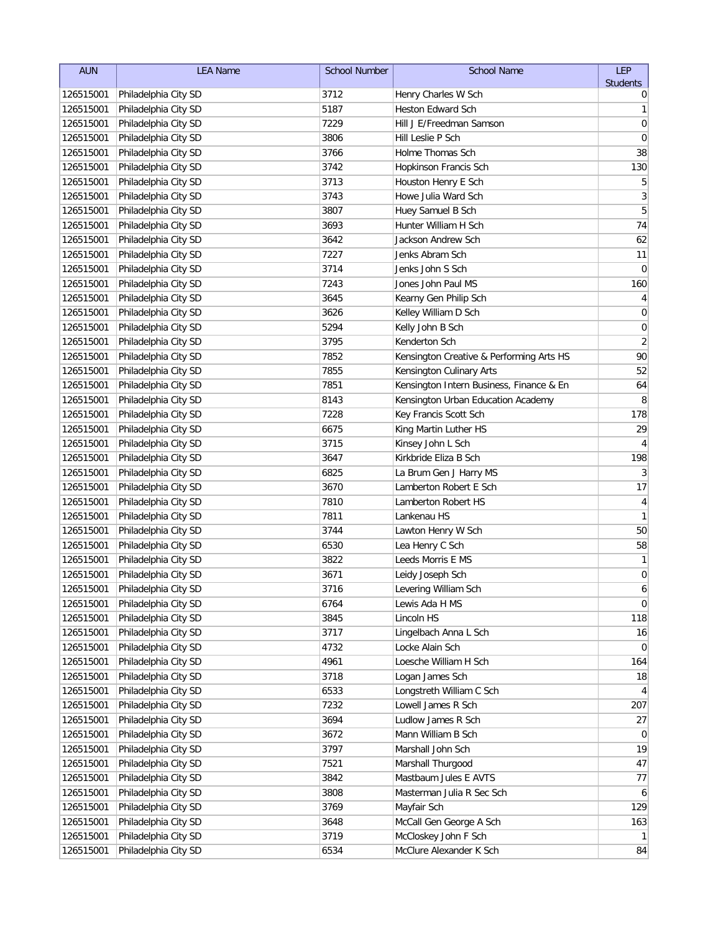| <b>AUN</b> | <b>LEA Name</b>                | <b>School Number</b> | <b>School Name</b>                       | LEP             |
|------------|--------------------------------|----------------------|------------------------------------------|-----------------|
|            |                                |                      |                                          | <b>Students</b> |
| 126515001  | Philadelphia City SD           | 3712                 | Henry Charles W Sch                      | 0               |
| 126515001  | Philadelphia City SD           | 5187                 | Heston Edward Sch                        | 1               |
| 126515001  | Philadelphia City SD           | 7229                 | Hill J E/Freedman Samson                 | $\mathbf 0$     |
| 126515001  | Philadelphia City SD           | 3806                 | Hill Leslie P Sch                        | 0               |
| 126515001  | Philadelphia City SD           | 3766                 | Holme Thomas Sch                         | 38              |
| 126515001  | Philadelphia City SD           | 3742                 | Hopkinson Francis Sch                    | 130             |
| 126515001  | Philadelphia City SD           | 3713                 | Houston Henry E Sch                      | 5               |
| 126515001  | Philadelphia City SD           | 3743                 | Howe Julia Ward Sch                      | 3               |
| 126515001  | Philadelphia City SD           | 3807                 | Huey Samuel B Sch                        | 5               |
| 126515001  | Philadelphia City SD           | 3693                 | Hunter William H Sch                     | 74              |
| 126515001  | Philadelphia City SD           | 3642                 | Jackson Andrew Sch                       | 62              |
| 126515001  | Philadelphia City SD           | 7227                 | Jenks Abram Sch                          | 11              |
| 126515001  | Philadelphia City SD           | 3714                 | Jenks John S Sch                         | $\mathbf 0$     |
| 126515001  | Philadelphia City SD           | 7243                 | Jones John Paul MS                       | 160             |
| 126515001  | Philadelphia City SD           | 3645                 | Kearny Gen Philip Sch                    | 4               |
| 126515001  | Philadelphia City SD           | 3626                 | Kelley William D Sch                     | $\pmb{0}$       |
| 126515001  | Philadelphia City SD           | 5294                 | Kelly John B Sch                         | $\pmb{0}$       |
| 126515001  | Philadelphia City SD           | 3795                 | Kenderton Sch                            | $\overline{2}$  |
| 126515001  | Philadelphia City SD           | 7852                 | Kensington Creative & Performing Arts HS | 90              |
| 126515001  | Philadelphia City SD           | 7855                 | Kensington Culinary Arts                 | 52              |
| 126515001  | Philadelphia City SD           | 7851                 | Kensington Intern Business, Finance & En | 64              |
| 126515001  | Philadelphia City SD           | 8143                 | Kensington Urban Education Academy       | 8               |
| 126515001  | Philadelphia City SD           | 7228                 | Key Francis Scott Sch                    | 178             |
| 126515001  | Philadelphia City SD           | 6675                 | King Martin Luther HS                    | 29              |
| 126515001  | Philadelphia City SD           | 3715                 | Kinsey John L Sch                        | 4               |
| 126515001  | Philadelphia City SD           | 3647                 | Kirkbride Eliza B Sch                    | 198             |
| 126515001  | Philadelphia City SD           | 6825                 | La Brum Gen J Harry MS                   | 3               |
| 126515001  | Philadelphia City SD           | 3670                 | Lamberton Robert E Sch                   | $17$            |
| 126515001  | Philadelphia City SD           | 7810                 | Lamberton Robert HS                      | $\overline{4}$  |
| 126515001  | Philadelphia City SD           | 7811                 | Lankenau HS                              | $\mathbf{1}$    |
| 126515001  | Philadelphia City SD           | 3744                 | Lawton Henry W Sch                       | 50              |
| 126515001  | Philadelphia City SD           | 6530                 | Lea Henry C Sch                          | 58              |
| 126515001  | Philadelphia City SD           | 3822                 | Leeds Morris E MS                        | $\mathbf{1}$    |
| 126515001  | Philadelphia City SD           | 3671                 | Leidy Joseph Sch                         | $\pmb{0}$       |
|            | 126515001 Philadelphia City SD | 3716                 | Levering William Sch                     | 6               |
| 126515001  | Philadelphia City SD           | 6764                 | Lewis Ada H MS                           | $\overline{0}$  |
| 126515001  | Philadelphia City SD           | 3845                 | Lincoln HS                               | 118             |
| 126515001  | Philadelphia City SD           | 3717                 | Lingelbach Anna L Sch                    | 16              |
| 126515001  | Philadelphia City SD           | 4732                 | Locke Alain Sch                          | $\overline{0}$  |
| 126515001  | Philadelphia City SD           | 4961                 | Loesche William H Sch                    | 164             |
| 126515001  | Philadelphia City SD           | 3718                 | Logan James Sch                          | 18              |
| 126515001  | Philadelphia City SD           | 6533                 | Longstreth William C Sch                 | $\overline{4}$  |
| 126515001  | Philadelphia City SD           | 7232                 | Lowell James R Sch                       | 207             |
| 126515001  | Philadelphia City SD           | 3694                 | Ludlow James R Sch                       | 27              |
| 126515001  | Philadelphia City SD           | 3672                 | Mann William B Sch                       | $\overline{0}$  |
| 126515001  | Philadelphia City SD           | 3797                 | Marshall John Sch                        | 19              |
| 126515001  | Philadelphia City SD           | 7521                 | Marshall Thurgood                        | 47              |
| 126515001  | Philadelphia City SD           | 3842                 | Mastbaum Jules E AVTS                    | 77              |
| 126515001  | Philadelphia City SD           | 3808                 | Masterman Julia R Sec Sch                | 6               |
| 126515001  | Philadelphia City SD           | 3769                 | Mayfair Sch                              | 129             |
| 126515001  | Philadelphia City SD           | 3648                 | McCall Gen George A Sch                  | 163             |
| 126515001  | Philadelphia City SD           | 3719                 | McCloskey John F Sch                     | 1               |
| 126515001  | Philadelphia City SD           | 6534                 | McClure Alexander K Sch                  | 84              |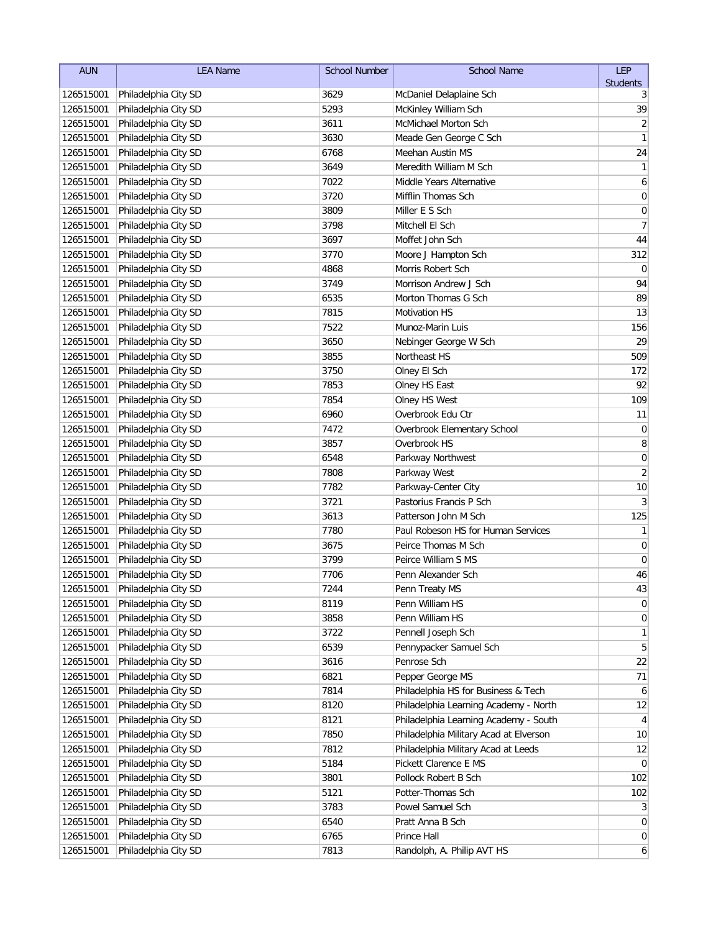| <b>AUN</b> | <b>LEA Name</b>                | <b>School Number</b> | <b>School Name</b>                     | LEP              |
|------------|--------------------------------|----------------------|----------------------------------------|------------------|
|            |                                |                      |                                        | <b>Students</b>  |
| 126515001  | Philadelphia City SD           | 3629                 | McDaniel Delaplaine Sch                | 3                |
| 126515001  | Philadelphia City SD           | 5293                 | McKinley William Sch                   | 39               |
| 126515001  | Philadelphia City SD           | 3611                 | <b>McMichael Morton Sch</b>            | $\overline{2}$   |
| 126515001  | Philadelphia City SD           | 3630                 | Meade Gen George C Sch                 | 1                |
| 126515001  | Philadelphia City SD           | 6768                 | Meehan Austin MS                       | 24               |
| 126515001  | Philadelphia City SD           | 3649                 | Meredith William M Sch                 | 1                |
| 126515001  | Philadelphia City SD           | 7022                 | Middle Years Alternative               | 6                |
| 126515001  | Philadelphia City SD           | 3720                 | Mifflin Thomas Sch                     | 0                |
| 126515001  | Philadelphia City SD           | 3809                 | Miller E S Sch                         | $\mathbf 0$      |
| 126515001  | Philadelphia City SD           | 3798                 | Mitchell El Sch                        | $\overline{7}$   |
| 126515001  | Philadelphia City SD           | 3697                 | Moffet John Sch                        | 44               |
| 126515001  | Philadelphia City SD           | 3770                 | Moore J Hampton Sch                    | 312              |
| 126515001  | Philadelphia City SD           | 4868                 | Morris Robert Sch                      | $\mathbf 0$      |
| 126515001  | Philadelphia City SD           | 3749                 | Morrison Andrew J Sch                  | 94               |
| 126515001  | Philadelphia City SD           | 6535                 | Morton Thomas G Sch                    | 89               |
| 126515001  | Philadelphia City SD           | 7815                 | Motivation HS                          | 13               |
| 126515001  | Philadelphia City SD           | 7522                 | Munoz-Marin Luis                       | 156              |
| 126515001  | Philadelphia City SD           | 3650                 | Nebinger George W Sch                  | 29               |
| 126515001  | Philadelphia City SD           | 3855                 | Northeast HS                           | 509              |
| 126515001  | Philadelphia City SD           | 3750                 | Olney El Sch                           | 172              |
| 126515001  | Philadelphia City SD           | 7853                 | Olney HS East                          | 92               |
| 126515001  | Philadelphia City SD           | 7854                 | Olney HS West                          | 109              |
| 126515001  | Philadelphia City SD           | 6960                 | Overbrook Edu Ctr                      | 11               |
| 126515001  | Philadelphia City SD           | 7472                 | Overbrook Elementary School            | $\boldsymbol{0}$ |
| 126515001  | Philadelphia City SD           | 3857                 | Overbrook HS                           | 8                |
| 126515001  | Philadelphia City SD           | 6548                 | Parkway Northwest                      | $\mathbf 0$      |
| 126515001  | Philadelphia City SD           | 7808                 | Parkway West                           | $\sqrt{2}$       |
| 126515001  | Philadelphia City SD           | 7782                 | Parkway-Center City                    | 10               |
| 126515001  | Philadelphia City SD           | 3721                 | Pastorius Francis P Sch                | 3                |
| 126515001  | Philadelphia City SD           | 3613                 | Patterson John M Sch                   | 125              |
| 126515001  | Philadelphia City SD           | 7780                 | Paul Robeson HS for Human Services     | $\mathbf{1}$     |
| 126515001  | Philadelphia City SD           | 3675                 | Peirce Thomas M Sch                    | 0                |
| 126515001  | Philadelphia City SD           | 3799                 | Peirce William S MS                    | $\mathbf 0$      |
| 126515001  | Philadelphia City SD           | 7706                 | Penn Alexander Sch                     | 46               |
|            | 126515001 Philadelphia City SD | 7244                 | Penn Treaty MS                         | 43               |
| 126515001  | Philadelphia City SD           | 8119                 | Penn William HS                        | $\boldsymbol{0}$ |
| 126515001  | Philadelphia City SD           | 3858                 | Penn William HS                        | $\boldsymbol{0}$ |
| 126515001  | Philadelphia City SD           | 3722                 | Pennell Joseph Sch                     | 1                |
| 126515001  | Philadelphia City SD           | 6539                 | Pennypacker Samuel Sch                 | 5                |
| 126515001  | Philadelphia City SD           | 3616                 | Penrose Sch                            | 22               |
| 126515001  | Philadelphia City SD           | 6821                 | Pepper George MS                       | 71               |
| 126515001  | Philadelphia City SD           | 7814                 | Philadelphia HS for Business & Tech    | 6                |
| 126515001  | Philadelphia City SD           | 8120                 | Philadelphia Learning Academy - North  | 12               |
| 126515001  | Philadelphia City SD           | 8121                 | Philadelphia Learning Academy - South  | 4                |
| 126515001  | Philadelphia City SD           | 7850                 | Philadelphia Military Acad at Elverson | 10               |
| 126515001  | Philadelphia City SD           | 7812                 | Philadelphia Military Acad at Leeds    | 12               |
| 126515001  | Philadelphia City SD           | 5184                 | Pickett Clarence E MS                  | $\mathbf 0$      |
| 126515001  | Philadelphia City SD           | 3801                 | Pollock Robert B Sch                   | 102              |
| 126515001  | Philadelphia City SD           | 5121                 | Potter-Thomas Sch                      | 102              |
| 126515001  | Philadelphia City SD           | 3783                 | Powel Samuel Sch                       | $\mathbf{3}$     |
| 126515001  | Philadelphia City SD           | 6540                 | Pratt Anna B Sch                       | $\overline{0}$   |
| 126515001  | Philadelphia City SD           | 6765                 | Prince Hall                            | $\boldsymbol{0}$ |
| 126515001  | Philadelphia City SD           | 7813                 | Randolph, A. Philip AVT HS             | $\mathbf{6}$     |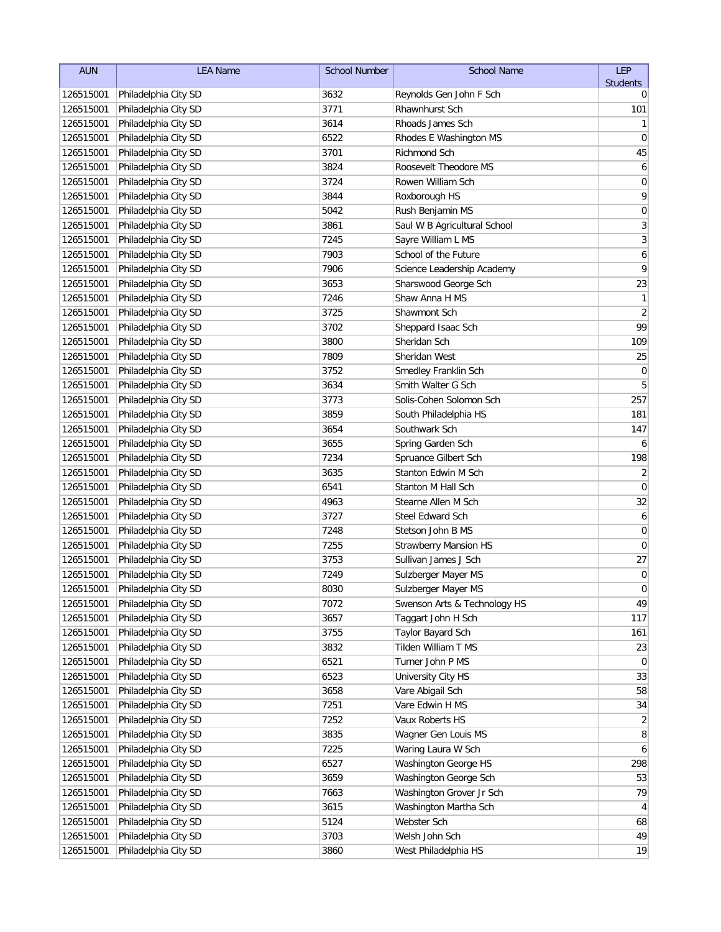| <b>AUN</b> | <b>LEA Name</b>                | <b>School Number</b> | <b>School Name</b>           | LEP             |
|------------|--------------------------------|----------------------|------------------------------|-----------------|
|            |                                |                      |                              | <b>Students</b> |
| 126515001  | Philadelphia City SD           | 3632                 | Reynolds Gen John F Sch      | 0               |
| 126515001  | Philadelphia City SD           | 3771                 | Rhawnhurst Sch               | 101             |
| 126515001  | Philadelphia City SD           | 3614                 | Rhoads James Sch             | 1               |
| 126515001  | Philadelphia City SD           | 6522                 | Rhodes E Washington MS       | $\mathbf 0$     |
| 126515001  | Philadelphia City SD           | 3701                 | Richmond Sch                 | 45              |
| 126515001  | Philadelphia City SD           | 3824                 | Roosevelt Theodore MS        | 6               |
| 126515001  | Philadelphia City SD           | 3724                 | Rowen William Sch            | 0               |
| 126515001  | Philadelphia City SD           | 3844                 | Roxborough HS                | 9               |
| 126515001  | Philadelphia City SD           | 5042                 | Rush Benjamin MS             | $\pmb{0}$       |
| 126515001  | Philadelphia City SD           | 3861                 | Saul W B Agricultural School | 3               |
| 126515001  | Philadelphia City SD           | 7245                 | Sayre William L MS           | $\overline{3}$  |
| 126515001  | Philadelphia City SD           | 7903                 | School of the Future         | $\overline{6}$  |
| 126515001  | Philadelphia City SD           | 7906                 | Science Leadership Academy   | 9               |
| 126515001  | Philadelphia City SD           | 3653                 | Sharswood George Sch         | 23              |
| 126515001  | Philadelphia City SD           | 7246                 | Shaw Anna H MS               | $\mathbf{1}$    |
| 126515001  | Philadelphia City SD           | 3725                 | Shawmont Sch                 | $\overline{2}$  |
| 126515001  | Philadelphia City SD           | 3702                 | Sheppard Isaac Sch           | 99              |
| 126515001  | Philadelphia City SD           | 3800                 | Sheridan Sch                 | 109             |
| 126515001  | Philadelphia City SD           | 7809                 | Sheridan West                | 25              |
| 126515001  | Philadelphia City SD           | 3752                 | Smedley Franklin Sch         | $\mathbf 0$     |
| 126515001  | Philadelphia City SD           | 3634                 | Smith Walter G Sch           | 5               |
| 126515001  | Philadelphia City SD           | 3773                 | Solis-Cohen Solomon Sch      | 257             |
| 126515001  | Philadelphia City SD           | 3859                 | South Philadelphia HS        | 181             |
| 126515001  | Philadelphia City SD           | 3654                 | Southwark Sch                | 147             |
| 126515001  | Philadelphia City SD           | 3655                 | Spring Garden Sch            | 6               |
| 126515001  | Philadelphia City SD           | 7234                 | Spruance Gilbert Sch         | 198             |
| 126515001  | Philadelphia City SD           | 3635                 | Stanton Edwin M Sch          | $\overline{2}$  |
| 126515001  | Philadelphia City SD           | 6541                 | Stanton M Hall Sch           | $\mathbf 0$     |
| 126515001  | Philadelphia City SD           | 4963                 | Stearne Allen M Sch          | 32              |
| 126515001  | Philadelphia City SD           | 3727                 | Steel Edward Sch             | 6               |
| 126515001  | Philadelphia City SD           | 7248                 | Stetson John B MS            | $\mathbf 0$     |
| 126515001  | Philadelphia City SD           | 7255                 | <b>Strawberry Mansion HS</b> | 0               |
| 126515001  | Philadelphia City SD           | 3753                 | Sullivan James J Sch         | 27              |
| 126515001  | Philadelphia City SD           | 7249                 | Sulzberger Mayer MS          | $\pmb{0}$       |
|            | 126515001 Philadelphia City SD | 8030                 | Sulzberger Mayer MS          | $\Omega$        |
| 126515001  | Philadelphia City SD           | 7072                 | Swenson Arts & Technology HS | 49              |
| 126515001  | Philadelphia City SD           | 3657                 | Taggart John H Sch           | 117             |
| 126515001  | Philadelphia City SD           | 3755                 | Taylor Bayard Sch            | 161             |
| 126515001  | Philadelphia City SD           | 3832                 | Tilden William T MS          | 23              |
| 126515001  | Philadelphia City SD           | 6521                 | Turner John P MS             | 0               |
| 126515001  | Philadelphia City SD           | 6523                 | University City HS           | 33              |
| 126515001  | Philadelphia City SD           | 3658                 | Vare Abigail Sch             | 58              |
| 126515001  | Philadelphia City SD           | 7251                 | Vare Edwin H MS              | 34              |
| 126515001  | Philadelphia City SD           | 7252                 | Vaux Roberts HS              | $\overline{2}$  |
| 126515001  | Philadelphia City SD           | 3835                 | Wagner Gen Louis MS          | 8               |
| 126515001  | Philadelphia City SD           | 7225                 | Waring Laura W Sch           | 6               |
| 126515001  | Philadelphia City SD           | 6527                 | Washington George HS         | 298             |
| 126515001  | Philadelphia City SD           | 3659                 | Washington George Sch        | 53              |
| 126515001  | Philadelphia City SD           | 7663                 | Washington Grover Jr Sch     | 79              |
| 126515001  | Philadelphia City SD           | 3615                 | Washington Martha Sch        | 4               |
| 126515001  | Philadelphia City SD           | 5124                 | Webster Sch                  | 68              |
| 126515001  | Philadelphia City SD           | 3703                 | Welsh John Sch               | 49              |
| 126515001  | Philadelphia City SD           | 3860                 | West Philadelphia HS         | 19              |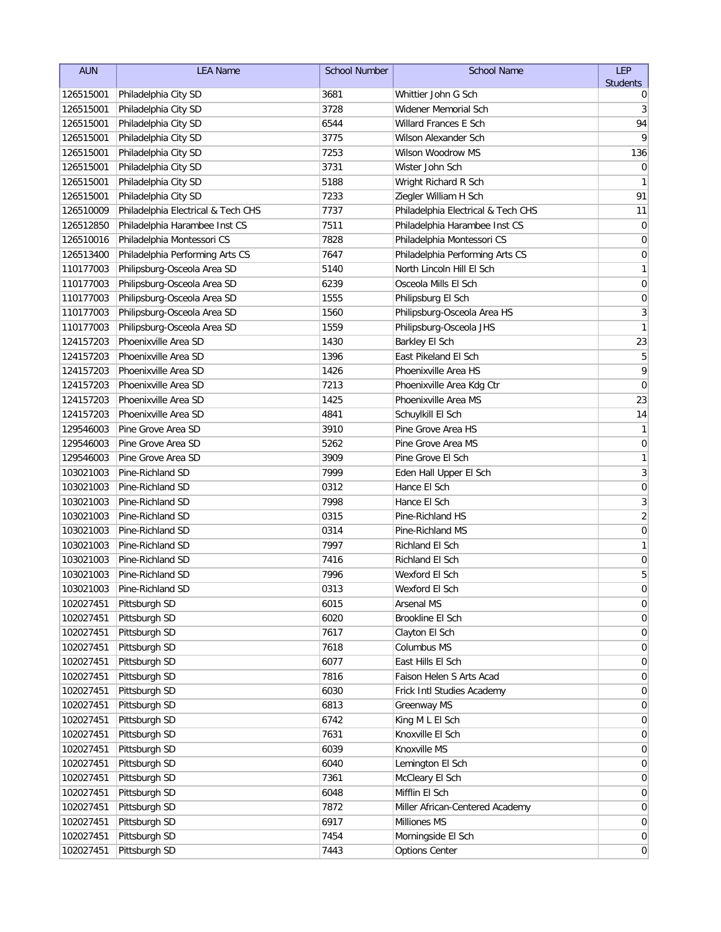| <b>AUN</b>             | <b>LEA Name</b>                      | School Number | <b>School Name</b>                                   | LEP                              |
|------------------------|--------------------------------------|---------------|------------------------------------------------------|----------------------------------|
|                        |                                      |               |                                                      | <b>Students</b>                  |
| 126515001              | Philadelphia City SD                 | 3681<br>3728  | Whittier John G Sch                                  | 0                                |
| 126515001              | Philadelphia City SD                 |               | Widener Memorial Sch<br><b>Willard Frances E Sch</b> | 3                                |
| 126515001              | Philadelphia City SD                 | 6544          | <b>Wilson Alexander Sch</b>                          | 94<br>9                          |
| 126515001              | Philadelphia City SD                 | 3775          | Wilson Woodrow MS                                    |                                  |
| 126515001              | Philadelphia City SD                 | 7253          |                                                      | 136                              |
| 126515001              | Philadelphia City SD                 | 3731          | Wister John Sch                                      | 0                                |
| 126515001              | Philadelphia City SD                 | 5188          | Wright Richard R Sch                                 | 1<br>91                          |
| 126515001              | Philadelphia City SD                 | 7233          | Ziegler William H Sch                                |                                  |
| 126510009              | Philadelphia Electrical & Tech CHS   | 7737          | Philadelphia Electrical & Tech CHS                   | 11<br>$\mathbf 0$                |
| 126512850              | Philadelphia Harambee Inst CS        | 7511          | Philadelphia Harambee Inst CS                        |                                  |
| 126510016              | Philadelphia Montessori CS           | 7828<br>7647  | Philadelphia Montessori CS                           | $\mathbf 0$<br>$\mathbf 0$       |
| 126513400              | Philadelphia Performing Arts CS      |               | Philadelphia Performing Arts CS                      | 1                                |
| 110177003              | Philipsburg-Osceola Area SD          | 5140          | North Lincoln Hill El Sch                            |                                  |
| 110177003<br>110177003 | Philipsburg-Osceola Area SD          | 6239          | Osceola Mills El Sch                                 | $\pmb{0}$                        |
|                        | Philipsburg-Osceola Area SD          | 1555          | Philipsburg El Sch                                   | 0                                |
| 110177003              | Philipsburg-Osceola Area SD          | 1560<br>1559  | Philipsburg-Osceola Area HS                          | 3<br>$\mathbf{1}$                |
| 110177003              | Philipsburg-Osceola Area SD          |               | Philipsburg-Osceola JHS                              |                                  |
| 124157203              | Phoenixville Area SD                 | 1430          | Barkley El Sch<br>East Pikeland El Sch               | 23                               |
| 124157203              | Phoenixville Area SD                 | 1396          |                                                      | 5                                |
| 124157203              | Phoenixville Area SD                 | 1426          | Phoenixville Area HS                                 | 9                                |
| 124157203              | Phoenixville Area SD                 | 7213          | Phoenixville Area Kdg Ctr                            | $\mathbf 0$                      |
| 124157203              | Phoenixville Area SD                 | 1425          | Phoenixville Area MS                                 | 23                               |
| 124157203              | Phoenixville Area SD                 | 4841          | Schuylkill El Sch                                    | 14                               |
| 129546003              | Pine Grove Area SD                   | 3910          | Pine Grove Area HS                                   | $\mathbf{1}$                     |
| 129546003              | Pine Grove Area SD                   | 5262          | Pine Grove Area MS                                   | $\mathbf 0$                      |
| 129546003              | Pine Grove Area SD                   | 3909          | Pine Grove El Sch                                    | 1                                |
| 103021003              | Pine-Richland SD                     | 7999          | Eden Hall Upper El Sch                               | $\mathfrak{Z}$                   |
| 103021003              | Pine-Richland SD                     | 0312          | Hance El Sch<br>Hance El Sch                         | $\boldsymbol{0}$                 |
| 103021003              | Pine-Richland SD                     | 7998          |                                                      | $\mathfrak{Z}$<br>$\overline{2}$ |
| 103021003              | Pine-Richland SD                     | 0315          | Pine-Richland HS                                     |                                  |
| 103021003              | Pine-Richland SD                     | 0314          | Pine-Richland MS                                     | $\boldsymbol{0}$                 |
| 103021003<br>103021003 | Pine-Richland SD<br>Pine-Richland SD | 7997<br>7416  | Richland El Sch<br><b>Richland El Sch</b>            | 1<br>$\mathbf 0$                 |
| 103021003              | Pine-Richland SD                     | 7996          | Wexford El Sch                                       | 5                                |
| 103021003              | Pine-Richland SD                     | 0313          | Wexford El Sch                                       | $\overline{0}$                   |
|                        |                                      |               | Arsenal MS                                           | 0                                |
| 102027451<br>102027451 | Pittsburgh SD                        | 6015<br>6020  | <b>Brookline El Sch</b>                              |                                  |
| 102027451              | Pittsburgh SD<br>Pittsburgh SD       | 7617          | Clayton El Sch                                       | 0<br>0                           |
| 102027451              | Pittsburgh SD                        | 7618          | Columbus MS                                          | 0                                |
| 102027451              | Pittsburgh SD                        | 6077          | East Hills El Sch                                    | 0                                |
| 102027451              | Pittsburgh SD                        | 7816          | Faison Helen S Arts Acad                             | 0                                |
| 102027451              | Pittsburgh SD                        | 6030          | Frick Intl Studies Academy                           | 0                                |
| 102027451              | Pittsburgh SD                        | 6813          | Greenway MS                                          | 0                                |
| 102027451              | Pittsburgh SD                        | 6742          | King M L El Sch                                      | 0                                |
| 102027451              | Pittsburgh SD                        | 7631          | Knoxville El Sch                                     | 0                                |
| 102027451              | Pittsburgh SD                        | 6039          | Knoxville MS                                         | $\overline{0}$                   |
| 102027451              | Pittsburgh SD                        | 6040          | Lemington El Sch                                     | 0                                |
| 102027451              | Pittsburgh SD                        | 7361          | McCleary El Sch                                      | $\overline{0}$                   |
| 102027451              | Pittsburgh SD                        | 6048          | Mifflin El Sch                                       | 0                                |
| 102027451              | Pittsburgh SD                        | 7872          | Miller African-Centered Academy                      | 0                                |
| 102027451              | Pittsburgh SD                        | 6917          | Milliones MS                                         | $\boldsymbol{0}$                 |
| 102027451              | Pittsburgh SD                        | 7454          | Morningside El Sch                                   | $\boldsymbol{0}$                 |
| 102027451              | Pittsburgh SD                        | 7443          | <b>Options Center</b>                                | $\overline{0}$                   |
|                        |                                      |               |                                                      |                                  |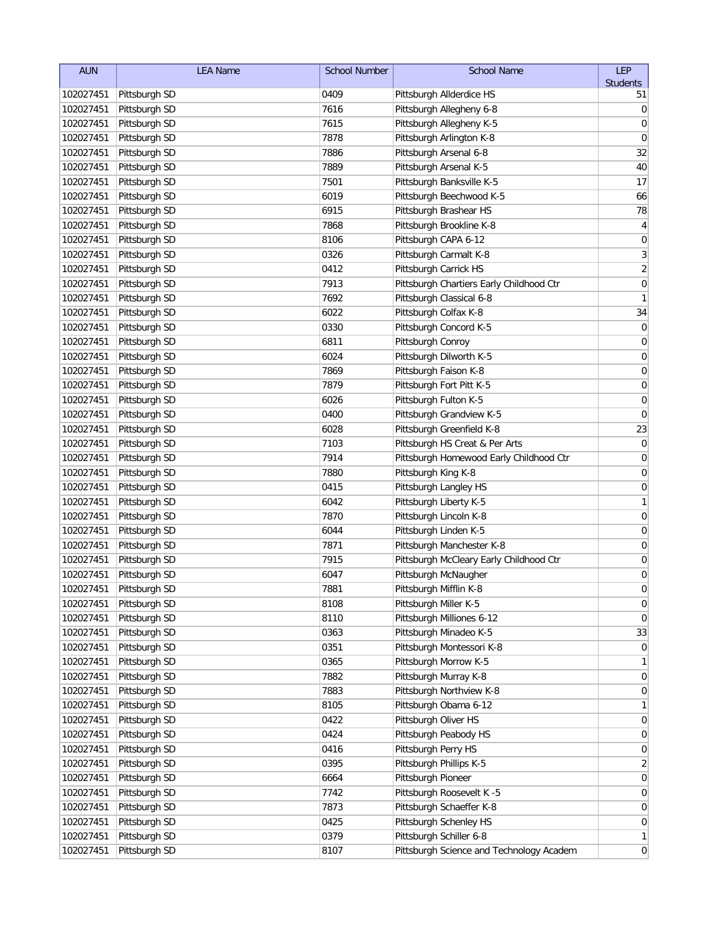| <b>AUN</b> | <b>LEA Name</b> | <b>School Number</b> | <b>School Name</b>                       | LEP              |
|------------|-----------------|----------------------|------------------------------------------|------------------|
|            |                 |                      |                                          | <b>Students</b>  |
| 102027451  | Pittsburgh SD   | 0409                 | Pittsburgh Allderdice HS                 | 51               |
| 102027451  | Pittsburgh SD   | 7616                 | Pittsburgh Allegheny 6-8                 | 0                |
| 102027451  | Pittsburgh SD   | 7615                 | Pittsburgh Allegheny K-5                 | 0                |
| 102027451  | Pittsburgh SD   | 7878                 | Pittsburgh Arlington K-8                 | 0                |
| 102027451  | Pittsburgh SD   | 7886                 | Pittsburgh Arsenal 6-8                   | 32               |
| 102027451  | Pittsburgh SD   | 7889                 | Pittsburgh Arsenal K-5                   | 40               |
| 102027451  | Pittsburgh SD   | 7501                 | Pittsburgh Banksville K-5                | 17               |
| 102027451  | Pittsburgh SD   | 6019                 | Pittsburgh Beechwood K-5                 | 66               |
| 102027451  | Pittsburgh SD   | 6915                 | Pittsburgh Brashear HS                   | 78               |
| 102027451  | Pittsburgh SD   | 7868                 | Pittsburgh Brookline K-8                 | 4                |
| 102027451  | Pittsburgh SD   | 8106                 | Pittsburgh CAPA 6-12                     | $\mathbf 0$      |
| 102027451  | Pittsburgh SD   | 0326                 | Pittsburgh Carmalt K-8                   | $\mathfrak{Z}$   |
| 102027451  | Pittsburgh SD   | 0412                 | Pittsburgh Carrick HS                    | $\overline{2}$   |
| 102027451  | Pittsburgh SD   | 7913                 | Pittsburgh Chartiers Early Childhood Ctr | $\mathbf 0$      |
| 102027451  | Pittsburgh SD   | 7692                 | Pittsburgh Classical 6-8                 | 1                |
| 102027451  | Pittsburgh SD   | 6022                 | Pittsburgh Colfax K-8                    | 34               |
| 102027451  | Pittsburgh SD   | 0330                 | Pittsburgh Concord K-5                   | 0                |
| 102027451  | Pittsburgh SD   | 6811                 | Pittsburgh Conroy                        | 0                |
| 102027451  | Pittsburgh SD   | 6024                 | Pittsburgh Dilworth K-5                  | 0                |
| 102027451  | Pittsburgh SD   | 7869                 | Pittsburgh Faison K-8                    | 0                |
| 102027451  | Pittsburgh SD   | 7879                 | Pittsburgh Fort Pitt K-5                 | 0                |
| 102027451  | Pittsburgh SD   | 6026                 | Pittsburgh Fulton K-5                    | 0                |
| 102027451  | Pittsburgh SD   | 0400                 | Pittsburgh Grandview K-5                 | 0                |
| 102027451  | Pittsburgh SD   | 6028                 | Pittsburgh Greenfield K-8                | 23               |
| 102027451  | Pittsburgh SD   | 7103                 | Pittsburgh HS Creat & Per Arts           | $\mathbf 0$      |
| 102027451  | Pittsburgh SD   | 7914                 | Pittsburgh Homewood Early Childhood Ctr  | 0                |
| 102027451  | Pittsburgh SD   | 7880                 | Pittsburgh King K-8                      | 0                |
| 102027451  | Pittsburgh SD   | 0415                 | Pittsburgh Langley HS                    | 0                |
| 102027451  | Pittsburgh SD   | 6042                 | Pittsburgh Liberty K-5                   | 1                |
| 102027451  | Pittsburgh SD   | 7870                 | Pittsburgh Lincoln K-8                   | 0                |
| 102027451  | Pittsburgh SD   | 6044                 | Pittsburgh Linden K-5                    | 0                |
| 102027451  | Pittsburgh SD   | 7871                 | Pittsburgh Manchester K-8                | 0                |
| 102027451  | Pittsburgh SD   | 7915                 | Pittsburgh McCleary Early Childhood Ctr  | 0                |
| 102027451  | Pittsburgh SD   | 6047                 | Pittsburgh McNaugher                     | 0                |
| 102027451  | Pittsburgh SD   | 7881                 | Pittsburgh Mifflin K-8                   | $\mathbf 0$      |
| 102027451  | Pittsburgh SD   | 8108                 | Pittsburgh Miller K-5                    | 0                |
| 102027451  | Pittsburgh SD   | 8110                 | Pittsburgh Milliones 6-12                | $\overline{0}$   |
| 102027451  | Pittsburgh SD   | 0363                 | Pittsburgh Minadeo K-5                   | 33               |
| 102027451  | Pittsburgh SD   | 0351                 | Pittsburgh Montessori K-8                | 0                |
| 102027451  | Pittsburgh SD   | 0365                 | Pittsburgh Morrow K-5                    | 1                |
| 102027451  | Pittsburgh SD   | 7882                 | Pittsburgh Murray K-8                    | 0                |
| 102027451  | Pittsburgh SD   | 7883                 | Pittsburgh Northview K-8                 | 0                |
| 102027451  | Pittsburgh SD   | 8105                 | Pittsburgh Obama 6-12                    | 1                |
| 102027451  | Pittsburgh SD   | 0422                 | Pittsburgh Oliver HS                     | 0                |
| 102027451  | Pittsburgh SD   | 0424                 | Pittsburgh Peabody HS                    | 0                |
| 102027451  | Pittsburgh SD   | 0416                 | Pittsburgh Perry HS                      | $\boldsymbol{0}$ |
| 102027451  | Pittsburgh SD   | 0395                 | Pittsburgh Phillips K-5                  | $\overline{2}$   |
| 102027451  | Pittsburgh SD   | 6664                 | Pittsburgh Pioneer                       | $\boldsymbol{0}$ |
| 102027451  | Pittsburgh SD   | 7742                 | Pittsburgh Roosevelt K -5                | 0                |
| 102027451  | Pittsburgh SD   | 7873                 | Pittsburgh Schaeffer K-8                 | 0                |
| 102027451  | Pittsburgh SD   | 0425                 | Pittsburgh Schenley HS                   | 0                |
| 102027451  | Pittsburgh SD   | 0379                 | Pittsburgh Schiller 6-8                  | $\mathbf{1}$     |
| 102027451  | Pittsburgh SD   | 8107                 | Pittsburgh Science and Technology Academ | $\overline{0}$   |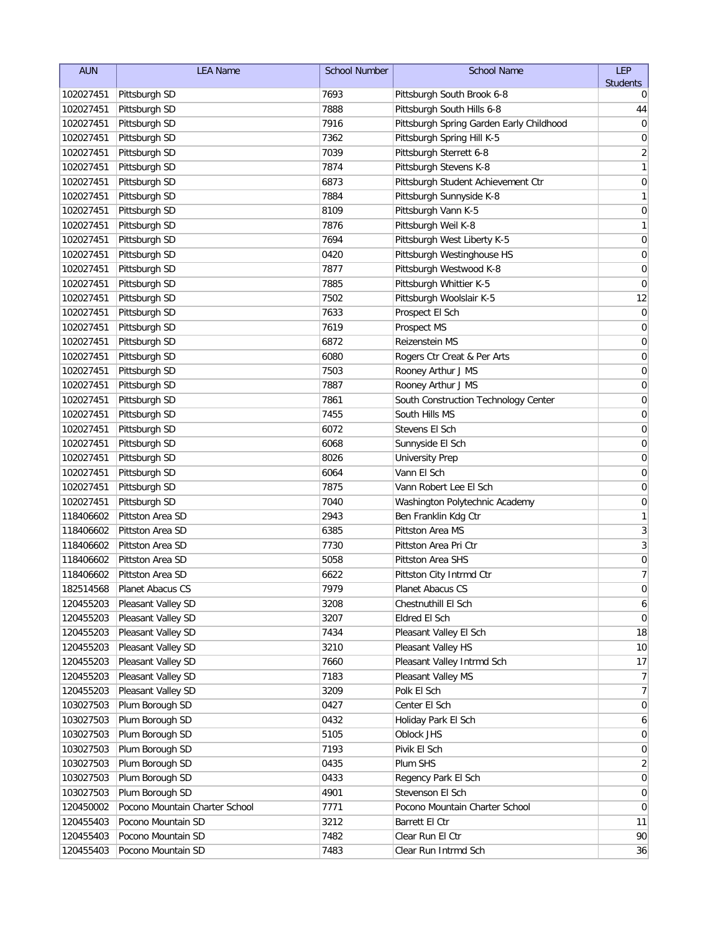| <b>AUN</b> | <b>LEA Name</b>                | <b>School Number</b> | <b>School Name</b>                       | LEP              |
|------------|--------------------------------|----------------------|------------------------------------------|------------------|
|            |                                |                      |                                          | <b>Students</b>  |
| 102027451  | Pittsburgh SD                  | 7693                 | Pittsburgh South Brook 6-8               | 0                |
| 102027451  | Pittsburgh SD                  | 7888                 | Pittsburgh South Hills 6-8               | 44               |
| 102027451  | Pittsburgh SD                  | 7916                 | Pittsburgh Spring Garden Early Childhood | 0                |
| 102027451  | Pittsburgh SD                  | 7362                 | Pittsburgh Spring Hill K-5               | 0                |
| 102027451  | Pittsburgh SD                  | 7039                 | Pittsburgh Sterrett 6-8                  | $\overline{2}$   |
| 102027451  | Pittsburgh SD                  | 7874                 | Pittsburgh Stevens K-8                   | 1                |
| 102027451  | Pittsburgh SD                  | 6873                 | Pittsburgh Student Achievement Ctr       | 0                |
| 102027451  | Pittsburgh SD                  | 7884                 | Pittsburgh Sunnyside K-8                 | 1                |
| 102027451  | Pittsburgh SD                  | 8109                 | Pittsburgh Vann K-5                      | 0                |
| 102027451  | Pittsburgh SD                  | 7876                 | Pittsburgh Weil K-8                      | 1                |
| 102027451  | Pittsburgh SD                  | 7694                 | Pittsburgh West Liberty K-5              | 0                |
| 102027451  | Pittsburgh SD                  | 0420                 | Pittsburgh Westinghouse HS               | $\mathbf 0$      |
| 102027451  | Pittsburgh SD                  | 7877                 | Pittsburgh Westwood K-8                  | 0                |
| 102027451  | Pittsburgh SD                  | 7885                 | Pittsburgh Whittier K-5                  | $\mathbf 0$      |
| 102027451  | Pittsburgh SD                  | 7502                 | Pittsburgh Woolslair K-5                 | 12               |
| 102027451  | Pittsburgh SD                  | 7633                 | Prospect El Sch                          | $\boldsymbol{0}$ |
| 102027451  | Pittsburgh SD                  | 7619                 | Prospect MS                              | 0                |
| 102027451  | Pittsburgh SD                  | 6872                 | Reizenstein MS                           | 0                |
| 102027451  | Pittsburgh SD                  | 6080                 | Rogers Ctr Creat & Per Arts              | 0                |
| 102027451  | Pittsburgh SD                  | 7503                 | Rooney Arthur J MS                       | 0                |
| 102027451  | Pittsburgh SD                  | 7887                 | Rooney Arthur J MS                       | 0                |
| 102027451  | Pittsburgh SD                  | 7861                 | South Construction Technology Center     | 0                |
| 102027451  | Pittsburgh SD                  | 7455                 | South Hills MS                           | 0                |
| 102027451  | Pittsburgh SD                  | 6072                 | Stevens El Sch                           | 0                |
| 102027451  | Pittsburgh SD                  | 6068                 | Sunnyside El Sch                         | 0                |
| 102027451  | Pittsburgh SD                  | 8026                 | <b>University Prep</b>                   | 0                |
| 102027451  | Pittsburgh SD                  | 6064                 | Vann El Sch                              | 0                |
| 102027451  | Pittsburgh SD                  | 7875                 | Vann Robert Lee El Sch                   | 0                |
| 102027451  | Pittsburgh SD                  | 7040                 | Washington Polytechnic Academy           | $\mathbf 0$      |
| 118406602  | Pittston Area SD               | 2943                 | Ben Franklin Kdg Ctr                     | 1                |
| 118406602  | Pittston Area SD               | 6385                 | Pittston Area MS                         | 3                |
| 118406602  | Pittston Area SD               | 7730                 | Pittston Area Pri Ctr                    | 3                |
| 118406602  | Pittston Area SD               | 5058                 | Pittston Area SHS                        | 0                |
| 118406602  | Pittston Area SD               | 6622                 | Pittston City Intrmd Ctr                 | 7                |
| 182514568  | Planet Abacus CS               | 7979                 | Planet Abacus CS                         | 0                |
| 120455203  | Pleasant Valley SD             | 3208                 | Chestnuthill El Sch                      | 6                |
| 120455203  | Pleasant Valley SD             | 3207                 | Eldred El Sch                            | 0                |
| 120455203  | Pleasant Valley SD             | 7434                 | Pleasant Valley El Sch                   | 18               |
| 120455203  | Pleasant Valley SD             | 3210                 | Pleasant Valley HS                       | 10               |
| 120455203  | Pleasant Valley SD             | 7660                 | Pleasant Valley Intrmd Sch               | 17               |
| 120455203  | Pleasant Valley SD             | 7183                 | Pleasant Valley MS                       | 7                |
| 120455203  | Pleasant Valley SD             | 3209                 | Polk El Sch                              | $\overline{7}$   |
| 103027503  | Plum Borough SD                | 0427                 | Center El Sch                            | 0                |
| 103027503  | Plum Borough SD                | 0432                 | Holiday Park El Sch                      | 6                |
| 103027503  | Plum Borough SD                | 5105                 | Oblock JHS                               | 0                |
| 103027503  | Plum Borough SD                | 7193                 | Pivik El Sch                             | 0                |
| 103027503  | Plum Borough SD                | 0435                 | Plum SHS                                 | 2                |
| 103027503  | Plum Borough SD                | 0433                 | Regency Park El Sch                      | 0                |
| 103027503  | Plum Borough SD                | 4901                 | Stevenson El Sch                         | 0                |
| 120450002  | Pocono Mountain Charter School | 7771                 | Pocono Mountain Charter School           | 0                |
| 120455403  | Pocono Mountain SD             | 3212                 | Barrett El Ctr                           | 11               |
| 120455403  | Pocono Mountain SD             | 7482                 | Clear Run El Ctr                         | 90               |
| 120455403  | Pocono Mountain SD             | 7483                 | Clear Run Intrmd Sch                     | 36               |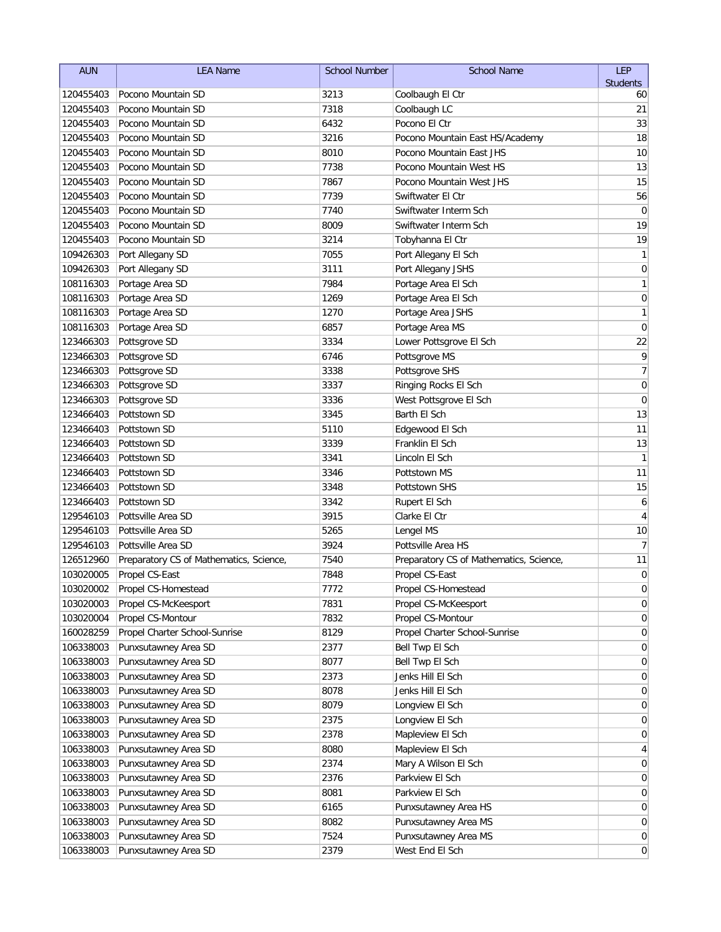| <b>AUN</b> | <b>LEA Name</b>                         | <b>School Number</b> | <b>School Name</b>                      | LEP                      |
|------------|-----------------------------------------|----------------------|-----------------------------------------|--------------------------|
|            |                                         |                      |                                         | <b>Students</b>          |
| 120455403  | Pocono Mountain SD                      | 3213                 | Coolbaugh El Ctr                        | 60                       |
| 120455403  | Pocono Mountain SD                      | 7318                 | Coolbaugh LC                            | 21                       |
| 120455403  | Pocono Mountain SD                      | 6432                 | Pocono El Ctr                           | 33                       |
| 120455403  | Pocono Mountain SD                      | 3216                 | Pocono Mountain East HS/Academy         | 18                       |
| 120455403  | Pocono Mountain SD                      | 8010                 | Pocono Mountain East JHS                | 10                       |
| 120455403  | Pocono Mountain SD                      | 7738                 | Pocono Mountain West HS                 | 13                       |
| 120455403  | Pocono Mountain SD                      | 7867                 | Pocono Mountain West JHS                | 15                       |
| 120455403  | Pocono Mountain SD                      | 7739                 | Swiftwater El Ctr                       | 56                       |
| 120455403  | Pocono Mountain SD                      | 7740                 | Swiftwater Interm Sch                   | $\mathbf 0$              |
| 120455403  | Pocono Mountain SD                      | 8009                 | Swiftwater Interm Sch                   | 19                       |
| 120455403  | Pocono Mountain SD                      | 3214                 | Tobyhanna El Ctr                        | 19                       |
| 109426303  | Port Allegany SD                        | 7055                 | Port Allegany El Sch                    | $\mathbf{1}$             |
| 109426303  | Port Allegany SD                        | 3111                 | Port Allegany JSHS                      | $\mathbf 0$              |
| 108116303  | Portage Area SD                         | 7984                 | Portage Area El Sch                     | 1                        |
| 108116303  | Portage Area SD                         | 1269                 | Portage Area El Sch                     | $\pmb{0}$                |
| 108116303  | Portage Area SD                         | 1270                 | Portage Area JSHS                       | 1                        |
| 108116303  | Portage Area SD                         | 6857                 | Portage Area MS                         | $\mathbf 0$              |
| 123466303  | Pottsgrove SD                           | 3334                 | Lower Pottsgrove El Sch                 | 22                       |
| 123466303  | Pottsgrove SD                           | 6746                 | Pottsgrove MS                           | 9                        |
| 123466303  | Pottsgrove SD                           | 3338                 | Pottsgrove SHS                          | $\overline{\mathcal{I}}$ |
| 123466303  | Pottsgrove SD                           | 3337                 | Ringing Rocks El Sch                    | $\mathbf 0$              |
| 123466303  | Pottsgrove SD                           | 3336                 | West Pottsgrove El Sch                  | 0                        |
| 123466403  | Pottstown SD                            | 3345                 | Barth El Sch                            | 13                       |
| 123466403  | Pottstown SD                            | 5110                 | Edgewood El Sch                         | 11                       |
| 123466403  | Pottstown SD                            | 3339                 | Franklin El Sch                         | 13                       |
| 123466403  | Pottstown SD                            | 3341                 | Lincoln El Sch                          | $\mathbf{1}$             |
| 123466403  | Pottstown SD                            | 3346                 | Pottstown MS                            | 11                       |
| 123466403  | Pottstown SD                            | 3348                 | Pottstown SHS                           | 15                       |
| 123466403  | Pottstown SD                            | 3342                 | Rupert El Sch                           | 6                        |
| 129546103  | Pottsville Area SD                      | 3915                 | Clarke El Ctr                           | 4                        |
| 129546103  | Pottsville Area SD                      | 5265                 | Lengel MS                               | 10                       |
| 129546103  | Pottsville Area SD                      | 3924                 | Pottsville Area HS                      | $\overline{7}$           |
| 126512960  | Preparatory CS of Mathematics, Science, | 7540                 | Preparatory CS of Mathematics, Science, | 11                       |
| 103020005  | Propel CS-East                          | 7848                 | Propel CS-East                          | 0                        |
| 103020002  | Propel CS-Homestead                     | 7772                 | Propel CS-Homestead                     | $\Omega$                 |
| 103020003  | Propel CS-McKeesport                    | 7831                 | Propel CS-McKeesport                    | $\overline{0}$           |
| 103020004  | Propel CS-Montour                       | 7832                 | Propel CS-Montour                       | $\overline{0}$           |
| 160028259  | Propel Charter School-Sunrise           | 8129                 | Propel Charter School-Sunrise           | 0                        |
| 106338003  | Punxsutawney Area SD                    | 2377                 | Bell Twp El Sch                         | 0                        |
| 106338003  | Punxsutawney Area SD                    | 8077                 | Bell Twp El Sch                         | 0                        |
| 106338003  | Punxsutawney Area SD                    | 2373                 | Jenks Hill El Sch                       | 0                        |
| 106338003  | Punxsutawney Area SD                    | 8078                 | Jenks Hill El Sch                       | 0                        |
| 106338003  | Punxsutawney Area SD                    | 8079                 | Longview El Sch                         | 0                        |
| 106338003  | Punxsutawney Area SD                    | 2375                 | Longview El Sch                         | 0                        |
| 106338003  | Punxsutawney Area SD                    | 2378                 | Mapleview El Sch                        | 0                        |
| 106338003  | Punxsutawney Area SD                    | 8080                 | Mapleview El Sch                        | 4                        |
| 106338003  | Punxsutawney Area SD                    | 2374                 | Mary A Wilson El Sch                    | 0                        |
| 106338003  | Punxsutawney Area SD                    | 2376                 | Parkview El Sch                         | $\overline{0}$           |
| 106338003  | Punxsutawney Area SD                    | 8081                 | Parkview El Sch                         | $\overline{0}$           |
| 106338003  | Punxsutawney Area SD                    | 6165                 | Punxsutawney Area HS                    | $\overline{0}$           |
| 106338003  | Punxsutawney Area SD                    | 8082                 | Punxsutawney Area MS                    | $\overline{0}$           |
| 106338003  | Punxsutawney Area SD                    | 7524                 | Punxsutawney Area MS                    | $\overline{0}$           |
| 106338003  | Punxsutawney Area SD                    | 2379                 | West End El Sch                         | $\vert 0 \vert$          |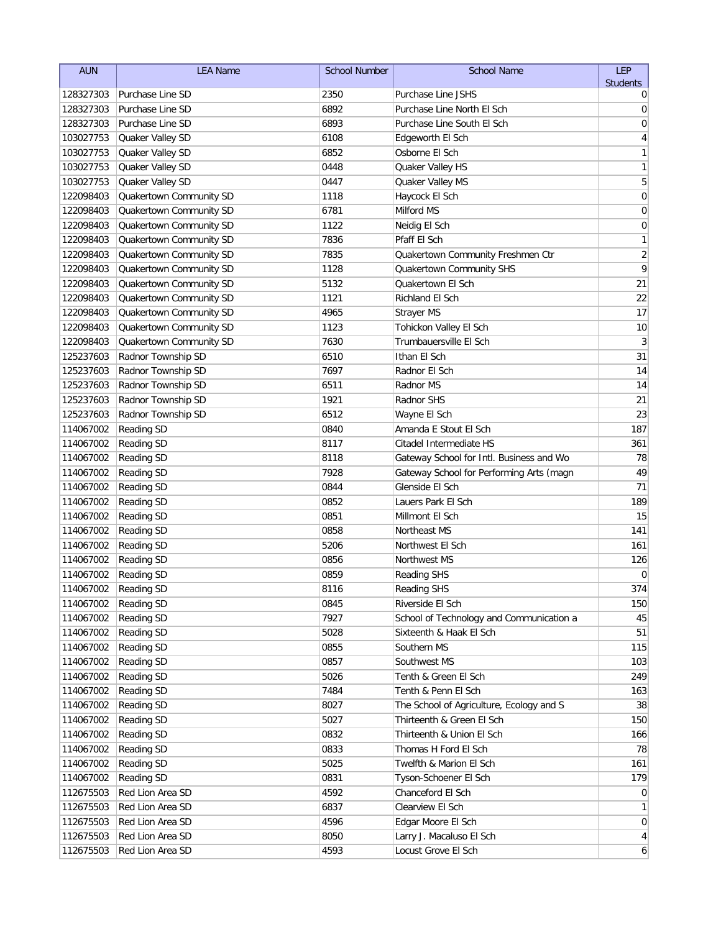| <b>AUN</b>           | <b>LEA Name</b>         | <b>School Number</b> | <b>School Name</b>                       | LEP             |
|----------------------|-------------------------|----------------------|------------------------------------------|-----------------|
|                      |                         |                      |                                          | <b>Students</b> |
| 128327303            | Purchase Line SD        | 2350                 | Purchase Line JSHS                       | 0               |
| 128327303            | Purchase Line SD        | 6892                 | Purchase Line North El Sch               | 0               |
| 128327303            | Purchase Line SD        | 6893                 | Purchase Line South El Sch               | 0               |
| 103027753            | Quaker Valley SD        | 6108                 | Edgeworth El Sch                         | 4               |
| 103027753            | Quaker Valley SD        | 6852                 | Osborne El Sch                           | 1               |
| 103027753            | Quaker Valley SD        | 0448                 | Quaker Valley HS                         | 1               |
| 103027753            | Quaker Valley SD        | 0447                 | Quaker Valley MS                         | 5               |
| 122098403            | Quakertown Community SD | 1118                 | Haycock El Sch                           | 0               |
| 122098403            | Quakertown Community SD | 6781                 | Milford MS                               | 0               |
| 122098403            | Quakertown Community SD | 1122                 | Neidig El Sch                            | $\mathbf 0$     |
| 122098403            | Quakertown Community SD | 7836                 | Pfaff El Sch                             | $\mathbf{1}$    |
| 122098403            | Quakertown Community SD | 7835                 | Quakertown Community Freshmen Ctr        | $\overline{2}$  |
| 122098403            | Quakertown Community SD | 1128                 | Quakertown Community SHS                 | $\overline{9}$  |
| 122098403            | Quakertown Community SD | 5132                 | Quakertown El Sch                        | 21              |
| 122098403            | Quakertown Community SD | 1121                 | Richland El Sch                          | 22              |
| 122098403            | Quakertown Community SD | 4965                 | Strayer MS                               | 17              |
| 122098403            | Quakertown Community SD | 1123                 | Tohickon Valley El Sch                   | 10              |
| 122098403            | Quakertown Community SD | 7630                 | Trumbauersville El Sch                   | $\sqrt{3}$      |
| 125237603            | Radnor Township SD      | 6510                 | Ithan El Sch                             | 31              |
| 125237603            | Radnor Township SD      | 7697                 | Radnor El Sch                            | 14              |
| 125237603            | Radnor Township SD      | 6511                 | Radnor MS                                | 14              |
| 125237603            | Radnor Township SD      | 1921                 | Radnor SHS                               | 21              |
| 125237603            | Radnor Township SD      | 6512                 | Wayne El Sch                             | 23              |
| 114067002            | <b>Reading SD</b>       | 0840                 | Amanda E Stout El Sch                    | 187             |
| 114067002            | <b>Reading SD</b>       | 8117                 | Citadel Intermediate HS                  | 361             |
| 114067002            | <b>Reading SD</b>       | 8118                 | Gateway School for Intl. Business and Wo | 78              |
| 114067002            | <b>Reading SD</b>       | 7928                 | Gateway School for Performing Arts (magn | 49              |
| 114067002            | <b>Reading SD</b>       | 0844                 | Glenside El Sch                          | 71              |
| 114067002            | <b>Reading SD</b>       | 0852                 | Lauers Park El Sch                       | 189             |
| 114067002            | <b>Reading SD</b>       | 0851                 | Millmont El Sch                          | 15              |
| 114067002            | <b>Reading SD</b>       | 0858                 | Northeast MS                             | 141             |
| 114067002            | Reading SD              | 5206                 | Northwest El Sch                         | 161             |
| 114067002            | Reading SD              | 0856                 | Northwest MS                             | 126             |
| 114067002            | <b>Reading SD</b>       | 0859                 | <b>Reading SHS</b>                       | $\mathbf 0$     |
| 114067002 Reading SD |                         | 8116                 | Reading SHS                              | 374             |
| 114067002            | Reading SD              | 0845                 | Riverside El Sch                         | 150             |
| 114067002            | Reading SD              | 7927                 | School of Technology and Communication a | 45              |
| 114067002            | Reading SD              | 5028                 | Sixteenth & Haak El Sch                  | 51              |
| 114067002            | Reading SD              | 0855                 | Southern MS                              | 115             |
| 114067002            | Reading SD              | 0857                 | Southwest MS                             | 103             |
| 114067002            | Reading SD              | 5026                 | Tenth & Green El Sch                     | 249             |
| 114067002            | Reading SD              | 7484                 | Tenth & Penn El Sch                      | 163             |
| 114067002            | Reading SD              | 8027                 | The School of Agriculture, Ecology and S | 38              |
| 114067002            | Reading SD              | 5027                 | Thirteenth & Green El Sch                | 150             |
| 114067002            | Reading SD              | 0832                 | Thirteenth & Union El Sch                | 166             |
| 114067002            | Reading SD              | 0833                 | Thomas H Ford El Sch                     | 78              |
| 114067002            | Reading SD              | 5025                 | Twelfth & Marion El Sch                  | 161             |
| 114067002            | Reading SD              | 0831                 | Tyson-Schoener El Sch                    | 179             |
| 112675503            | Red Lion Area SD        | 4592                 | Chanceford El Sch                        | $\overline{0}$  |
| 112675503            | Red Lion Area SD        | 6837                 | Clearview El Sch                         | 1               |
| 112675503            | Red Lion Area SD        | 4596                 | Edgar Moore El Sch                       | $\overline{0}$  |
| 112675503            | Red Lion Area SD        | 8050                 | Larry J. Macaluso El Sch                 | $\vert 4 \vert$ |
| 112675503            | Red Lion Area SD        | 4593                 | Locust Grove El Sch                      | $\mathbf{6}$    |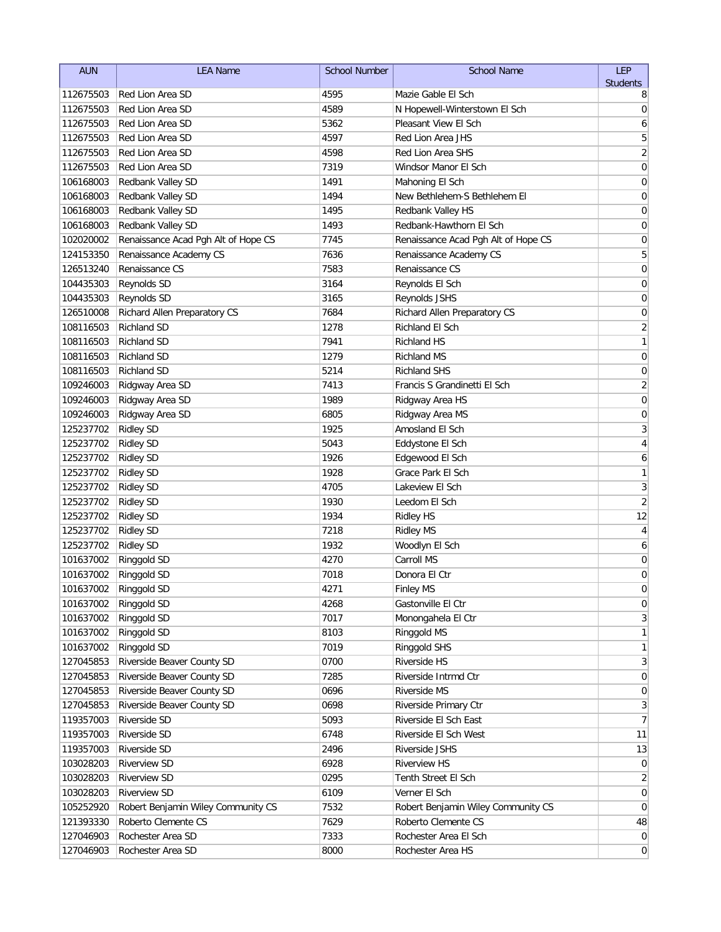| <b>AUN</b>              | <b>LEA Name</b>                                    | <b>School Number</b> | <b>School Name</b>                              | <b>LEP</b>              |
|-------------------------|----------------------------------------------------|----------------------|-------------------------------------------------|-------------------------|
|                         |                                                    |                      |                                                 | <b>Students</b>         |
| 112675503               | Red Lion Area SD                                   | 4595                 | Mazie Gable El Sch                              | 8                       |
| 112675503               | Red Lion Area SD                                   | 4589                 | N Hopewell-Winterstown El Sch                   | 0                       |
| 112675503               | Red Lion Area SD                                   | 5362                 | Pleasant View El Sch                            | 6                       |
| 112675503               | Red Lion Area SD                                   | 4597                 | Red Lion Area JHS                               | 5                       |
| 112675503               | Red Lion Area SD                                   | 4598                 | Red Lion Area SHS                               | $\overline{\mathbf{c}}$ |
| 112675503               | Red Lion Area SD                                   | 7319                 | Windsor Manor El Sch                            | 0                       |
| 106168003               | Redbank Valley SD                                  | 1491                 | Mahoning El Sch                                 | 0                       |
| 106168003               | Redbank Valley SD                                  | 1494                 | New Bethlehem-S Bethlehem El                    | 0                       |
| 106168003               | Redbank Valley SD                                  | 1495                 | Redbank Valley HS                               | 0                       |
| 106168003               | Redbank Valley SD                                  | 1493                 | Redbank-Hawthorn El Sch                         | 0                       |
| 102020002               | Renaissance Acad Pgh Alt of Hope CS                | 7745                 | Renaissance Acad Pgh Alt of Hope CS             | $\mathbf 0$<br>5        |
| 124153350               | Renaissance Academy CS                             | 7636<br>7583         | Renaissance Academy CS                          |                         |
| 126513240               | Renaissance CS                                     | 3164                 | Renaissance CS                                  | $\mathbf 0$             |
| 104435303               | Reynolds SD                                        |                      | Reynolds El Sch                                 | 0                       |
| 104435303               | Reynolds SD                                        | 3165                 | Reynolds JSHS                                   | 0                       |
| 126510008               | Richard Allen Preparatory CS<br><b>Richland SD</b> | 7684                 | Richard Allen Preparatory CS<br>Richland El Sch | 0                       |
| 108116503               |                                                    | 1278                 |                                                 | $\overline{\mathbf{c}}$ |
| 108116503               | <b>Richland SD</b>                                 | 7941                 | <b>Richland HS</b>                              | $\mathbf{1}$            |
| 108116503               | Richland SD                                        | 1279                 | Richland MS<br><b>Richland SHS</b>              | 0                       |
| 108116503               | <b>Richland SD</b>                                 | 5214                 | Francis S Grandinetti El Sch                    | 0                       |
| 109246003               | Ridgway Area SD                                    | 7413                 |                                                 | $\overline{2}$          |
| 109246003               | Ridgway Area SD                                    | 1989                 | Ridgway Area HS                                 | 0                       |
| 109246003               | Ridgway Area SD                                    | 6805                 | Ridgway Area MS                                 | 0                       |
| 125237702               | <b>Ridley SD</b>                                   | 1925                 | Amosland El Sch                                 | 3                       |
| 125237702               | <b>Ridley SD</b>                                   | 5043                 | Eddystone El Sch                                | 4                       |
| 125237702               | <b>Ridley SD</b>                                   | 1926<br>1928         | Edgewood El Sch<br>Grace Park El Sch            | 6<br>1                  |
| 125237702               | <b>Ridley SD</b>                                   | 4705                 | Lakeview El Sch                                 | 3                       |
| 125237702<br>125237702  | <b>Ridley SD</b><br><b>Ridley SD</b>               | 1930                 | Leedom El Sch                                   | $\overline{2}$          |
| 125237702               | <b>Ridley SD</b>                                   | 1934                 | Ridley HS                                       | 12                      |
| 125237702               | <b>Ridley SD</b>                                   | 7218                 | <b>Ridley MS</b>                                | 4                       |
| 125237702               | <b>Ridley SD</b>                                   | 1932                 | Woodlyn El Sch                                  | 6                       |
| 101637002               | Ringgold SD                                        | 4270                 | Carroll MS                                      | 0                       |
| 101637002               | Ringgold SD                                        | 7018                 | Donora El Ctr                                   | 0                       |
| 101637002   Ringgold SD |                                                    | 4271                 | <b>Finley MS</b>                                | $\mathbf 0$             |
| 101637002               | Ringgold SD                                        | 4268                 | Gastonville El Ctr                              | 0                       |
| 101637002               | Ringgold SD                                        | 7017                 | Monongahela El Ctr                              | 3                       |
| 101637002               | Ringgold SD                                        | 8103                 | Ringgold MS                                     | 1                       |
| 101637002               | Ringgold SD                                        | 7019                 | Ringgold SHS                                    | 1                       |
| 127045853               | Riverside Beaver County SD                         | 0700                 | Riverside HS                                    | 3                       |
| 127045853               | Riverside Beaver County SD                         | 7285                 | Riverside Intrmd Ctr                            | $\overline{0}$          |
| 127045853               | Riverside Beaver County SD                         | 0696                 | Riverside MS                                    | $\overline{0}$          |
| 127045853               | Riverside Beaver County SD                         | 0698                 | Riverside Primary Ctr                           | $\mathbf{3}$            |
| 119357003               | Riverside SD                                       | 5093                 | Riverside El Sch East                           | $\overline{7}$          |
| 119357003               | Riverside SD                                       | 6748                 | Riverside El Sch West                           | 11                      |
| 119357003               | Riverside SD                                       | 2496                 | Riverside JSHS                                  | 13                      |
| 103028203               | Riverview SD                                       | 6928                 | <b>Riverview HS</b>                             | $\overline{0}$          |
| 103028203               | Riverview SD                                       | 0295                 | Tenth Street El Sch                             | $\overline{2}$          |
| 103028203               | <b>Riverview SD</b>                                | 6109                 | Verner El Sch                                   | $\overline{0}$          |
| 105252920               | Robert Benjamin Wiley Community CS                 | 7532                 | Robert Benjamin Wiley Community CS              | $\overline{0}$          |
| 121393330               | Roberto Clemente CS                                | 7629                 | Roberto Clemente CS                             | 48                      |
| 127046903               | Rochester Area SD                                  | 7333                 | Rochester Area El Sch                           | $\overline{0}$          |
| 127046903               | Rochester Area SD                                  | 8000                 | Rochester Area HS                               | $\overline{0}$          |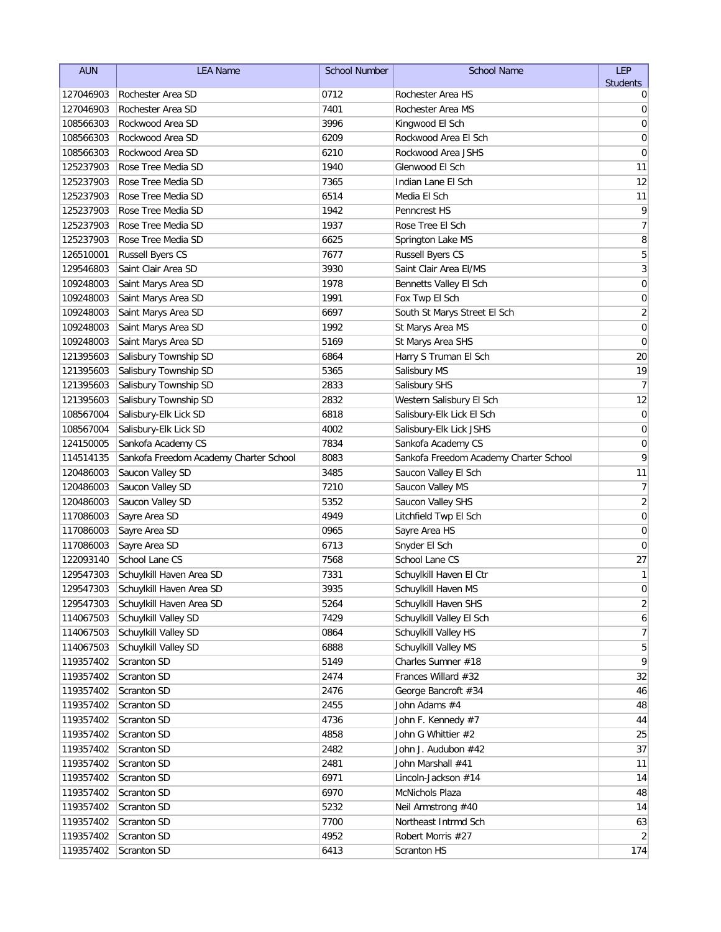| <b>AUN</b> | <b>LEA Name</b>                        | <b>School Number</b> | <b>School Name</b>                     | <b>LEP</b>      |
|------------|----------------------------------------|----------------------|----------------------------------------|-----------------|
|            |                                        |                      |                                        | <b>Students</b> |
| 127046903  | Rochester Area SD                      | 0712                 | Rochester Area HS                      | 0               |
| 127046903  | Rochester Area SD                      | 7401                 | Rochester Area MS                      | 0               |
| 108566303  | Rockwood Area SD                       | 3996                 | Kingwood El Sch                        | 0               |
| 108566303  | Rockwood Area SD                       | 6209                 | Rockwood Area El Sch                   | 0               |
| 108566303  | Rockwood Area SD                       | 6210                 | Rockwood Area JSHS                     | 0               |
| 125237903  | Rose Tree Media SD                     | 1940                 | Glenwood El Sch                        | 11              |
| 125237903  | Rose Tree Media SD                     | 7365                 | Indian Lane El Sch                     | 12              |
| 125237903  | Rose Tree Media SD                     | 6514                 | Media El Sch                           | 11              |
| 125237903  | Rose Tree Media SD                     | 1942                 | <b>Penncrest HS</b>                    | 9               |
| 125237903  | Rose Tree Media SD                     | 1937                 | Rose Tree El Sch                       | $\overline{7}$  |
| 125237903  | Rose Tree Media SD                     | 6625                 | Springton Lake MS                      | 8               |
| 126510001  | <b>Russell Byers CS</b>                | 7677                 | Russell Byers CS                       | 5               |
| 129546803  | Saint Clair Area SD                    | 3930                 | Saint Clair Area El/MS                 | $\overline{3}$  |
| 109248003  | Saint Marys Area SD                    | 1978                 | Bennetts Valley El Sch                 | $\mathbf 0$     |
| 109248003  | Saint Marys Area SD                    | 1991                 | Fox Twp El Sch                         | 0               |
| 109248003  | Saint Marys Area SD                    | 6697                 | South St Marys Street El Sch           | $\overline{c}$  |
| 109248003  | Saint Marys Area SD                    | 1992                 | St Marys Area MS                       | $\mathbf 0$     |
| 109248003  | Saint Marys Area SD                    | 5169                 | St Marys Area SHS                      | $\mathbf 0$     |
| 121395603  | Salisbury Township SD                  | 6864                 | Harry S Truman El Sch                  | 20              |
| 121395603  | Salisbury Township SD                  | 5365                 | Salisbury MS                           | 19              |
| 121395603  | Salisbury Township SD                  | 2833                 | Salisbury SHS                          | $\overline{7}$  |
| 121395603  | Salisbury Township SD                  | 2832                 | Western Salisbury El Sch               | 12              |
| 108567004  | Salisbury-Elk Lick SD                  | 6818                 | Salisbury-Elk Lick El Sch              | 0               |
| 108567004  | Salisbury-Elk Lick SD                  | 4002                 | Salisbury-Elk Lick JSHS                | 0               |
| 124150005  | Sankofa Academy CS                     | 7834                 | Sankofa Academy CS                     | $\mathbf 0$     |
| 114514135  | Sankofa Freedom Academy Charter School | 8083                 | Sankofa Freedom Academy Charter School | 9               |
| 120486003  | Saucon Valley SD                       | 3485                 | Saucon Valley El Sch                   | 11              |
| 120486003  | Saucon Valley SD                       | 7210                 | Saucon Valley MS                       | $\overline{7}$  |
| 120486003  | Saucon Valley SD                       | 5352                 | Saucon Valley SHS                      | $\overline{2}$  |
| 117086003  | Sayre Area SD                          | 4949                 | Litchfield Twp El Sch                  | $\mathbf 0$     |
| 117086003  | Sayre Area SD                          | 0965                 | Sayre Area HS                          | $\mathbf 0$     |
| 117086003  | Sayre Area SD                          | 6713                 | Snyder El Sch                          | 0               |
| 122093140  | School Lane CS                         | 7568                 | School Lane CS                         | 27              |
| 129547303  | Schuylkill Haven Area SD               | 7331                 | Schuylkill Haven El Ctr                | 1               |
| 129547303  | Schuylkill Haven Area SD               | 3935                 | Schuylkill Haven MS                    | $\pmb{0}$       |
| 129547303  | Schuylkill Haven Area SD               | 5264                 | Schuylkill Haven SHS                   | $\overline{2}$  |
| 114067503  | Schuylkill Valley SD                   | 7429                 | Schuylkill Valley El Sch               | 6               |
| 114067503  | Schuylkill Valley SD                   | 0864                 | Schuylkill Valley HS                   | 7               |
| 114067503  | Schuylkill Valley SD                   | 6888                 | Schuylkill Valley MS                   | 5               |
| 119357402  | Scranton SD                            | 5149                 | Charles Sumner #18                     | 9               |
| 119357402  | Scranton SD                            | 2474                 | Frances Willard #32                    | 32              |
| 119357402  | Scranton SD                            | 2476                 | George Bancroft #34                    | 46              |
| 119357402  | <b>Scranton SD</b>                     | 2455                 | John Adams #4                          | 48              |
| 119357402  | Scranton SD                            | 4736                 | John F. Kennedy #7                     | 44              |
| 119357402  | Scranton SD                            | 4858                 | John G Whittier #2                     | 25              |
| 119357402  | Scranton SD                            | 2482                 | John J. Audubon #42                    | $37\,$          |
| 119357402  | Scranton SD                            | 2481                 | John Marshall #41                      | 11              |
| 119357402  | <b>Scranton SD</b>                     | 6971                 | Lincoln-Jackson #14                    | 14              |
| 119357402  | Scranton SD                            | 6970                 | McNichols Plaza                        | 48              |
| 119357402  | Scranton SD                            | 5232                 | Neil Armstrong #40                     | 14              |
| 119357402  | Scranton SD                            | 7700                 | Northeast Intrmd Sch                   | 63              |
| 119357402  | <b>Scranton SD</b>                     | 4952                 | Robert Morris #27                      | $\overline{2}$  |
| 119357402  | Scranton SD                            | 6413                 | Scranton HS                            | 174             |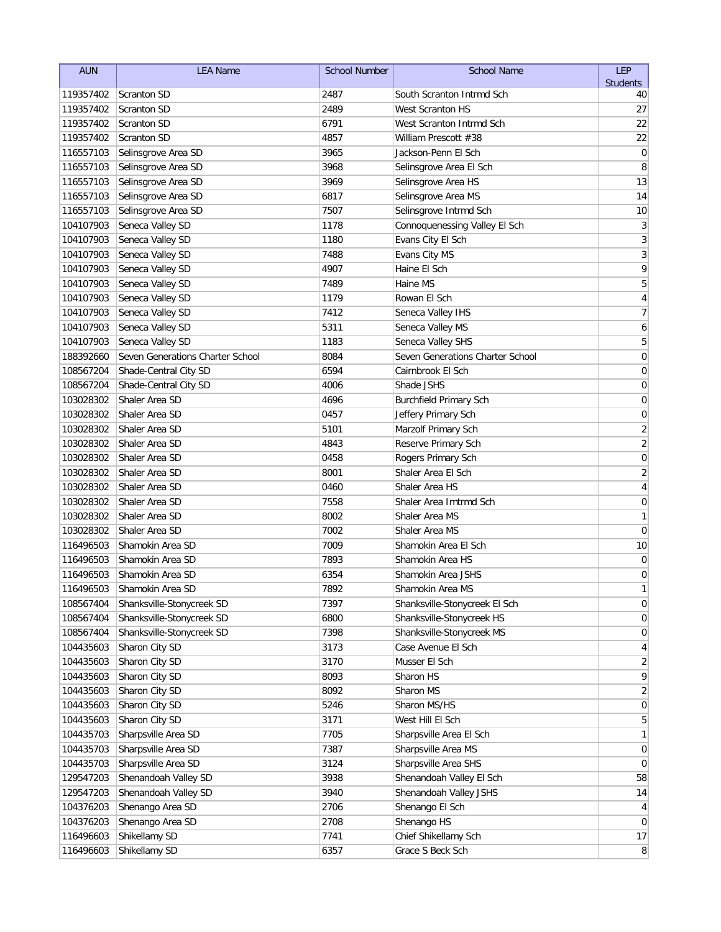| <b>AUN</b> | <b>LEA Name</b>                  | <b>School Number</b> | <b>School Name</b>               | LEP             |
|------------|----------------------------------|----------------------|----------------------------------|-----------------|
|            |                                  |                      |                                  | <b>Students</b> |
| 119357402  | <b>Scranton SD</b>               | 2487                 | South Scranton Intrmd Sch        | 40              |
| 119357402  | Scranton SD                      | 2489                 | West Scranton HS                 | 27              |
| 119357402  | <b>Scranton SD</b>               | 6791                 | West Scranton Intrmd Sch         | 22              |
| 119357402  | <b>Scranton SD</b>               | 4857                 | William Prescott #38             | 22              |
| 116557103  | Selinsgrove Area SD              | 3965                 | Jackson-Penn El Sch              | $\mathbf 0$     |
| 116557103  | Selinsgrove Area SD              | 3968                 | Selinsgrove Area El Sch          | 8               |
| 116557103  | Selinsgrove Area SD              | 3969                 | Selinsgrove Area HS              | 13              |
| 116557103  | Selinsgrove Area SD              | 6817                 | Selinsgrove Area MS              | 14              |
| 116557103  | Selinsgrove Area SD              | 7507                 | Selinsgrove Intrmd Sch           | 10              |
| 104107903  | Seneca Valley SD                 | 1178                 | Connoquenessing Valley El Sch    | 3               |
| 104107903  | Seneca Valley SD                 | 1180                 | Evans City El Sch                | $\sqrt{3}$      |
| 104107903  | Seneca Valley SD                 | 7488                 | Evans City MS                    | $\overline{3}$  |
| 104107903  | Seneca Valley SD                 | 4907                 | Haine El Sch                     | 9               |
| 104107903  | Seneca Valley SD                 | 7489                 | Haine MS                         | 5               |
| 104107903  | Seneca Valley SD                 | 1179                 | Rowan El Sch                     | 4               |
| 104107903  | Seneca Valley SD                 | 7412                 | Seneca Valley IHS                | $\overline{7}$  |
| 104107903  | Seneca Valley SD                 | 5311                 | Seneca Valley MS                 | 6               |
| 104107903  | Seneca Valley SD                 | 1183                 | Seneca Valley SHS                | 5               |
| 188392660  | Seven Generations Charter School | 8084                 | Seven Generations Charter School | $\mathbf 0$     |
| 108567204  | Shade-Central City SD            | 6594                 | Cairnbrook El Sch                | 0               |
| 108567204  | Shade-Central City SD            | 4006                 | Shade JSHS                       | 0               |
| 103028302  | Shaler Area SD                   | 4696                 | <b>Burchfield Primary Sch</b>    | 0               |
| 103028302  | Shaler Area SD                   | 0457                 | Jeffery Primary Sch              | 0               |
| 103028302  | Shaler Area SD                   | 5101                 | Marzolf Primary Sch              | $\sqrt{2}$      |
| 103028302  | Shaler Area SD                   | 4843                 | Reserve Primary Sch              | $\overline{2}$  |
| 103028302  | Shaler Area SD                   | 0458                 | Rogers Primary Sch               | $\mathbf 0$     |
| 103028302  | Shaler Area SD                   | 8001                 | Shaler Area El Sch               | $\overline{2}$  |
| 103028302  | Shaler Area SD                   | 0460                 | Shaler Area HS                   | 4               |
| 103028302  | Shaler Area SD                   | 7558                 | Shaler Area Imtrmd Sch           | $\mathbf 0$     |
| 103028302  | Shaler Area SD                   | 8002                 | Shaler Area MS                   | 1               |
| 103028302  | Shaler Area SD                   | 7002                 | Shaler Area MS                   | 0               |
| 116496503  | Shamokin Area SD                 | 7009                 | Shamokin Area El Sch             | 10              |
| 116496503  | Shamokin Area SD                 | 7893                 | Shamokin Area HS                 | 0               |
| 116496503  | Shamokin Area SD                 | 6354                 | Shamokin Area JSHS               | 0               |
| 116496503  | Shamokin Area SD                 | 7892                 | Shamokin Area MS                 | $\mathbf{1}$    |
| 108567404  | Shanksville-Stonycreek SD        | 7397                 | Shanksville-Stonycreek El Sch    | $\pmb{0}$       |
| 108567404  | Shanksville-Stonycreek SD        | 6800                 | Shanksville-Stonycreek HS        | $\overline{0}$  |
| 108567404  | Shanksville-Stonycreek SD        | 7398                 | Shanksville-Stonycreek MS        | 0               |
| 104435603  | Sharon City SD                   | 3173                 | Case Avenue El Sch               | 4               |
| 104435603  | Sharon City SD                   | 3170                 | Musser El Sch                    | $\overline{2}$  |
| 104435603  | Sharon City SD                   | 8093                 | Sharon HS                        | 9               |
| 104435603  | Sharon City SD                   | 8092                 | Sharon MS                        | $\overline{2}$  |
| 104435603  | Sharon City SD                   | 5246                 | Sharon MS/HS                     | 0               |
| 104435603  | Sharon City SD                   | 3171                 | West Hill El Sch                 | 5               |
| 104435703  | Sharpsville Area SD              | 7705                 | Sharpsville Area El Sch          | 1               |
| 104435703  | Sharpsville Area SD              | 7387                 | Sharpsville Area MS              | $\overline{0}$  |
| 104435703  | Sharpsville Area SD              | 3124                 | Sharpsville Area SHS             | 0               |
| 129547203  | Shenandoah Valley SD             | 3938                 | Shenandoah Valley El Sch         | 58              |
| 129547203  | Shenandoah Valley SD             | 3940                 | Shenandoah Valley JSHS           | 14              |
| 104376203  | Shenango Area SD                 | 2706                 | Shenango El Sch                  | $\vert 4 \vert$ |
| 104376203  | Shenango Area SD                 | 2708                 | Shenango HS                      | $\overline{0}$  |
| 116496603  | Shikellamy SD                    | 7741                 | Chief Shikellamy Sch             | 17              |
| 116496603  | Shikellamy SD                    | 6357                 | Grace S Beck Sch                 | 8 <sup>2</sup>  |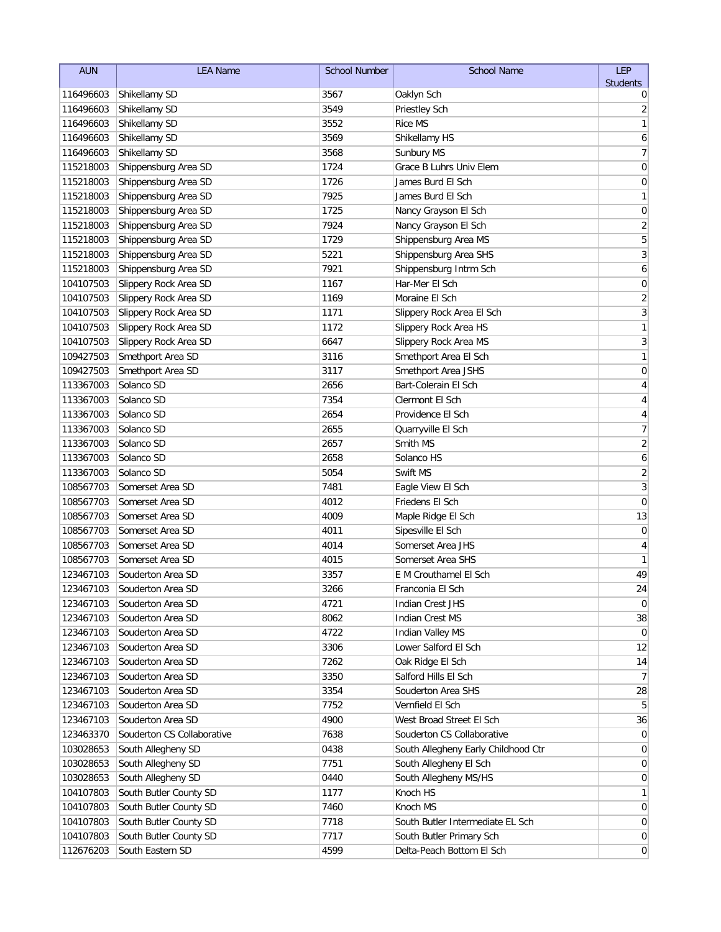| <b>AUN</b> | <b>LEA Name</b>            | <b>School Number</b> | <b>School Name</b>                  | LEP                     |
|------------|----------------------------|----------------------|-------------------------------------|-------------------------|
|            |                            |                      |                                     | <b>Students</b>         |
| 116496603  | Shikellamy SD              | 3567                 | Oaklyn Sch                          | 0                       |
| 116496603  | Shikellamy SD              | 3549                 | Priestley Sch                       | 2                       |
| 116496603  | Shikellamy SD              | 3552                 | <b>Rice MS</b>                      | 1                       |
| 116496603  | Shikellamy SD              | 3569                 | Shikellamy HS                       | 6                       |
| 116496603  | Shikellamy SD              | 3568                 | Sunbury MS                          | $\overline{7}$          |
| 115218003  | Shippensburg Area SD       | 1724                 | Grace B Luhrs Univ Elem             | 0                       |
| 115218003  | Shippensburg Area SD       | 1726                 | James Burd El Sch                   | 0                       |
| 115218003  | Shippensburg Area SD       | 7925                 | James Burd El Sch                   | 1                       |
| 115218003  | Shippensburg Area SD       | 1725                 | Nancy Grayson El Sch                | $\mathbf 0$             |
| 115218003  | Shippensburg Area SD       | 7924                 | Nancy Grayson El Sch                | $\overline{2}$          |
| 115218003  | Shippensburg Area SD       | 1729                 | Shippensburg Area MS                | $\overline{5}$          |
| 115218003  | Shippensburg Area SD       | 5221                 | Shippensburg Area SHS               | $\overline{3}$          |
| 115218003  | Shippensburg Area SD       | 7921                 | Shippensburg Intrm Sch              | 6                       |
| 104107503  | Slippery Rock Area SD      | 1167                 | Har-Mer El Sch                      | 0                       |
| 104107503  | Slippery Rock Area SD      | 1169                 | Moraine El Sch                      | $\overline{\mathbf{c}}$ |
| 104107503  | Slippery Rock Area SD      | 1171                 | Slippery Rock Area El Sch           | $\overline{3}$          |
| 104107503  | Slippery Rock Area SD      | 1172                 | Slippery Rock Area HS               | $\mathbf{1}$            |
| 104107503  | Slippery Rock Area SD      | 6647                 | Slippery Rock Area MS               | 3                       |
| 109427503  | Smethport Area SD          | 3116                 | Smethport Area El Sch               | 1                       |
| 109427503  | Smethport Area SD          | 3117                 | Smethport Area JSHS                 | 0                       |
| 113367003  | Solanco SD                 | 2656                 | Bart-Colerain El Sch                | 4                       |
| 113367003  | Solanco SD                 | 7354                 | Clermont El Sch                     | 4                       |
| 113367003  | Solanco SD                 | 2654                 | Providence El Sch                   | 4                       |
| 113367003  | Solanco SD                 | 2655                 | Quarryville El Sch                  | $\overline{7}$          |
| 113367003  | Solanco SD                 | 2657                 | Smith MS                            | $\sqrt{2}$              |
| 113367003  | Solanco SD                 | 2658                 | Solanco HS                          | 6                       |
| 113367003  | Solanco SD                 | 5054                 | Swift MS                            | $\sqrt{2}$              |
| 108567703  | Somerset Area SD           | 7481                 | Eagle View El Sch                   | 3                       |
| 108567703  | Somerset Area SD           | 4012                 | Friedens El Sch                     | $\mathbf 0$             |
| 108567703  | Somerset Area SD           | 4009                 | Maple Ridge El Sch                  | 13                      |
| 108567703  | Somerset Area SD           | 4011                 | Sipesville El Sch                   | 0                       |
| 108567703  | Somerset Area SD           | 4014                 | Somerset Area JHS                   | 4                       |
| 108567703  | Somerset Area SD           | 4015                 | Somerset Area SHS                   | 1                       |
| 123467103  | Souderton Area SD          | 3357                 | E M Crouthamel El Sch               | 49                      |
| 123467103  | Souderton Area SD          | 3266                 | Franconia El Sch                    | 24                      |
| 123467103  | Souderton Area SD          | 4721                 | <b>Indian Crest JHS</b>             | $\overline{0}$          |
| 123467103  | Souderton Area SD          | 8062                 | Indian Crest MS                     | 38                      |
| 123467103  | Souderton Area SD          | 4722                 | <b>Indian Valley MS</b>             | 0                       |
| 123467103  | Souderton Area SD          | 3306                 | Lower Salford El Sch                | 12                      |
| 123467103  | Souderton Area SD          | 7262                 | Oak Ridge El Sch                    | 14                      |
| 123467103  | Souderton Area SD          | 3350                 | Salford Hills El Sch                | 7                       |
| 123467103  | Souderton Area SD          | 3354                 | Souderton Area SHS                  | 28                      |
| 123467103  | Souderton Area SD          | 7752                 | Vernfield El Sch                    | 5                       |
| 123467103  | Souderton Area SD          | 4900                 | West Broad Street El Sch            | 36                      |
| 123463370  | Souderton CS Collaborative | 7638                 | Souderton CS Collaborative          | 0                       |
| 103028653  | South Allegheny SD         | 0438                 | South Allegheny Early Childhood Ctr | 0                       |
| 103028653  | South Allegheny SD         | 7751                 | South Allegheny El Sch              | 0                       |
| 103028653  | South Allegheny SD         | 0440                 | South Allegheny MS/HS               | 0                       |
| 104107803  | South Butler County SD     | 1177                 | Knoch HS                            | 1                       |
| 104107803  | South Butler County SD     | 7460                 | Knoch MS                            | 0                       |
| 104107803  | South Butler County SD     | 7718                 | South Butler Intermediate EL Sch    | $\boldsymbol{0}$        |
| 104107803  | South Butler County SD     | 7717                 | South Butler Primary Sch            | $\overline{0}$          |
| 112676203  | South Eastern SD           | 4599                 | Delta-Peach Bottom El Sch           | $\overline{0}$          |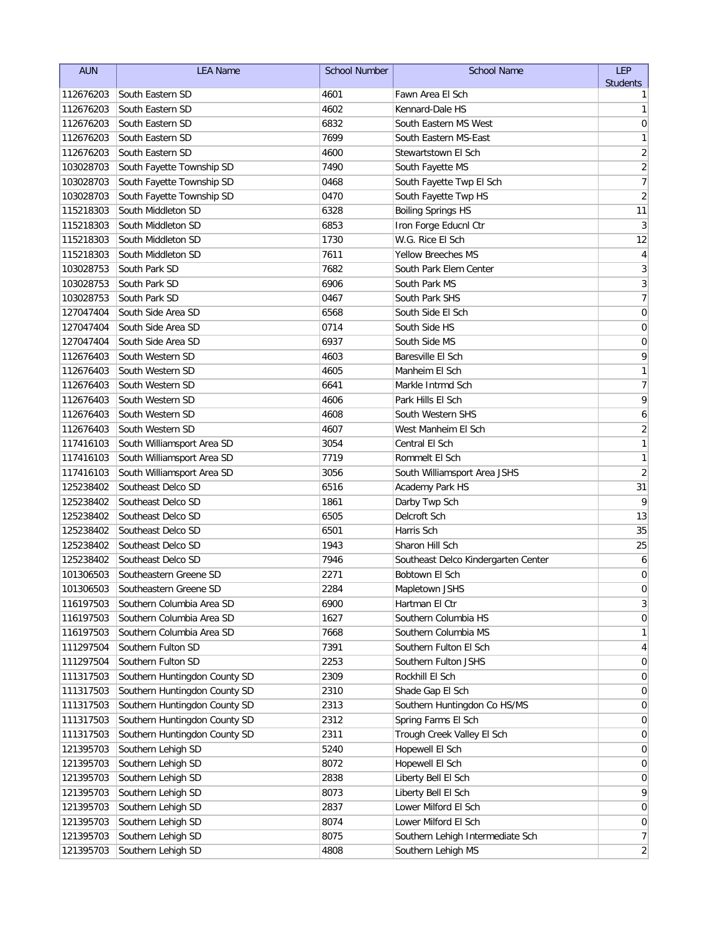| <b>AUN</b>             | <b>LEA Name</b>                                 | <b>School Number</b> | <b>School Name</b>                                | LEP                     |
|------------------------|-------------------------------------------------|----------------------|---------------------------------------------------|-------------------------|
|                        |                                                 |                      |                                                   | <b>Students</b>         |
| 112676203              | South Eastern SD                                | 4601                 | Fawn Area El Sch                                  | 1                       |
| 112676203              | South Eastern SD                                | 4602                 | Kennard-Dale HS                                   | 1                       |
| 112676203              | South Eastern SD                                | 6832                 | South Eastern MS West                             | $\mathbf 0$             |
| 112676203              | South Eastern SD                                | 7699                 | South Eastern MS-East                             | 1                       |
| 112676203              | South Eastern SD                                | 4600                 | Stewartstown El Sch                               | $\overline{\mathbf{c}}$ |
| 103028703              | South Fayette Township SD                       | 7490                 | South Fayette MS                                  | $\overline{c}$          |
| 103028703              | South Fayette Township SD                       | 0468                 | South Fayette Twp El Sch                          | $\overline{7}$          |
| 103028703              | South Fayette Township SD<br>South Middleton SD | 0470                 | South Fayette Twp HS<br><b>Boiling Springs HS</b> | $\overline{2}$          |
| 115218303              | South Middleton SD                              | 6328                 |                                                   | 11                      |
| 115218303<br>115218303 | South Middleton SD                              | 6853<br>1730         | Iron Forge Educnl Ctr<br>W.G. Rice El Sch         | 3<br>12                 |
| 115218303              | South Middleton SD                              | 7611                 | <b>Yellow Breeches MS</b>                         | 4                       |
| 103028753              | South Park SD                                   | 7682                 | South Park Elem Center                            | $\mathfrak{Z}$          |
| 103028753              | South Park SD                                   | 6906                 | South Park MS                                     | $\overline{3}$          |
| 103028753              | South Park SD                                   | 0467                 | South Park SHS                                    | $\overline{7}$          |
| 127047404              | South Side Area SD                              | 6568                 | South Side El Sch                                 | $\mathbf 0$             |
| 127047404              | South Side Area SD                              | 0714                 | South Side HS                                     | 0                       |
| 127047404              | South Side Area SD                              | 6937                 | South Side MS                                     | $\mathbf 0$             |
| 112676403              | South Western SD                                | 4603                 | Baresville El Sch                                 | 9                       |
| 112676403              | South Western SD                                | 4605                 | Manheim El Sch                                    | 1                       |
| 112676403              | South Western SD                                | 6641                 | Markle Intrmd Sch                                 | $\overline{7}$          |
| 112676403              | South Western SD                                | 4606                 | Park Hills El Sch                                 | 9                       |
| 112676403              | South Western SD                                | 4608                 | South Western SHS                                 | 6                       |
| 112676403              | South Western SD                                | 4607                 | West Manheim El Sch                               | $\overline{2}$          |
| 117416103              | South Williamsport Area SD                      | 3054                 | Central El Sch                                    | 1                       |
| 117416103              | South Williamsport Area SD                      | 7719                 | Rommelt El Sch                                    | 1                       |
| 117416103              | South Williamsport Area SD                      | 3056                 | South Williamsport Area JSHS                      | $\sqrt{2}$              |
| 125238402              | Southeast Delco SD                              | 6516                 | Academy Park HS                                   | 31                      |
| 125238402              | Southeast Delco SD                              | 1861                 | Darby Twp Sch                                     | 9                       |
| 125238402              | Southeast Delco SD                              | 6505                 | Delcroft Sch                                      | 13                      |
| 125238402              | Southeast Delco SD                              | 6501                 | Harris Sch                                        | 35                      |
| 125238402              | Southeast Delco SD                              | 1943                 | Sharon Hill Sch                                   | 25                      |
| 125238402              | Southeast Delco SD                              | 7946                 | Southeast Delco Kindergarten Center               | 6                       |
| 101306503              | Southeastern Greene SD                          | 2271                 | Bobtown El Sch                                    | 0                       |
| 101306503              | Southeastern Greene SD                          | 2284                 | Mapletown JSHS                                    | $\pmb{0}$               |
| 116197503              | Southern Columbia Area SD                       | 6900                 | Hartman El Ctr                                    | $\mathbf{3}$            |
| 116197503              | Southern Columbia Area SD                       | 1627                 | Southern Columbia HS                              | $\overline{0}$          |
| 116197503              | Southern Columbia Area SD                       | 7668                 | Southern Columbia MS                              | 1                       |
| 111297504              | Southern Fulton SD                              | 7391                 | Southern Fulton El Sch                            | 4                       |
| 111297504              | Southern Fulton SD                              | 2253                 | Southern Fulton JSHS                              | $\overline{0}$          |
| 111317503              | Southern Huntingdon County SD                   | 2309                 | Rockhill El Sch                                   | 0                       |
| 111317503              | Southern Huntingdon County SD                   | 2310                 | Shade Gap El Sch                                  | 0                       |
| 111317503              | Southern Huntingdon County SD                   | 2313                 | Southern Huntingdon Co HS/MS                      | 0                       |
| 111317503              | Southern Huntingdon County SD                   | 2312                 | Spring Farms El Sch                               | 0                       |
| 111317503              | Southern Huntingdon County SD                   | 2311                 | Trough Creek Valley El Sch                        | $\overline{0}$          |
| 121395703              | Southern Lehigh SD                              | 5240                 | Hopewell El Sch                                   | $\overline{0}$          |
| 121395703              | Southern Lehigh SD                              | 8072                 | Hopewell El Sch                                   | $\overline{0}$          |
| 121395703              | Southern Lehigh SD                              | 2838                 | Liberty Bell El Sch                               | $\overline{0}$          |
| 121395703              | Southern Lehigh SD                              | 8073                 | Liberty Bell El Sch                               | 9                       |
| 121395703              | Southern Lehigh SD                              | 2837                 | Lower Milford El Sch                              | $\boldsymbol{0}$        |
| 121395703              | Southern Lehigh SD                              | 8074                 | Lower Milford El Sch                              | 0                       |
| 121395703              | Southern Lehigh SD                              | 8075                 | Southern Lehigh Intermediate Sch                  | $\overline{7}$          |
| 121395703              | Southern Lehigh SD                              | 4808                 | Southern Lehigh MS                                | $\overline{c}$          |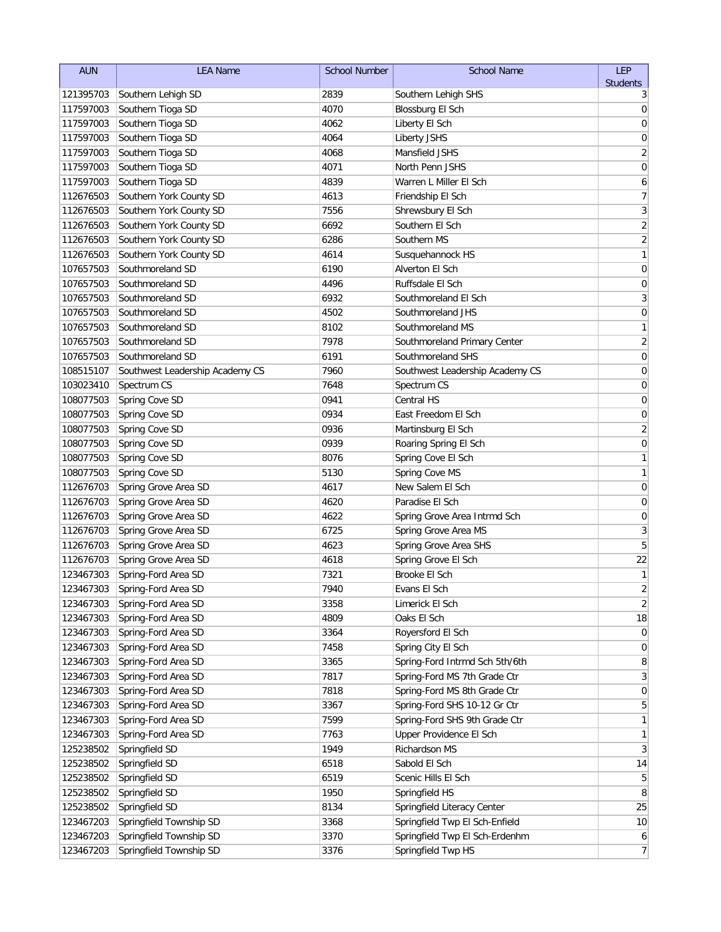| <b>AUN</b> | <b>LEA Name</b>                 | <b>School Number</b> | <b>School Name</b>              | LEP                     |
|------------|---------------------------------|----------------------|---------------------------------|-------------------------|
|            |                                 |                      |                                 | <b>Students</b>         |
| 121395703  | Southern Lehigh SD              | 2839                 | Southern Lehigh SHS             | 3                       |
| 117597003  | Southern Tioga SD               | 4070                 | Blossburg El Sch                | 0                       |
| 117597003  | Southern Tioga SD               | 4062                 | Liberty El Sch                  | 0                       |
| 117597003  | Southern Tioga SD               | 4064                 | Liberty JSHS                    | $\mathbf 0$             |
| 117597003  | Southern Tioga SD               | 4068                 | Mansfield JSHS                  | $\sqrt{2}$              |
| 117597003  | Southern Tioga SD               | 4071                 | North Penn JSHS                 | 0                       |
| 117597003  | Southern Tioga SD               | 4839                 | Warren L Miller El Sch          | 6                       |
| 112676503  | Southern York County SD         | 4613                 | Friendship El Sch               | 7                       |
| 112676503  | Southern York County SD         | 7556                 | Shrewsbury El Sch               | 3                       |
| 112676503  | Southern York County SD         | 6692                 | Southern El Sch                 | $\sqrt{2}$              |
| 112676503  | Southern York County SD         | 6286                 | Southern MS                     | $\overline{2}$          |
| 112676503  | Southern York County SD         | 4614                 | Susquehannock HS                | $\mathbf{1}$            |
| 107657503  | Southmoreland SD                | 6190                 | Alverton El Sch                 | $\mathbf 0$             |
| 107657503  | Southmoreland SD                | 4496                 | Ruffsdale El Sch                | $\pmb{0}$               |
| 107657503  | Southmoreland SD                | 6932                 | Southmoreland El Sch            | 3                       |
| 107657503  | Southmoreland SD                | 4502                 | Southmoreland JHS               | $\pmb{0}$               |
| 107657503  | Southmoreland SD                | 8102                 | Southmoreland MS                | 1                       |
| 107657503  | Southmoreland SD                | 7978                 | Southmoreland Primary Center    | $\sqrt{2}$              |
| 107657503  | Southmoreland SD                | 6191                 | Southmoreland SHS               | $\pmb{0}$               |
| 108515107  | Southwest Leadership Academy CS | 7960                 | Southwest Leadership Academy CS | 0                       |
| 103023410  | Spectrum CS                     | 7648                 | Spectrum CS                     | 0                       |
| 108077503  | Spring Cove SD                  | 0941                 | <b>Central HS</b>               | 0                       |
| 108077503  | Spring Cove SD                  | 0934                 | East Freedom El Sch             | 0                       |
| 108077503  | Spring Cove SD                  | 0936                 | Martinsburg El Sch              | $\sqrt{2}$              |
| 108077503  | Spring Cove SD                  | 0939                 | Roaring Spring El Sch           | $\mathbf 0$             |
| 108077503  | Spring Cove SD                  | 8076                 | Spring Cove El Sch              | 1                       |
| 108077503  | Spring Cove SD                  | 5130                 | Spring Cove MS                  | 1                       |
| 112676703  | Spring Grove Area SD            | 4617                 | New Salem El Sch                | $\mathbf 0$             |
| 112676703  | Spring Grove Area SD            | 4620                 | Paradise El Sch                 | $\mathbf 0$             |
| 112676703  | Spring Grove Area SD            | 4622                 | Spring Grove Area Intrmd Sch    | $\mathbf 0$             |
| 112676703  | Spring Grove Area SD            | 6725                 | Spring Grove Area MS            | $\sqrt{3}$              |
| 112676703  | Spring Grove Area SD            | 4623                 | Spring Grove Area SHS           | 5                       |
| 112676703  | Spring Grove Area SD            | 4618                 | Spring Grove El Sch             | 22                      |
| 123467303  | Spring-Ford Area SD             | 7321                 | Brooke El Sch                   | 1                       |
| 123467303  | Spring-Ford Area SD             | 7940                 | Evans El Sch                    | $\overline{\mathbf{c}}$ |
| 123467303  | Spring-Ford Area SD             | 3358                 | Limerick El Sch                 | $\sqrt{2}$              |
| 123467303  | Spring-Ford Area SD             | 4809                 | Oaks El Sch                     | 18                      |
| 123467303  | Spring-Ford Area SD             | 3364                 | Royersford El Sch               | $\overline{0}$          |
| 123467303  | Spring-Ford Area SD             | 7458                 | Spring City El Sch              | $\overline{0}$          |
| 123467303  | Spring-Ford Area SD             | 3365                 | Spring-Ford Intrmd Sch 5th/6th  | 8                       |
| 123467303  | Spring-Ford Area SD             | 7817                 | Spring-Ford MS 7th Grade Ctr    | $\mathbf{3}$            |
| 123467303  | Spring-Ford Area SD             | 7818                 | Spring-Ford MS 8th Grade Ctr    | $\overline{0}$          |
| 123467303  | Spring-Ford Area SD             | 3367                 | Spring-Ford SHS 10-12 Gr Ctr    | 5                       |
| 123467303  | Spring-Ford Area SD             | 7599                 | Spring-Ford SHS 9th Grade Ctr   | 1                       |
| 123467303  | Spring-Ford Area SD             | 7763                 | Upper Providence El Sch         | $\mathbf{1}$            |
| 125238502  | Springfield SD                  | 1949                 | Richardson MS                   | $\mathbf{3}$            |
| 125238502  | Springfield SD                  | 6518                 | Sabold El Sch                   | 14                      |
| 125238502  | Springfield SD                  | 6519                 | Scenic Hills El Sch             | 5                       |
| 125238502  | Springfield SD                  | 1950                 | Springfield HS                  | 8                       |
| 125238502  | Springfield SD                  | 8134                 | Springfield Literacy Center     | 25                      |
| 123467203  | Springfield Township SD         | 3368                 | Springfield Twp El Sch-Enfield  | 10                      |
| 123467203  | Springfield Township SD         | 3370                 | Springfield Twp El Sch-Erdenhm  | 6                       |
| 123467203  | Springfield Township SD         | 3376                 | Springfield Twp HS              | 7                       |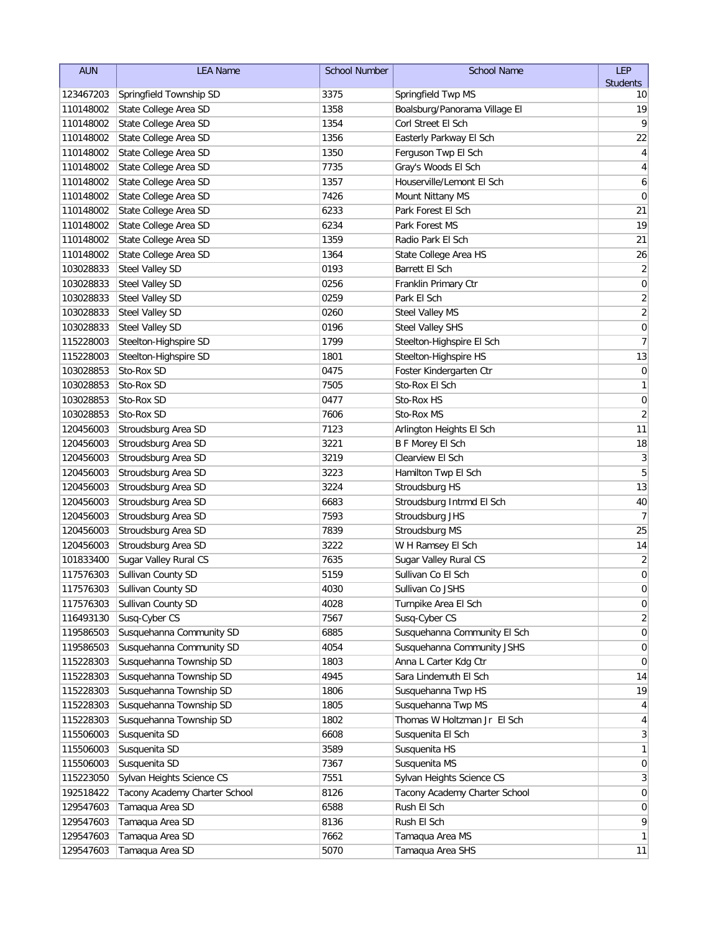| <b>Students</b><br>123467203<br>Springfield Township SD<br>3375<br>Springfield Twp MS<br>10<br>State College Area SD<br>1358<br>19<br>110148002<br>Boalsburg/Panorama Village El<br>9<br>State College Area SD<br>Corl Street El Sch<br>110148002<br>1354<br>State College Area SD<br>22<br>110148002<br>1356<br>Easterly Parkway El Sch<br>State College Area SD<br>110148002<br>1350<br>Ferguson Twp El Sch<br>4<br>State College Area SD<br>Gray's Woods El Sch<br>110148002<br>7735<br>4<br>State College Area SD<br>Houserville/Lemont El Sch<br>110148002<br>1357<br>6<br>State College Area SD<br>7426<br>Mount Nittany MS<br>$\mathbf 0$<br>110148002<br>State College Area SD<br>6233<br>21<br>110148002<br>Park Forest El Sch<br>State College Area SD<br>6234<br>19<br>110148002<br>Park Forest MS<br>State College Area SD<br>1359<br>21<br>110148002<br>Radio Park El Sch<br>State College Area SD<br>1364<br>26<br>110148002<br>State College Area HS<br>$\sqrt{2}$<br>Steel Valley SD<br>0193<br>Barrett El Sch<br>103028833<br>0256<br>$\pmb{0}$<br>103028833<br><b>Steel Valley SD</b><br>Franklin Primary Ctr<br>$\sqrt{2}$<br>103028833<br><b>Steel Valley SD</b><br>0259<br>Park El Sch<br>$\overline{c}$<br>103028833<br><b>Steel Valley SD</b><br>0260<br><b>Steel Valley MS</b><br>0196<br>$\pmb{0}$<br>103028833<br><b>Steel Valley SD</b><br><b>Steel Valley SHS</b><br>Steelton-Highspire SD<br>1799<br>7<br>115228003<br>Steelton-Highspire El Sch<br>13<br>115228003<br>Steelton-Highspire SD<br>Steelton-Highspire HS<br>1801<br>$\mathbf 0$<br>103028853<br>Sto-Rox SD<br>0475<br>Foster Kindergarten Ctr<br>Sto-Rox El Sch<br>1<br>103028853<br>Sto-Rox SD<br>7505<br>$\mathbf 0$<br>103028853<br>Sto-Rox SD<br>0477<br>Sto-Rox HS<br>$\overline{2}$<br>Sto-Rox SD<br>103028853<br>7606<br>Sto-Rox MS<br>11<br>120456003<br>Stroudsburg Area SD<br>7123<br>Arlington Heights El Sch<br>Stroudsburg Area SD<br>120456003<br>3221<br>B F Morey El Sch<br>18<br>$\sqrt{3}$<br>Stroudsburg Area SD<br>3219<br>Clearview El Sch<br>120456003<br>5<br>Stroudsburg Area SD<br>3223<br>Hamilton Twp El Sch<br>120456003<br>13<br>120456003<br>Stroudsburg Area SD<br>3224<br>Stroudsburg HS<br>40<br>120456003<br>Stroudsburg Area SD<br>6683<br>Stroudsburg Intrmd El Sch<br>7<br>120456003<br>Stroudsburg Area SD<br>7593<br>Stroudsburg JHS<br>25<br>7839<br>120456003<br>Stroudsburg Area SD<br>Stroudsburg MS<br>14<br>120456003<br>Stroudsburg Area SD<br>3222<br>W H Ramsey El Sch<br>$\overline{\mathbf{c}}$<br>7635<br>101833400<br>Sugar Valley Rural CS<br>Sugar Valley Rural CS<br>Sullivan County SD<br>Sullivan Co El Sch<br>$\pmb{0}$<br>117576303<br>5159<br>$\overline{0}$<br>117576303<br>Sullivan County SD<br>4030<br>Sullivan Co JSHS<br>Sullivan County SD<br>$\boldsymbol{0}$<br>117576303<br>4028<br>Turnpike Area El Sch<br>Susq-Cyber CS<br>116493130<br>7567<br>Susq-Cyber CS<br>2<br>Susquehanna Community SD<br>Susquehanna Community El Sch<br>119586503<br>6885<br>$\overline{0}$<br>Susquehanna Community SD<br>Susquehanna Community JSHS<br>119586503<br>4054<br>$\overline{0}$<br>Susquehanna Township SD<br>115228303<br>1803<br>Anna L Carter Kdg Ctr<br>0<br>Susquehanna Township SD<br>Sara Lindemuth El Sch<br>115228303<br>4945<br>14<br>Susquehanna Township SD<br>Susquehanna Twp HS<br>115228303<br>1806<br>19<br>Susquehanna Township SD<br>115228303<br>1805<br>Susquehanna Twp MS<br>4<br>Susquehanna Township SD<br>115228303<br>1802<br>Thomas W Holtzman Jr El Sch<br>4<br>$\mathbf{3}$<br>Susquenita SD<br>115506003<br>6608<br>Susquenita El Sch<br>3589<br>$\mathbf{1}$<br>115506003<br>Susquenita SD<br>Susquenita HS<br>7367<br>115506003<br>Susquenita SD<br>Susquenita MS<br>$\boldsymbol{0}$<br>Sylvan Heights Science CS<br>Sylvan Heights Science CS<br>115223050<br>7551<br>3<br>Tacony Academy Charter School<br>Tacony Academy Charter School<br>192518422<br>8126<br>$\overline{0}$<br>129547603<br>Tamaqua Area SD<br>6588<br>Rush El Sch<br>$\boldsymbol{0}$<br>Tamaqua Area SD<br>8136<br>9<br>129547603<br>Rush El Sch | <b>AUN</b> | <b>LEA Name</b> | School Number | <b>School Name</b> | LEP          |
|-------------------------------------------------------------------------------------------------------------------------------------------------------------------------------------------------------------------------------------------------------------------------------------------------------------------------------------------------------------------------------------------------------------------------------------------------------------------------------------------------------------------------------------------------------------------------------------------------------------------------------------------------------------------------------------------------------------------------------------------------------------------------------------------------------------------------------------------------------------------------------------------------------------------------------------------------------------------------------------------------------------------------------------------------------------------------------------------------------------------------------------------------------------------------------------------------------------------------------------------------------------------------------------------------------------------------------------------------------------------------------------------------------------------------------------------------------------------------------------------------------------------------------------------------------------------------------------------------------------------------------------------------------------------------------------------------------------------------------------------------------------------------------------------------------------------------------------------------------------------------------------------------------------------------------------------------------------------------------------------------------------------------------------------------------------------------------------------------------------------------------------------------------------------------------------------------------------------------------------------------------------------------------------------------------------------------------------------------------------------------------------------------------------------------------------------------------------------------------------------------------------------------------------------------------------------------------------------------------------------------------------------------------------------------------------------------------------------------------------------------------------------------------------------------------------------------------------------------------------------------------------------------------------------------------------------------------------------------------------------------------------------------------------------------------------------------------------------------------------------------------------------------------------------------------------------------------------------------------------------------------------------------------------------------------------------------------------------------------------------------------------------------------------------------------------------------------------------------------------------------------------------------------------------------------------------------------------------------------------------------------------------------------------------------------------------------------------------------------------------------------------------------------------------------------------------------------------------------------------------------------------------------------------------------------------------------------------------------------------------------------------------------------------------------------------------------------------------------------------------|------------|-----------------|---------------|--------------------|--------------|
|                                                                                                                                                                                                                                                                                                                                                                                                                                                                                                                                                                                                                                                                                                                                                                                                                                                                                                                                                                                                                                                                                                                                                                                                                                                                                                                                                                                                                                                                                                                                                                                                                                                                                                                                                                                                                                                                                                                                                                                                                                                                                                                                                                                                                                                                                                                                                                                                                                                                                                                                                                                                                                                                                                                                                                                                                                                                                                                                                                                                                                                                                                                                                                                                                                                                                                                                                                                                                                                                                                                                                                                                                                                                                                                                                                                                                                                                                                                                                                                                                                                                                                                   |            |                 |               |                    |              |
|                                                                                                                                                                                                                                                                                                                                                                                                                                                                                                                                                                                                                                                                                                                                                                                                                                                                                                                                                                                                                                                                                                                                                                                                                                                                                                                                                                                                                                                                                                                                                                                                                                                                                                                                                                                                                                                                                                                                                                                                                                                                                                                                                                                                                                                                                                                                                                                                                                                                                                                                                                                                                                                                                                                                                                                                                                                                                                                                                                                                                                                                                                                                                                                                                                                                                                                                                                                                                                                                                                                                                                                                                                                                                                                                                                                                                                                                                                                                                                                                                                                                                                                   |            |                 |               |                    |              |
|                                                                                                                                                                                                                                                                                                                                                                                                                                                                                                                                                                                                                                                                                                                                                                                                                                                                                                                                                                                                                                                                                                                                                                                                                                                                                                                                                                                                                                                                                                                                                                                                                                                                                                                                                                                                                                                                                                                                                                                                                                                                                                                                                                                                                                                                                                                                                                                                                                                                                                                                                                                                                                                                                                                                                                                                                                                                                                                                                                                                                                                                                                                                                                                                                                                                                                                                                                                                                                                                                                                                                                                                                                                                                                                                                                                                                                                                                                                                                                                                                                                                                                                   |            |                 |               |                    |              |
|                                                                                                                                                                                                                                                                                                                                                                                                                                                                                                                                                                                                                                                                                                                                                                                                                                                                                                                                                                                                                                                                                                                                                                                                                                                                                                                                                                                                                                                                                                                                                                                                                                                                                                                                                                                                                                                                                                                                                                                                                                                                                                                                                                                                                                                                                                                                                                                                                                                                                                                                                                                                                                                                                                                                                                                                                                                                                                                                                                                                                                                                                                                                                                                                                                                                                                                                                                                                                                                                                                                                                                                                                                                                                                                                                                                                                                                                                                                                                                                                                                                                                                                   |            |                 |               |                    |              |
|                                                                                                                                                                                                                                                                                                                                                                                                                                                                                                                                                                                                                                                                                                                                                                                                                                                                                                                                                                                                                                                                                                                                                                                                                                                                                                                                                                                                                                                                                                                                                                                                                                                                                                                                                                                                                                                                                                                                                                                                                                                                                                                                                                                                                                                                                                                                                                                                                                                                                                                                                                                                                                                                                                                                                                                                                                                                                                                                                                                                                                                                                                                                                                                                                                                                                                                                                                                                                                                                                                                                                                                                                                                                                                                                                                                                                                                                                                                                                                                                                                                                                                                   |            |                 |               |                    |              |
|                                                                                                                                                                                                                                                                                                                                                                                                                                                                                                                                                                                                                                                                                                                                                                                                                                                                                                                                                                                                                                                                                                                                                                                                                                                                                                                                                                                                                                                                                                                                                                                                                                                                                                                                                                                                                                                                                                                                                                                                                                                                                                                                                                                                                                                                                                                                                                                                                                                                                                                                                                                                                                                                                                                                                                                                                                                                                                                                                                                                                                                                                                                                                                                                                                                                                                                                                                                                                                                                                                                                                                                                                                                                                                                                                                                                                                                                                                                                                                                                                                                                                                                   |            |                 |               |                    |              |
|                                                                                                                                                                                                                                                                                                                                                                                                                                                                                                                                                                                                                                                                                                                                                                                                                                                                                                                                                                                                                                                                                                                                                                                                                                                                                                                                                                                                                                                                                                                                                                                                                                                                                                                                                                                                                                                                                                                                                                                                                                                                                                                                                                                                                                                                                                                                                                                                                                                                                                                                                                                                                                                                                                                                                                                                                                                                                                                                                                                                                                                                                                                                                                                                                                                                                                                                                                                                                                                                                                                                                                                                                                                                                                                                                                                                                                                                                                                                                                                                                                                                                                                   |            |                 |               |                    |              |
|                                                                                                                                                                                                                                                                                                                                                                                                                                                                                                                                                                                                                                                                                                                                                                                                                                                                                                                                                                                                                                                                                                                                                                                                                                                                                                                                                                                                                                                                                                                                                                                                                                                                                                                                                                                                                                                                                                                                                                                                                                                                                                                                                                                                                                                                                                                                                                                                                                                                                                                                                                                                                                                                                                                                                                                                                                                                                                                                                                                                                                                                                                                                                                                                                                                                                                                                                                                                                                                                                                                                                                                                                                                                                                                                                                                                                                                                                                                                                                                                                                                                                                                   |            |                 |               |                    |              |
|                                                                                                                                                                                                                                                                                                                                                                                                                                                                                                                                                                                                                                                                                                                                                                                                                                                                                                                                                                                                                                                                                                                                                                                                                                                                                                                                                                                                                                                                                                                                                                                                                                                                                                                                                                                                                                                                                                                                                                                                                                                                                                                                                                                                                                                                                                                                                                                                                                                                                                                                                                                                                                                                                                                                                                                                                                                                                                                                                                                                                                                                                                                                                                                                                                                                                                                                                                                                                                                                                                                                                                                                                                                                                                                                                                                                                                                                                                                                                                                                                                                                                                                   |            |                 |               |                    |              |
|                                                                                                                                                                                                                                                                                                                                                                                                                                                                                                                                                                                                                                                                                                                                                                                                                                                                                                                                                                                                                                                                                                                                                                                                                                                                                                                                                                                                                                                                                                                                                                                                                                                                                                                                                                                                                                                                                                                                                                                                                                                                                                                                                                                                                                                                                                                                                                                                                                                                                                                                                                                                                                                                                                                                                                                                                                                                                                                                                                                                                                                                                                                                                                                                                                                                                                                                                                                                                                                                                                                                                                                                                                                                                                                                                                                                                                                                                                                                                                                                                                                                                                                   |            |                 |               |                    |              |
|                                                                                                                                                                                                                                                                                                                                                                                                                                                                                                                                                                                                                                                                                                                                                                                                                                                                                                                                                                                                                                                                                                                                                                                                                                                                                                                                                                                                                                                                                                                                                                                                                                                                                                                                                                                                                                                                                                                                                                                                                                                                                                                                                                                                                                                                                                                                                                                                                                                                                                                                                                                                                                                                                                                                                                                                                                                                                                                                                                                                                                                                                                                                                                                                                                                                                                                                                                                                                                                                                                                                                                                                                                                                                                                                                                                                                                                                                                                                                                                                                                                                                                                   |            |                 |               |                    |              |
|                                                                                                                                                                                                                                                                                                                                                                                                                                                                                                                                                                                                                                                                                                                                                                                                                                                                                                                                                                                                                                                                                                                                                                                                                                                                                                                                                                                                                                                                                                                                                                                                                                                                                                                                                                                                                                                                                                                                                                                                                                                                                                                                                                                                                                                                                                                                                                                                                                                                                                                                                                                                                                                                                                                                                                                                                                                                                                                                                                                                                                                                                                                                                                                                                                                                                                                                                                                                                                                                                                                                                                                                                                                                                                                                                                                                                                                                                                                                                                                                                                                                                                                   |            |                 |               |                    |              |
|                                                                                                                                                                                                                                                                                                                                                                                                                                                                                                                                                                                                                                                                                                                                                                                                                                                                                                                                                                                                                                                                                                                                                                                                                                                                                                                                                                                                                                                                                                                                                                                                                                                                                                                                                                                                                                                                                                                                                                                                                                                                                                                                                                                                                                                                                                                                                                                                                                                                                                                                                                                                                                                                                                                                                                                                                                                                                                                                                                                                                                                                                                                                                                                                                                                                                                                                                                                                                                                                                                                                                                                                                                                                                                                                                                                                                                                                                                                                                                                                                                                                                                                   |            |                 |               |                    |              |
|                                                                                                                                                                                                                                                                                                                                                                                                                                                                                                                                                                                                                                                                                                                                                                                                                                                                                                                                                                                                                                                                                                                                                                                                                                                                                                                                                                                                                                                                                                                                                                                                                                                                                                                                                                                                                                                                                                                                                                                                                                                                                                                                                                                                                                                                                                                                                                                                                                                                                                                                                                                                                                                                                                                                                                                                                                                                                                                                                                                                                                                                                                                                                                                                                                                                                                                                                                                                                                                                                                                                                                                                                                                                                                                                                                                                                                                                                                                                                                                                                                                                                                                   |            |                 |               |                    |              |
|                                                                                                                                                                                                                                                                                                                                                                                                                                                                                                                                                                                                                                                                                                                                                                                                                                                                                                                                                                                                                                                                                                                                                                                                                                                                                                                                                                                                                                                                                                                                                                                                                                                                                                                                                                                                                                                                                                                                                                                                                                                                                                                                                                                                                                                                                                                                                                                                                                                                                                                                                                                                                                                                                                                                                                                                                                                                                                                                                                                                                                                                                                                                                                                                                                                                                                                                                                                                                                                                                                                                                                                                                                                                                                                                                                                                                                                                                                                                                                                                                                                                                                                   |            |                 |               |                    |              |
|                                                                                                                                                                                                                                                                                                                                                                                                                                                                                                                                                                                                                                                                                                                                                                                                                                                                                                                                                                                                                                                                                                                                                                                                                                                                                                                                                                                                                                                                                                                                                                                                                                                                                                                                                                                                                                                                                                                                                                                                                                                                                                                                                                                                                                                                                                                                                                                                                                                                                                                                                                                                                                                                                                                                                                                                                                                                                                                                                                                                                                                                                                                                                                                                                                                                                                                                                                                                                                                                                                                                                                                                                                                                                                                                                                                                                                                                                                                                                                                                                                                                                                                   |            |                 |               |                    |              |
|                                                                                                                                                                                                                                                                                                                                                                                                                                                                                                                                                                                                                                                                                                                                                                                                                                                                                                                                                                                                                                                                                                                                                                                                                                                                                                                                                                                                                                                                                                                                                                                                                                                                                                                                                                                                                                                                                                                                                                                                                                                                                                                                                                                                                                                                                                                                                                                                                                                                                                                                                                                                                                                                                                                                                                                                                                                                                                                                                                                                                                                                                                                                                                                                                                                                                                                                                                                                                                                                                                                                                                                                                                                                                                                                                                                                                                                                                                                                                                                                                                                                                                                   |            |                 |               |                    |              |
|                                                                                                                                                                                                                                                                                                                                                                                                                                                                                                                                                                                                                                                                                                                                                                                                                                                                                                                                                                                                                                                                                                                                                                                                                                                                                                                                                                                                                                                                                                                                                                                                                                                                                                                                                                                                                                                                                                                                                                                                                                                                                                                                                                                                                                                                                                                                                                                                                                                                                                                                                                                                                                                                                                                                                                                                                                                                                                                                                                                                                                                                                                                                                                                                                                                                                                                                                                                                                                                                                                                                                                                                                                                                                                                                                                                                                                                                                                                                                                                                                                                                                                                   |            |                 |               |                    |              |
|                                                                                                                                                                                                                                                                                                                                                                                                                                                                                                                                                                                                                                                                                                                                                                                                                                                                                                                                                                                                                                                                                                                                                                                                                                                                                                                                                                                                                                                                                                                                                                                                                                                                                                                                                                                                                                                                                                                                                                                                                                                                                                                                                                                                                                                                                                                                                                                                                                                                                                                                                                                                                                                                                                                                                                                                                                                                                                                                                                                                                                                                                                                                                                                                                                                                                                                                                                                                                                                                                                                                                                                                                                                                                                                                                                                                                                                                                                                                                                                                                                                                                                                   |            |                 |               |                    |              |
|                                                                                                                                                                                                                                                                                                                                                                                                                                                                                                                                                                                                                                                                                                                                                                                                                                                                                                                                                                                                                                                                                                                                                                                                                                                                                                                                                                                                                                                                                                                                                                                                                                                                                                                                                                                                                                                                                                                                                                                                                                                                                                                                                                                                                                                                                                                                                                                                                                                                                                                                                                                                                                                                                                                                                                                                                                                                                                                                                                                                                                                                                                                                                                                                                                                                                                                                                                                                                                                                                                                                                                                                                                                                                                                                                                                                                                                                                                                                                                                                                                                                                                                   |            |                 |               |                    |              |
|                                                                                                                                                                                                                                                                                                                                                                                                                                                                                                                                                                                                                                                                                                                                                                                                                                                                                                                                                                                                                                                                                                                                                                                                                                                                                                                                                                                                                                                                                                                                                                                                                                                                                                                                                                                                                                                                                                                                                                                                                                                                                                                                                                                                                                                                                                                                                                                                                                                                                                                                                                                                                                                                                                                                                                                                                                                                                                                                                                                                                                                                                                                                                                                                                                                                                                                                                                                                                                                                                                                                                                                                                                                                                                                                                                                                                                                                                                                                                                                                                                                                                                                   |            |                 |               |                    |              |
|                                                                                                                                                                                                                                                                                                                                                                                                                                                                                                                                                                                                                                                                                                                                                                                                                                                                                                                                                                                                                                                                                                                                                                                                                                                                                                                                                                                                                                                                                                                                                                                                                                                                                                                                                                                                                                                                                                                                                                                                                                                                                                                                                                                                                                                                                                                                                                                                                                                                                                                                                                                                                                                                                                                                                                                                                                                                                                                                                                                                                                                                                                                                                                                                                                                                                                                                                                                                                                                                                                                                                                                                                                                                                                                                                                                                                                                                                                                                                                                                                                                                                                                   |            |                 |               |                    |              |
|                                                                                                                                                                                                                                                                                                                                                                                                                                                                                                                                                                                                                                                                                                                                                                                                                                                                                                                                                                                                                                                                                                                                                                                                                                                                                                                                                                                                                                                                                                                                                                                                                                                                                                                                                                                                                                                                                                                                                                                                                                                                                                                                                                                                                                                                                                                                                                                                                                                                                                                                                                                                                                                                                                                                                                                                                                                                                                                                                                                                                                                                                                                                                                                                                                                                                                                                                                                                                                                                                                                                                                                                                                                                                                                                                                                                                                                                                                                                                                                                                                                                                                                   |            |                 |               |                    |              |
|                                                                                                                                                                                                                                                                                                                                                                                                                                                                                                                                                                                                                                                                                                                                                                                                                                                                                                                                                                                                                                                                                                                                                                                                                                                                                                                                                                                                                                                                                                                                                                                                                                                                                                                                                                                                                                                                                                                                                                                                                                                                                                                                                                                                                                                                                                                                                                                                                                                                                                                                                                                                                                                                                                                                                                                                                                                                                                                                                                                                                                                                                                                                                                                                                                                                                                                                                                                                                                                                                                                                                                                                                                                                                                                                                                                                                                                                                                                                                                                                                                                                                                                   |            |                 |               |                    |              |
|                                                                                                                                                                                                                                                                                                                                                                                                                                                                                                                                                                                                                                                                                                                                                                                                                                                                                                                                                                                                                                                                                                                                                                                                                                                                                                                                                                                                                                                                                                                                                                                                                                                                                                                                                                                                                                                                                                                                                                                                                                                                                                                                                                                                                                                                                                                                                                                                                                                                                                                                                                                                                                                                                                                                                                                                                                                                                                                                                                                                                                                                                                                                                                                                                                                                                                                                                                                                                                                                                                                                                                                                                                                                                                                                                                                                                                                                                                                                                                                                                                                                                                                   |            |                 |               |                    |              |
|                                                                                                                                                                                                                                                                                                                                                                                                                                                                                                                                                                                                                                                                                                                                                                                                                                                                                                                                                                                                                                                                                                                                                                                                                                                                                                                                                                                                                                                                                                                                                                                                                                                                                                                                                                                                                                                                                                                                                                                                                                                                                                                                                                                                                                                                                                                                                                                                                                                                                                                                                                                                                                                                                                                                                                                                                                                                                                                                                                                                                                                                                                                                                                                                                                                                                                                                                                                                                                                                                                                                                                                                                                                                                                                                                                                                                                                                                                                                                                                                                                                                                                                   |            |                 |               |                    |              |
|                                                                                                                                                                                                                                                                                                                                                                                                                                                                                                                                                                                                                                                                                                                                                                                                                                                                                                                                                                                                                                                                                                                                                                                                                                                                                                                                                                                                                                                                                                                                                                                                                                                                                                                                                                                                                                                                                                                                                                                                                                                                                                                                                                                                                                                                                                                                                                                                                                                                                                                                                                                                                                                                                                                                                                                                                                                                                                                                                                                                                                                                                                                                                                                                                                                                                                                                                                                                                                                                                                                                                                                                                                                                                                                                                                                                                                                                                                                                                                                                                                                                                                                   |            |                 |               |                    |              |
|                                                                                                                                                                                                                                                                                                                                                                                                                                                                                                                                                                                                                                                                                                                                                                                                                                                                                                                                                                                                                                                                                                                                                                                                                                                                                                                                                                                                                                                                                                                                                                                                                                                                                                                                                                                                                                                                                                                                                                                                                                                                                                                                                                                                                                                                                                                                                                                                                                                                                                                                                                                                                                                                                                                                                                                                                                                                                                                                                                                                                                                                                                                                                                                                                                                                                                                                                                                                                                                                                                                                                                                                                                                                                                                                                                                                                                                                                                                                                                                                                                                                                                                   |            |                 |               |                    |              |
|                                                                                                                                                                                                                                                                                                                                                                                                                                                                                                                                                                                                                                                                                                                                                                                                                                                                                                                                                                                                                                                                                                                                                                                                                                                                                                                                                                                                                                                                                                                                                                                                                                                                                                                                                                                                                                                                                                                                                                                                                                                                                                                                                                                                                                                                                                                                                                                                                                                                                                                                                                                                                                                                                                                                                                                                                                                                                                                                                                                                                                                                                                                                                                                                                                                                                                                                                                                                                                                                                                                                                                                                                                                                                                                                                                                                                                                                                                                                                                                                                                                                                                                   |            |                 |               |                    |              |
|                                                                                                                                                                                                                                                                                                                                                                                                                                                                                                                                                                                                                                                                                                                                                                                                                                                                                                                                                                                                                                                                                                                                                                                                                                                                                                                                                                                                                                                                                                                                                                                                                                                                                                                                                                                                                                                                                                                                                                                                                                                                                                                                                                                                                                                                                                                                                                                                                                                                                                                                                                                                                                                                                                                                                                                                                                                                                                                                                                                                                                                                                                                                                                                                                                                                                                                                                                                                                                                                                                                                                                                                                                                                                                                                                                                                                                                                                                                                                                                                                                                                                                                   |            |                 |               |                    |              |
|                                                                                                                                                                                                                                                                                                                                                                                                                                                                                                                                                                                                                                                                                                                                                                                                                                                                                                                                                                                                                                                                                                                                                                                                                                                                                                                                                                                                                                                                                                                                                                                                                                                                                                                                                                                                                                                                                                                                                                                                                                                                                                                                                                                                                                                                                                                                                                                                                                                                                                                                                                                                                                                                                                                                                                                                                                                                                                                                                                                                                                                                                                                                                                                                                                                                                                                                                                                                                                                                                                                                                                                                                                                                                                                                                                                                                                                                                                                                                                                                                                                                                                                   |            |                 |               |                    |              |
|                                                                                                                                                                                                                                                                                                                                                                                                                                                                                                                                                                                                                                                                                                                                                                                                                                                                                                                                                                                                                                                                                                                                                                                                                                                                                                                                                                                                                                                                                                                                                                                                                                                                                                                                                                                                                                                                                                                                                                                                                                                                                                                                                                                                                                                                                                                                                                                                                                                                                                                                                                                                                                                                                                                                                                                                                                                                                                                                                                                                                                                                                                                                                                                                                                                                                                                                                                                                                                                                                                                                                                                                                                                                                                                                                                                                                                                                                                                                                                                                                                                                                                                   |            |                 |               |                    |              |
|                                                                                                                                                                                                                                                                                                                                                                                                                                                                                                                                                                                                                                                                                                                                                                                                                                                                                                                                                                                                                                                                                                                                                                                                                                                                                                                                                                                                                                                                                                                                                                                                                                                                                                                                                                                                                                                                                                                                                                                                                                                                                                                                                                                                                                                                                                                                                                                                                                                                                                                                                                                                                                                                                                                                                                                                                                                                                                                                                                                                                                                                                                                                                                                                                                                                                                                                                                                                                                                                                                                                                                                                                                                                                                                                                                                                                                                                                                                                                                                                                                                                                                                   |            |                 |               |                    |              |
|                                                                                                                                                                                                                                                                                                                                                                                                                                                                                                                                                                                                                                                                                                                                                                                                                                                                                                                                                                                                                                                                                                                                                                                                                                                                                                                                                                                                                                                                                                                                                                                                                                                                                                                                                                                                                                                                                                                                                                                                                                                                                                                                                                                                                                                                                                                                                                                                                                                                                                                                                                                                                                                                                                                                                                                                                                                                                                                                                                                                                                                                                                                                                                                                                                                                                                                                                                                                                                                                                                                                                                                                                                                                                                                                                                                                                                                                                                                                                                                                                                                                                                                   |            |                 |               |                    |              |
|                                                                                                                                                                                                                                                                                                                                                                                                                                                                                                                                                                                                                                                                                                                                                                                                                                                                                                                                                                                                                                                                                                                                                                                                                                                                                                                                                                                                                                                                                                                                                                                                                                                                                                                                                                                                                                                                                                                                                                                                                                                                                                                                                                                                                                                                                                                                                                                                                                                                                                                                                                                                                                                                                                                                                                                                                                                                                                                                                                                                                                                                                                                                                                                                                                                                                                                                                                                                                                                                                                                                                                                                                                                                                                                                                                                                                                                                                                                                                                                                                                                                                                                   |            |                 |               |                    |              |
|                                                                                                                                                                                                                                                                                                                                                                                                                                                                                                                                                                                                                                                                                                                                                                                                                                                                                                                                                                                                                                                                                                                                                                                                                                                                                                                                                                                                                                                                                                                                                                                                                                                                                                                                                                                                                                                                                                                                                                                                                                                                                                                                                                                                                                                                                                                                                                                                                                                                                                                                                                                                                                                                                                                                                                                                                                                                                                                                                                                                                                                                                                                                                                                                                                                                                                                                                                                                                                                                                                                                                                                                                                                                                                                                                                                                                                                                                                                                                                                                                                                                                                                   |            |                 |               |                    |              |
|                                                                                                                                                                                                                                                                                                                                                                                                                                                                                                                                                                                                                                                                                                                                                                                                                                                                                                                                                                                                                                                                                                                                                                                                                                                                                                                                                                                                                                                                                                                                                                                                                                                                                                                                                                                                                                                                                                                                                                                                                                                                                                                                                                                                                                                                                                                                                                                                                                                                                                                                                                                                                                                                                                                                                                                                                                                                                                                                                                                                                                                                                                                                                                                                                                                                                                                                                                                                                                                                                                                                                                                                                                                                                                                                                                                                                                                                                                                                                                                                                                                                                                                   |            |                 |               |                    |              |
|                                                                                                                                                                                                                                                                                                                                                                                                                                                                                                                                                                                                                                                                                                                                                                                                                                                                                                                                                                                                                                                                                                                                                                                                                                                                                                                                                                                                                                                                                                                                                                                                                                                                                                                                                                                                                                                                                                                                                                                                                                                                                                                                                                                                                                                                                                                                                                                                                                                                                                                                                                                                                                                                                                                                                                                                                                                                                                                                                                                                                                                                                                                                                                                                                                                                                                                                                                                                                                                                                                                                                                                                                                                                                                                                                                                                                                                                                                                                                                                                                                                                                                                   |            |                 |               |                    |              |
|                                                                                                                                                                                                                                                                                                                                                                                                                                                                                                                                                                                                                                                                                                                                                                                                                                                                                                                                                                                                                                                                                                                                                                                                                                                                                                                                                                                                                                                                                                                                                                                                                                                                                                                                                                                                                                                                                                                                                                                                                                                                                                                                                                                                                                                                                                                                                                                                                                                                                                                                                                                                                                                                                                                                                                                                                                                                                                                                                                                                                                                                                                                                                                                                                                                                                                                                                                                                                                                                                                                                                                                                                                                                                                                                                                                                                                                                                                                                                                                                                                                                                                                   |            |                 |               |                    |              |
|                                                                                                                                                                                                                                                                                                                                                                                                                                                                                                                                                                                                                                                                                                                                                                                                                                                                                                                                                                                                                                                                                                                                                                                                                                                                                                                                                                                                                                                                                                                                                                                                                                                                                                                                                                                                                                                                                                                                                                                                                                                                                                                                                                                                                                                                                                                                                                                                                                                                                                                                                                                                                                                                                                                                                                                                                                                                                                                                                                                                                                                                                                                                                                                                                                                                                                                                                                                                                                                                                                                                                                                                                                                                                                                                                                                                                                                                                                                                                                                                                                                                                                                   |            |                 |               |                    |              |
|                                                                                                                                                                                                                                                                                                                                                                                                                                                                                                                                                                                                                                                                                                                                                                                                                                                                                                                                                                                                                                                                                                                                                                                                                                                                                                                                                                                                                                                                                                                                                                                                                                                                                                                                                                                                                                                                                                                                                                                                                                                                                                                                                                                                                                                                                                                                                                                                                                                                                                                                                                                                                                                                                                                                                                                                                                                                                                                                                                                                                                                                                                                                                                                                                                                                                                                                                                                                                                                                                                                                                                                                                                                                                                                                                                                                                                                                                                                                                                                                                                                                                                                   |            |                 |               |                    |              |
|                                                                                                                                                                                                                                                                                                                                                                                                                                                                                                                                                                                                                                                                                                                                                                                                                                                                                                                                                                                                                                                                                                                                                                                                                                                                                                                                                                                                                                                                                                                                                                                                                                                                                                                                                                                                                                                                                                                                                                                                                                                                                                                                                                                                                                                                                                                                                                                                                                                                                                                                                                                                                                                                                                                                                                                                                                                                                                                                                                                                                                                                                                                                                                                                                                                                                                                                                                                                                                                                                                                                                                                                                                                                                                                                                                                                                                                                                                                                                                                                                                                                                                                   |            |                 |               |                    |              |
|                                                                                                                                                                                                                                                                                                                                                                                                                                                                                                                                                                                                                                                                                                                                                                                                                                                                                                                                                                                                                                                                                                                                                                                                                                                                                                                                                                                                                                                                                                                                                                                                                                                                                                                                                                                                                                                                                                                                                                                                                                                                                                                                                                                                                                                                                                                                                                                                                                                                                                                                                                                                                                                                                                                                                                                                                                                                                                                                                                                                                                                                                                                                                                                                                                                                                                                                                                                                                                                                                                                                                                                                                                                                                                                                                                                                                                                                                                                                                                                                                                                                                                                   |            |                 |               |                    |              |
|                                                                                                                                                                                                                                                                                                                                                                                                                                                                                                                                                                                                                                                                                                                                                                                                                                                                                                                                                                                                                                                                                                                                                                                                                                                                                                                                                                                                                                                                                                                                                                                                                                                                                                                                                                                                                                                                                                                                                                                                                                                                                                                                                                                                                                                                                                                                                                                                                                                                                                                                                                                                                                                                                                                                                                                                                                                                                                                                                                                                                                                                                                                                                                                                                                                                                                                                                                                                                                                                                                                                                                                                                                                                                                                                                                                                                                                                                                                                                                                                                                                                                                                   |            |                 |               |                    |              |
|                                                                                                                                                                                                                                                                                                                                                                                                                                                                                                                                                                                                                                                                                                                                                                                                                                                                                                                                                                                                                                                                                                                                                                                                                                                                                                                                                                                                                                                                                                                                                                                                                                                                                                                                                                                                                                                                                                                                                                                                                                                                                                                                                                                                                                                                                                                                                                                                                                                                                                                                                                                                                                                                                                                                                                                                                                                                                                                                                                                                                                                                                                                                                                                                                                                                                                                                                                                                                                                                                                                                                                                                                                                                                                                                                                                                                                                                                                                                                                                                                                                                                                                   |            |                 |               |                    |              |
|                                                                                                                                                                                                                                                                                                                                                                                                                                                                                                                                                                                                                                                                                                                                                                                                                                                                                                                                                                                                                                                                                                                                                                                                                                                                                                                                                                                                                                                                                                                                                                                                                                                                                                                                                                                                                                                                                                                                                                                                                                                                                                                                                                                                                                                                                                                                                                                                                                                                                                                                                                                                                                                                                                                                                                                                                                                                                                                                                                                                                                                                                                                                                                                                                                                                                                                                                                                                                                                                                                                                                                                                                                                                                                                                                                                                                                                                                                                                                                                                                                                                                                                   |            |                 |               |                    |              |
|                                                                                                                                                                                                                                                                                                                                                                                                                                                                                                                                                                                                                                                                                                                                                                                                                                                                                                                                                                                                                                                                                                                                                                                                                                                                                                                                                                                                                                                                                                                                                                                                                                                                                                                                                                                                                                                                                                                                                                                                                                                                                                                                                                                                                                                                                                                                                                                                                                                                                                                                                                                                                                                                                                                                                                                                                                                                                                                                                                                                                                                                                                                                                                                                                                                                                                                                                                                                                                                                                                                                                                                                                                                                                                                                                                                                                                                                                                                                                                                                                                                                                                                   |            |                 |               |                    |              |
|                                                                                                                                                                                                                                                                                                                                                                                                                                                                                                                                                                                                                                                                                                                                                                                                                                                                                                                                                                                                                                                                                                                                                                                                                                                                                                                                                                                                                                                                                                                                                                                                                                                                                                                                                                                                                                                                                                                                                                                                                                                                                                                                                                                                                                                                                                                                                                                                                                                                                                                                                                                                                                                                                                                                                                                                                                                                                                                                                                                                                                                                                                                                                                                                                                                                                                                                                                                                                                                                                                                                                                                                                                                                                                                                                                                                                                                                                                                                                                                                                                                                                                                   |            |                 |               |                    |              |
|                                                                                                                                                                                                                                                                                                                                                                                                                                                                                                                                                                                                                                                                                                                                                                                                                                                                                                                                                                                                                                                                                                                                                                                                                                                                                                                                                                                                                                                                                                                                                                                                                                                                                                                                                                                                                                                                                                                                                                                                                                                                                                                                                                                                                                                                                                                                                                                                                                                                                                                                                                                                                                                                                                                                                                                                                                                                                                                                                                                                                                                                                                                                                                                                                                                                                                                                                                                                                                                                                                                                                                                                                                                                                                                                                                                                                                                                                                                                                                                                                                                                                                                   |            |                 |               |                    |              |
|                                                                                                                                                                                                                                                                                                                                                                                                                                                                                                                                                                                                                                                                                                                                                                                                                                                                                                                                                                                                                                                                                                                                                                                                                                                                                                                                                                                                                                                                                                                                                                                                                                                                                                                                                                                                                                                                                                                                                                                                                                                                                                                                                                                                                                                                                                                                                                                                                                                                                                                                                                                                                                                                                                                                                                                                                                                                                                                                                                                                                                                                                                                                                                                                                                                                                                                                                                                                                                                                                                                                                                                                                                                                                                                                                                                                                                                                                                                                                                                                                                                                                                                   |            |                 |               |                    |              |
|                                                                                                                                                                                                                                                                                                                                                                                                                                                                                                                                                                                                                                                                                                                                                                                                                                                                                                                                                                                                                                                                                                                                                                                                                                                                                                                                                                                                                                                                                                                                                                                                                                                                                                                                                                                                                                                                                                                                                                                                                                                                                                                                                                                                                                                                                                                                                                                                                                                                                                                                                                                                                                                                                                                                                                                                                                                                                                                                                                                                                                                                                                                                                                                                                                                                                                                                                                                                                                                                                                                                                                                                                                                                                                                                                                                                                                                                                                                                                                                                                                                                                                                   |            |                 |               |                    |              |
|                                                                                                                                                                                                                                                                                                                                                                                                                                                                                                                                                                                                                                                                                                                                                                                                                                                                                                                                                                                                                                                                                                                                                                                                                                                                                                                                                                                                                                                                                                                                                                                                                                                                                                                                                                                                                                                                                                                                                                                                                                                                                                                                                                                                                                                                                                                                                                                                                                                                                                                                                                                                                                                                                                                                                                                                                                                                                                                                                                                                                                                                                                                                                                                                                                                                                                                                                                                                                                                                                                                                                                                                                                                                                                                                                                                                                                                                                                                                                                                                                                                                                                                   | 129547603  | Tamaqua Area SD | 7662          | Tamaqua Area MS    | $\mathbf{1}$ |
| Tamaqua Area SD<br>Tamaqua Area SHS<br>129547603<br>5070<br>11                                                                                                                                                                                                                                                                                                                                                                                                                                                                                                                                                                                                                                                                                                                                                                                                                                                                                                                                                                                                                                                                                                                                                                                                                                                                                                                                                                                                                                                                                                                                                                                                                                                                                                                                                                                                                                                                                                                                                                                                                                                                                                                                                                                                                                                                                                                                                                                                                                                                                                                                                                                                                                                                                                                                                                                                                                                                                                                                                                                                                                                                                                                                                                                                                                                                                                                                                                                                                                                                                                                                                                                                                                                                                                                                                                                                                                                                                                                                                                                                                                                    |            |                 |               |                    |              |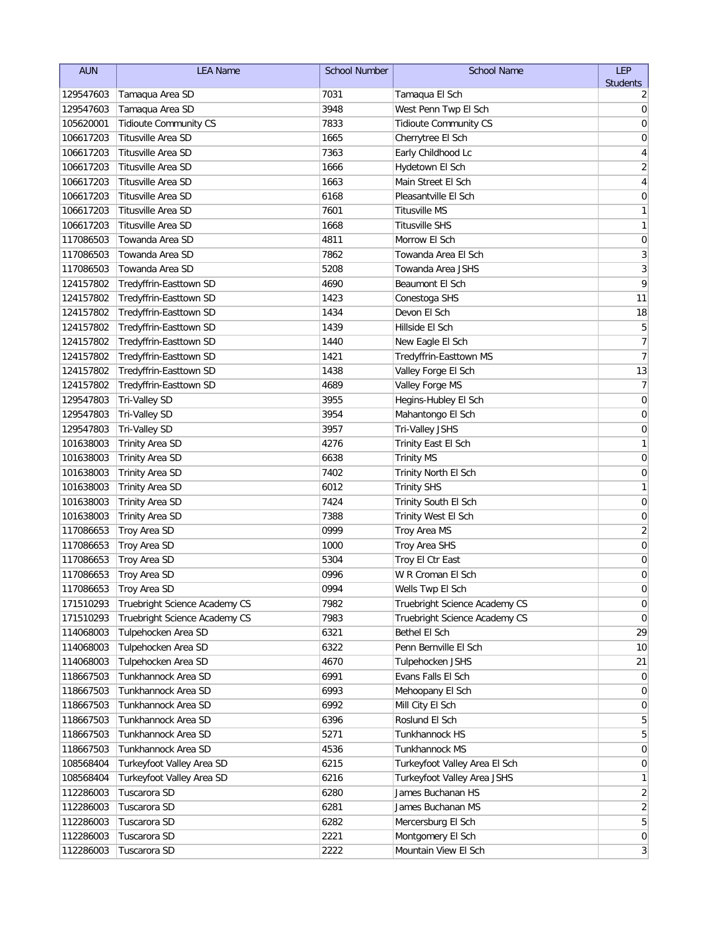| <b>Students</b><br>Tamaqua Area SD<br>7031<br>Tamaqua El Sch<br>129547603<br>2<br>Tamaqua Area SD<br>3948<br>West Penn Twp El Sch<br>0<br>129547603<br>7833<br>105620001<br><b>Tidioute Community CS</b><br><b>Tidioute Community CS</b><br>0<br><b>Titusville Area SD</b><br>106617203<br>1665<br>Cherrytree El Sch<br>0<br>Titusville Area SD<br>7363<br>106617203<br>Early Childhood Lc<br>4<br>$\sqrt{2}$<br>Titusville Area SD<br>106617203<br>1666<br>Hydetown El Sch<br>Titusville Area SD<br>$\overline{\mathbf{4}}$<br>106617203<br>1663<br>Main Street El Sch<br>Titusville Area SD<br>106617203<br>6168<br>Pleasantville El Sch<br>0<br>Titusville Area SD<br>106617203<br>7601<br>Titusville MS<br>1<br>$\mathbf{1}$<br>Titusville Area SD<br>106617203<br>1668<br><b>Titusville SHS</b><br>$\boldsymbol{0}$<br>Towanda Area SD<br>117086503<br>4811<br>Morrow El Sch<br>$\mathfrak{Z}$<br>Towanda Area SD<br>7862<br>117086503<br>Towanda Area El Sch<br>$\overline{3}$<br>Towanda Area SD<br>117086503<br>5208<br>Towanda Area JSHS<br>9<br>124157802<br>Tredyffrin-Easttown SD<br>4690<br>Beaumont El Sch<br>11<br>1423<br>124157802<br>Tredyffrin-Easttown SD<br>Conestoga SHS<br>124157802<br>Tredyffrin-Easttown SD<br>1434<br>Devon El Sch<br>18<br>5<br>124157802<br>Tredyffrin-Easttown SD<br>1439<br>Hillside El Sch<br>7<br>124157802<br>Tredyffrin-Easttown SD<br>1440<br>New Eagle El Sch<br>$\boldsymbol{7}$<br>Tredyffrin-Easttown SD<br>1421<br>Tredyffrin-Easttown MS<br>124157802<br>13<br>Tredyffrin-Easttown SD<br>1438<br>Valley Forge El Sch<br>124157802<br>7<br>Tredyffrin-Easttown SD<br>4689<br>Valley Forge MS<br>124157802<br>3955<br>0<br>129547803<br>Tri-Valley SD<br>Hegins-Hubley El Sch<br>3954<br>0<br>129547803<br>Tri-Valley SD<br>Mahantongo El Sch<br>129547803<br>3957<br>0<br>Tri-Valley SD<br>Tri-Valley JSHS<br>4276<br>1<br>101638003<br><b>Trinity Area SD</b><br>Trinity East El Sch<br>$\mathbf 0$<br>6638<br>101638003<br><b>Trinity Area SD</b><br><b>Trinity MS</b><br>$\mathbf 0$<br>101638003<br><b>Trinity Area SD</b><br>7402<br>Trinity North El Sch<br>1<br>6012<br>101638003<br><b>Trinity Area SD</b><br><b>Trinity SHS</b><br>$\boldsymbol{0}$<br>7424<br>Trinity South El Sch<br>101638003<br><b>Trinity Area SD</b><br>7388<br>0<br>101638003<br>Trinity Area SD<br>Trinity West El Sch<br>$\overline{c}$<br>117086653<br>0999<br>Troy Area SD<br>Troy Area MS<br>$\pmb{0}$<br>1000<br>117086653<br>Troy Area SD<br>Troy Area SHS<br>5304<br>0<br>117086653<br>Troy Area SD<br>Troy El Ctr East<br>0996<br>117086653<br>Troy Area SD<br>W R Croman El Sch<br>0<br>$\overline{0}$<br>117086653<br>0994<br>Troy Area SD<br>Wells Twp El Sch<br>Truebright Science Academy CS<br>Truebright Science Academy CS<br>0<br>171510293<br>7982<br>Truebright Science Academy CS<br>Truebright Science Academy CS<br>171510293<br>7983<br>0<br>Tulpehocken Area SD<br>29<br>114068003<br>6321<br>Bethel El Sch<br>Tulpehocken Area SD<br>114068003<br>6322<br>Penn Bernville El Sch<br>10 <sup>1</sup><br>Tulpehocken Area SD<br>114068003<br>4670<br>Tulpehocken JSHS<br>21<br>Tunkhannock Area SD<br>Evans Falls El Sch<br>118667503<br>6991<br>0<br>Tunkhannock Area SD<br>118667503<br>6993<br>Mehoopany El Sch<br>0<br>Tunkhannock Area SD<br>6992<br>118667503<br>Mill City El Sch<br>0<br>Tunkhannock Area SD<br>118667503<br>6396<br>Roslund El Sch<br>5<br>Tunkhannock Area SD<br>5271<br>118667503<br>Tunkhannock HS<br>5<br>Tunkhannock Area SD<br>118667503<br>4536<br>Tunkhannock MS<br>$\overline{0}$<br>Turkeyfoot Valley Area SD<br>6215<br>108568404<br>Turkeyfoot Valley Area El Sch<br>0<br>108568404<br>Turkeyfoot Valley Area SD<br>6216<br>Turkeyfoot Valley Area JSHS<br>1<br>Tuscarora SD<br>James Buchanan HS<br>2<br>112286003<br>6280<br>Tuscarora SD<br>6281<br>James Buchanan MS<br>$\overline{2}$<br>112286003<br>112286003<br>Tuscarora SD<br>6282<br>Mercersburg El Sch<br>5<br>112286003<br>Tuscarora SD<br>2221<br>Montgomery El Sch | <b>AUN</b> | <b>LEA Name</b> | <b>School Number</b> | <b>School Name</b>   | <b>LEP</b>                   |
|---------------------------------------------------------------------------------------------------------------------------------------------------------------------------------------------------------------------------------------------------------------------------------------------------------------------------------------------------------------------------------------------------------------------------------------------------------------------------------------------------------------------------------------------------------------------------------------------------------------------------------------------------------------------------------------------------------------------------------------------------------------------------------------------------------------------------------------------------------------------------------------------------------------------------------------------------------------------------------------------------------------------------------------------------------------------------------------------------------------------------------------------------------------------------------------------------------------------------------------------------------------------------------------------------------------------------------------------------------------------------------------------------------------------------------------------------------------------------------------------------------------------------------------------------------------------------------------------------------------------------------------------------------------------------------------------------------------------------------------------------------------------------------------------------------------------------------------------------------------------------------------------------------------------------------------------------------------------------------------------------------------------------------------------------------------------------------------------------------------------------------------------------------------------------------------------------------------------------------------------------------------------------------------------------------------------------------------------------------------------------------------------------------------------------------------------------------------------------------------------------------------------------------------------------------------------------------------------------------------------------------------------------------------------------------------------------------------------------------------------------------------------------------------------------------------------------------------------------------------------------------------------------------------------------------------------------------------------------------------------------------------------------------------------------------------------------------------------------------------------------------------------------------------------------------------------------------------------------------------------------------------------------------------------------------------------------------------------------------------------------------------------------------------------------------------------------------------------------------------------------------------------------------------------------------------------------------------------------------------------------------------------------------------------------------------------------------------------------------------------------------------------------------------------------------------------------------------------------------------------------------------------------------------------------------------------------------------------------------------------------------------------------------------|------------|-----------------|----------------------|----------------------|------------------------------|
| $\overline{0}$                                                                                                                                                                                                                                                                                                                                                                                                                                                                                                                                                                                                                                                                                                                                                                                                                                                                                                                                                                                                                                                                                                                                                                                                                                                                                                                                                                                                                                                                                                                                                                                                                                                                                                                                                                                                                                                                                                                                                                                                                                                                                                                                                                                                                                                                                                                                                                                                                                                                                                                                                                                                                                                                                                                                                                                                                                                                                                                                                                                                                                                                                                                                                                                                                                                                                                                                                                                                                                                                                                                                                                                                                                                                                                                                                                                                                                                                                                                                                                                                                        |            |                 |                      |                      |                              |
|                                                                                                                                                                                                                                                                                                                                                                                                                                                                                                                                                                                                                                                                                                                                                                                                                                                                                                                                                                                                                                                                                                                                                                                                                                                                                                                                                                                                                                                                                                                                                                                                                                                                                                                                                                                                                                                                                                                                                                                                                                                                                                                                                                                                                                                                                                                                                                                                                                                                                                                                                                                                                                                                                                                                                                                                                                                                                                                                                                                                                                                                                                                                                                                                                                                                                                                                                                                                                                                                                                                                                                                                                                                                                                                                                                                                                                                                                                                                                                                                                                       |            |                 |                      |                      |                              |
|                                                                                                                                                                                                                                                                                                                                                                                                                                                                                                                                                                                                                                                                                                                                                                                                                                                                                                                                                                                                                                                                                                                                                                                                                                                                                                                                                                                                                                                                                                                                                                                                                                                                                                                                                                                                                                                                                                                                                                                                                                                                                                                                                                                                                                                                                                                                                                                                                                                                                                                                                                                                                                                                                                                                                                                                                                                                                                                                                                                                                                                                                                                                                                                                                                                                                                                                                                                                                                                                                                                                                                                                                                                                                                                                                                                                                                                                                                                                                                                                                                       |            |                 |                      |                      |                              |
|                                                                                                                                                                                                                                                                                                                                                                                                                                                                                                                                                                                                                                                                                                                                                                                                                                                                                                                                                                                                                                                                                                                                                                                                                                                                                                                                                                                                                                                                                                                                                                                                                                                                                                                                                                                                                                                                                                                                                                                                                                                                                                                                                                                                                                                                                                                                                                                                                                                                                                                                                                                                                                                                                                                                                                                                                                                                                                                                                                                                                                                                                                                                                                                                                                                                                                                                                                                                                                                                                                                                                                                                                                                                                                                                                                                                                                                                                                                                                                                                                                       |            |                 |                      |                      |                              |
|                                                                                                                                                                                                                                                                                                                                                                                                                                                                                                                                                                                                                                                                                                                                                                                                                                                                                                                                                                                                                                                                                                                                                                                                                                                                                                                                                                                                                                                                                                                                                                                                                                                                                                                                                                                                                                                                                                                                                                                                                                                                                                                                                                                                                                                                                                                                                                                                                                                                                                                                                                                                                                                                                                                                                                                                                                                                                                                                                                                                                                                                                                                                                                                                                                                                                                                                                                                                                                                                                                                                                                                                                                                                                                                                                                                                                                                                                                                                                                                                                                       |            |                 |                      |                      |                              |
|                                                                                                                                                                                                                                                                                                                                                                                                                                                                                                                                                                                                                                                                                                                                                                                                                                                                                                                                                                                                                                                                                                                                                                                                                                                                                                                                                                                                                                                                                                                                                                                                                                                                                                                                                                                                                                                                                                                                                                                                                                                                                                                                                                                                                                                                                                                                                                                                                                                                                                                                                                                                                                                                                                                                                                                                                                                                                                                                                                                                                                                                                                                                                                                                                                                                                                                                                                                                                                                                                                                                                                                                                                                                                                                                                                                                                                                                                                                                                                                                                                       |            |                 |                      |                      |                              |
|                                                                                                                                                                                                                                                                                                                                                                                                                                                                                                                                                                                                                                                                                                                                                                                                                                                                                                                                                                                                                                                                                                                                                                                                                                                                                                                                                                                                                                                                                                                                                                                                                                                                                                                                                                                                                                                                                                                                                                                                                                                                                                                                                                                                                                                                                                                                                                                                                                                                                                                                                                                                                                                                                                                                                                                                                                                                                                                                                                                                                                                                                                                                                                                                                                                                                                                                                                                                                                                                                                                                                                                                                                                                                                                                                                                                                                                                                                                                                                                                                                       |            |                 |                      |                      |                              |
|                                                                                                                                                                                                                                                                                                                                                                                                                                                                                                                                                                                                                                                                                                                                                                                                                                                                                                                                                                                                                                                                                                                                                                                                                                                                                                                                                                                                                                                                                                                                                                                                                                                                                                                                                                                                                                                                                                                                                                                                                                                                                                                                                                                                                                                                                                                                                                                                                                                                                                                                                                                                                                                                                                                                                                                                                                                                                                                                                                                                                                                                                                                                                                                                                                                                                                                                                                                                                                                                                                                                                                                                                                                                                                                                                                                                                                                                                                                                                                                                                                       |            |                 |                      |                      |                              |
|                                                                                                                                                                                                                                                                                                                                                                                                                                                                                                                                                                                                                                                                                                                                                                                                                                                                                                                                                                                                                                                                                                                                                                                                                                                                                                                                                                                                                                                                                                                                                                                                                                                                                                                                                                                                                                                                                                                                                                                                                                                                                                                                                                                                                                                                                                                                                                                                                                                                                                                                                                                                                                                                                                                                                                                                                                                                                                                                                                                                                                                                                                                                                                                                                                                                                                                                                                                                                                                                                                                                                                                                                                                                                                                                                                                                                                                                                                                                                                                                                                       |            |                 |                      |                      |                              |
|                                                                                                                                                                                                                                                                                                                                                                                                                                                                                                                                                                                                                                                                                                                                                                                                                                                                                                                                                                                                                                                                                                                                                                                                                                                                                                                                                                                                                                                                                                                                                                                                                                                                                                                                                                                                                                                                                                                                                                                                                                                                                                                                                                                                                                                                                                                                                                                                                                                                                                                                                                                                                                                                                                                                                                                                                                                                                                                                                                                                                                                                                                                                                                                                                                                                                                                                                                                                                                                                                                                                                                                                                                                                                                                                                                                                                                                                                                                                                                                                                                       |            |                 |                      |                      |                              |
|                                                                                                                                                                                                                                                                                                                                                                                                                                                                                                                                                                                                                                                                                                                                                                                                                                                                                                                                                                                                                                                                                                                                                                                                                                                                                                                                                                                                                                                                                                                                                                                                                                                                                                                                                                                                                                                                                                                                                                                                                                                                                                                                                                                                                                                                                                                                                                                                                                                                                                                                                                                                                                                                                                                                                                                                                                                                                                                                                                                                                                                                                                                                                                                                                                                                                                                                                                                                                                                                                                                                                                                                                                                                                                                                                                                                                                                                                                                                                                                                                                       |            |                 |                      |                      |                              |
|                                                                                                                                                                                                                                                                                                                                                                                                                                                                                                                                                                                                                                                                                                                                                                                                                                                                                                                                                                                                                                                                                                                                                                                                                                                                                                                                                                                                                                                                                                                                                                                                                                                                                                                                                                                                                                                                                                                                                                                                                                                                                                                                                                                                                                                                                                                                                                                                                                                                                                                                                                                                                                                                                                                                                                                                                                                                                                                                                                                                                                                                                                                                                                                                                                                                                                                                                                                                                                                                                                                                                                                                                                                                                                                                                                                                                                                                                                                                                                                                                                       |            |                 |                      |                      |                              |
|                                                                                                                                                                                                                                                                                                                                                                                                                                                                                                                                                                                                                                                                                                                                                                                                                                                                                                                                                                                                                                                                                                                                                                                                                                                                                                                                                                                                                                                                                                                                                                                                                                                                                                                                                                                                                                                                                                                                                                                                                                                                                                                                                                                                                                                                                                                                                                                                                                                                                                                                                                                                                                                                                                                                                                                                                                                                                                                                                                                                                                                                                                                                                                                                                                                                                                                                                                                                                                                                                                                                                                                                                                                                                                                                                                                                                                                                                                                                                                                                                                       |            |                 |                      |                      |                              |
|                                                                                                                                                                                                                                                                                                                                                                                                                                                                                                                                                                                                                                                                                                                                                                                                                                                                                                                                                                                                                                                                                                                                                                                                                                                                                                                                                                                                                                                                                                                                                                                                                                                                                                                                                                                                                                                                                                                                                                                                                                                                                                                                                                                                                                                                                                                                                                                                                                                                                                                                                                                                                                                                                                                                                                                                                                                                                                                                                                                                                                                                                                                                                                                                                                                                                                                                                                                                                                                                                                                                                                                                                                                                                                                                                                                                                                                                                                                                                                                                                                       |            |                 |                      |                      |                              |
|                                                                                                                                                                                                                                                                                                                                                                                                                                                                                                                                                                                                                                                                                                                                                                                                                                                                                                                                                                                                                                                                                                                                                                                                                                                                                                                                                                                                                                                                                                                                                                                                                                                                                                                                                                                                                                                                                                                                                                                                                                                                                                                                                                                                                                                                                                                                                                                                                                                                                                                                                                                                                                                                                                                                                                                                                                                                                                                                                                                                                                                                                                                                                                                                                                                                                                                                                                                                                                                                                                                                                                                                                                                                                                                                                                                                                                                                                                                                                                                                                                       |            |                 |                      |                      |                              |
|                                                                                                                                                                                                                                                                                                                                                                                                                                                                                                                                                                                                                                                                                                                                                                                                                                                                                                                                                                                                                                                                                                                                                                                                                                                                                                                                                                                                                                                                                                                                                                                                                                                                                                                                                                                                                                                                                                                                                                                                                                                                                                                                                                                                                                                                                                                                                                                                                                                                                                                                                                                                                                                                                                                                                                                                                                                                                                                                                                                                                                                                                                                                                                                                                                                                                                                                                                                                                                                                                                                                                                                                                                                                                                                                                                                                                                                                                                                                                                                                                                       |            |                 |                      |                      |                              |
|                                                                                                                                                                                                                                                                                                                                                                                                                                                                                                                                                                                                                                                                                                                                                                                                                                                                                                                                                                                                                                                                                                                                                                                                                                                                                                                                                                                                                                                                                                                                                                                                                                                                                                                                                                                                                                                                                                                                                                                                                                                                                                                                                                                                                                                                                                                                                                                                                                                                                                                                                                                                                                                                                                                                                                                                                                                                                                                                                                                                                                                                                                                                                                                                                                                                                                                                                                                                                                                                                                                                                                                                                                                                                                                                                                                                                                                                                                                                                                                                                                       |            |                 |                      |                      |                              |
|                                                                                                                                                                                                                                                                                                                                                                                                                                                                                                                                                                                                                                                                                                                                                                                                                                                                                                                                                                                                                                                                                                                                                                                                                                                                                                                                                                                                                                                                                                                                                                                                                                                                                                                                                                                                                                                                                                                                                                                                                                                                                                                                                                                                                                                                                                                                                                                                                                                                                                                                                                                                                                                                                                                                                                                                                                                                                                                                                                                                                                                                                                                                                                                                                                                                                                                                                                                                                                                                                                                                                                                                                                                                                                                                                                                                                                                                                                                                                                                                                                       |            |                 |                      |                      |                              |
|                                                                                                                                                                                                                                                                                                                                                                                                                                                                                                                                                                                                                                                                                                                                                                                                                                                                                                                                                                                                                                                                                                                                                                                                                                                                                                                                                                                                                                                                                                                                                                                                                                                                                                                                                                                                                                                                                                                                                                                                                                                                                                                                                                                                                                                                                                                                                                                                                                                                                                                                                                                                                                                                                                                                                                                                                                                                                                                                                                                                                                                                                                                                                                                                                                                                                                                                                                                                                                                                                                                                                                                                                                                                                                                                                                                                                                                                                                                                                                                                                                       |            |                 |                      |                      |                              |
|                                                                                                                                                                                                                                                                                                                                                                                                                                                                                                                                                                                                                                                                                                                                                                                                                                                                                                                                                                                                                                                                                                                                                                                                                                                                                                                                                                                                                                                                                                                                                                                                                                                                                                                                                                                                                                                                                                                                                                                                                                                                                                                                                                                                                                                                                                                                                                                                                                                                                                                                                                                                                                                                                                                                                                                                                                                                                                                                                                                                                                                                                                                                                                                                                                                                                                                                                                                                                                                                                                                                                                                                                                                                                                                                                                                                                                                                                                                                                                                                                                       |            |                 |                      |                      |                              |
|                                                                                                                                                                                                                                                                                                                                                                                                                                                                                                                                                                                                                                                                                                                                                                                                                                                                                                                                                                                                                                                                                                                                                                                                                                                                                                                                                                                                                                                                                                                                                                                                                                                                                                                                                                                                                                                                                                                                                                                                                                                                                                                                                                                                                                                                                                                                                                                                                                                                                                                                                                                                                                                                                                                                                                                                                                                                                                                                                                                                                                                                                                                                                                                                                                                                                                                                                                                                                                                                                                                                                                                                                                                                                                                                                                                                                                                                                                                                                                                                                                       |            |                 |                      |                      |                              |
|                                                                                                                                                                                                                                                                                                                                                                                                                                                                                                                                                                                                                                                                                                                                                                                                                                                                                                                                                                                                                                                                                                                                                                                                                                                                                                                                                                                                                                                                                                                                                                                                                                                                                                                                                                                                                                                                                                                                                                                                                                                                                                                                                                                                                                                                                                                                                                                                                                                                                                                                                                                                                                                                                                                                                                                                                                                                                                                                                                                                                                                                                                                                                                                                                                                                                                                                                                                                                                                                                                                                                                                                                                                                                                                                                                                                                                                                                                                                                                                                                                       |            |                 |                      |                      |                              |
|                                                                                                                                                                                                                                                                                                                                                                                                                                                                                                                                                                                                                                                                                                                                                                                                                                                                                                                                                                                                                                                                                                                                                                                                                                                                                                                                                                                                                                                                                                                                                                                                                                                                                                                                                                                                                                                                                                                                                                                                                                                                                                                                                                                                                                                                                                                                                                                                                                                                                                                                                                                                                                                                                                                                                                                                                                                                                                                                                                                                                                                                                                                                                                                                                                                                                                                                                                                                                                                                                                                                                                                                                                                                                                                                                                                                                                                                                                                                                                                                                                       |            |                 |                      |                      |                              |
|                                                                                                                                                                                                                                                                                                                                                                                                                                                                                                                                                                                                                                                                                                                                                                                                                                                                                                                                                                                                                                                                                                                                                                                                                                                                                                                                                                                                                                                                                                                                                                                                                                                                                                                                                                                                                                                                                                                                                                                                                                                                                                                                                                                                                                                                                                                                                                                                                                                                                                                                                                                                                                                                                                                                                                                                                                                                                                                                                                                                                                                                                                                                                                                                                                                                                                                                                                                                                                                                                                                                                                                                                                                                                                                                                                                                                                                                                                                                                                                                                                       |            |                 |                      |                      |                              |
|                                                                                                                                                                                                                                                                                                                                                                                                                                                                                                                                                                                                                                                                                                                                                                                                                                                                                                                                                                                                                                                                                                                                                                                                                                                                                                                                                                                                                                                                                                                                                                                                                                                                                                                                                                                                                                                                                                                                                                                                                                                                                                                                                                                                                                                                                                                                                                                                                                                                                                                                                                                                                                                                                                                                                                                                                                                                                                                                                                                                                                                                                                                                                                                                                                                                                                                                                                                                                                                                                                                                                                                                                                                                                                                                                                                                                                                                                                                                                                                                                                       |            |                 |                      |                      |                              |
|                                                                                                                                                                                                                                                                                                                                                                                                                                                                                                                                                                                                                                                                                                                                                                                                                                                                                                                                                                                                                                                                                                                                                                                                                                                                                                                                                                                                                                                                                                                                                                                                                                                                                                                                                                                                                                                                                                                                                                                                                                                                                                                                                                                                                                                                                                                                                                                                                                                                                                                                                                                                                                                                                                                                                                                                                                                                                                                                                                                                                                                                                                                                                                                                                                                                                                                                                                                                                                                                                                                                                                                                                                                                                                                                                                                                                                                                                                                                                                                                                                       |            |                 |                      |                      |                              |
|                                                                                                                                                                                                                                                                                                                                                                                                                                                                                                                                                                                                                                                                                                                                                                                                                                                                                                                                                                                                                                                                                                                                                                                                                                                                                                                                                                                                                                                                                                                                                                                                                                                                                                                                                                                                                                                                                                                                                                                                                                                                                                                                                                                                                                                                                                                                                                                                                                                                                                                                                                                                                                                                                                                                                                                                                                                                                                                                                                                                                                                                                                                                                                                                                                                                                                                                                                                                                                                                                                                                                                                                                                                                                                                                                                                                                                                                                                                                                                                                                                       |            |                 |                      |                      |                              |
|                                                                                                                                                                                                                                                                                                                                                                                                                                                                                                                                                                                                                                                                                                                                                                                                                                                                                                                                                                                                                                                                                                                                                                                                                                                                                                                                                                                                                                                                                                                                                                                                                                                                                                                                                                                                                                                                                                                                                                                                                                                                                                                                                                                                                                                                                                                                                                                                                                                                                                                                                                                                                                                                                                                                                                                                                                                                                                                                                                                                                                                                                                                                                                                                                                                                                                                                                                                                                                                                                                                                                                                                                                                                                                                                                                                                                                                                                                                                                                                                                                       |            |                 |                      |                      |                              |
|                                                                                                                                                                                                                                                                                                                                                                                                                                                                                                                                                                                                                                                                                                                                                                                                                                                                                                                                                                                                                                                                                                                                                                                                                                                                                                                                                                                                                                                                                                                                                                                                                                                                                                                                                                                                                                                                                                                                                                                                                                                                                                                                                                                                                                                                                                                                                                                                                                                                                                                                                                                                                                                                                                                                                                                                                                                                                                                                                                                                                                                                                                                                                                                                                                                                                                                                                                                                                                                                                                                                                                                                                                                                                                                                                                                                                                                                                                                                                                                                                                       |            |                 |                      |                      |                              |
|                                                                                                                                                                                                                                                                                                                                                                                                                                                                                                                                                                                                                                                                                                                                                                                                                                                                                                                                                                                                                                                                                                                                                                                                                                                                                                                                                                                                                                                                                                                                                                                                                                                                                                                                                                                                                                                                                                                                                                                                                                                                                                                                                                                                                                                                                                                                                                                                                                                                                                                                                                                                                                                                                                                                                                                                                                                                                                                                                                                                                                                                                                                                                                                                                                                                                                                                                                                                                                                                                                                                                                                                                                                                                                                                                                                                                                                                                                                                                                                                                                       |            |                 |                      |                      |                              |
|                                                                                                                                                                                                                                                                                                                                                                                                                                                                                                                                                                                                                                                                                                                                                                                                                                                                                                                                                                                                                                                                                                                                                                                                                                                                                                                                                                                                                                                                                                                                                                                                                                                                                                                                                                                                                                                                                                                                                                                                                                                                                                                                                                                                                                                                                                                                                                                                                                                                                                                                                                                                                                                                                                                                                                                                                                                                                                                                                                                                                                                                                                                                                                                                                                                                                                                                                                                                                                                                                                                                                                                                                                                                                                                                                                                                                                                                                                                                                                                                                                       |            |                 |                      |                      |                              |
|                                                                                                                                                                                                                                                                                                                                                                                                                                                                                                                                                                                                                                                                                                                                                                                                                                                                                                                                                                                                                                                                                                                                                                                                                                                                                                                                                                                                                                                                                                                                                                                                                                                                                                                                                                                                                                                                                                                                                                                                                                                                                                                                                                                                                                                                                                                                                                                                                                                                                                                                                                                                                                                                                                                                                                                                                                                                                                                                                                                                                                                                                                                                                                                                                                                                                                                                                                                                                                                                                                                                                                                                                                                                                                                                                                                                                                                                                                                                                                                                                                       |            |                 |                      |                      |                              |
|                                                                                                                                                                                                                                                                                                                                                                                                                                                                                                                                                                                                                                                                                                                                                                                                                                                                                                                                                                                                                                                                                                                                                                                                                                                                                                                                                                                                                                                                                                                                                                                                                                                                                                                                                                                                                                                                                                                                                                                                                                                                                                                                                                                                                                                                                                                                                                                                                                                                                                                                                                                                                                                                                                                                                                                                                                                                                                                                                                                                                                                                                                                                                                                                                                                                                                                                                                                                                                                                                                                                                                                                                                                                                                                                                                                                                                                                                                                                                                                                                                       |            |                 |                      |                      |                              |
|                                                                                                                                                                                                                                                                                                                                                                                                                                                                                                                                                                                                                                                                                                                                                                                                                                                                                                                                                                                                                                                                                                                                                                                                                                                                                                                                                                                                                                                                                                                                                                                                                                                                                                                                                                                                                                                                                                                                                                                                                                                                                                                                                                                                                                                                                                                                                                                                                                                                                                                                                                                                                                                                                                                                                                                                                                                                                                                                                                                                                                                                                                                                                                                                                                                                                                                                                                                                                                                                                                                                                                                                                                                                                                                                                                                                                                                                                                                                                                                                                                       |            |                 |                      |                      |                              |
|                                                                                                                                                                                                                                                                                                                                                                                                                                                                                                                                                                                                                                                                                                                                                                                                                                                                                                                                                                                                                                                                                                                                                                                                                                                                                                                                                                                                                                                                                                                                                                                                                                                                                                                                                                                                                                                                                                                                                                                                                                                                                                                                                                                                                                                                                                                                                                                                                                                                                                                                                                                                                                                                                                                                                                                                                                                                                                                                                                                                                                                                                                                                                                                                                                                                                                                                                                                                                                                                                                                                                                                                                                                                                                                                                                                                                                                                                                                                                                                                                                       |            |                 |                      |                      |                              |
|                                                                                                                                                                                                                                                                                                                                                                                                                                                                                                                                                                                                                                                                                                                                                                                                                                                                                                                                                                                                                                                                                                                                                                                                                                                                                                                                                                                                                                                                                                                                                                                                                                                                                                                                                                                                                                                                                                                                                                                                                                                                                                                                                                                                                                                                                                                                                                                                                                                                                                                                                                                                                                                                                                                                                                                                                                                                                                                                                                                                                                                                                                                                                                                                                                                                                                                                                                                                                                                                                                                                                                                                                                                                                                                                                                                                                                                                                                                                                                                                                                       |            |                 |                      |                      |                              |
|                                                                                                                                                                                                                                                                                                                                                                                                                                                                                                                                                                                                                                                                                                                                                                                                                                                                                                                                                                                                                                                                                                                                                                                                                                                                                                                                                                                                                                                                                                                                                                                                                                                                                                                                                                                                                                                                                                                                                                                                                                                                                                                                                                                                                                                                                                                                                                                                                                                                                                                                                                                                                                                                                                                                                                                                                                                                                                                                                                                                                                                                                                                                                                                                                                                                                                                                                                                                                                                                                                                                                                                                                                                                                                                                                                                                                                                                                                                                                                                                                                       |            |                 |                      |                      |                              |
|                                                                                                                                                                                                                                                                                                                                                                                                                                                                                                                                                                                                                                                                                                                                                                                                                                                                                                                                                                                                                                                                                                                                                                                                                                                                                                                                                                                                                                                                                                                                                                                                                                                                                                                                                                                                                                                                                                                                                                                                                                                                                                                                                                                                                                                                                                                                                                                                                                                                                                                                                                                                                                                                                                                                                                                                                                                                                                                                                                                                                                                                                                                                                                                                                                                                                                                                                                                                                                                                                                                                                                                                                                                                                                                                                                                                                                                                                                                                                                                                                                       |            |                 |                      |                      |                              |
|                                                                                                                                                                                                                                                                                                                                                                                                                                                                                                                                                                                                                                                                                                                                                                                                                                                                                                                                                                                                                                                                                                                                                                                                                                                                                                                                                                                                                                                                                                                                                                                                                                                                                                                                                                                                                                                                                                                                                                                                                                                                                                                                                                                                                                                                                                                                                                                                                                                                                                                                                                                                                                                                                                                                                                                                                                                                                                                                                                                                                                                                                                                                                                                                                                                                                                                                                                                                                                                                                                                                                                                                                                                                                                                                                                                                                                                                                                                                                                                                                                       |            |                 |                      |                      |                              |
|                                                                                                                                                                                                                                                                                                                                                                                                                                                                                                                                                                                                                                                                                                                                                                                                                                                                                                                                                                                                                                                                                                                                                                                                                                                                                                                                                                                                                                                                                                                                                                                                                                                                                                                                                                                                                                                                                                                                                                                                                                                                                                                                                                                                                                                                                                                                                                                                                                                                                                                                                                                                                                                                                                                                                                                                                                                                                                                                                                                                                                                                                                                                                                                                                                                                                                                                                                                                                                                                                                                                                                                                                                                                                                                                                                                                                                                                                                                                                                                                                                       |            |                 |                      |                      |                              |
|                                                                                                                                                                                                                                                                                                                                                                                                                                                                                                                                                                                                                                                                                                                                                                                                                                                                                                                                                                                                                                                                                                                                                                                                                                                                                                                                                                                                                                                                                                                                                                                                                                                                                                                                                                                                                                                                                                                                                                                                                                                                                                                                                                                                                                                                                                                                                                                                                                                                                                                                                                                                                                                                                                                                                                                                                                                                                                                                                                                                                                                                                                                                                                                                                                                                                                                                                                                                                                                                                                                                                                                                                                                                                                                                                                                                                                                                                                                                                                                                                                       |            |                 |                      |                      |                              |
|                                                                                                                                                                                                                                                                                                                                                                                                                                                                                                                                                                                                                                                                                                                                                                                                                                                                                                                                                                                                                                                                                                                                                                                                                                                                                                                                                                                                                                                                                                                                                                                                                                                                                                                                                                                                                                                                                                                                                                                                                                                                                                                                                                                                                                                                                                                                                                                                                                                                                                                                                                                                                                                                                                                                                                                                                                                                                                                                                                                                                                                                                                                                                                                                                                                                                                                                                                                                                                                                                                                                                                                                                                                                                                                                                                                                                                                                                                                                                                                                                                       |            |                 |                      |                      |                              |
|                                                                                                                                                                                                                                                                                                                                                                                                                                                                                                                                                                                                                                                                                                                                                                                                                                                                                                                                                                                                                                                                                                                                                                                                                                                                                                                                                                                                                                                                                                                                                                                                                                                                                                                                                                                                                                                                                                                                                                                                                                                                                                                                                                                                                                                                                                                                                                                                                                                                                                                                                                                                                                                                                                                                                                                                                                                                                                                                                                                                                                                                                                                                                                                                                                                                                                                                                                                                                                                                                                                                                                                                                                                                                                                                                                                                                                                                                                                                                                                                                                       |            |                 |                      |                      |                              |
|                                                                                                                                                                                                                                                                                                                                                                                                                                                                                                                                                                                                                                                                                                                                                                                                                                                                                                                                                                                                                                                                                                                                                                                                                                                                                                                                                                                                                                                                                                                                                                                                                                                                                                                                                                                                                                                                                                                                                                                                                                                                                                                                                                                                                                                                                                                                                                                                                                                                                                                                                                                                                                                                                                                                                                                                                                                                                                                                                                                                                                                                                                                                                                                                                                                                                                                                                                                                                                                                                                                                                                                                                                                                                                                                                                                                                                                                                                                                                                                                                                       |            |                 |                      |                      |                              |
|                                                                                                                                                                                                                                                                                                                                                                                                                                                                                                                                                                                                                                                                                                                                                                                                                                                                                                                                                                                                                                                                                                                                                                                                                                                                                                                                                                                                                                                                                                                                                                                                                                                                                                                                                                                                                                                                                                                                                                                                                                                                                                                                                                                                                                                                                                                                                                                                                                                                                                                                                                                                                                                                                                                                                                                                                                                                                                                                                                                                                                                                                                                                                                                                                                                                                                                                                                                                                                                                                                                                                                                                                                                                                                                                                                                                                                                                                                                                                                                                                                       |            |                 |                      |                      |                              |
|                                                                                                                                                                                                                                                                                                                                                                                                                                                                                                                                                                                                                                                                                                                                                                                                                                                                                                                                                                                                                                                                                                                                                                                                                                                                                                                                                                                                                                                                                                                                                                                                                                                                                                                                                                                                                                                                                                                                                                                                                                                                                                                                                                                                                                                                                                                                                                                                                                                                                                                                                                                                                                                                                                                                                                                                                                                                                                                                                                                                                                                                                                                                                                                                                                                                                                                                                                                                                                                                                                                                                                                                                                                                                                                                                                                                                                                                                                                                                                                                                                       |            |                 |                      |                      |                              |
|                                                                                                                                                                                                                                                                                                                                                                                                                                                                                                                                                                                                                                                                                                                                                                                                                                                                                                                                                                                                                                                                                                                                                                                                                                                                                                                                                                                                                                                                                                                                                                                                                                                                                                                                                                                                                                                                                                                                                                                                                                                                                                                                                                                                                                                                                                                                                                                                                                                                                                                                                                                                                                                                                                                                                                                                                                                                                                                                                                                                                                                                                                                                                                                                                                                                                                                                                                                                                                                                                                                                                                                                                                                                                                                                                                                                                                                                                                                                                                                                                                       |            |                 |                      |                      |                              |
|                                                                                                                                                                                                                                                                                                                                                                                                                                                                                                                                                                                                                                                                                                                                                                                                                                                                                                                                                                                                                                                                                                                                                                                                                                                                                                                                                                                                                                                                                                                                                                                                                                                                                                                                                                                                                                                                                                                                                                                                                                                                                                                                                                                                                                                                                                                                                                                                                                                                                                                                                                                                                                                                                                                                                                                                                                                                                                                                                                                                                                                                                                                                                                                                                                                                                                                                                                                                                                                                                                                                                                                                                                                                                                                                                                                                                                                                                                                                                                                                                                       |            |                 |                      |                      |                              |
|                                                                                                                                                                                                                                                                                                                                                                                                                                                                                                                                                                                                                                                                                                                                                                                                                                                                                                                                                                                                                                                                                                                                                                                                                                                                                                                                                                                                                                                                                                                                                                                                                                                                                                                                                                                                                                                                                                                                                                                                                                                                                                                                                                                                                                                                                                                                                                                                                                                                                                                                                                                                                                                                                                                                                                                                                                                                                                                                                                                                                                                                                                                                                                                                                                                                                                                                                                                                                                                                                                                                                                                                                                                                                                                                                                                                                                                                                                                                                                                                                                       |            |                 |                      |                      |                              |
|                                                                                                                                                                                                                                                                                                                                                                                                                                                                                                                                                                                                                                                                                                                                                                                                                                                                                                                                                                                                                                                                                                                                                                                                                                                                                                                                                                                                                                                                                                                                                                                                                                                                                                                                                                                                                                                                                                                                                                                                                                                                                                                                                                                                                                                                                                                                                                                                                                                                                                                                                                                                                                                                                                                                                                                                                                                                                                                                                                                                                                                                                                                                                                                                                                                                                                                                                                                                                                                                                                                                                                                                                                                                                                                                                                                                                                                                                                                                                                                                                                       |            |                 |                      |                      |                              |
|                                                                                                                                                                                                                                                                                                                                                                                                                                                                                                                                                                                                                                                                                                                                                                                                                                                                                                                                                                                                                                                                                                                                                                                                                                                                                                                                                                                                                                                                                                                                                                                                                                                                                                                                                                                                                                                                                                                                                                                                                                                                                                                                                                                                                                                                                                                                                                                                                                                                                                                                                                                                                                                                                                                                                                                                                                                                                                                                                                                                                                                                                                                                                                                                                                                                                                                                                                                                                                                                                                                                                                                                                                                                                                                                                                                                                                                                                                                                                                                                                                       |            |                 |                      |                      |                              |
|                                                                                                                                                                                                                                                                                                                                                                                                                                                                                                                                                                                                                                                                                                                                                                                                                                                                                                                                                                                                                                                                                                                                                                                                                                                                                                                                                                                                                                                                                                                                                                                                                                                                                                                                                                                                                                                                                                                                                                                                                                                                                                                                                                                                                                                                                                                                                                                                                                                                                                                                                                                                                                                                                                                                                                                                                                                                                                                                                                                                                                                                                                                                                                                                                                                                                                                                                                                                                                                                                                                                                                                                                                                                                                                                                                                                                                                                                                                                                                                                                                       |            |                 |                      |                      |                              |
|                                                                                                                                                                                                                                                                                                                                                                                                                                                                                                                                                                                                                                                                                                                                                                                                                                                                                                                                                                                                                                                                                                                                                                                                                                                                                                                                                                                                                                                                                                                                                                                                                                                                                                                                                                                                                                                                                                                                                                                                                                                                                                                                                                                                                                                                                                                                                                                                                                                                                                                                                                                                                                                                                                                                                                                                                                                                                                                                                                                                                                                                                                                                                                                                                                                                                                                                                                                                                                                                                                                                                                                                                                                                                                                                                                                                                                                                                                                                                                                                                                       | 112286003  | Tuscarora SD    | 2222                 | Mountain View El Sch | $\left  \frac{3}{2} \right $ |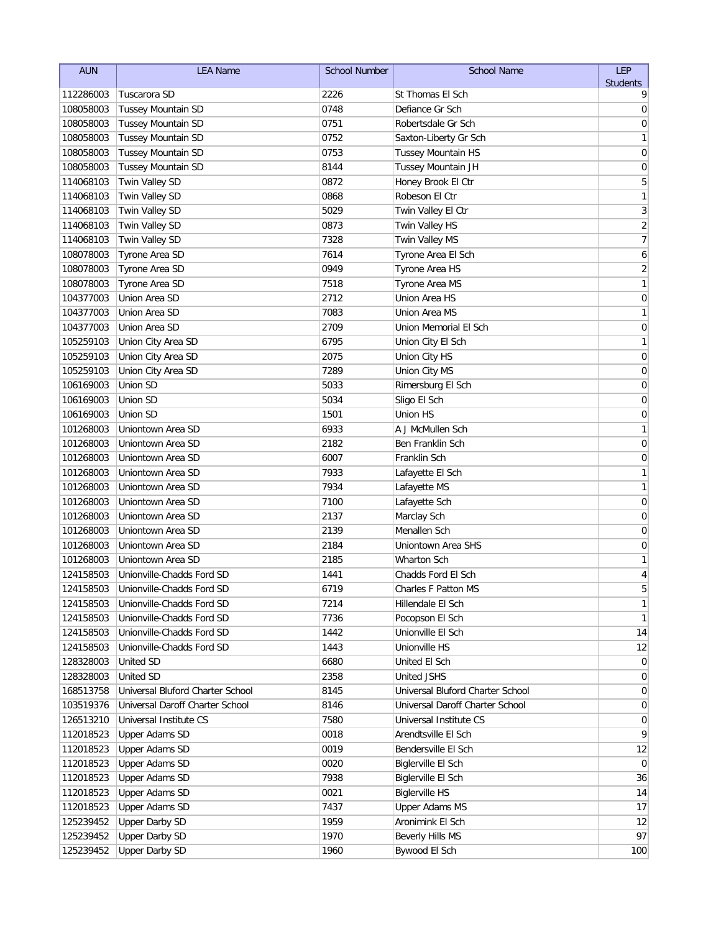| <b>AUN</b> | <b>LEA Name</b>                  | <b>School Number</b> | <b>School Name</b>               | <b>LEP</b>      |
|------------|----------------------------------|----------------------|----------------------------------|-----------------|
|            |                                  |                      |                                  | <b>Students</b> |
| 112286003  | Tuscarora SD                     | 2226                 | St Thomas El Sch                 | 9               |
| 108058003  | <b>Tussey Mountain SD</b>        | 0748                 | Defiance Gr Sch                  | 0               |
| 108058003  | <b>Tussey Mountain SD</b>        | 0751                 | Robertsdale Gr Sch               | 0               |
| 108058003  | <b>Tussey Mountain SD</b>        | 0752                 | Saxton-Liberty Gr Sch            | 1               |
| 108058003  | <b>Tussey Mountain SD</b>        | 0753                 | Tussey Mountain HS               | $\mathbf 0$     |
| 108058003  | Tussey Mountain SD               | 8144                 | Tussey Mountain JH               | 0               |
| 114068103  | Twin Valley SD                   | 0872                 | Honey Brook El Ctr               | 5               |
| 114068103  | Twin Valley SD                   | 0868                 | Robeson El Ctr                   | 1               |
| 114068103  | Twin Valley SD                   | 5029                 | Twin Valley El Ctr               | 3               |
| 114068103  | Twin Valley SD                   | 0873                 | Twin Valley HS                   | $\overline{2}$  |
| 114068103  | Twin Valley SD                   | 7328                 | Twin Valley MS                   | $\overline{7}$  |
| 108078003  | Tyrone Area SD                   | 7614                 | Tyrone Area El Sch               | 6               |
| 108078003  | Tyrone Area SD                   | 0949                 | Tyrone Area HS                   | $\overline{c}$  |
| 108078003  | Tyrone Area SD                   | 7518                 | Tyrone Area MS                   | $\mathbf{1}$    |
| 104377003  | Union Area SD                    | 2712                 | Union Area HS                    | 0               |
| 104377003  | Union Area SD                    | 7083                 | Union Area MS                    | 1               |
| 104377003  | Union Area SD                    | 2709                 | Union Memorial El Sch            | $\mathbf 0$     |
| 105259103  | Union City Area SD               | 6795                 | Union City El Sch                | 1               |
| 105259103  | Union City Area SD               | 2075                 | Union City HS                    | 0               |
| 105259103  | Union City Area SD               | 7289                 | Union City MS                    | 0               |
| 106169003  | Union SD                         | 5033                 | Rimersburg El Sch                | 0               |
| 106169003  | <b>Union SD</b>                  | 5034                 | Sligo El Sch                     | 0               |
| 106169003  | Union SD                         | 1501                 | Union HS                         | 0               |
| 101268003  | Uniontown Area SD                | 6933                 | A J McMullen Sch                 | 1               |
| 101268003  | Uniontown Area SD                | 2182                 | Ben Franklin Sch                 | 0               |
| 101268003  | Uniontown Area SD                | 6007                 | Franklin Sch                     | 0               |
| 101268003  | Uniontown Area SD                | 7933                 | Lafayette El Sch                 | 1               |
| 101268003  | Uniontown Area SD                | 7934                 | Lafayette MS                     | 1               |
| 101268003  | Uniontown Area SD                | 7100                 | Lafayette Sch                    | $\mathbf 0$     |
| 101268003  | Uniontown Area SD                | 2137                 | Marclay Sch                      | 0               |
| 101268003  | Uniontown Area SD                | 2139                 | Menallen Sch                     | 0               |
| 101268003  | Uniontown Area SD                | 2184                 | Uniontown Area SHS               | 0               |
| 101268003  | Uniontown Area SD                | 2185                 | Wharton Sch                      | 1               |
| 124158503  | Unionville-Chadds Ford SD        | 1441                 | Chadds Ford El Sch               | 4               |
| 124158503  | Unionville-Chadds Ford SD        | 6719                 | Charles F Patton MS              | 5               |
| 124158503  | Unionville-Chadds Ford SD        | 7214                 | Hillendale El Sch                | 1               |
| 124158503  | Unionville-Chadds Ford SD        | 7736                 | Pocopson El Sch                  | 1               |
| 124158503  | Unionville-Chadds Ford SD        | 1442                 | Unionville El Sch                | 14              |
| 124158503  | Unionville-Chadds Ford SD        | 1443                 | Unionville HS                    | 12              |
| 128328003  | <b>United SD</b>                 | 6680                 | United El Sch                    | 0               |
| 128328003  | <b>United SD</b>                 | 2358                 | <b>United JSHS</b>               | $\overline{0}$  |
| 168513758  | Universal Bluford Charter School | 8145                 | Universal Bluford Charter School | 0               |
| 103519376  | Universal Daroff Charter School  | 8146                 | Universal Daroff Charter School  | 0               |
| 126513210  | Universal Institute CS           | 7580                 | Universal Institute CS           | 0               |
| 112018523  | <b>Upper Adams SD</b>            | 0018                 | Arendtsville El Sch              | 9               |
| 112018523  | <b>Upper Adams SD</b>            | 0019                 | Bendersville El Sch              | 12              |
| 112018523  | <b>Upper Adams SD</b>            | 0020                 | Biglerville El Sch               | $\mathbf 0$     |
| 112018523  | <b>Upper Adams SD</b>            | 7938                 | <b>Biglerville El Sch</b>        | 36              |
| 112018523  | <b>Upper Adams SD</b>            | 0021                 | <b>Biglerville HS</b>            | 14              |
| 112018523  | <b>Upper Adams SD</b>            | 7437                 | <b>Upper Adams MS</b>            | 17              |
| 125239452  | <b>Upper Darby SD</b>            | 1959                 | Aronimink El Sch                 | 12              |
| 125239452  | <b>Upper Darby SD</b>            | 1970                 | Beverly Hills MS                 | 97              |
| 125239452  | <b>Upper Darby SD</b>            | 1960                 | Bywood El Sch                    | 100             |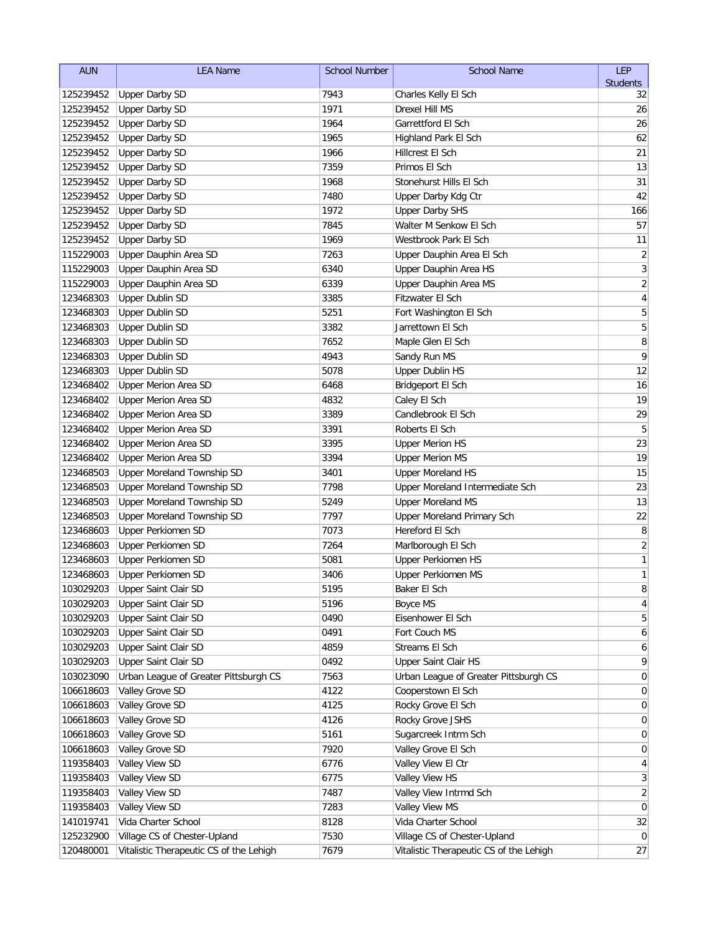| <b>AUN</b> | <b>LEA Name</b>                         | School Number | <b>School Name</b>                      | LEP             |
|------------|-----------------------------------------|---------------|-----------------------------------------|-----------------|
|            |                                         |               |                                         | <b>Students</b> |
| 125239452  | <b>Upper Darby SD</b>                   | 7943          | Charles Kelly El Sch                    | 32              |
| 125239452  | <b>Upper Darby SD</b>                   | 1971          | <b>Drexel Hill MS</b>                   | 26              |
| 125239452  | <b>Upper Darby SD</b>                   | 1964          | Garrettford El Sch                      | 26              |
| 125239452  | <b>Upper Darby SD</b>                   | 1965          | Highland Park El Sch                    | 62              |
| 125239452  | <b>Upper Darby SD</b>                   | 1966          | Hillcrest El Sch                        | 21              |
| 125239452  | <b>Upper Darby SD</b>                   | 7359          | Primos El Sch                           | 13              |
| 125239452  | <b>Upper Darby SD</b>                   | 1968          | Stonehurst Hills El Sch                 | 31              |
| 125239452  | <b>Upper Darby SD</b>                   | 7480          | Upper Darby Kdg Ctr                     | 42              |
| 125239452  | <b>Upper Darby SD</b>                   | 1972          | <b>Upper Darby SHS</b>                  | 166             |
| 125239452  | <b>Upper Darby SD</b>                   | 7845          | Walter M Senkow El Sch                  | 57              |
| 125239452  | <b>Upper Darby SD</b>                   | 1969          | Westbrook Park El Sch                   | 11              |
| 115229003  | Upper Dauphin Area SD                   | 7263          | Upper Dauphin Area El Sch               | $\sqrt{2}$      |
| 115229003  | Upper Dauphin Area SD                   | 6340          | Upper Dauphin Area HS                   | $\overline{3}$  |
| 115229003  | Upper Dauphin Area SD                   | 6339          | Upper Dauphin Area MS                   | $\overline{2}$  |
| 123468303  | <b>Upper Dublin SD</b>                  | 3385          | Fitzwater El Sch                        | $\sqrt{4}$      |
| 123468303  | <b>Upper Dublin SD</b>                  | 5251          | Fort Washington El Sch                  | 5               |
| 123468303  | <b>Upper Dublin SD</b>                  | 3382          | Jarrettown El Sch                       | 5               |
| 123468303  | <b>Upper Dublin SD</b>                  | 7652          | Maple Glen El Sch                       | 8               |
| 123468303  | <b>Upper Dublin SD</b>                  | 4943          | Sandy Run MS                            | 9               |
| 123468303  | <b>Upper Dublin SD</b>                  | 5078          | <b>Upper Dublin HS</b>                  | 12              |
| 123468402  | <b>Upper Merion Area SD</b>             | 6468          | Bridgeport El Sch                       | 16              |
| 123468402  | <b>Upper Merion Area SD</b>             | 4832          | Caley El Sch                            | 19              |
| 123468402  | Upper Merion Area SD                    | 3389          | Candlebrook El Sch                      | 29              |
| 123468402  | <b>Upper Merion Area SD</b>             | 3391          | Roberts El Sch                          | 5               |
| 123468402  | <b>Upper Merion Area SD</b>             | 3395          | <b>Upper Merion HS</b>                  | 23              |
| 123468402  | <b>Upper Merion Area SD</b>             | 3394          | <b>Upper Merion MS</b>                  | 19              |
| 123468503  | Upper Moreland Township SD              | 3401          | <b>Upper Moreland HS</b>                | 15              |
| 123468503  | Upper Moreland Township SD              | 7798          | Upper Moreland Intermediate Sch         | 23              |
| 123468503  | Upper Moreland Township SD              | 5249          | <b>Upper Moreland MS</b>                | 13              |
| 123468503  | Upper Moreland Township SD              | 7797          | Upper Moreland Primary Sch              | 22              |
| 123468603  | <b>Upper Perkiomen SD</b>               | 7073          | Hereford El Sch                         | 8               |
| 123468603  | <b>Upper Perkiomen SD</b>               | 7264          | Marlborough El Sch                      | $\sqrt{2}$      |
| 123468603  | <b>Upper Perkiomen SD</b>               | 5081          | <b>Upper Perkiomen HS</b>               | $\mathbf{1}$    |
| 123468603  | <b>Upper Perkiomen SD</b>               | 3406          | <b>Upper Perkiomen MS</b>               | $\mathbf{1}$    |
| 103029203  | Upper Saint Clair SD                    | 5195          | Baker El Sch                            | 8               |
| 103029203  | Upper Saint Clair SD                    | 5196          | Boyce MS                                | 4               |
| 103029203  | <b>Upper Saint Clair SD</b>             | 0490          | Eisenhower El Sch                       | 5               |
| 103029203  | Upper Saint Clair SD                    | 0491          | Fort Couch MS                           | 6               |
| 103029203  | Upper Saint Clair SD                    | 4859          | Streams El Sch                          | 6               |
| 103029203  | Upper Saint Clair SD                    | 0492          | Upper Saint Clair HS                    | 9               |
| 103023090  | Urban League of Greater Pittsburgh CS   | 7563          | Urban League of Greater Pittsburgh CS   | $\overline{0}$  |
| 106618603  | Valley Grove SD                         | 4122          | Cooperstown El Sch                      | 0               |
| 106618603  | Valley Grove SD                         | 4125          | Rocky Grove El Sch                      | 0               |
| 106618603  | Valley Grove SD                         | 4126          | Rocky Grove JSHS                        | 0               |
| 106618603  | Valley Grove SD                         | 5161          | Sugarcreek Intrm Sch                    | $\overline{0}$  |
| 106618603  | Valley Grove SD                         | 7920          | Valley Grove El Sch                     | $\overline{0}$  |
| 119358403  | Valley View SD                          | 6776          | Valley View El Ctr                      | 4               |
| 119358403  | Valley View SD                          | 6775          | Valley View HS                          | $\mathbf{3}$    |
| 119358403  | Valley View SD                          | 7487          | Valley View Intrmd Sch                  | 2               |
| 119358403  | Valley View SD                          | 7283          | Valley View MS                          | $\overline{0}$  |
| 141019741  | Vida Charter School                     | 8128          | Vida Charter School                     | 32              |
| 125232900  | Village CS of Chester-Upland            | 7530          | Village CS of Chester-Upland            | $\overline{0}$  |
| 120480001  | Vitalistic Therapeutic CS of the Lehigh | 7679          | Vitalistic Therapeutic CS of the Lehigh | 27              |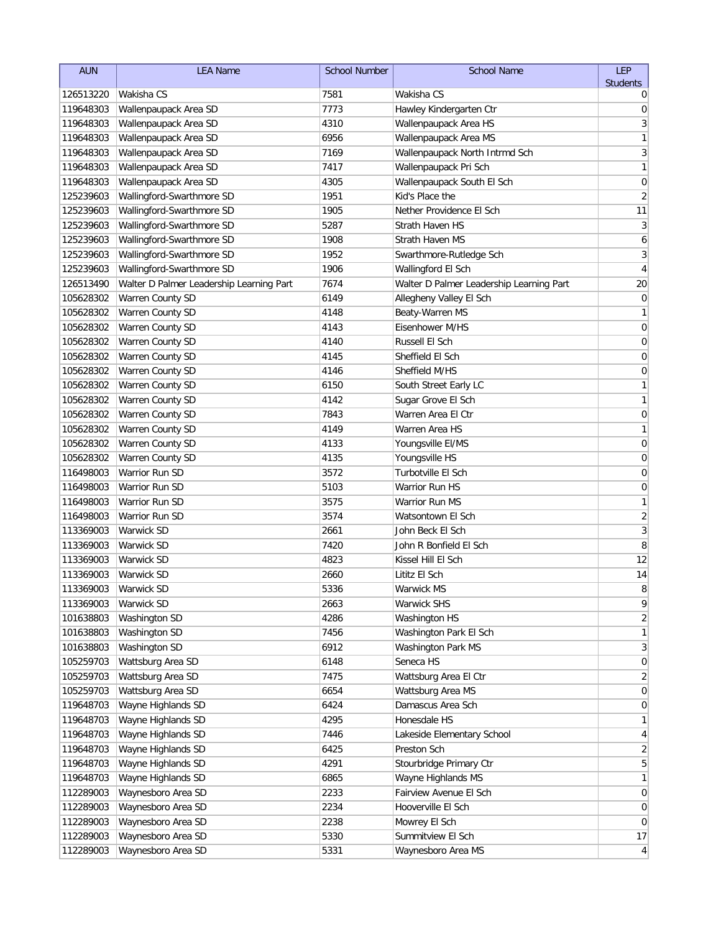| <b>AUN</b><br><b>LEA Name</b><br><b>School Number</b><br><b>School Name</b>                               | LEP             |
|-----------------------------------------------------------------------------------------------------------|-----------------|
|                                                                                                           | <b>Students</b> |
| 126513220<br>Wakisha CS<br>7581<br>Wakisha CS                                                             | 0               |
| 7773<br>119648303<br>Wallenpaupack Area SD<br>Hawley Kindergarten Ctr                                     | 0               |
| 4310<br>Wallenpaupack Area HS<br>119648303<br>Wallenpaupack Area SD                                       | 3               |
| Wallenpaupack Area MS<br>119648303<br>Wallenpaupack Area SD<br>6956                                       | 1               |
| Wallenpaupack Area SD<br>119648303<br>7169<br>Wallenpaupack North Intrmd Sch                              | 3               |
| 119648303<br>Wallenpaupack Area SD<br>7417<br>Wallenpaupack Pri Sch                                       | 1               |
| Wallenpaupack Area SD<br>119648303<br>4305<br>Wallenpaupack South El Sch                                  | 0               |
| Wallingford-Swarthmore SD<br>1951<br>Kid's Place the<br>125239603                                         | $\overline{2}$  |
| Wallingford-Swarthmore SD<br>Nether Providence El Sch<br>1905<br>125239603                                | 11              |
| Wallingford-Swarthmore SD<br>5287<br>Strath Haven HS<br>125239603                                         | 3               |
| Wallingford-Swarthmore SD<br>1908<br>Strath Haven MS<br>125239603                                         | 6               |
| Wallingford-Swarthmore SD<br>1952<br>Swarthmore-Rutledge Sch<br>125239603                                 | $\sqrt{3}$      |
| Wallingford-Swarthmore SD<br>125239603<br>1906<br>Wallingford El Sch                                      | 4               |
| 7674<br>126513490<br>Walter D Palmer Leadership Learning Part<br>Walter D Palmer Leadership Learning Part | 20              |
| 105628302<br>Warren County SD<br>6149<br>Allegheny Valley El Sch                                          | 0               |
| Warren County SD<br>105628302<br>4148<br>Beaty-Warren MS                                                  | 1               |
| Warren County SD<br>105628302<br>4143<br>Eisenhower M/HS                                                  | $\pmb{0}$       |
| Warren County SD<br>105628302<br>4140<br>Russell El Sch                                                   | 0               |
| Warren County SD<br>4145<br>105628302<br>Sheffield El Sch                                                 | 0               |
| Warren County SD<br>Sheffield M/HS<br>105628302<br>4146                                                   | 0               |
| 105628302<br>Warren County SD<br>6150<br>South Street Early LC                                            | 1               |
| Warren County SD<br>105628302<br>4142<br>Sugar Grove El Sch                                               | 1               |
| Warren County SD<br>7843<br>Warren Area El Ctr<br>105628302                                               | 0               |
| Warren County SD<br>4149<br>Warren Area HS<br>105628302                                                   | 1               |
| Warren County SD<br>4133<br>Youngsville EI/MS<br>105628302                                                | 0               |
| Warren County SD<br>105628302<br>4135<br>Youngsville HS                                                   | 0               |
| Warrior Run SD<br>116498003<br>3572<br>Turbotville El Sch                                                 | 0               |
| Warrior Run SD<br>5103<br>116498003<br>Warrior Run HS                                                     | $\mathbf 0$     |
| 3575<br>Warrior Run SD<br>116498003<br>Warrior Run MS                                                     | 1               |
| 3574<br>116498003<br>Warrior Run SD<br>Watsontown El Sch                                                  | $\overline{c}$  |
| 2661<br>113369003<br>Warwick SD<br>John Beck El Sch                                                       | $\overline{3}$  |
| 113369003<br>7420<br>John R Bonfield El Sch<br>Warwick SD                                                 | 8               |
| 4823<br>113369003<br>Kissel Hill El Sch<br>Warwick SD                                                     | 12              |
| 113369003<br>Warwick SD<br>2660<br>Lititz El Sch                                                          | 14              |
| 5336<br>113369003<br>Warwick SD<br>Warwick MS                                                             | 8               |
| 2663<br><b>Warwick SHS</b><br>113369003<br>Warwick SD                                                     | 9               |
| 101638803<br>Washington SD<br>4286<br>Washington HS                                                       | 2               |
| 101638803<br>Washington SD<br>7456<br>Washington Park El Sch                                              | 1               |
| Washington SD<br>101638803<br>6912<br>Washington Park MS                                                  | 3               |
| Wattsburg Area SD<br>105259703<br>6148<br>Seneca HS                                                       | 0               |
| Wattsburg Area SD<br>105259703<br>7475<br>Wattsburg Area El Ctr                                           | 2               |
| Wattsburg Area SD<br>105259703<br>6654<br>Wattsburg Area MS                                               | 0               |
| Wayne Highlands SD<br>6424<br>119648703<br>Damascus Area Sch                                              | 0               |
| Wayne Highlands SD<br>4295<br>Honesdale HS<br>119648703                                                   | 1               |
| Wayne Highlands SD<br>119648703<br>7446<br>Lakeside Elementary School                                     | 4               |
| Wayne Highlands SD<br>6425<br>119648703<br>Preston Sch                                                    | $\overline{2}$  |
| Wayne Highlands SD<br>4291<br>119648703<br>Stourbridge Primary Ctr                                        | 5               |
| Wayne Highlands SD<br>Wayne Highlands MS<br>119648703<br>6865                                             | 1               |
| 112289003<br>Waynesboro Area SD<br>2233<br>Fairview Avenue El Sch                                         | 0               |
| Waynesboro Area SD<br>Hooverville El Sch<br>112289003<br>2234                                             | 0               |
| Waynesboro Area SD<br>2238<br>Mowrey El Sch<br>112289003                                                  | 0               |
| Waynesboro Area SD<br>5330<br>Summitview El Sch<br>112289003                                              | 17              |
| 112289003<br>Waynesboro Area SD<br>5331<br>Waynesboro Area MS                                             | 4               |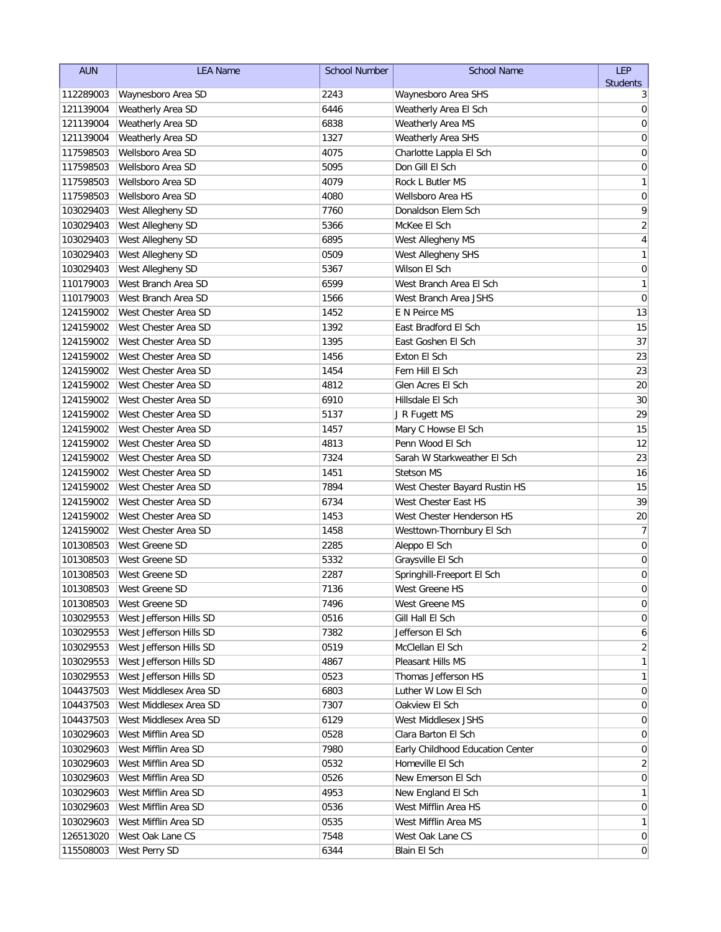| <b>AUN</b>             | <b>LEA Name</b>                             | <b>School Number</b> | <b>School Name</b>                         | <b>LEP</b>                              |
|------------------------|---------------------------------------------|----------------------|--------------------------------------------|-----------------------------------------|
|                        |                                             |                      |                                            | <b>Students</b>                         |
| 112289003              | Waynesboro Area SD                          | 2243                 | Waynesboro Area SHS                        | 3                                       |
| 121139004              | Weatherly Area SD                           | 6446                 | Weatherly Area El Sch                      | 0                                       |
| 121139004              | <b>Weatherly Area SD</b>                    | 6838                 | Weatherly Area MS                          | 0                                       |
| 121139004              | Weatherly Area SD                           | 1327                 | Weatherly Area SHS                         | 0                                       |
| 117598503              | Wellsboro Area SD                           | 4075                 | Charlotte Lappla El Sch                    | 0                                       |
| 117598503              | Wellsboro Area SD                           | 5095                 | Don Gill El Sch                            | 0                                       |
| 117598503              | Wellsboro Area SD                           | 4079                 | Rock L Butler MS                           | 1                                       |
| 117598503              | Wellsboro Area SD                           | 4080                 | Wellsboro Area HS                          | $\mathbf 0$                             |
| 103029403              | West Allegheny SD                           | 7760                 | Donaldson Elem Sch                         | 9                                       |
| 103029403              | West Allegheny SD                           | 5366                 | McKee El Sch                               | $\overline{2}$                          |
| 103029403              | West Allegheny SD                           | 6895<br>0509         | West Allegheny MS                          | $\overline{\mathbf{4}}$<br>$\mathbf{1}$ |
| 103029403              | West Allegheny SD                           | 5367                 | West Allegheny SHS<br>Wilson El Sch        |                                         |
| 103029403              | West Allegheny SD                           | 6599                 |                                            | $\mathbf 0$                             |
| 110179003              | West Branch Area SD                         |                      | West Branch Area El Sch                    | 1<br>$\mathbf 0$                        |
| 110179003              | West Branch Area SD<br>West Chester Area SD | 1566                 | West Branch Area JSHS                      |                                         |
| 124159002              | West Chester Area SD                        | 1452<br>1392         | E N Peirce MS                              | 13                                      |
| 124159002<br>124159002 | West Chester Area SD                        | 1395                 | East Bradford El Sch<br>East Goshen El Sch | 15<br>37                                |
|                        | West Chester Area SD                        | 1456                 | Exton El Sch                               | 23                                      |
| 124159002<br>124159002 | West Chester Area SD                        | 1454                 | Fern Hill El Sch                           | 23                                      |
|                        | West Chester Area SD                        | 4812                 | Glen Acres El Sch                          | 20                                      |
| 124159002              | West Chester Area SD                        | 6910                 | Hillsdale El Sch                           | 30                                      |
| 124159002<br>124159002 | West Chester Area SD                        | 5137                 |                                            | 29                                      |
| 124159002              | West Chester Area SD                        | 1457                 | J R Fugett MS<br>Mary C Howse El Sch       | 15                                      |
| 124159002              | West Chester Area SD                        | 4813                 | Penn Wood El Sch                           | 12                                      |
| 124159002              | West Chester Area SD                        | 7324                 | Sarah W Starkweather El Sch                | 23                                      |
| 124159002              | West Chester Area SD                        | 1451                 | <b>Stetson MS</b>                          | 16                                      |
| 124159002              | West Chester Area SD                        | 7894                 | West Chester Bayard Rustin HS              | 15                                      |
| 124159002              | West Chester Area SD                        | 6734                 | West Chester East HS                       | 39                                      |
| 124159002              | West Chester Area SD                        | 1453                 | West Chester Henderson HS                  | 20                                      |
| 124159002              | West Chester Area SD                        | 1458                 | Westtown-Thornbury El Sch                  | $\overline{7}$                          |
| 101308503              | West Greene SD                              | 2285                 | Aleppo El Sch                              | 0                                       |
| 101308503              | West Greene SD                              | 5332                 | Graysville El Sch                          | $\mathbf 0$                             |
| 101308503              | West Greene SD                              | 2287                 | Springhill-Freeport El Sch                 | 0                                       |
|                        | 101308503   West Greene SD                  | 7136                 | West Greene HS                             | $\Omega$                                |
| 101308503              | West Greene SD                              | 7496                 | West Greene MS                             | 0                                       |
| 103029553              | West Jefferson Hills SD                     | 0516                 | Gill Hall El Sch                           | 0                                       |
| 103029553              | West Jefferson Hills SD                     | 7382                 | Jefferson El Sch                           | 6                                       |
| 103029553              | West Jefferson Hills SD                     | 0519                 | McClellan El Sch                           | 2                                       |
| 103029553              | West Jefferson Hills SD                     | 4867                 | Pleasant Hills MS                          | 1                                       |
| 103029553              | West Jefferson Hills SD                     | 0523                 | Thomas Jefferson HS                        | 1                                       |
| 104437503              | West Middlesex Area SD                      | 6803                 | Luther W Low El Sch                        | 0                                       |
| 104437503              | West Middlesex Area SD                      | 7307                 | Oakview El Sch                             | 0                                       |
| 104437503              | West Middlesex Area SD                      | 6129                 | West Middlesex JSHS                        | 0                                       |
| 103029603              | West Mifflin Area SD                        | 0528                 | Clara Barton El Sch                        | 0                                       |
| 103029603              | West Mifflin Area SD                        | 7980                 | Early Childhood Education Center           | 0                                       |
| 103029603              | West Mifflin Area SD                        | 0532                 | Homeville El Sch                           | 2                                       |
| 103029603              | West Mifflin Area SD                        | 0526                 | New Emerson El Sch                         | $\overline{0}$                          |
| 103029603              | West Mifflin Area SD                        | 4953                 | New England El Sch                         | 1                                       |
| 103029603              | West Mifflin Area SD                        | 0536                 | West Mifflin Area HS                       | 0                                       |
| 103029603              | West Mifflin Area SD                        | 0535                 | West Mifflin Area MS                       | 1                                       |
| 126513020              | West Oak Lane CS                            | 7548                 | West Oak Lane CS                           | $\overline{0}$                          |
| 115508003              | West Perry SD                               | 6344                 | Blain El Sch                               | $\overline{0}$                          |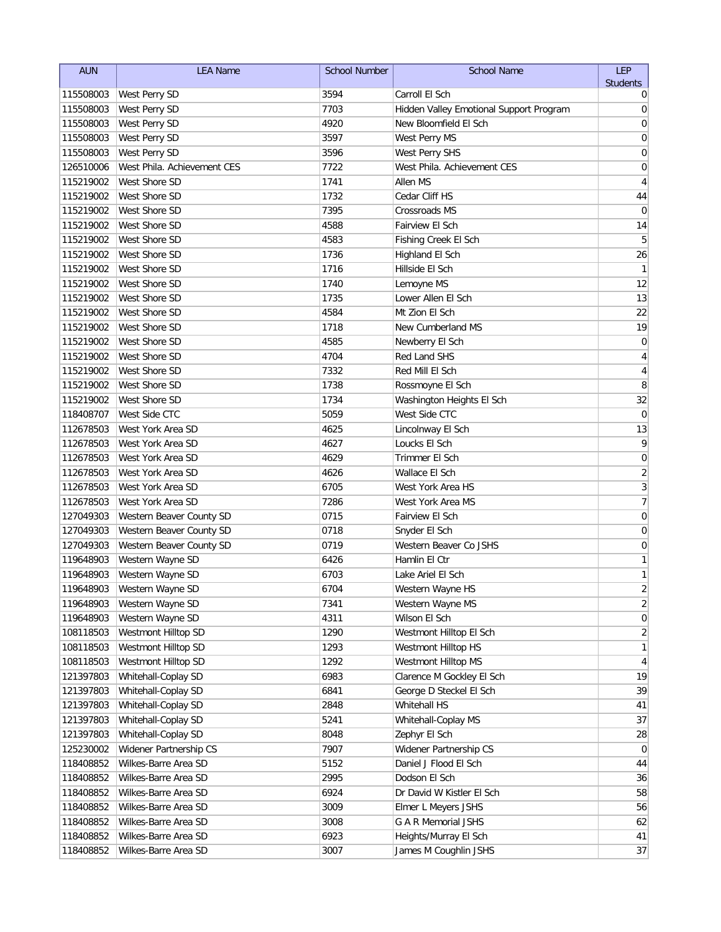| <b>AUN</b> | <b>LEA Name</b>             | <b>School Number</b> | <b>School Name</b>                      | <b>LEP</b>              |
|------------|-----------------------------|----------------------|-----------------------------------------|-------------------------|
|            |                             |                      |                                         | <b>Students</b>         |
| 115508003  | West Perry SD               | 3594                 | Carroll El Sch                          | 0                       |
| 115508003  | West Perry SD               | 7703                 | Hidden Valley Emotional Support Program | 0                       |
| 115508003  | West Perry SD               | 4920                 | New Bloomfield El Sch                   | 0                       |
| 115508003  | West Perry SD               | 3597                 | West Perry MS                           | 0                       |
| 115508003  | West Perry SD               | 3596                 | West Perry SHS                          | 0                       |
| 126510006  | West Phila. Achievement CES | 7722                 | West Phila. Achievement CES             | 0                       |
| 115219002  | West Shore SD               | 1741                 | Allen MS                                | 4                       |
| 115219002  | West Shore SD               | 1732                 | Cedar Cliff HS                          | 44                      |
| 115219002  | West Shore SD               | 7395                 | Crossroads MS                           | $\mathbf 0$             |
| 115219002  | West Shore SD               | 4588                 | Fairview El Sch                         | 14                      |
| 115219002  | West Shore SD               | 4583                 | Fishing Creek El Sch                    | 5                       |
| 115219002  | West Shore SD               | 1736                 | Highland El Sch                         | 26                      |
| 115219002  | West Shore SD               | 1716                 | Hillside El Sch                         | $\mathbf{1}$            |
| 115219002  | West Shore SD               | 1740                 | Lemoyne MS                              | 12                      |
| 115219002  | West Shore SD               | 1735                 | Lower Allen El Sch                      | 13                      |
| 115219002  | West Shore SD               | 4584                 | Mt Zion El Sch                          | 22                      |
| 115219002  | West Shore SD               | 1718                 | New Cumberland MS                       | 19                      |
| 115219002  | West Shore SD               | 4585                 | Newberry El Sch                         | $\mathbf 0$             |
| 115219002  | West Shore SD               | 4704                 | Red Land SHS                            | 4                       |
| 115219002  | West Shore SD               | 7332                 | Red Mill El Sch                         | $\overline{\mathbf{4}}$ |
| 115219002  | West Shore SD               | 1738                 | Rossmoyne El Sch                        | 8                       |
| 115219002  | West Shore SD               | 1734                 | Washington Heights El Sch               | 32                      |
| 118408707  | West Side CTC               | 5059                 | West Side CTC                           | $\mathbf 0$             |
| 112678503  | West York Area SD           | 4625                 | Lincolnway El Sch                       | 13                      |
| 112678503  | West York Area SD           | 4627                 | Loucks El Sch                           | 9                       |
| 112678503  | West York Area SD           | 4629                 | Trimmer El Sch                          | $\mathbf 0$             |
| 112678503  | West York Area SD           | 4626                 | Wallace El Sch                          | $\sqrt{2}$              |
| 112678503  | West York Area SD           | 6705                 | West York Area HS                       | 3                       |
| 112678503  | West York Area SD           | 7286                 | West York Area MS                       | $\overline{7}$          |
| 127049303  | Western Beaver County SD    | 0715                 | Fairview El Sch                         | $\mathbf 0$             |
| 127049303  | Western Beaver County SD    | 0718                 | Snyder El Sch                           | 0                       |
| 127049303  | Western Beaver County SD    | 0719                 | Western Beaver Co JSHS                  | 0                       |
| 119648903  | Western Wayne SD            | 6426                 | Hamlin El Ctr                           | 1                       |
| 119648903  | Western Wayne SD            | 6703                 | Lake Ariel El Sch                       | 1                       |
| 119648903  | Western Wayne SD            | 6704                 | Western Wayne HS                        | $\overline{\mathbf{c}}$ |
| 119648903  | Western Wayne SD            | 7341                 | Western Wayne MS                        | $\overline{2}$          |
| 119648903  | Western Wayne SD            | 4311                 | Wilson El Sch                           | $\boldsymbol{0}$        |
| 108118503  | Westmont Hilltop SD         | 1290                 | Westmont Hilltop El Sch                 | $\overline{2}$          |
| 108118503  | Westmont Hilltop SD         | 1293                 | Westmont Hilltop HS                     | 1                       |
| 108118503  | Westmont Hilltop SD         | 1292                 | <b>Westmont Hilltop MS</b>              | 4                       |
| 121397803  | Whitehall-Coplay SD         | 6983                 | Clarence M Gockley El Sch               | 19                      |
| 121397803  | Whitehall-Coplay SD         | 6841                 | George D Steckel El Sch                 | 39                      |
| 121397803  | Whitehall-Coplay SD         | 2848                 | Whitehall HS                            | 41                      |
| 121397803  | Whitehall-Coplay SD         | 5241                 | Whitehall-Coplay MS                     | 37                      |
| 121397803  | Whitehall-Coplay SD         | 8048                 | Zephyr El Sch                           | 28                      |
| 125230002  | Widener Partnership CS      | 7907                 | Widener Partnership CS                  | $\overline{0}$          |
| 118408852  | Wilkes-Barre Area SD        | 5152                 | Daniel J Flood El Sch                   | 44                      |
| 118408852  | Wilkes-Barre Area SD        | 2995                 | Dodson El Sch                           | 36                      |
| 118408852  | Wilkes-Barre Area SD        | 6924                 | Dr David W Kistler El Sch               | 58                      |
| 118408852  | Wilkes-Barre Area SD        | 3009                 | Elmer L Meyers JSHS                     | 56                      |
| 118408852  | Wilkes-Barre Area SD        | 3008                 | G A R Memorial JSHS                     | 62                      |
| 118408852  | Wilkes-Barre Area SD        | 6923                 | Heights/Murray El Sch                   | 41                      |
| 118408852  | Wilkes-Barre Area SD        | 3007                 | James M Coughlin JSHS                   | 37                      |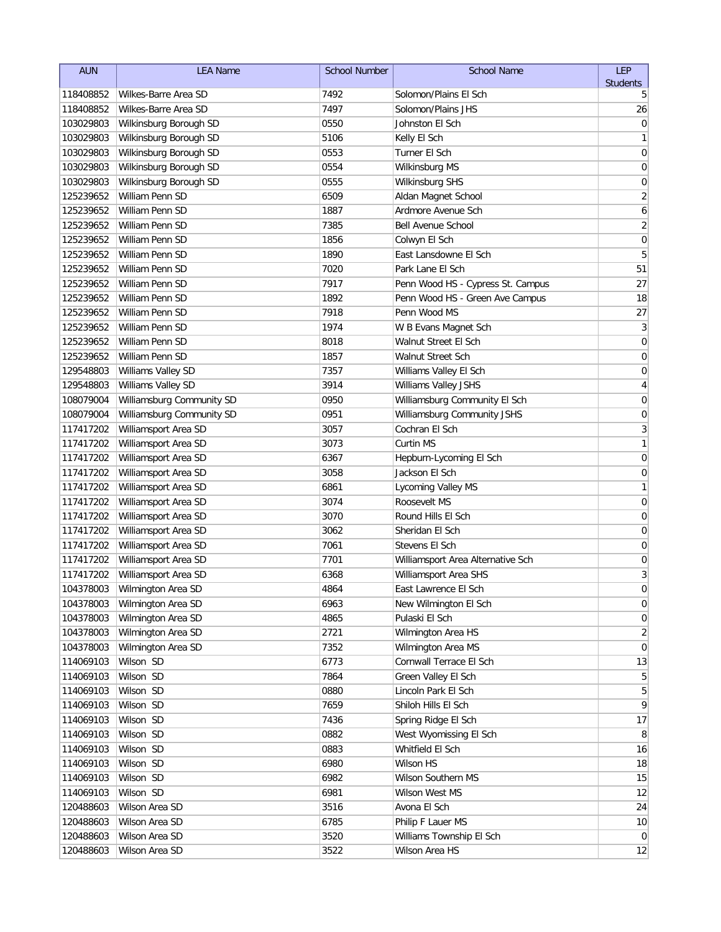| <b>AUN</b>             | <b>LEA Name</b>                    | <b>School Number</b> | <b>School Name</b>                        | LEP                 |
|------------------------|------------------------------------|----------------------|-------------------------------------------|---------------------|
|                        |                                    |                      |                                           | <b>Students</b>     |
| 118408852              | Wilkes-Barre Area SD               | 7492                 | Solomon/Plains El Sch                     | 5                   |
| 118408852              | Wilkes-Barre Area SD               | 7497                 | Solomon/Plains JHS                        | 26                  |
| 103029803              | Wilkinsburg Borough SD             | 0550                 | Johnston El Sch                           | 0                   |
| 103029803              | Wilkinsburg Borough SD             | 5106                 | Kelly El Sch                              | 1                   |
| 103029803              | Wilkinsburg Borough SD             | 0553                 | Turner El Sch                             | 0                   |
| 103029803              | Wilkinsburg Borough SD             | 0554                 | Wilkinsburg MS                            | 0                   |
| 103029803              | Wilkinsburg Borough SD             | 0555                 | <b>Wilkinsburg SHS</b>                    | 0                   |
| 125239652              | William Penn SD<br>William Penn SD | 6509                 | Aldan Magnet School<br>Ardmore Avenue Sch | $\overline{2}$      |
| 125239652<br>125239652 | William Penn SD                    | 1887<br>7385         | <b>Bell Avenue School</b>                 | 6<br>$\overline{2}$ |
| 125239652              | William Penn SD                    | 1856                 |                                           | $\mathbf 0$         |
| 125239652              | William Penn SD                    | 1890                 | Colwyn El Sch<br>East Lansdowne El Sch    | 5                   |
| 125239652              | William Penn SD                    | 7020                 | Park Lane El Sch                          | 51                  |
| 125239652              | William Penn SD                    | 7917                 | Penn Wood HS - Cypress St. Campus         | 27                  |
| 125239652              | William Penn SD                    | 1892                 | Penn Wood HS - Green Ave Campus           | 18                  |
| 125239652              | William Penn SD                    | 7918                 | Penn Wood MS                              | 27                  |
| 125239652              | William Penn SD                    | 1974                 | W B Evans Magnet Sch                      | $\sqrt{3}$          |
| 125239652              | William Penn SD                    | 8018                 | Walnut Street El Sch                      | $\mathbf 0$         |
| 125239652              | William Penn SD                    | 1857                 | Walnut Street Sch                         | 0                   |
| 129548803              | Williams Valley SD                 | 7357                 | Williams Valley El Sch                    | 0                   |
| 129548803              | Williams Valley SD                 | 3914                 | Williams Valley JSHS                      | 4                   |
| 108079004              | Williamsburg Community SD          | 0950                 | Williamsburg Community El Sch             | 0                   |
| 108079004              | Williamsburg Community SD          | 0951                 | Williamsburg Community JSHS               | 0                   |
| 117417202              | Williamsport Area SD               | 3057                 | Cochran El Sch                            | 3                   |
| 117417202              | Williamsport Area SD               | 3073                 | Curtin MS                                 | 1                   |
| 117417202              | Williamsport Area SD               | 6367                 | Hepburn-Lycoming El Sch                   | $\mathbf 0$         |
| 117417202              | Williamsport Area SD               | 3058                 | Jackson El Sch                            | $\mathbf 0$         |
| 117417202              | Williamsport Area SD               | 6861                 | Lycoming Valley MS                        | 1                   |
| 117417202              | Williamsport Area SD               | 3074                 | Roosevelt MS                              | $\mathbf 0$         |
| 117417202              | Williamsport Area SD               | 3070                 | Round Hills El Sch                        | 0                   |
| 117417202              | Williamsport Area SD               | 3062                 | Sheridan El Sch                           | 0                   |
| 117417202              | Williamsport Area SD               | 7061                 | Stevens El Sch                            | 0                   |
| 117417202              | Williamsport Area SD               | 7701                 | Williamsport Area Alternative Sch         | $\mathbf 0$         |
| 117417202              | Williamsport Area SD               | 6368                 | Williamsport Area SHS                     | 3                   |
| 104378003              | Wilmington Area SD                 | 4864                 | East Lawrence El Sch                      | $\overline{0}$      |
| 104378003              | Wilmington Area SD                 | 6963                 | New Wilmington El Sch                     | 0                   |
| 104378003              | Wilmington Area SD                 | 4865                 | Pulaski El Sch                            | $\overline{0}$      |
| 104378003              | Wilmington Area SD                 | 2721                 | Wilmington Area HS                        | 2                   |
| 104378003              | Wilmington Area SD                 | 7352                 | Wilmington Area MS                        | $\overline{0}$      |
| 114069103              | Wilson SD                          | 6773                 | Cornwall Terrace El Sch                   | 13                  |
| 114069103              | Wilson SD                          | 7864                 | Green Valley El Sch                       | 5                   |
| 114069103              | Wilson SD                          | 0880                 | Lincoln Park El Sch                       | 5                   |
| 114069103              | Wilson SD                          | 7659                 | Shiloh Hills El Sch                       | 9                   |
| 114069103              | Wilson SD                          | 7436                 | Spring Ridge El Sch                       | 17                  |
| 114069103              | Wilson SD                          | 0882                 | West Wyomissing El Sch                    | 8                   |
| 114069103              | Wilson SD                          | 0883                 | Whitfield El Sch                          | 16                  |
| 114069103              | Wilson SD                          | 6980                 | Wilson HS                                 | 18                  |
| 114069103              | Wilson SD                          | 6982                 | Wilson Southern MS                        | 15                  |
| 114069103              | Wilson SD                          | 6981                 | Wilson West MS                            | 12                  |
| 120488603              | Wilson Area SD                     | 3516                 | Avona El Sch                              | 24                  |
| 120488603              | Wilson Area SD                     | 6785                 | Philip F Lauer MS                         | 10                  |
| 120488603              | Wilson Area SD                     | 3520                 | Williams Township El Sch                  | $\overline{0}$      |
| 120488603              | Wilson Area SD                     | 3522                 | Wilson Area HS                            | 12                  |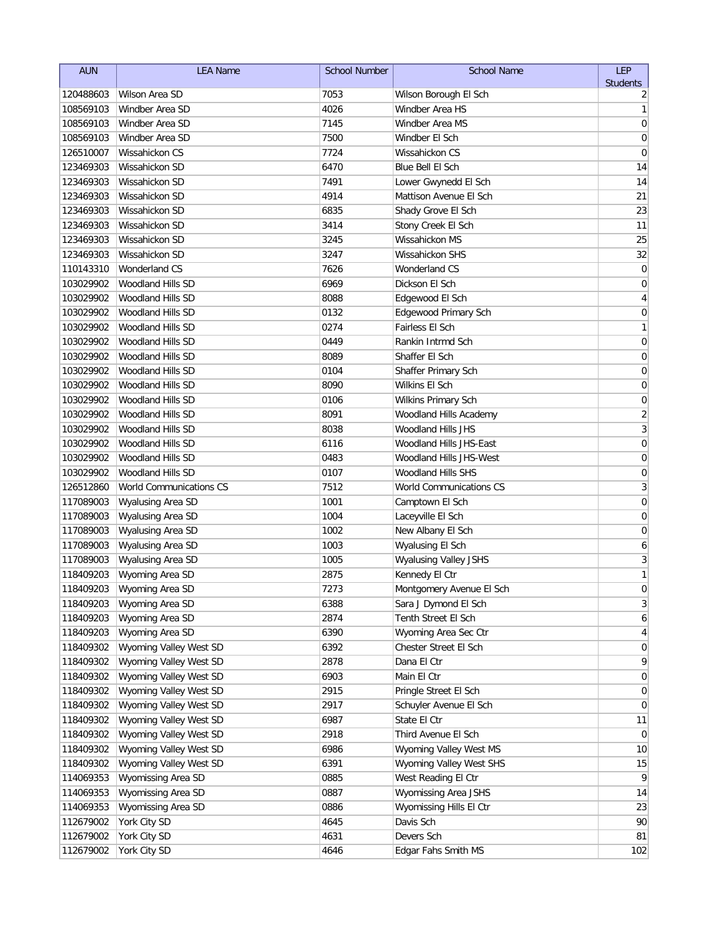| <b>AUN</b>             | <b>LEA Name</b>                                  | <b>School Number</b> | <b>School Name</b>                                | LEP                  |
|------------------------|--------------------------------------------------|----------------------|---------------------------------------------------|----------------------|
|                        | Wilson Area SD                                   |                      |                                                   | <b>Students</b>      |
| 120488603              | Windber Area SD                                  | 7053<br>4026         | Wilson Borough El Sch<br>Windber Area HS          | 2                    |
| 108569103              |                                                  | 7145                 | Windber Area MS                                   | 1                    |
| 108569103              | Windber Area SD<br>Windber Area SD               |                      | Windber El Sch                                    | $\mathbf 0$          |
| 108569103              | Wissahickon CS                                   | 7500                 |                                                   | 0                    |
| 126510007              | Wissahickon SD                                   | 7724                 | Wissahickon CS<br>Blue Bell El Sch                | 0<br>14              |
| 123469303              |                                                  | 6470                 |                                                   |                      |
| 123469303              | Wissahickon SD                                   | 7491                 | Lower Gwynedd El Sch                              | 14                   |
| 123469303              | Wissahickon SD<br>Wissahickon SD                 | 4914                 | Mattison Avenue El Sch<br>Shady Grove El Sch      | 21                   |
| 123469303              | Wissahickon SD                                   | 6835<br>3414         |                                                   | 23                   |
| 123469303              | Wissahickon SD                                   |                      | Stony Creek El Sch                                | 11                   |
| 123469303              | Wissahickon SD                                   | 3245<br>3247         | Wissahickon MS<br>Wissahickon SHS                 | 25                   |
| 123469303              |                                                  |                      |                                                   | 32                   |
| 110143310              | <b>Wonderland CS</b>                             | 7626                 | Wonderland CS                                     | $\mathbf 0$          |
| 103029902              | Woodland Hills SD                                | 6969                 | Dickson El Sch                                    | 0                    |
| 103029902              | Woodland Hills SD                                | 8088                 | Edgewood El Sch                                   | 4                    |
| 103029902              | Woodland Hills SD<br>Woodland Hills SD           | 0132                 | Edgewood Primary Sch                              | 0                    |
| 103029902              |                                                  | 0274                 | Fairless El Sch                                   | 1                    |
| 103029902              | Woodland Hills SD                                | 0449                 | Rankin Intrmd Sch                                 | $\mathbf 0$          |
| 103029902              | Woodland Hills SD                                | 8089                 | Shaffer El Sch                                    | 0                    |
| 103029902              | Woodland Hills SD                                | 0104                 | Shaffer Primary Sch                               | 0                    |
| 103029902              | <b>Woodland Hills SD</b>                         | 8090                 | <b>Wilkins El Sch</b>                             | 0                    |
| 103029902              | Woodland Hills SD                                | 0106                 | Wilkins Primary Sch                               | 0                    |
| 103029902              | Woodland Hills SD                                | 8091                 | Woodland Hills Academy                            | $\overline{2}$       |
| 103029902              | Woodland Hills SD                                | 8038                 | Woodland Hills JHS                                | 3                    |
| 103029902              | Woodland Hills SD                                | 6116                 | Woodland Hills JHS-East                           | $\mathbf 0$          |
| 103029902              | Woodland Hills SD                                | 0483                 | Woodland Hills JHS-West                           | 0                    |
| 103029902              | Woodland Hills SD                                | 0107                 | Woodland Hills SHS                                | $\mathbf 0$          |
| 126512860              | World Communications CS                          | 7512                 | World Communications CS                           | 3                    |
| 117089003              | Wyalusing Area SD                                | 1001                 | Camptown El Sch                                   | $\mathbf 0$          |
| 117089003              | Wyalusing Area SD                                | 1004                 | Laceyville El Sch                                 | 0                    |
| 117089003              | Wyalusing Area SD                                | 1002                 | New Albany El Sch                                 | 0                    |
| 117089003              | Wyalusing Area SD                                | 1003                 | Wyalusing El Sch                                  | 6                    |
| 117089003              | Wyalusing Area SD                                | 1005                 | Wyalusing Valley JSHS                             | 3<br>1               |
| 118409203              | Wyoming Area SD                                  | 2875                 | Kennedy El Ctr                                    |                      |
| 118409203              | Wyoming Area SD                                  | 7273                 | Montgomery Avenue El Sch                          | $\pmb{0}$            |
| 118409203              | Wyoming Area SD                                  | 6388                 | Sara J Dymond El Sch                              | $\mathbf{3}$         |
| 118409203              | Wyoming Area SD<br>Wyoming Area SD               | 2874<br>6390         | Tenth Street El Sch<br>Wyoming Area Sec Ctr       | 6                    |
| 118409203              | Wyoming Valley West SD                           |                      | Chester Street El Sch                             | 4<br>$\overline{0}$  |
| 118409302              | Wyoming Valley West SD                           | 6392<br>2878         |                                                   | 9                    |
| 118409302<br>118409302 | Wyoming Valley West SD                           | 6903                 | Dana El Ctr                                       | $\overline{0}$       |
|                        | Wyoming Valley West SD                           |                      | Main El Ctr                                       |                      |
| 118409302<br>118409302 | Wyoming Valley West SD                           | 2915<br>2917         | Pringle Street El Sch<br>Schuyler Avenue El Sch   | $\overline{0}$<br>0  |
| 118409302              | Wyoming Valley West SD                           | 6987                 | State El Ctr                                      | 11                   |
|                        |                                                  |                      |                                                   |                      |
| 118409302              | Wyoming Valley West SD<br>Wyoming Valley West SD | 2918                 | Third Avenue El Sch                               | $\overline{0}$<br>10 |
| 118409302<br>118409302 | Wyoming Valley West SD                           | 6986<br>6391         | Wyoming Valley West MS<br>Wyoming Valley West SHS | 15                   |
| 114069353              | Wyomissing Area SD                               | 0885                 | West Reading El Ctr                               | 9                    |
| 114069353              | Wyomissing Area SD                               | 0887                 | Wyomissing Area JSHS                              | 14                   |
| 114069353              | Wyomissing Area SD                               | 0886                 | Wyomissing Hills El Ctr                           | 23                   |
| 112679002              | York City SD                                     | 4645                 | Davis Sch                                         | 90                   |
| 112679002              | York City SD                                     | 4631                 | Devers Sch                                        | 81                   |
| 112679002              | York City SD                                     | 4646                 | Edgar Fahs Smith MS                               | 102                  |
|                        |                                                  |                      |                                                   |                      |